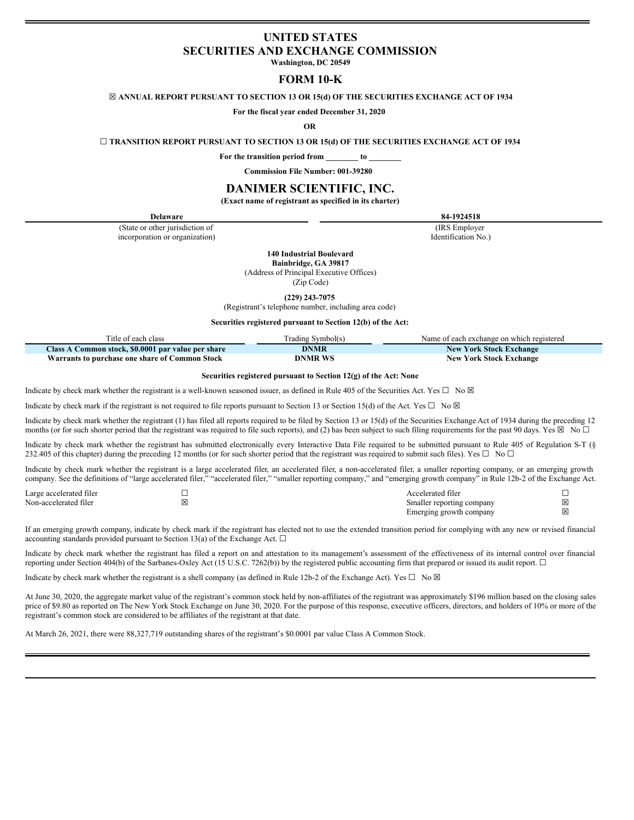# **UNITED STATES SECURITIES AND EXCHANGE COMMISSION**

**Washington, DC 20549**

## **FORM 10-K**

## ☒ **ANNUAL REPORT PURSUANT TO SECTION 13 OR 15(d) OF THE SECURITIES EXCHANGE ACT OF 1934**

**For the fiscal year ended December 31, 2020**

**OR**

☐ **TRANSITION REPORT PURSUANT TO SECTION 13 OR 15(d) OF THE SECURITIES EXCHANGE ACT OF 1934**

**For the transition period from \_\_\_\_\_\_\_\_ to \_\_\_\_\_\_\_\_**

**Commission File Number: 001-39280**

## **DANIMER SCIENTIFIC, INC.**

### **(Exact name of registrant as specified in its charter)**

(State or other jurisdiction of incorporation or organization)

**Delaware 84-1924518**

(IRS Employer Identification No.)

**140 Industrial Boulevard**

**Bainbridge, GA 39817**

(Address of Principal Executive Offices)

(Zip Code)

**(229) 243-7075** (Registrant's telephone number, including area code)

**Securities registered pursuant to Section 12(b) of the Act:**

| Fitle of each class                                | Frading Symbol(s) | Name of each exchange on which registered |
|----------------------------------------------------|-------------------|-------------------------------------------|
| Class A Common stock, \$0,0001 par value per share | <b>DNMR</b>       | <b>New York Stock Exchange</b>            |
| Warrants to purchase one share of Common Stock     | <b>DNMR WS</b>    | <b>New York Stock Exchange</b>            |

#### **Securities registered pursuant to Section 12(g) of the Act: None**

Indicate by check mark whether the registrant is a well-known seasoned issuer, as defined in Rule 405 of the Securities Act. Yes  $\Box$  No  $\boxtimes$ 

Indicate by check mark if the registrant is not required to file reports pursuant to Section 13 or Section 15(d) of the Act. Yes  $\Box$  No  $\boxtimes$ 

Indicate by check mark whether the registrant (1) has filed all reports required to be filed by Section 13 or 15(d) of the Securities Exchange Act of 1934 during the preceding 12 months (or for such shorter period that the registrant was required to file such reports), and (2) has been subject to such filing requirements for the past 90 days. Yes  $\boxtimes$  No  $\Box$ 

Indicate by check mark whether the registrant has submitted electronically every Interactive Data File required to be submitted pursuant to Rule 405 of Regulation S-T (§ 232.405 of this chapter) during the preceding 12 months (or for such shorter period that the registrant was required to submit such files). Yes  $\Box$  No  $\Box$ 

Indicate by check mark whether the registrant is a large accelerated filer, an accelerated filer, a non-accelerated filer, a smaller reporting company, or an emerging growth company. See the definitions of "large accelerated filer," "accelerated filer," "smaller reporting company," and "emerging growth company" in Rule 12b-2 of the Exchange Act.

| Large accelerated filer |   | Accelerated filer         |   |
|-------------------------|---|---------------------------|---|
| Non-accelerated filer   | ⊠ | Smaller reporting company | X |
|                         |   | Emerging growth company   | × |

If an emerging growth company, indicate by check mark if the registrant has elected not to use the extended transition period for complying with any new or revised financial accounting standards provided pursuant to Section 13(a) of the Exchange Act.  $\Box$ 

Indicate by check mark whether the registrant has filed a report on and attestation to its management's assessment of the effectiveness of its internal control over financial reporting under Section 404(b) of the Sarbanes-Oxley Act (15 U.S.C. 7262(b)) by the registered public accounting firm that prepared or issued its audit report.  $\Box$ 

Indicate by check mark whether the registrant is a shell company (as defined in Rule 12b-2 of the Exchange Act). Yes  $\Box$  No  $\boxtimes$ 

At June 30, 2020, the aggregate market value of the registrant's common stock held by non-affiliates of the registrant was approximately \$196 million based on the closing sales price of \$9.80 as reported on The New York Stock Exchange on June 30, 2020. For the purpose of this response, executive officers, directors, and holders of 10% or more of the registrant's common stock are considered to be affiliates of the registrant at that date.

At March 26, 2021, there were 88,327,719 outstanding shares of the registrant's \$0.0001 par value Class A Common Stock.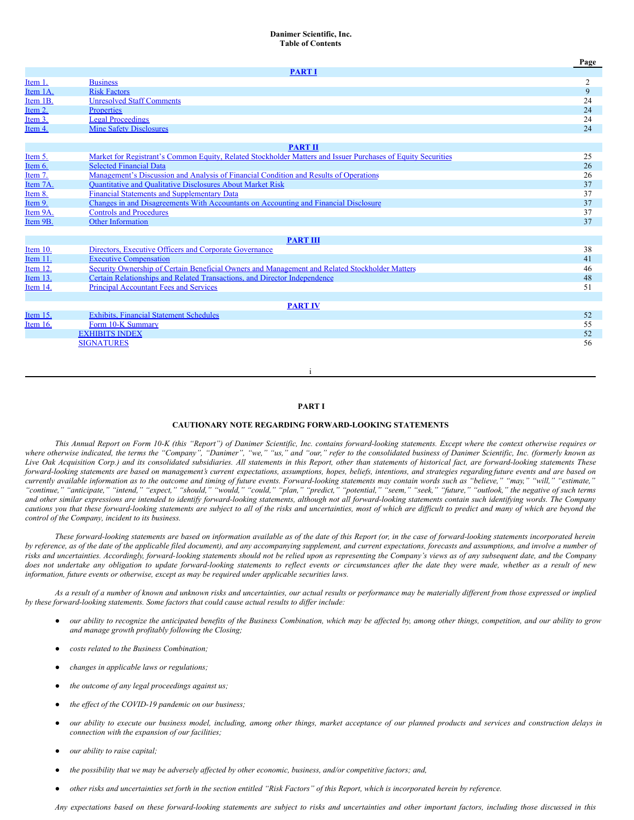#### **Danimer Scientific, Inc. Table of Contents**

|             |                                                                                                              | Page |
|-------------|--------------------------------------------------------------------------------------------------------------|------|
|             | <b>PART I</b>                                                                                                |      |
| Item 1.     | <b>Business</b>                                                                                              | 2    |
| Item 1A.    | <b>Risk Factors</b>                                                                                          | 9    |
| Item 1B.    | <b>Unresolved Staff Comments</b>                                                                             | 24   |
| Item 2.     | Properties                                                                                                   | 24   |
| Item 3.     | <b>Legal Proceedings</b>                                                                                     | 24   |
| Item 4.     | <b>Mine Safety Disclosures</b>                                                                               | 24   |
|             | <b>PART II</b>                                                                                               |      |
| Item 5.     | Market for Registrant's Common Equity, Related Stockholder Matters and Issuer Purchases of Equity Securities | 25   |
| Item 6.     | <b>Selected Financial Data</b>                                                                               | 26   |
| Item 7.     | Management's Discussion and Analysis of Financial Condition and Results of Operations                        | 26   |
| Item 7A.    | <b>Ouantitative and Oualitative Disclosures About Market Risk</b>                                            | 37   |
| Item 8.     | <b>Financial Statements and Supplementary Data</b>                                                           | 37   |
| Item 9.     | Changes in and Disagreements With Accountants on Accounting and Financial Disclosure                         | 37   |
| Item 9A.    | <b>Controls and Procedures</b>                                                                               | 37   |
| Item 9B.    | <b>Other Information</b>                                                                                     | 37   |
|             | <b>PART III</b>                                                                                              |      |
| Item 10.    | Directors, Executive Officers and Corporate Governance                                                       | 38   |
| Item 11.    | <b>Executive Compensation</b>                                                                                | 41   |
| Item 12.    | Security Ownership of Certain Beneficial Owners and Management and Related Stockholder Matters               | 46   |
| Item 13.    | Certain Relationships and Related Transactions, and Director Independence                                    | 48   |
| Item 14.    | <b>Principal Accountant Fees and Services</b>                                                                | 51   |
|             | <b>PART IV</b>                                                                                               |      |
| Item 15.    | <b>Exhibits, Financial Statement Schedules</b>                                                               | 52   |
| Item $16$ . | Form 10-K Summary                                                                                            | 55   |
|             | <b>EXHIBITS INDEX</b>                                                                                        | 52   |
|             | <b>SIGNATURES</b>                                                                                            | 56   |
|             |                                                                                                              |      |

## i

## <span id="page-1-0"></span>**PART I**

## **CAUTIONARY NOTE REGARDING FORWARD-LOOKING STATEMENTS**

This Annual Report on Form 10-K (this "Report") of Danimer Scientific, Inc. contains forward-looking statements. Except where the context otherwise requires or where otherwise indicated, the terms the "Company", "Danimer", "we," "us," and "our," refer to the consolidated business of Danimer Scientific, Inc. (formerly known as Live Oak Acquisition Corp.) and its consolidated subsidiaries. All statements in this Report, other than statements of historical fact, are forward-looking statements These forward-looking statements are based on management's current expectations, assumptions, hopes, beliefs, intentions, and strategies regarding future events and are based on currently available information as to the outcome and timing of future events. Forward-looking statements may contain words such as "believe," "may," "will," "estimate," "continue," "anticipate," "intend," "expect," "should," "would," "could," "plan," "predict," "potential," "seem," "seek," "future," "outlook," the negative of such terms and other similar expressions are intended to identify forward-looking statements, although not all forward-looking statements contain such identifying words. The Company cautions you that these forward-looking statements are subject to all of the risks and uncertainties, most of which are difficult to predict and many of which are beyond the *control of the Company, incident to its business.*

These forward-looking statements are based on information available as of the date of this Report (or, in the case of forward-looking statements incorporated herein by reference, as of the date of the applicable filed document), and any accompanying supplement, and current expectations, forecasts and assumptions, and involve a number of risks and uncertainties. Accordingly, forward-looking statements should not be relied upon as representing the Company's views as of any subsequent date, and the Company does not undertake any obligation to update forward-looking statements to reflect events or circumstances after the date they were made, whether as a result of new *information, future events or otherwise, except as may be required under applicable securities laws.*

As a result of a number of known and unknown risks and uncertainties, our actual results or performance may be materially different from those expressed or implied *by these forward-looking statements. Some factors that could cause actual results to dif er include:*

- our ability to recognize the anticipated benefits of the Business Combination, which may be affected by, among other things, competition, and our ability to grow *and manage growth profitably following the Closing;*
- *● costs related to the Business Combination;*
- *● changes in applicable laws or regulations;*
- *● the outcome of any legal proceedings against us;*
- *● the ef ect of the COVID-19 pandemic on our business;*
- our ability to execute our business model, including, among other things, market acceptance of our planned products and services and construction delays in *connection with the expansion of our facilities;*
- *● our ability to raise capital;*
- the possibility that we may be adversely affected by other economic, business, and/or competitive factors; and,
- other risks and uncertainties set forth in the section entitled "Risk Factors" of this Report, which is incorporated herein by reference.

Any expectations based on these forward-looking statements are subject to risks and uncertainties and other important factors, including those discussed in this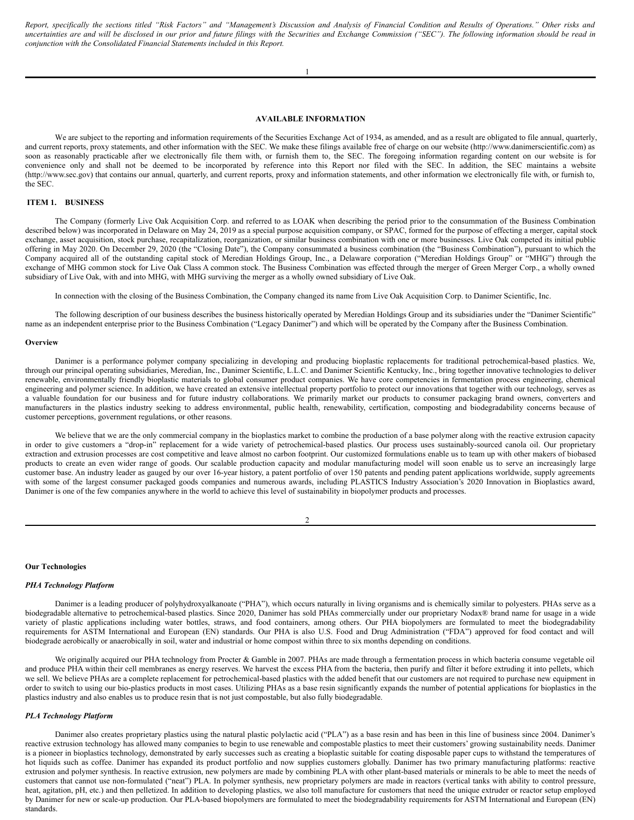Report, specifically the sections titled "Risk Factors" and "Management's Discussion and Analysis of Financial Condition and Results of Operations." Other risks and uncertainties are and will be disclosed in our prior and future filings with the Securities and Exchange Commission ("SEC"). The following information should be read in *conjunction with the Consolidated Financial Statements included in this Report.*

## **AVAILABLE INFORMATION**

We are subject to the reporting and information requirements of the Securities Exchange Act of 1934, as amended, and as a result are obligated to file annual, quarterly, and current reports, proxy statements, and other information with the SEC. We make these filings available free of charge on our website (http://www.danimerscientific.com) as soon as reasonably practicable after we electronically file them with, or furnish them to, the SEC. The foregoing information regarding content on our website is for convenience only and shall not be deemed to be incorporated by reference into this Report nor filed with the SEC. In addition, the SEC maintains a website (http://www.sec.gov) that contains our annual, quarterly, and current reports, proxy and information statements, and other information we electronically file with, or furnish to, the SEC.

## <span id="page-2-0"></span>**ITEM 1. BUSINESS**

The Company (formerly Live Oak Acquisition Corp. and referred to as LOAK when describing the period prior to the consummation of the Business Combination described below) was incorporated in Delaware on May 24, 2019 as a special purpose acquisition company, or SPAC, formed for the purpose of effecting a merger, capital stock exchange, asset acquisition, stock purchase, recapitalization, reorganization, or similar business combination with one or more businesses. Live Oak competed its initial public offering in May 2020. On December 29, 2020 (the "Closing Date"), the Company consummated a business combination (the "Business Combination"), pursuant to which the Company acquired all of the outstanding capital stock of Meredian Holdings Group, Inc., a Delaware corporation ("Meredian Holdings Group" or "MHG") through the exchange of MHG common stock for Live Oak Class A common stock. The Business Combination was effected through the merger of Green Merger Corp., a wholly owned subsidiary of Live Oak, with and into MHG, with MHG surviving the merger as a wholly owned subsidiary of Live Oak.

In connection with the closing of the Business Combination, the Company changed its name from Live Oak Acquisition Corp. to Danimer Scientific, Inc.

The following description of our business describes the business historically operated by Meredian Holdings Group and its subsidiaries under the "Danimer Scientific" name as an independent enterprise prior to the Business Combination ("Legacy Danimer") and which will be operated by the Company after the Business Combination.

#### **Overview**

Danimer is a performance polymer company specializing in developing and producing bioplastic replacements for traditional petrochemical-based plastics. We, through our principal operating subsidiaries, Meredian, Inc., Danimer Scientific, L.L.C. and Danimer Scientific Kentucky, Inc., bring together innovative technologies to deliver renewable, environmentally friendly bioplastic materials to global consumer product companies. We have core competencies in fermentation process engineering, chemical engineering and polymer science. In addition, we have created an extensive intellectual property portfolio to protect our innovations that together with our technology, serves as a valuable foundation for our business and for future industry collaborations. We primarily market our products to consumer packaging brand owners, converters and manufacturers in the plastics industry seeking to address environmental, public health, renewability, certification, composting and biodegradability concerns because of customer perceptions, government regulations, or other reasons.

We believe that we are the only commercial company in the bioplastics market to combine the production of a base polymer along with the reactive extrusion capacity in order to give customers a "drop-in" replacement for a wide variety of petrochemical-based plastics. Our process uses sustainably-sourced canola oil. Our proprietary extraction and extrusion processes are cost competitive and leave almost no carbon footprint. Our customized formulations enable us to team up with other makers of biobased products to create an even wider range of goods. Our scalable production capacity and modular manufacturing model will soon enable us to serve an increasingly large customer base. An industry leader as gauged by our over 16-year history, a patent portfolio of over 150 patents and pending patent applications worldwide, supply agreements with some of the largest consumer packaged goods companies and numerous awards, including PLASTICS Industry Association's 2020 Innovation in Bioplastics award, Danimer is one of the few companies anywhere in the world to achieve this level of sustainability in biopolymer products and processes.

| ×<br>ł |  |  |
|--------|--|--|
|        |  |  |
|        |  |  |

#### **Our Technologies**

## *PHA Technology Platform*

Danimer is a leading producer of polyhydroxyalkanoate ("PHA"), which occurs naturally in living organisms and is chemically similar to polyesters. PHAs serve as a biodegradable alternative to petrochemical-based plastics. Since 2020, Danimer has sold PHAs commercially under our proprietary Nodax® brand name for usage in a wide variety of plastic applications including water bottles, straws, and food containers, among others. Our PHA biopolymers are formulated to meet the biodegradability requirements for ASTM International and European (EN) standards. Our PHA is also U.S. Food and Drug Administration ("FDA") approved for food contact and will biodegrade aerobically or anaerobically in soil, water and industrial or home compost within three to six months depending on conditions.

We originally acquired our PHA technology from Procter & Gamble in 2007. PHAs are made through a fermentation process in which bacteria consume vegetable oil and produce PHA within their cell membranes as energy reserves. We harvest the excess PHA from the bacteria, then purify and filter it before extruding it into pellets, which we sell. We believe PHAs are a complete replacement for petrochemical-based plastics with the added benefit that our customers are not required to purchase new equipment in order to switch to using our bio-plastics products in most cases. Utilizing PHAs as a base resin significantly expands the number of potential applications for bioplastics in the plastics industry and also enables us to produce resin that is not just compostable, but also fully biodegradable.

## *PLA Technology Platform*

Danimer also creates proprietary plastics using the natural plastic polylactic acid ("PLA") as a base resin and has been in this line of business since 2004. Danimer's reactive extrusion technology has allowed many companies to begin to use renewable and compostable plastics to meet their customers' growing sustainability needs. Danimer is a pioneer in bioplastics technology, demonstrated by early successes such as creating a bioplastic suitable for coating disposable paper cups to withstand the temperatures of hot liquids such as coffee. Danimer has expanded its product portfolio and now supplies customers globally. Danimer has two primary manufacturing platforms: reactive extrusion and polymer synthesis. In reactive extrusion, new polymers are made by combining PLA with other plant-based materials or minerals to be able to meet the needs of customers that cannot use non-formulated ("neat") PLA. In polymer synthesis, new proprietary polymers are made in reactors (vertical tanks with ability to control pressure, heat, agitation, pH, etc.) and then pelletized. In addition to developing plastics, we also toll manufacture for customers that need the unique extruder or reactor setup employed by Danimer for new or scale-up production. Our PLA-based biopolymers are formulated to meet the biodegradability requirements for ASTM International and European (EN) standards.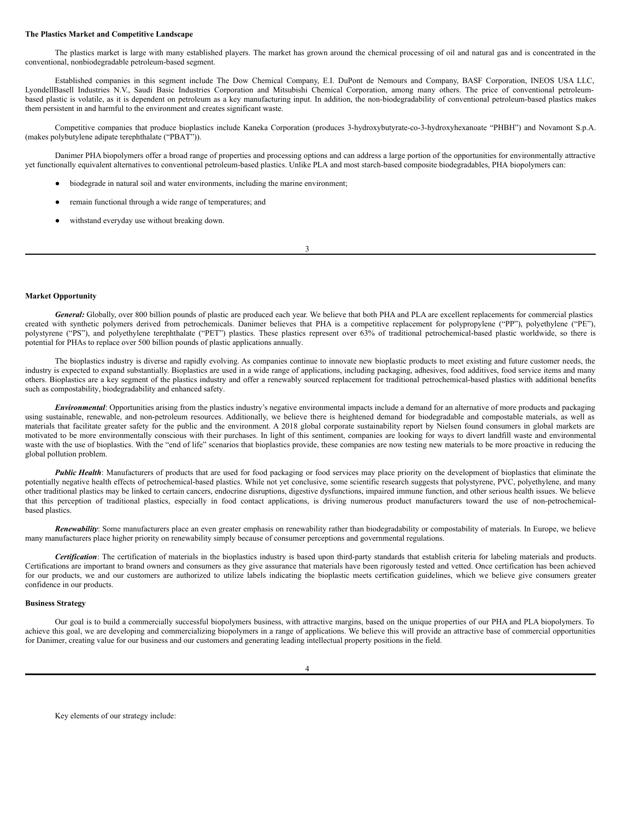#### **The Plastics Market and Competitive Landscape**

The plastics market is large with many established players. The market has grown around the chemical processing of oil and natural gas and is concentrated in the conventional, nonbiodegradable petroleum-based segment.

Established companies in this segment include The Dow Chemical Company, E.I. DuPont de Nemours and Company, BASF Corporation, INEOS USA LLC, LyondellBasell Industries N.V., Saudi Basic Industries Corporation and Mitsubishi Chemical Corporation, among many others. The price of conventional petroleumbased plastic is volatile, as it is dependent on petroleum as a key manufacturing input. In addition, the non-biodegradability of conventional petroleum-based plastics makes them persistent in and harmful to the environment and creates significant waste.

Competitive companies that produce bioplastics include Kaneka Corporation (produces 3-hydroxybutyrate-co-3-hydroxyhexanoate "PHBH") and Novamont S.p.A. (makes polybutylene adipate terephthalate ("PBAT")).

Danimer PHA biopolymers offer a broad range of properties and processing options and can address a large portion of the opportunities for environmentally attractive yet functionally equivalent alternatives to conventional petroleum-based plastics. Unlike PLA and most starch-based composite biodegradables, PHA biopolymers can:

- biodegrade in natural soil and water environments, including the marine environment;
- remain functional through a wide range of temperatures; and
- withstand everyday use without breaking down.

3

## **Market Opportunity**

*General:* Globally, over 800 billion pounds of plastic are produced each year. We believe that both PHA and PLA are excellent replacements for commercial plastics created with synthetic polymers derived from petrochemicals. Danimer believes that PHA is a competitive replacement for polypropylene ("PP"), polyethylene ("PE"), polystyrene ("PS"), and polyethylene terephthalate ("PET") plastics. These plastics represent over 63% of traditional petrochemical-based plastic worldwide, so there is potential for PHAs to replace over 500 billion pounds of plastic applications annually.

The bioplastics industry is diverse and rapidly evolving. As companies continue to innovate new bioplastic products to meet existing and future customer needs, the industry is expected to expand substantially. Bioplastics are used in a wide range of applications, including packaging, adhesives, food additives, food service items and many others. Bioplastics are a key segment of the plastics industry and offer a renewably sourced replacement for traditional petrochemical-based plastics with additional benefits such as compostability, biodegradability and enhanced safety.

*Environmental*: Opportunities arising from the plastics industry's negative environmental impacts include a demand for an alternative of more products and packaging using sustainable, renewable, and non-petroleum resources. Additionally, we believe there is heightened demand for biodegradable and compostable materials, as well as materials that facilitate greater safety for the public and the environment. A 2018 global corporate sustainability report by Nielsen found consumers in global markets are motivated to be more environmentally conscious with their purchases. In light of this sentiment, companies are looking for ways to divert landfill waste and environmental waste with the use of bioplastics. With the "end of life" scenarios that bioplastics provide, these companies are now testing new materials to be more proactive in reducing the global pollution problem.

Public Health: Manufacturers of products that are used for food packaging or food services may place priority on the development of bioplastics that eliminate the potentially negative health effects of petrochemical-based plastics. While not yet conclusive, some scientific research suggests that polystyrene, PVC, polyethylene, and many other traditional plastics may be linked to certain cancers, endocrine disruptions, digestive dysfunctions, impaired immune function, and other serious health issues. We believe that this perception of traditional plastics, especially in food contact applications, is driving numerous product manufacturers toward the use of non-petrochemicalbased plastics.

*Renewability*: Some manufacturers place an even greater emphasis on renewability rather than biodegradability or compostability of materials. In Europe, we believe many manufacturers place higher priority on renewability simply because of consumer perceptions and governmental regulations.

*Certification*: The certification of materials in the bioplastics industry is based upon third-party standards that establish criteria for labeling materials and products. Certifications are important to brand owners and consumers as they give assurance that materials have been rigorously tested and vetted. Once certification has been achieved for our products, we and our customers are authorized to utilize labels indicating the bioplastic meets certification guidelines, which we believe give consumers greater confidence in our products.

## **Business Strategy**

Our goal is to build a commercially successful biopolymers business, with attractive margins, based on the unique properties of our PHA and PLA biopolymers. To achieve this goal, we are developing and commercializing biopolymers in a range of applications. We believe this will provide an attractive base of commercial opportunities for Danimer, creating value for our business and our customers and generating leading intellectual property positions in the field.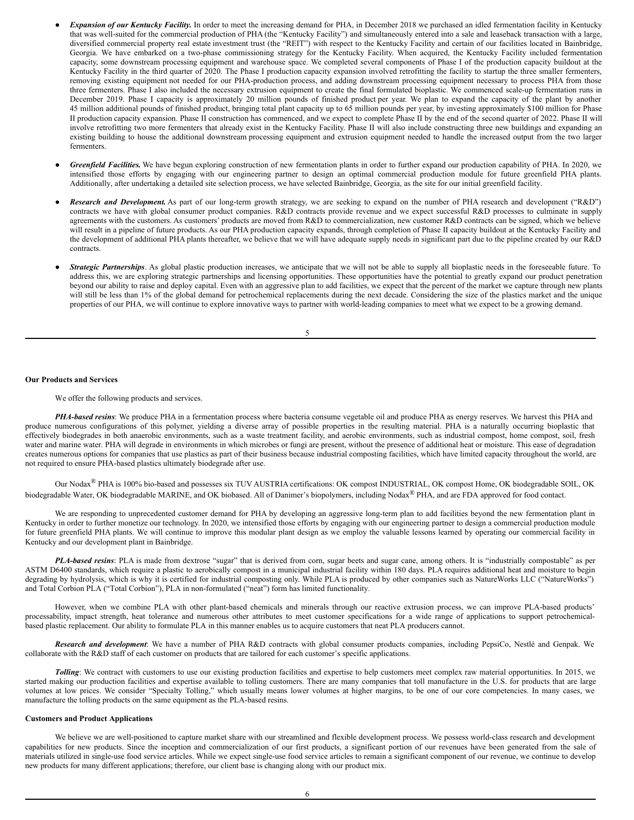- **Expansion of our Kentucky Facility.** In order to meet the increasing demand for PHA, in December 2018 we purchased an idled fermentation facility in Kentucky that was well-suited for the commercial production of PHA (the "Kentucky Facility") and simultaneously entered into a sale and leaseback transaction with a large, diversified commercial property real estate investment trust (the "REIT") with respect to the Kentucky Facility and certain of our facilities located in Bainbridge, Georgia. We have embarked on a two-phase commissioning strategy for the Kentucky Facility. When acquired, the Kentucky Facility included fermentation capacity, some downstream processing equipment and warehouse space. We completed several components of Phase I of the production capacity buildout at the Kentucky Facility in the third quarter of 2020. The Phase I production capacity expansion involved retrofitting the facility to startup the three smaller fermenters, removing existing equipment not needed for our PHA-production process, and adding downstream processing equipment necessary to process PHA from those three fermenters. Phase I also included the necessary extrusion equipment to create the final formulated bioplastic. We commenced scale-up fermentation runs in December 2019. Phase I capacity is approximately 20 million pounds of finished product per year. We plan to expand the capacity of the plant by another 45 million additional pounds of finished product, bringing total plant capacity up to 65 million pounds per year, by investing approximately \$100 million for Phase II production capacity expansion. Phase II construction has commenced, and we expect to complete Phase II by the end of the second quarter of 2022. Phase II will involve retrofitting two more fermenters that already exist in the Kentucky Facility. Phase II will also include constructing three new buildings and expanding an existing building to house the additional downstream processing equipment and extrusion equipment needed to handle the increased output from the two larger fermenters.
- Greenfield Facilities. We have begun exploring construction of new fermentation plants in order to further expand our production capability of PHA. In 2020, we intensified those efforts by engaging with our engineering partner to design an optimal commercial production module for future greenfield PHA plants. Additionally, after undertaking a detailed site selection process, we have selected Bainbridge, Georgia, as the site for our initial greenfield facility.
- *Research and Development.* As part of our long-term growth strategy, we are seeking to expand on the number of PHA research and development ("R&D") contracts we have with global consumer product companies. R&D contracts provide revenue and we expect successful R&D processes to culminate in supply agreements with the customers. As customers' products are moved from R&D to commercialization, new customer R&D contracts can be signed, which we believe will result in a pipeline of future products. As our PHA production capacity expands, through completion of Phase II capacity buildout at the Kentucky Facility and the development of additional PHA plants thereafter, we believe that we will have adequate supply needs in significant part due to the pipeline created by our R&D contracts.
- Strategic Partnerships. As global plastic production increases, we anticipate that we will not be able to supply all bioplastic needs in the foreseeable future. To address this, we are exploring strategic partnerships and licensing opportunities. These opportunities have the potential to greatly expand our product penetration beyond our ability to raise and deploy capital. Even with an aggressive plan to add facilities, we expect that the percent of the market we capture through new plants will still be less than 1% of the global demand for petrochemical replacements during the next decade. Considering the size of the plastics market and the unique properties of our PHA, we will continue to explore innovative ways to partner with world-leading companies to meet what we expect to be a growing demand.

#### 5

#### **Our Products and Services**

We offer the following products and services.

*PHA-based resins*: We produce PHA in a fermentation process where bacteria consume vegetable oil and produce PHA as energy reserves. We harvest this PHA and produce numerous configurations of this polymer, yielding a diverse array of possible properties in the resulting material. PHA is a naturally occurring bioplastic that effectively biodegrades in both anaerobic environments, such as a waste treatment facility, and aerobic environments, such as industrial compost, home compost, soil, fresh water and marine water. PHA will degrade in environments in which microbes or fungi are present, without the presence of additional heat or moisture. This ease of degradation creates numerous options for companies that use plastics as part of their business because industrial composting facilities, which have limited capacity throughout the world, are not required to ensure PHA-based plastics ultimately biodegrade after use.

Our Nodax<sup>®</sup> PHA is 100% bio-based and possesses six TUV AUSTRIA certifications: OK compost INDUSTRIAL, OK compost Home, OK biodegradable SOIL, OK biodegradable Water, OK biodegradable MARINE, and OK biobased. All of Danimer's biopolymers, including Nodax® PHA, and are FDA approved for food contact.

We are responding to unprecedented customer demand for PHA by developing an aggressive long-term plan to add facilities beyond the new fermentation plant in Kentucky in order to further monetize our technology. In 2020, we intensified those efforts by engaging with our engineering partner to design a commercial production module for future greenfield PHA plants. We will continue to improve this modular plant design as we employ the valuable lessons learned by operating our commercial facility in Kentucky and our development plant in Bainbridge.

*PLA-based resins*: PLA is made from dextrose "sugar" that is derived from corn, sugar beets and sugar cane, among others. It is "industrially compostable" as per ASTM D6400 standards, which require a plastic to aerobically compost in a municipal industrial facility within 180 days. PLA requires additional heat and moisture to begin degrading by hydrolysis, which is why it is certified for industrial composting only. While PLA is produced by other companies such as NatureWorks LLC ("NatureWorks") and Total Corbion PLA ("Total Corbion"), PLA in non-formulated ("neat") form has limited functionality.

However, when we combine PLA with other plant-based chemicals and minerals through our reactive extrusion process, we can improve PLA-based products' processability, impact strength, heat tolerance and numerous other attributes to meet customer specifications for a wide range of applications to support petrochemicalbased plastic replacement. Our ability to formulate PLA in this manner enables us to acquire customers that neat PLA producers cannot.

*Research and development*: We have a number of PHA R&D contracts with global consumer products companies, including PepsiCo, Nestlé and Genpak. We collaborate with the R&D staff of each customer on products that are tailored for each customer's specific applications.

*Tolling*: We contract with customers to use our existing production facilities and expertise to help customers meet complex raw material opportunities. In 2015, we started making our production facilities and expertise available to tolling customers. There are many companies that toll manufacture in the U.S. for products that are large volumes at low prices. We consider "Specialty Tolling," which usually means lower volumes at higher margins, to be one of our core competencies. In many cases, we manufacture the tolling products on the same equipment as the PLA-based resins.

## **Customers and Product Applications**

We believe we are well-positioned to capture market share with our streamlined and flexible development process. We possess world-class research and development capabilities for new products. Since the inception and commercialization of our first products, a significant portion of our revenues have been generated from the sale of materials utilized in single-use food service articles. While we expect single-use food service articles to remain a significant component of our revenue, we continue to develop new products for many different applications; therefore, our client base is changing along with our product mix.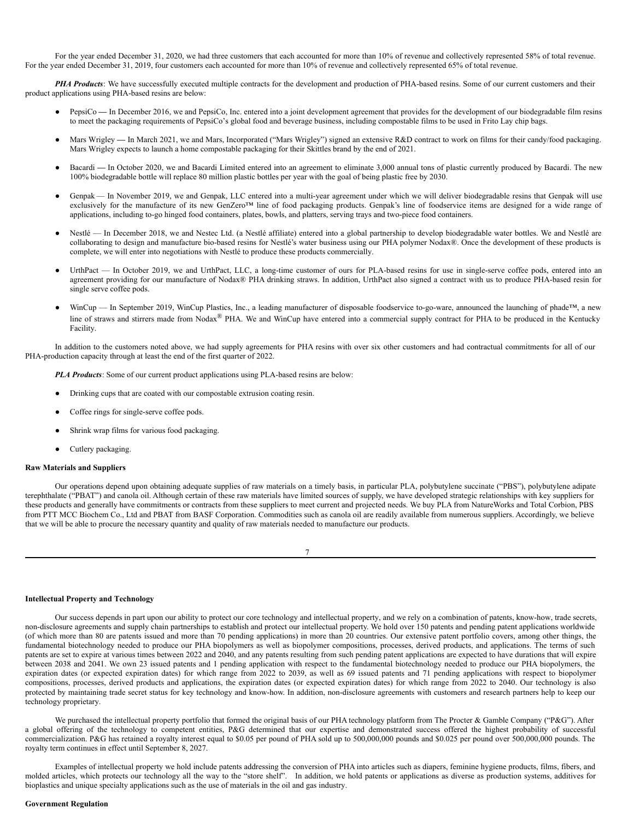For the year ended December 31, 2020, we had three customers that each accounted for more than 10% of revenue and collectively represented 58% of total revenue. For the year ended December 31, 2019, four customers each accounted for more than 10% of revenue and collectively represented 65% of total revenue.

*PHA Products*: We have successfully executed multiple contracts for the development and production of PHA-based resins. Some of our current customers and their product applications using PHA-based resins are below:

- PepsiCo In December 2016, we and PepsiCo, Inc. entered into a joint development agreement that provides for the development of our biodegradable film resins to meet the packaging requirements of PepsiCo's global food and beverage business, including compostable films to be used in Frito Lay chip bags.
- Mars Wrigley In March 2021, we and Mars, Incorporated ("Mars Wrigley") signed an extensive R&D contract to work on films for their candy/food packaging. Mars Wrigley expects to launch a home compostable packaging for their Skittles brand by the end of 2021.
- Bacardi In October 2020, we and Bacardi Limited entered into an agreement to eliminate 3,000 annual tons of plastic currently produced by Bacardi. The new 100% biodegradable bottle will replace 80 million plastic bottles per year with the goal of being plastic free by 2030.
- Genpak In November 2019, we and Genpak, LLC entered into a multi-year agreement under which we will deliver biodegradable resins that Genpak will use exclusively for the manufacture of its new GenZero™ line of food packaging products. Genpak's line of foodservice items are designed for a wide range of applications, including to-go hinged food containers, plates, bowls, and platters, serving trays and two-piece food containers.
- Nestlé In December 2018, we and Nestec Ltd. (a Nestlé affiliate) entered into a global partnership to develop biodegradable water bottles. We and Nestlé are collaborating to design and manufacture bio-based resins for Nestlé's water business using our PHA polymer Nodax®. Once the development of these products is complete, we will enter into negotiations with Nestlé to produce these products commercially.
- UrthPact In October 2019, we and UrthPact, LLC, a long-time customer of ours for PLA-based resins for use in single-serve coffee pods, entered into an agreement providing for our manufacture of Nodax® PHA drinking straws. In addition, UrthPact also signed a contract with us to produce PHA-based resin for single serve coffee pods.
- WinCup In September 2019, WinCup Plastics, Inc., a leading manufacturer of disposable foodservice to-go-ware, announced the launching of phade™, a new line of straws and stirrers made from Nodax® PHA. We and WinCup have entered into a commercial supply contract for PHA to be produced in the Kentucky Facility.

In addition to the customers noted above, we had supply agreements for PHA resins with over six other customers and had contractual commitments for all of our PHA-production capacity through at least the end of the first quarter of 2022.

*PLA Products*: Some of our current product applications using PLA-based resins are below:

- Drinking cups that are coated with our compostable extrusion coating resin.
- Coffee rings for single-serve coffee pods.
- Shrink wrap films for various food packaging.
- Cutlery packaging.

## **Raw Materials and Suppliers**

Our operations depend upon obtaining adequate supplies of raw materials on a timely basis, in particular PLA, polybutylene succinate ("PBS"), polybutylene adipate terephthalate ("PBAT") and canola oil. Although certain of these raw materials have limited sources of supply, we have developed strategic relationships with key suppliers for these products and generally have commitments or contracts from these suppliers to meet current and projected needs. We buy PLA from NatureWorks and Total Corbion, PBS from PTT MCC Biochem Co., Ltd and PBAT from BASF Corporation. Commodities such as canola oil are readily available from numerous suppliers. Accordingly, we believe that we will be able to procure the necessary quantity and quality of raw materials needed to manufacture our products.

## **Intellectual Property and Technology**

Our success depends in part upon our ability to protect our core technology and intellectual property, and we rely on a combination of patents, know-how, trade secrets, non-disclosure agreements and supply chain partnerships to establish and protect our intellectual property. We hold over 150 patents and pending patent applications worldwide (of which more than 80 are patents issued and more than 70 pending applications) in more than 20 countries. Our extensive patent portfolio covers, among other things, the fundamental biotechnology needed to produce our PHA biopolymers as well as biopolymer compositions, processes, derived products, and applications. The terms of such patents are set to expire at various times between 2022 and 2040, and any patents resulting from such pending patent applications are expected to have durations that will expire between 2038 and 2041. We own 23 issued patents and 1 pending application with respect to the fundamental biotechnology needed to produce our PHA biopolymers, the expiration dates (or expected expiration dates) for which range from 2022 to 2039, as well as 69 issued patents and 71 pending applications with respect to biopolymer compositions, processes, derived products and applications, the expiration dates (or expected expiration dates) for which range from 2022 to 2040. Our technology is also protected by maintaining trade secret status for key technology and know-how. In addition, non-disclosure agreements with customers and research partners help to keep our technology proprietary.

We purchased the intellectual property portfolio that formed the original basis of our PHA technology platform from The Procter & Gamble Company ("P&G"). After a global offering of the technology to competent entities, P&G determined that our expertise and demonstrated success offered the highest probability of successful commercialization. P&G has retained a royalty interest equal to \$0.05 per pound of PHA sold up to 500,000,000 pounds and \$0.025 per pound over 500,000,000 pounds. The royalty term continues in effect until September 8, 2027.

Examples of intellectual property we hold include patents addressing the conversion of PHA into articles such as diapers, feminine hygiene products, films, fibers, and molded articles, which protects our technology all the way to the "store shelf". In addition, we hold patents or applications as diverse as production systems, additives for bioplastics and unique specialty applications such as the use of materials in the oil and gas industry.

## **Government Regulation**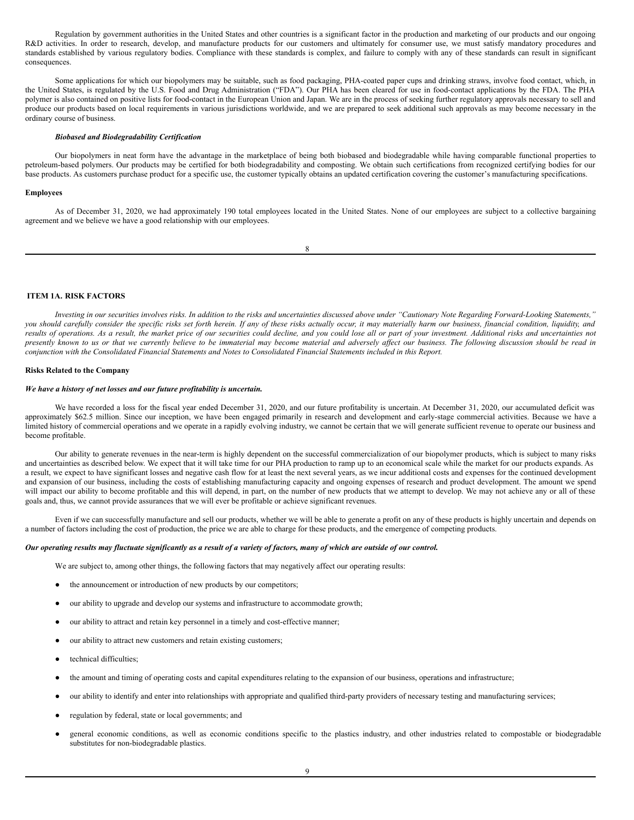Regulation by government authorities in the United States and other countries is a significant factor in the production and marketing of our products and our ongoing R&D activities. In order to research, develop, and manufacture products for our customers and ultimately for consumer use, we must satisfy mandatory procedures and standards established by various regulatory bodies. Compliance with these standards is complex, and failure to comply with any of these standards can result in significant consequences.

Some applications for which our biopolymers may be suitable, such as food packaging, PHA-coated paper cups and drinking straws, involve food contact, which, in the United States, is regulated by the U.S. Food and Drug Administration ("FDA"). Our PHA has been cleared for use in food-contact applications by the FDA. The PHA polymer is also contained on positive lists for food-contact in the European Union and Japan. We are in the process of seeking further regulatory approvals necessary to sell and produce our products based on local requirements in various jurisdictions worldwide, and we are prepared to seek additional such approvals as may become necessary in the ordinary course of business.

### *Biobased and Biodegradability Certification*

Our biopolymers in neat form have the advantage in the marketplace of being both biobased and biodegradable while having comparable functional properties to petroleum-based polymers. Our products may be certified for both biodegradability and composting. We obtain such certifications from recognized certifying bodies for our base products. As customers purchase product for a specific use, the customer typically obtains an updated certification covering the customer's manufacturing specifications.

## **Employees**

As of December 31, 2020, we had approximately 190 total employees located in the United States. None of our employees are subject to a collective bargaining agreement and we believe we have a good relationship with our employees.

## <span id="page-6-0"></span>**ITEM 1A. RISK FACTORS**

Investing in our securities involves risks. In addition to the risks and uncertainties discussed above under "Cautionary Note Regarding Forward-Looking Statements," you should carefully consider the specific risks set forth herein. If any of these risks actually occur, it may materially harm our business, financial condition, liquidity, and results of operations. As a result, the market price of our securities could decline, and you could lose all or part of your investment. Additional risks and uncertainties not presently known to us or that we currently believe to be immaterial may become material and adversely affect our business. The following discussion should be read in conjunction with the Consolidated Financial Statements and Notes to Consolidated Financial Statements included in this Report.

## **Risks Related to the Company**

## *We have a history of net losses and our future profitability is uncertain.*

We have recorded a loss for the fiscal year ended December 31, 2020, and our future profitability is uncertain. At December 31, 2020, our accumulated deficit was approximately \$62.5 million. Since our inception, we have been engaged primarily in research and development and early-stage commercial activities. Because we have a limited history of commercial operations and we operate in a rapidly evolving industry, we cannot be certain that we will generate sufficient revenue to operate our business and become profitable.

Our ability to generate revenues in the near-term is highly dependent on the successful commercialization of our biopolymer products, which is subject to many risks and uncertainties as described below. We expect that it will take time for our PHA production to ramp up to an economical scale while the market for our products expands. As a result, we expect to have significant losses and negative cash flow for at least the next several years, as we incur additional costs and expenses for the continued development and expansion of our business, including the costs of establishing manufacturing capacity and ongoing expenses of research and product development. The amount we spend will impact our ability to become profitable and this will depend, in part, on the number of new products that we attempt to develop. We may not achieve any or all of these goals and, thus, we cannot provide assurances that we will ever be profitable or achieve significant revenues.

Even if we can successfully manufacture and sell our products, whether we will be able to generate a profit on any of these products is highly uncertain and depends on a number of factors including the cost of production, the price we are able to charge for these products, and the emergence of competing products.

## Our operating results may fluctuate significantly as a result of a variety of factors, many of which are outside of our control.

We are subject to, among other things, the following factors that may negatively affect our operating results:

- the announcement or introduction of new products by our competitors;
- our ability to upgrade and develop our systems and infrastructure to accommodate growth;
- our ability to attract and retain key personnel in a timely and cost-effective manner;
- our ability to attract new customers and retain existing customers;
- technical difficulties;
- the amount and timing of operating costs and capital expenditures relating to the expansion of our business, operations and infrastructure;
- our ability to identify and enter into relationships with appropriate and qualified third-party providers of necessary testing and manufacturing services;
- regulation by federal, state or local governments; and
- general economic conditions, as well as economic conditions specific to the plastics industry, and other industries related to compostable or biodegradable substitutes for non-biodegradable plastics.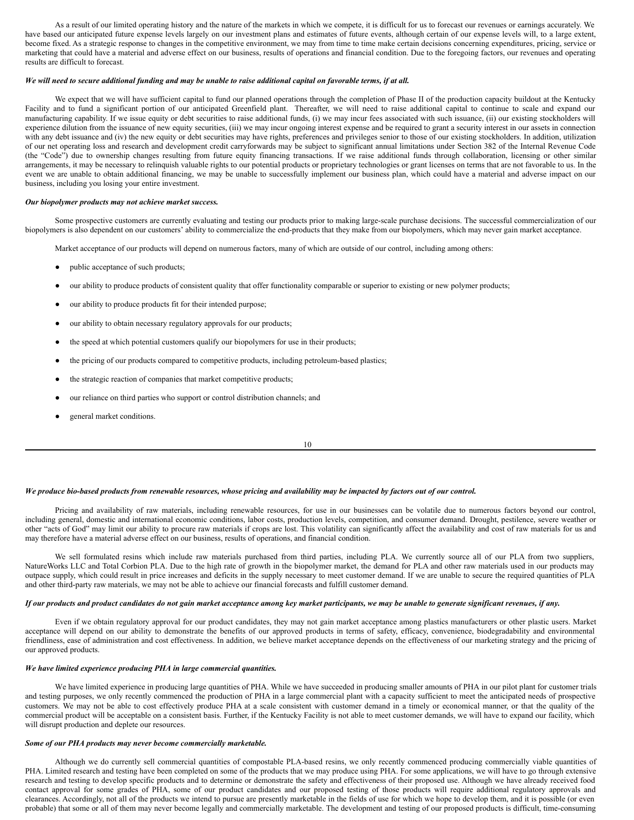As a result of our limited operating history and the nature of the markets in which we compete, it is difficult for us to forecast our revenues or earnings accurately. We have based our anticipated future expense levels largely on our investment plans and estimates of future events, although certain of our expense levels will, to a large extent, become fixed. As a strategic response to changes in the competitive environment, we may from time to time make certain decisions concerning expenditures, pricing, service or marketing that could have a material and adverse effect on our business, results of operations and financial condition. Due to the foregoing factors, our revenues and operating results are difficult to forecast.

#### We will need to secure additional funding and may be unable to raise additional capital on favorable terms, if at all.

We expect that we will have sufficient capital to fund our planned operations through the completion of Phase II of the production capacity buildout at the Kentucky Facility and to fund a significant portion of our anticipated Greenfield plant. Thereafter, we will need to raise additional capital to continue to scale and expand our manufacturing capability. If we issue equity or debt securities to raise additional funds, (i) we may incur fees associated with such issuance, (ii) our existing stockholders will experience dilution from the issuance of new equity securities, (iii) we may incur ongoing interest expense and be required to grant a security interest in our assets in connection with any debt issuance and (iv) the new equity or debt securities may have rights, preferences and privileges senior to those of our existing stockholders. In addition, utilization of our net operating loss and research and development credit carryforwards may be subject to significant annual limitations under Section 382 of the Internal Revenue Code (the "Code") due to ownership changes resulting from future equity financing transactions. If we raise additional funds through collaboration, licensing or other similar arrangements, it may be necessary to relinquish valuable rights to our potential products or proprietary technologies or grant licenses on terms that are not favorable to us. In the event we are unable to obtain additional financing, we may be unable to successfully implement our business plan, which could have a material and adverse impact on our business, including you losing your entire investment.

#### *Our biopolymer products may not achieve market success.*

Some prospective customers are currently evaluating and testing our products prior to making large-scale purchase decisions. The successful commercialization of our biopolymers is also dependent on our customers' ability to commercialize the end-products that they make from our biopolymers, which may never gain market acceptance.

Market acceptance of our products will depend on numerous factors, many of which are outside of our control, including among others:

- public acceptance of such products;
- our ability to produce products of consistent quality that offer functionality comparable or superior to existing or new polymer products;
- our ability to produce products fit for their intended purpose;
- our ability to obtain necessary regulatory approvals for our products;
- the speed at which potential customers qualify our biopolymers for use in their products;
- the pricing of our products compared to competitive products, including petroleum-based plastics;
- the strategic reaction of companies that market competitive products;
- our reliance on third parties who support or control distribution channels; and
- general market conditions.

#### We produce bio-based products from renewable resources, whose pricing and availability may be impacted by factors out of our control.

Pricing and availability of raw materials, including renewable resources, for use in our businesses can be volatile due to numerous factors beyond our control, including general, domestic and international economic conditions, labor costs, production levels, competition, and consumer demand. Drought, pestilence, severe weather or other "acts of God" may limit our ability to procure raw materials if crops are lost. This volatility can significantly affect the availability and cost of raw materials for us and may therefore have a material adverse effect on our business, results of operations, and financial condition.

We sell formulated resins which include raw materials purchased from third parties, including PLA. We currently source all of our PLA from two suppliers, NatureWorks LLC and Total Corbion PLA. Due to the high rate of growth in the biopolymer market, the demand for PLA and other raw materials used in our products may outpace supply, which could result in price increases and deficits in the supply necessary to meet customer demand. If we are unable to secure the required quantities of PLA and other third-party raw materials, we may not be able to achieve our financial forecasts and fulfill customer demand.

#### If our products and product candidates do not gain market acceptance among key market participants, we may be unable to generate significant revenues, if any.

Even if we obtain regulatory approval for our product candidates, they may not gain market acceptance among plastics manufacturers or other plastic users. Market acceptance will depend on our ability to demonstrate the benefits of our approved products in terms of safety, efficacy, convenience, biodegradability and environmental friendliness, ease of administration and cost effectiveness. In addition, we believe market acceptance depends on the effectiveness of our marketing strategy and the pricing of our approved products.

### *We have limited experience producing PHA in large commercial quantities.*

We have limited experience in producing large quantities of PHA. While we have succeeded in producing smaller amounts of PHA in our pilot plant for customer trials and testing purposes, we only recently commenced the production of PHA in a large commercial plant with a capacity sufficient to meet the anticipated needs of prospective customers. We may not be able to cost effectively produce PHA at a scale consistent with customer demand in a timely or economical manner, or that the quality of the commercial product will be acceptable on a consistent basis. Further, if the Kentucky Facility is not able to meet customer demands, we will have to expand our facility, which will disrupt production and deplete our resources.

#### *Some of our PHA products may never become commercially marketable.*

Although we do currently sell commercial quantities of compostable PLA-based resins, we only recently commenced producing commercially viable quantities of PHA. Limited research and testing have been completed on some of the products that we may produce using PHA. For some applications, we will have to go through extensive research and testing to develop specific products and to determine or demonstrate the safety and effectiveness of their proposed use. Although we have already received food contact approval for some grades of PHA, some of our product candidates and our proposed testing of those products will require additional regulatory approvals and clearances. Accordingly, not all of the products we intend to pursue are presently marketable in the fields of use for which we hope to develop them, and it is possible (or even probable) that some or all of them may never become legally and commercially marketable. The development and testing of our proposed products is difficult, time-consuming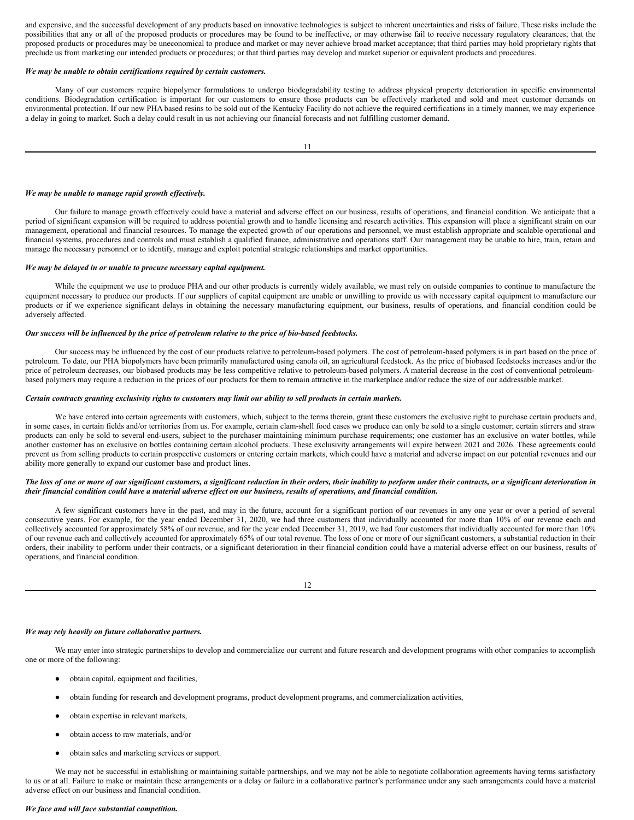and expensive, and the successful development of any products based on innovative technologies is subject to inherent uncertainties and risks of failure. These risks include the possibilities that any or all of the proposed products or procedures may be found to be ineffective, or may otherwise fail to receive necessary regulatory clearances; that the proposed products or procedures may be uneconomical to produce and market or may never achieve broad market acceptance; that third parties may hold proprietary rights that preclude us from marketing our intended products or procedures; or that third parties may develop and market superior or equivalent products and procedures.

#### *We may be unable to obtain certifications required by certain customers.*

Many of our customers require biopolymer formulations to undergo biodegradability testing to address physical property deterioration in specific environmental conditions. Biodegradation certification is important for our customers to ensure those products can be effectively marketed and sold and meet customer demands on environmental protection. If our new PHA based resins to be sold out of the Kentucky Facility do not achieve the required certifications in a timely manner, we may experience a delay in going to market. Such a delay could result in us not achieving our financial forecasts and not fulfilling customer demand.

11

#### *We may be unable to manage rapid growth ef ectively.*

Our failure to manage growth effectively could have a material and adverse effect on our business, results of operations, and financial condition. We anticipate that a period of significant expansion will be required to address potential growth and to handle licensing and research activities. This expansion will place a significant strain on our management, operational and financial resources. To manage the expected growth of our operations and personnel, we must establish appropriate and scalable operational and financial systems, procedures and controls and must establish a qualified finance, administrative and operations staff. Our management may be unable to hire, train, retain and manage the necessary personnel or to identify, manage and exploit potential strategic relationships and market opportunities.

## *We may be delayed in or unable to procure necessary capital equipment.*

While the equipment we use to produce PHA and our other products is currently widely available, we must rely on outside companies to continue to manufacture the equipment necessary to produce our products. If our suppliers of capital equipment are unable or unwilling to provide us with necessary capital equipment to manufacture our products or if we experience significant delays in obtaining the necessary manufacturing equipment, our business, results of operations, and financial condition could be adversely affected.

#### *Our success will be influenced by the price of petroleum relative to the price of bio-based feedstocks.*

Our success may be influenced by the cost of our products relative to petroleum-based polymers. The cost of petroleum-based polymers is in part based on the price of petroleum. To date, our PHA biopolymers have been primarily manufactured using canola oil, an agricultural feedstock. As the price of biobased feedstocks increases and/or the price of petroleum decreases, our biobased products may be less competitive relative to petroleum-based polymers. A material decrease in the cost of conventional petroleumbased polymers may require a reduction in the prices of our products for them to remain attractive in the marketplace and/or reduce the size of our addressable market.

## Certain contracts granting exclusivity rights to customers may limit our ability to sell products in certain markets.

We have entered into certain agreements with customers, which, subject to the terms therein, grant these customers the exclusive right to purchase certain products and, in some cases, in certain fields and/or territories from us. For example, certain clam-shell food cases we produce can only be sold to a single customer; certain stirrers and straw products can only be sold to several end-users, subject to the purchaser maintaining minimum purchase requirements; one customer has an exclusive on water bottles, while another customer has an exclusive on bottles containing certain alcohol products. These exclusivity arrangements will expire between 2021 and 2026. These agreements could prevent us from selling products to certain prospective customers or entering certain markets, which could have a material and adverse impact on our potential revenues and our ability more generally to expand our customer base and product lines.

## The loss of one or more of our significant customers, a significant reduction in their orders, their inability to perform under their contracts, or a significant deterioration in their financial condition could have a material adverse effect on our business, results of operations, and financial condition.

A few significant customers have in the past, and may in the future, account for a significant portion of our revenues in any one year or over a period of several consecutive years. For example, for the year ended December 31, 2020, we had three customers that individually accounted for more than 10% of our revenue each and collectively accounted for approximately 58% of our revenue, and for the year ended December 31, 2019, we had four customers that individually accounted for more than 10% of our revenue each and collectively accounted for approximately 65% of our total revenue. The loss of one or more of our significant customers, a substantial reduction in their orders, their inability to perform under their contracts, or a significant deterioration in their financial condition could have a material adverse effect on our business, results of operations, and financial condition.

12

## *We may rely heavily on future collaborative partners.*

We may enter into strategic partnerships to develop and commercialize our current and future research and development programs with other companies to accomplish one or more of the following:

- obtain capital, equipment and facilities,
- obtain funding for research and development programs, product development programs, and commercialization activities,
- obtain expertise in relevant markets,
- obtain access to raw materials, and/or
- obtain sales and marketing services or support.

We may not be successful in establishing or maintaining suitable partnerships, and we may not be able to negotiate collaboration agreements having terms satisfactory to us or at all. Failure to make or maintain these arrangements or a delay or failure in a collaborative partner's performance under any such arrangements could have a material adverse effect on our business and financial condition.

## *We face and will face substantial competition.*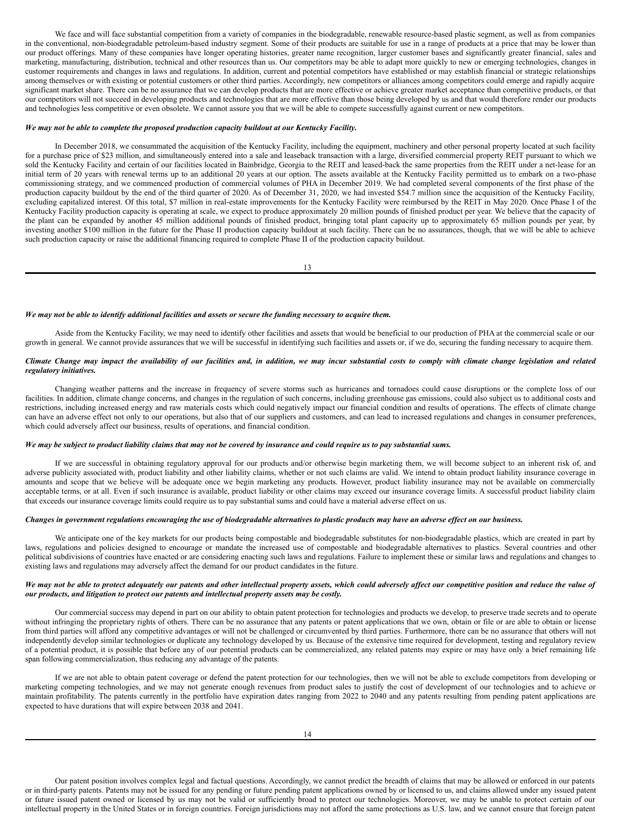We face and will face substantial competition from a variety of companies in the biodegradable, renewable resource-based plastic segment, as well as from companies in the conventional, non-biodegradable petroleum-based industry segment. Some of their products are suitable for use in a range of products at a price that may be lower than our product offerings. Many of these companies have longer operating histories, greater name recognition, larger customer bases and significantly greater financial, sales and marketing, manufacturing, distribution, technical and other resources than us. Our competitors may be able to adapt more quickly to new or emerging technologies, changes in customer requirements and changes in laws and regulations. In addition, current and potential competitors have established or may establish financial or strategic relationships among themselves or with existing or potential customers or other third parties. Accordingly, new competitors or alliances among competitors could emerge and rapidly acquire significant market share. There can be no assurance that we can develop products that are more effective or achieve greater market acceptance than competitive products, or that our competitors will not succeed in developing products and technologies that are more effective than those being developed by us and that would therefore render our products and technologies less competitive or even obsolete. We cannot assure you that we will be able to compete successfully against current or new competitors.

#### *We may not be able to complete the proposed production capacity buildout at our Kentucky Facility.*

In December 2018, we consummated the acquisition of the Kentucky Facility, including the equipment, machinery and other personal property located at such facility for a purchase price of \$23 million, and simultaneously entered into a sale and leaseback transaction with a large, diversified commercial property REIT pursuant to which we sold the Kentucky Facility and certain of our facilities located in Bainbridge, Georgia to the REIT and leased-back the same properties from the REIT under a net-lease for an initial term of 20 years with renewal terms up to an additional 20 years at our option. The assets available at the Kentucky Facility permitted us to embark on a two-phase commissioning strategy, and we commenced production of commercial volumes of PHA in December 2019. We had completed several components of the first phase of the production capacity buildout by the end of the third quarter of 2020. As of December 31, 2020, we had invested \$54.7 million since the acquisition of the Kentucky Facility, excluding capitalized interest. Of this total, \$7 million in real-estate improvements for the Kentucky Facility were reimbursed by the REIT in May 2020. Once Phase I of the Kentucky Facility production capacity is operating at scale, we expect to produce approximately 20 million pounds of finished product per year. We believe that the capacity of the plant can be expanded by another 45 million additional pounds of finished product, bringing total plant capacity up to approximately 65 million pounds per year, by investing another \$100 million in the future for the Phase II production capacity buildout at such facility. There can be no assurances, though, that we will be able to achieve such production capacity or raise the additional financing required to complete Phase II of the production capacity buildout.

13

## We may not be able to identify additional facilities and assets or secure the funding necessary to acquire them.

Aside from the Kentucky Facility, we may need to identify other facilities and assets that would be beneficial to our production of PHA at the commercial scale or our growth in general. We cannot provide assurances that we will be successful in identifying such facilities and assets or, if we do, securing the funding necessary to acquire them.

## Climate Change may impact the availability of our facilities and, in addition, we may incur substantial costs to comply with climate change legislation and related *regulatory initiatives.*

Changing weather patterns and the increase in frequency of severe storms such as hurricanes and tornadoes could cause disruptions or the complete loss of our facilities. In addition, climate change concerns, and changes in the regulation of such concerns, including greenhouse gas emissions, could also subject us to additional costs and restrictions, including increased energy and raw materials costs which could negatively impact our financial condition and results of operations. The effects of climate change can have an adverse effect not only to our operations, but also that of our suppliers and customers, and can lead to increased regulations and changes in consumer preferences, which could adversely affect our business, results of operations, and financial condition.

## We may be subject to product liability claims that may not be covered by insurance and could require us to pay substantial sums.

If we are successful in obtaining regulatory approval for our products and/or otherwise begin marketing them, we will become subject to an inherent risk of, and adverse publicity associated with, product liability and other liability claims, whether or not such claims are valid. We intend to obtain product liability insurance coverage in amounts and scope that we believe will be adequate once we begin marketing any products. However, product liability insurance may not be available on commercially acceptable terms, or at all. Even if such insurance is available, product liability or other claims may exceed our insurance coverage limits. A successful product liability claim that exceeds our insurance coverage limits could require us to pay substantial sums and could have a material adverse effect on us.

## Changes in government regulations encouraging the use of biodegradable alternatives to plastic products may have an adverse effect on our business.

We anticipate one of the key markets for our products being compostable and biodegradable substitutes for non-biodegradable plastics, which are created in part by laws, regulations and policies designed to encourage or mandate the increased use of compostable and biodegradable alternatives to plastics. Several countries and other political subdivisions of countries have enacted or are considering enacting such laws and regulations. Failure to implement these or similar laws and regulations and changes to existing laws and regulations may adversely affect the demand for our product candidates in the future.

#### We may not be able to protect adequately our patents and other intellectual property assets, which could adversely affect our competitive position and reduce the value of *our products, and litigation to protect our patents and intellectual property assets may be costly.*

Our commercial success may depend in part on our ability to obtain patent protection for technologies and products we develop, to preserve trade secrets and to operate without infringing the proprietary rights of others. There can be no assurance that any patents or patent applications that we own, obtain or file or are able to obtain or license from third parties will afford any competitive advantages or will not be challenged or circumvented by third parties. Furthermore, there can be no assurance that others will not independently develop similar technologies or duplicate any technology developed by us. Because of the extensive time required for development, testing and regulatory review of a potential product, it is possible that before any of our potential products can be commercialized, any related patents may expire or may have only a brief remaining life span following commercialization, thus reducing any advantage of the patents.

If we are not able to obtain patent coverage or defend the patent protection for our technologies, then we will not be able to exclude competitors from developing or marketing competing technologies, and we may not generate enough revenues from product sales to justify the cost of development of our technologies and to achieve or maintain profitability. The patents currently in the portfolio have expiration dates ranging from 2022 to 2040 and any patents resulting from pending patent applications are expected to have durations that will expire between 2038 and 2041.

Our patent position involves complex legal and factual questions. Accordingly, we cannot predict the breadth of claims that may be allowed or enforced in our patents or in third-party patents. Patents may not be issued for any pending or future pending patent applications owned by or licensed to us, and claims allowed under any issued patent or future issued patent owned or licensed by us may not be valid or sufficiently broad to protect our technologies. Moreover, we may be unable to protect certain of our intellectual property in the United States or in foreign countries. Foreign jurisdictions may not afford the same protections as U.S. law, and we cannot ensure that foreign patent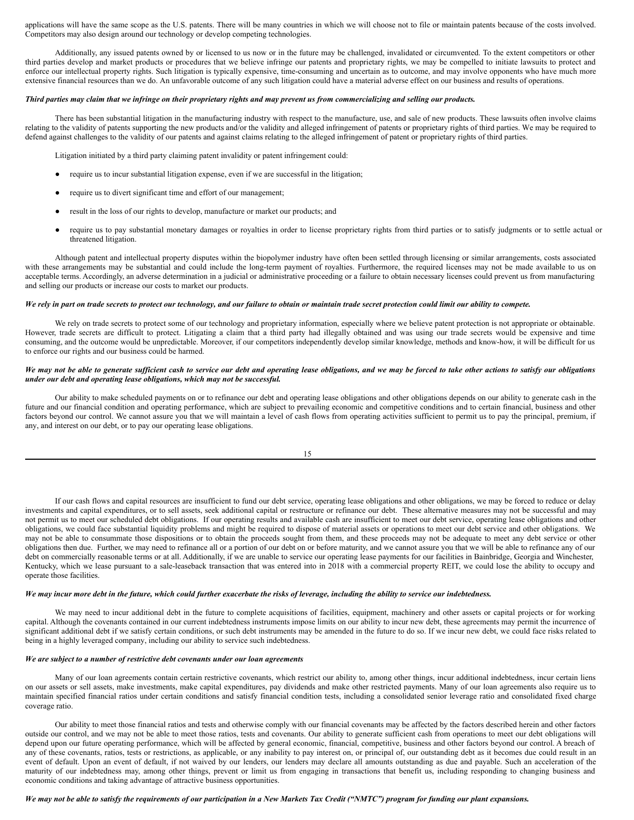applications will have the same scope as the U.S. patents. There will be many countries in which we will choose not to file or maintain patents because of the costs involved. Competitors may also design around our technology or develop competing technologies.

Additionally, any issued patents owned by or licensed to us now or in the future may be challenged, invalidated or circumvented. To the extent competitors or other third parties develop and market products or procedures that we believe infringe our patents and proprietary rights, we may be compelled to initiate lawsuits to protect and enforce our intellectual property rights. Such litigation is typically expensive, time-consuming and uncertain as to outcome, and may involve opponents who have much more extensive financial resources than we do. An unfavorable outcome of any such litigation could have a material adverse effect on our business and results of operations.

#### Third parties may claim that we infringe on their proprietary rights and may prevent us from commercializing and selling our products.

There has been substantial litigation in the manufacturing industry with respect to the manufacture, use, and sale of new products. These lawsuits often involve claims relating to the validity of patents supporting the new products and/or the validity and alleged infringement of patents or proprietary rights of third parties. We may be required to defend against challenges to the validity of our patents and against claims relating to the alleged infringement of patent or proprietary rights of third parties.

Litigation initiated by a third party claiming patent invalidity or patent infringement could:

- require us to incur substantial litigation expense, even if we are successful in the litigation;
- require us to divert significant time and effort of our management;
- result in the loss of our rights to develop, manufacture or market our products; and
- require us to pay substantial monetary damages or royalties in order to license proprietary rights from third parties or to satisfy judgments or to settle actual or threatened litigation.

Although patent and intellectual property disputes within the biopolymer industry have often been settled through licensing or similar arrangements, costs associated with these arrangements may be substantial and could include the long-term payment of royalties. Furthermore, the required licenses may not be made available to us on acceptable terms. Accordingly, an adverse determination in a judicial or administrative proceeding or a failure to obtain necessary licenses could prevent us from manufacturing and selling our products or increase our costs to market our products.

#### We rely in part on trade secrets to protect our technology, and our failure to obtain or maintain trade secret protection could limit our ability to compete.

We rely on trade secrets to protect some of our technology and proprietary information, especially where we believe patent protection is not appropriate or obtainable. However, trade secrets are difficult to protect. Litigating a claim that a third party had illegally obtained and was using our trade secrets would be expensive and time consuming, and the outcome would be unpredictable. Moreover, if our competitors independently develop similar knowledge, methods and know-how, it will be difficult for us to enforce our rights and our business could be harmed.

## We may not be able to generate sufficient cash to service our debt and operating lease obligations, and we may be forced to take other actions to satisfy our obligations *under our debt and operating lease obligations, which may not be successful.*

Our ability to make scheduled payments on or to refinance our debt and operating lease obligations and other obligations depends on our ability to generate cash in the future and our financial condition and operating performance, which are subject to prevailing economic and competitive conditions and to certain financial, business and other factors beyond our control. We cannot assure you that we will maintain a level of cash flows from operating activities sufficient to permit us to pay the principal, premium, if any, and interest on our debt, or to pay our operating lease obligations.

| ۰.<br>×<br>۰, |
|---------------|

If our cash flows and capital resources are insufficient to fund our debt service, operating lease obligations and other obligations, we may be forced to reduce or delay investments and capital expenditures, or to sell assets, seek additional capital or restructure or refinance our debt. These alternative measures may not be successful and may not permit us to meet our scheduled debt obligations. If our operating results and available cash are insufficient to meet our debt service, operating lease obligations and other obligations, we could face substantial liquidity problems and might be required to dispose of material assets or operations to meet our debt service and other obligations. We may not be able to consummate those dispositions or to obtain the proceeds sought from them, and these proceeds may not be adequate to meet any debt service or other obligations then due. Further, we may need to refinance all or a portion of our debt on or before maturity, and we cannot assure you that we will be able to refinance any of our debt on commercially reasonable terms or at all. Additionally, if we are unable to service our operating lease payments for our facilities in Bainbridge, Georgia and Winchester, Kentucky, which we lease pursuant to a sale-leaseback transaction that was entered into in 2018 with a commercial property REIT, we could lose the ability to occupy and operate those facilities.

## We may incur more debt in the future, which could further exacerbate the risks of leverage, including the ability to service our indebtedness.

We may need to incur additional debt in the future to complete acquisitions of facilities, equipment, machinery and other assets or capital projects or for working capital. Although the covenants contained in our current indebtedness instruments impose limits on our ability to incur new debt, these agreements may permit the incurrence of significant additional debt if we satisfy certain conditions, or such debt instruments may be amended in the future to do so. If we incur new debt, we could face risks related to being in a highly leveraged company, including our ability to service such indebtedness.

## *We are subject to a number of restrictive debt covenants under our loan agreements.*

Many of our loan agreements contain certain restrictive covenants, which restrict our ability to, among other things, incur additional indebtedness, incur certain liens on our assets or sell assets, make investments, make capital expenditures, pay dividends and make other restricted payments. Many of our loan agreements also require us to maintain specified financial ratios under certain conditions and satisfy financial condition tests, including a consolidated senior leverage ratio and consolidated fixed charge coverage ratio.

Our ability to meet those financial ratios and tests and otherwise comply with our financial covenants may be affected by the factors described herein and other factors outside our control, and we may not be able to meet those ratios, tests and covenants. Our ability to generate sufficient cash from operations to meet our debt obligations will depend upon our future operating performance, which will be affected by general economic, financial, competitive, business and other factors beyond our control. A breach of any of these covenants, ratios, tests or restrictions, as applicable, or any inability to pay interest on, or principal of, our outstanding debt as it becomes due could result in an event of default. Upon an event of default, if not waived by our lenders, our lenders may declare all amounts outstanding as due and payable. Such an acceleration of the maturity of our indebtedness may, among other things, prevent or limit us from engaging in transactions that benefit us, including responding to changing business and economic conditions and taking advantage of attractive business opportunities.

## We may not be able to satisfy the requirements of our participation in a New Markets Tax Credit ("NMTC") program for funding our plant expansions.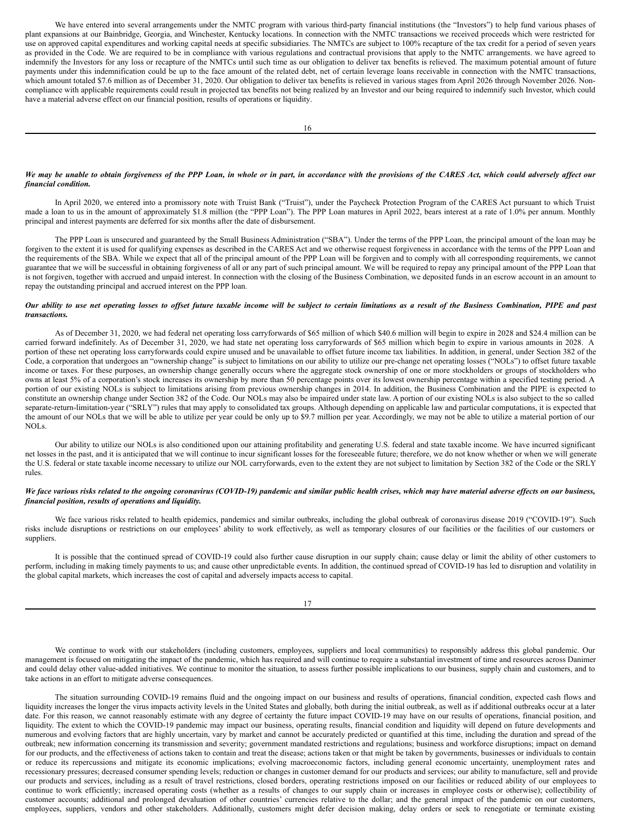We have entered into several arrangements under the NMTC program with various third-party financial institutions (the "Investors") to help fund various phases of plant expansions at our Bainbridge, Georgia, and Winchester, Kentucky locations. In connection with the NMTC transactions we received proceeds which were restricted for use on approved capital expenditures and working capital needs at specific subsidiaries. The NMTCs are subject to 100% recapture of the tax credit for a period of seven years as provided in the Code. We are required to be in compliance with various regulations and contractual provisions that apply to the NMTC arrangements. we have agreed to indemnify the Investors for any loss or recapture of the NMTCs until such time as our obligation to deliver tax benefits is relieved. The maximum potential amount of future payments under this indemnification could be up to the face amount of the related debt, net of certain leverage loans receivable in connection with the NMTC transactions, which amount totaled \$7.6 million as of December 31, 2020. Our obligation to deliver tax benefits is relieved in various stages from April 2026 through November 2026. Noncompliance with applicable requirements could result in projected tax benefits not being realized by an Investor and our being required to indemnify such Investor, which could have a material adverse effect on our financial position, results of operations or liquidity.

#### We may be unable to obtain forgiveness of the PPP Loan, in whole or in part, in accordance with the provisions of the CARES Act, which could adversely affect our *financial condition.*

In April 2020, we entered into a promissory note with Truist Bank ("Truist"), under the Paycheck Protection Program of the CARES Act pursuant to which Truist made a loan to us in the amount of approximately \$1.8 million (the "PPP Loan"). The PPP Loan matures in April 2022, bears interest at a rate of 1.0% per annum. Monthly principal and interest payments are deferred for six months after the date of disbursement.

The PPP Loan is unsecured and guaranteed by the Small Business Administration ("SBA"). Under the terms of the PPP Loan, the principal amount of the loan may be forgiven to the extent it is used for qualifying expenses as described in the CARES Act and we otherwise request forgiveness in accordance with the terms of the PPP Loan and the requirements of the SBA. While we expect that all of the principal amount of the PPP Loan will be forgiven and to comply with all corresponding requirements, we cannot guarantee that we will be successful in obtaining forgiveness of all or any part of such principal amount. We will be required to repay any principal amount of the PPP Loan that is not forgiven, together with accrued and unpaid interest. In connection with the closing of the Business Combination, we deposited funds in an escrow account in an amount to repay the outstanding principal and accrued interest on the PPP loan.

## Our ability to use net operating losses to offset future taxable income will be subject to certain limitations as a result of the Business Combination, PIPE and past *transactions.*

As of December 31, 2020, we had federal net operating loss carryforwards of \$65 million of which \$40.6 million will begin to expire in 2028 and \$24.4 million can be carried forward indefinitely. As of December 31, 2020, we had state net operating loss carryforwards of \$65 million which begin to expire in various amounts in 2028. A portion of these net operating loss carryforwards could expire unused and be unavailable to offset future income tax liabilities. In addition, in general, under Section 382 of the Code, a corporation that undergoes an "ownership change" is subject to limitations on our ability to utilize our pre-change net operating losses ("NOLs") to offset future taxable income or taxes. For these purposes, an ownership change generally occurs where the aggregate stock ownership of one or more stockholders or groups of stockholders who owns at least 5% of a corporation's stock increases its ownership by more than 50 percentage points over its lowest ownership percentage within a specified testing period. A portion of our existing NOLs is subject to limitations arising from previous ownership changes in 2014. In addition, the Business Combination and the PIPE is expected to constitute an ownership change under Section 382 of the Code. Our NOLs may also be impaired under state law. A portion of our existing NOLs is also subject to the so called separate-return-limitation-year ("SRLY") rules that may apply to consolidated tax groups. Although depending on applicable law and particular computations, it is expected that the amount of our NOLs that we will be able to utilize per year could be only up to \$9.7 million per year. Accordingly, we may not be able to utilize a material portion of our NOLs.

Our ability to utilize our NOLs is also conditioned upon our attaining profitability and generating U.S. federal and state taxable income. We have incurred significant net losses in the past, and it is anticipated that we will continue to incur significant losses for the foreseeable future; therefore, we do not know whether or when we will generate the U.S. federal or state taxable income necessary to utilize our NOL carryforwards, even to the extent they are not subject to limitation by Section 382 of the Code or the SRLY rules.

## We face various risks related to the ongoing coronavirus (COVID-19) pandemic and similar public health crises, which may have material adverse effects on our business, *financial position, results of operations and liquidity.*

We face various risks related to health epidemics, pandemics and similar outbreaks, including the global outbreak of coronavirus disease 2019 ("COVID-19"). Such risks include disruptions or restrictions on our employees' ability to work effectively, as well as temporary closures of our facilities or the facilities of our customers or suppliers.

It is possible that the continued spread of COVID-19 could also further cause disruption in our supply chain; cause delay or limit the ability of other customers to perform, including in making timely payments to us; and cause other unpredictable events. In addition, the continued spread of COVID-19 has led to disruption and volatility in the global capital markets, which increases the cost of capital and adversely impacts access to capital.

17

We continue to work with our stakeholders (including customers, employees, suppliers and local communities) to responsibly address this global pandemic. Our management is focused on mitigating the impact of the pandemic, which has required and will continue to require a substantial investment of time and resources across Danimer and could delay other value-added initiatives. We continue to monitor the situation, to assess further possible implications to our business, supply chain and customers, and to take actions in an effort to mitigate adverse consequences.

The situation surrounding COVID-19 remains fluid and the ongoing impact on our business and results of operations, financial condition, expected cash flows and liquidity increases the longer the virus impacts activity levels in the United States and globally, both during the initial outbreak, as well as if additional outbreaks occur at a later date. For this reason, we cannot reasonably estimate with any degree of certainty the future impact COVID-19 may have on our results of operations, financial position, and liquidity. The extent to which the COVID-19 pandemic may impact our business, operating results, financial condition and liquidity will depend on future developments and numerous and evolving factors that are highly uncertain, vary by market and cannot be accurately predicted or quantified at this time, including the duration and spread of the outbreak; new information concerning its transmission and severity; government mandated restrictions and regulations; business and workforce disruptions; impact on demand for our products, and the effectiveness of actions taken to contain and treat the disease; actions taken or that might be taken by governments, businesses or individuals to contain or reduce its repercussions and mitigate its economic implications; evolving macroeconomic factors, including general economic uncertainty, unemployment rates and recessionary pressures; decreased consumer spending levels; reduction or changes in customer demand for our products and services; our ability to manufacture, sell and provide our products and services, including as a result of travel restrictions, closed borders, operating restrictions imposed on our facilities or reduced ability of our employees to continue to work efficiently; increased operating costs (whether as a results of changes to our supply chain or increases in employee costs or otherwise); collectibility of customer accounts; additional and prolonged devaluation of other countries' currencies relative to the dollar; and the general impact of the pandemic on our customers, employees, suppliers, vendors and other stakeholders. Additionally, customers might defer decision making, delay orders or seek to renegotiate or terminate existing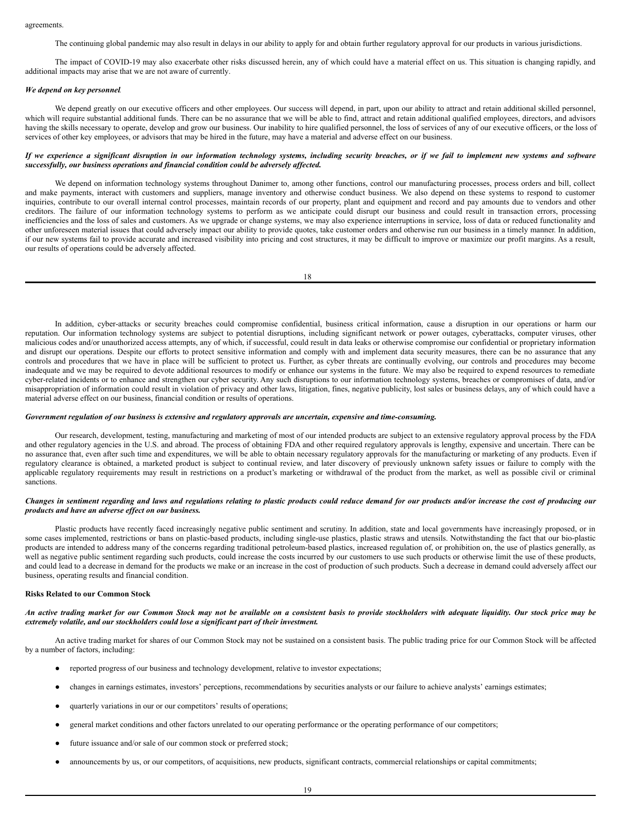#### agreements.

The continuing global pandemic may also result in delays in our ability to apply for and obtain further regulatory approval for our products in various jurisdictions.

The impact of COVID-19 may also exacerbate other risks discussed herein, any of which could have a material effect on us. This situation is changing rapidly, and additional impacts may arise that we are not aware of currently.

## *We depend on key personnel.*

We depend greatly on our executive officers and other employees. Our success will depend, in part, upon our ability to attract and retain additional skilled personnel, which will require substantial additional funds. There can be no assurance that we will be able to find, attract and retain additional qualified employees, directors, and advisors having the skills necessary to operate, develop and grow our business. Our inability to hire qualified personnel, the loss of services of any of our executive officers, or the loss of services of other key employees, or advisors that may be hired in the future, may have a material and adverse effect on our business.

## If we experience a significant disruption in our information technology systems, including security breaches, or if we fail to implement new systems and software *successfully, our business operations and financial condition could be adversely af ected.*

We depend on information technology systems throughout Danimer to, among other functions, control our manufacturing processes, process orders and bill, collect and make payments, interact with customers and suppliers, manage inventory and otherwise conduct business. We also depend on these systems to respond to customer inquiries, contribute to our overall internal control processes, maintain records of our property, plant and equipment and record and pay amounts due to vendors and other creditors. The failure of our information technology systems to perform as we anticipate could disrupt our business and could result in transaction errors, processing inefficiencies and the loss of sales and customers. As we upgrade or change systems, we may also experience interruptions in service, loss of data or reduced functionality and other unforeseen material issues that could adversely impact our ability to provide quotes, take customer orders and otherwise run our business in a timely manner. In addition, if our new systems fail to provide accurate and increased visibility into pricing and cost structures, it may be difficult to improve or maximize our profit margins. As a result, our results of operations could be adversely affected.

| I<br>×<br>w<br>۹ |
|------------------|

In addition, cyber-attacks or security breaches could compromise confidential, business critical information, cause a disruption in our operations or harm our reputation. Our information technology systems are subject to potential disruptions, including significant network or power outages, cyberattacks, computer viruses, other malicious codes and/or unauthorized access attempts, any of which, if successful, could result in data leaks or otherwise compromise our confidential or proprietary information and disrupt our operations. Despite our efforts to protect sensitive information and comply with and implement data security measures, there can be no assurance that any controls and procedures that we have in place will be sufficient to protect us. Further, as cyber threats are continually evolving, our controls and procedures may become inadequate and we may be required to devote additional resources to modify or enhance our systems in the future. We may also be required to expend resources to remediate cyber-related incidents or to enhance and strengthen our cyber security. Any such disruptions to our information technology systems, breaches or compromises of data, and/or misappropriation of information could result in violation of privacy and other laws, litigation, fines, negative publicity, lost sales or business delays, any of which could have a material adverse effect on our business, financial condition or results of operations.

#### Government regulation of our business is extensive and regulatory approvals are uncertain, expensive and time-consuming.

Our research, development, testing, manufacturing and marketing of most of our intended products are subject to an extensive regulatory approval process by the FDA and other regulatory agencies in the U.S. and abroad. The process of obtaining FDA and other required regulatory approvals is lengthy, expensive and uncertain. There can be no assurance that, even after such time and expenditures, we will be able to obtain necessary regulatory approvals for the manufacturing or marketing of any products. Even if regulatory clearance is obtained, a marketed product is subject to continual review, and later discovery of previously unknown safety issues or failure to comply with the applicable regulatory requirements may result in restrictions on a product's marketing or withdrawal of the product from the market, as well as possible civil or criminal sanctions.

## Changes in sentiment regarding and laws and regulations relating to plastic products could reduce demand for our products and/or increase the cost of producing our *products and have an adverse ef ect on our business.*

Plastic products have recently faced increasingly negative public sentiment and scrutiny. In addition, state and local governments have increasingly proposed, or in some cases implemented, restrictions or bans on plastic-based products, including single-use plastics, plastic straws and utensils. Notwithstanding the fact that our bio-plastic products are intended to address many of the concerns regarding traditional petroleum-based plastics, increased regulation of, or prohibition on, the use of plastics generally, as well as negative public sentiment regarding such products, could increase the costs incurred by our customers to use such products or otherwise limit the use of these products, and could lead to a decrease in demand for the products we make or an increase in the cost of production of such products. Such a decrease in demand could adversely affect our business, operating results and financial condition.

## **Risks Related to our Common Stock**

#### An active trading market for our Common Stock may not be available on a consistent basis to provide stockholders with adequate liquidity. Our stock price may be *extremely volatile, and our stockholders could lose a significant part of their investment.*

An active trading market for shares of our Common Stock may not be sustained on a consistent basis. The public trading price for our Common Stock will be affected by a number of factors, including:

- reported progress of our business and technology development, relative to investor expectations;
- changes in earnings estimates, investors' perceptions, recommendations by securities analysts or our failure to achieve analysts' earnings estimates;
- quarterly variations in our or our competitors' results of operations;
- general market conditions and other factors unrelated to our operating performance or the operating performance of our competitors;
- future issuance and/or sale of our common stock or preferred stock;
- announcements by us, or our competitors, of acquisitions, new products, significant contracts, commercial relationships or capital commitments;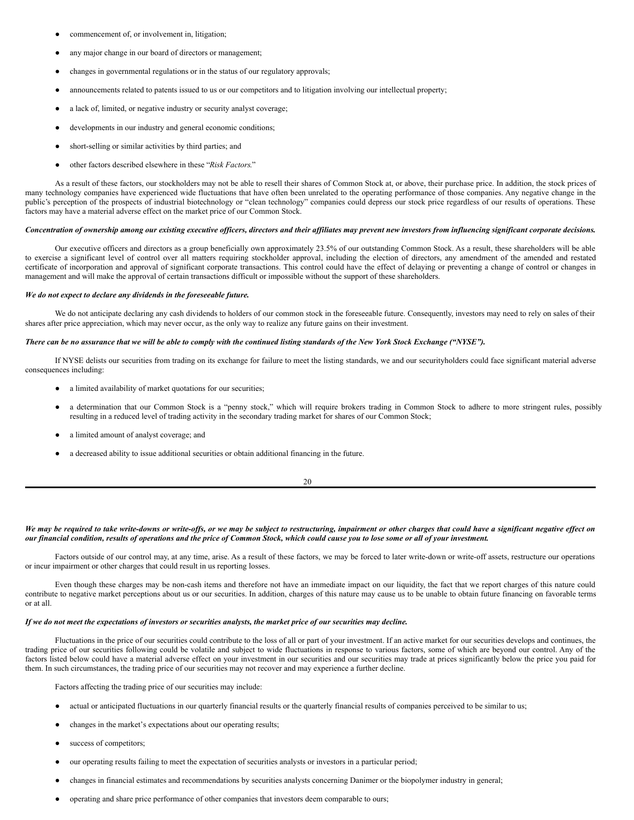- commencement of, or involvement in, litigation;
- any major change in our board of directors or management;
- changes in governmental regulations or in the status of our regulatory approvals;
- announcements related to patents issued to us or our competitors and to litigation involving our intellectual property;
- a lack of, limited, or negative industry or security analyst coverage;
- developments in our industry and general economic conditions;
- short-selling or similar activities by third parties; and
- other factors described elsewhere in these "*Risk Factors*."

As a result of these factors, our stockholders may not be able to resell their shares of Common Stock at, or above, their purchase price. In addition, the stock prices of many technology companies have experienced wide fluctuations that have often been unrelated to the operating performance of those companies. Any negative change in the public's perception of the prospects of industrial biotechnology or "clean technology" companies could depress our stock price regardless of our results of operations. These factors may have a material adverse effect on the market price of our Common Stock.

#### Concentration of ownership among our existing executive officers, directors and their affiliates may prevent new investors from influencing significant corporate decisions.

Our executive officers and directors as a group beneficially own approximately 23.5% of our outstanding Common Stock. As a result, these shareholders will be able to exercise a significant level of control over all matters requiring stockholder approval, including the election of directors, any amendment of the amended and restated certificate of incorporation and approval of significant corporate transactions. This control could have the effect of delaying or preventing a change of control or changes in management and will make the approval of certain transactions difficult or impossible without the support of these shareholders.

## *We do not expect to declare any dividends in the foreseeable future.*

We do not anticipate declaring any cash dividends to holders of our common stock in the foreseeable future. Consequently, investors may need to rely on sales of their shares after price appreciation, which may never occur, as the only way to realize any future gains on their investment.

## There can be no assurance that we will be able to comply with the continued listing standards of the New York Stock Exchange ("NYSE").

If NYSE delists our securities from trading on its exchange for failure to meet the listing standards, we and our securityholders could face significant material adverse consequences including:

- a limited availability of market quotations for our securities;
- a determination that our Common Stock is a "penny stock," which will require brokers trading in Common Stock to adhere to more stringent rules, possibly resulting in a reduced level of trading activity in the secondary trading market for shares of our Common Stock;
- a limited amount of analyst coverage; and
- a decreased ability to issue additional securities or obtain additional financing in the future.

20

We may be required to take write-downs or write-offs, or we may be subject to restructuring, impairment or other charges that could have a significant negative effect on our financial condition, results of operations and the price of Common Stock, which could cause you to lose some or all of your investment.

Factors outside of our control may, at any time, arise. As a result of these factors, we may be forced to later write-down or write-off assets, restructure our operations or incur impairment or other charges that could result in us reporting losses.

Even though these charges may be non-cash items and therefore not have an immediate impact on our liquidity, the fact that we report charges of this nature could contribute to negative market perceptions about us or our securities. In addition, charges of this nature may cause us to be unable to obtain future financing on favorable terms or at all.

#### If we do not meet the expectations of investors or securities analysts, the market price of our securities may decline.

Fluctuations in the price of our securities could contribute to the loss of all or part of your investment. If an active market for our securities develops and continues, the trading price of our securities following could be volatile and subject to wide fluctuations in response to various factors, some of which are beyond our control. Any of the factors listed below could have a material adverse effect on your investment in our securities and our securities may trade at prices significantly below the price you paid for them. In such circumstances, the trading price of our securities may not recover and may experience a further decline.

Factors affecting the trading price of our securities may include:

- actual or anticipated fluctuations in our quarterly financial results or the quarterly financial results of companies perceived to be similar to us;
- changes in the market's expectations about our operating results;
- success of competitors;
- our operating results failing to meet the expectation of securities analysts or investors in a particular period;
- changes in financial estimates and recommendations by securities analysts concerning Danimer or the biopolymer industry in general;
- operating and share price performance of other companies that investors deem comparable to ours;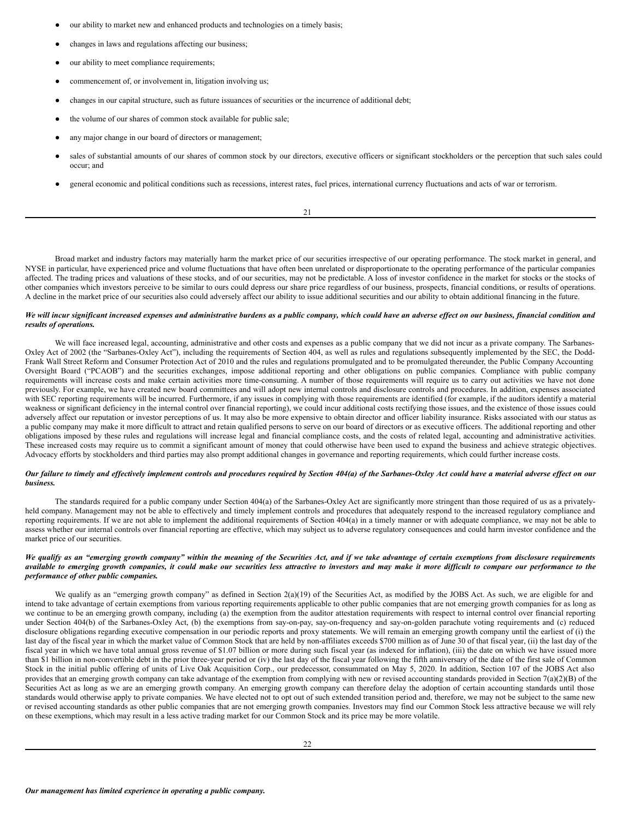- our ability to market new and enhanced products and technologies on a timely basis;
- changes in laws and regulations affecting our business;
- our ability to meet compliance requirements;
- commencement of, or involvement in, litigation involving us;
- changes in our capital structure, such as future issuances of securities or the incurrence of additional debt;
- the volume of our shares of common stock available for public sale;
- any major change in our board of directors or management:
- sales of substantial amounts of our shares of common stock by our directors, executive officers or significant stockholders or the perception that such sales could occur; and
- general economic and political conditions such as recessions, interest rates, fuel prices, international currency fluctuations and acts of war or terrorism.

| I |  |
|---|--|

Broad market and industry factors may materially harm the market price of our securities irrespective of our operating performance. The stock market in general, and NYSE in particular, have experienced price and volume fluctuations that have often been unrelated or disproportionate to the operating performance of the particular companies affected. The trading prices and valuations of these stocks, and of our securities, may not be predictable. A loss of investor confidence in the market for stocks or the stocks of other companies which investors perceive to be similar to ours could depress our share price regardless of our business, prospects, financial conditions, or results of operations. A decline in the market price of our securities also could adversely affect our ability to issue additional securities and our ability to obtain additional financing in the future.

### We will incur significant increased expenses and administrative burdens as a public company, which could have an adverse effect on our business, financial condition and *results of operations.*

We will face increased legal, accounting, administrative and other costs and expenses as a public company that we did not incur as a private company. The Sarbanes-Oxley Act of 2002 (the "Sarbanes-Oxley Act"), including the requirements of Section 404, as well as rules and regulations subsequently implemented by the SEC, the Dodd-Frank Wall Street Reform and Consumer Protection Act of 2010 and the rules and regulations promulgated and to be promulgated thereunder, the Public Company Accounting Oversight Board ("PCAOB") and the securities exchanges, impose additional reporting and other obligations on public companies. Compliance with public company requirements will increase costs and make certain activities more time-consuming. A number of those requirements will require us to carry out activities we have not done previously. For example, we have created new board committees and will adopt new internal controls and disclosure controls and procedures. In addition, expenses associated with SEC reporting requirements will be incurred. Furthermore, if any issues in complying with those requirements are identified (for example, if the auditors identify a material weakness or significant deficiency in the internal control over financial reporting), we could incur additional costs rectifying those issues, and the existence of those issues could adversely affect our reputation or investor perceptions of us. It may also be more expensive to obtain director and officer liability insurance. Risks associated with our status as a public company may make it more difficult to attract and retain qualified persons to serve on our board of directors or as executive officers. The additional reporting and other obligations imposed by these rules and regulations will increase legal and financial compliance costs, and the costs of related legal, accounting and administrative activities. These increased costs may require us to commit a significant amount of money that could otherwise have been used to expand the business and achieve strategic objectives. Advocacy efforts by stockholders and third parties may also prompt additional changes in governance and reporting requirements, which could further increase costs.

## Our failure to timely and effectively implement controls and procedures required by Section 404(a) of the Sarbanes-Oxley Act could have a material adverse effect on our *business.*

The standards required for a public company under Section 404(a) of the Sarbanes-Oxley Act are significantly more stringent than those required of us as a privatelyheld company. Management may not be able to effectively and timely implement controls and procedures that adequately respond to the increased regulatory compliance and reporting requirements. If we are not able to implement the additional requirements of Section 404(a) in a timely manner or with adequate compliance, we may not be able to assess whether our internal controls over financial reporting are effective, which may subject us to adverse regulatory consequences and could harm investor confidence and the market price of our securities.

## We qualify as an "emerging growth company" within the meaning of the Securities Act, and if we take advantage of certain exemptions from disclosure requirements available to emerging growth companies, it could make our securities less attractive to investors and may make it more difficult to compare our performance to the *performance of other public companies.*

We qualify as an "emerging growth company" as defined in Section 2(a)(19) of the Securities Act, as modified by the JOBS Act. As such, we are eligible for and intend to take advantage of certain exemptions from various reporting requirements applicable to other public companies that are not emerging growth companies for as long as we continue to be an emerging growth company, including (a) the exemption from the auditor attestation requirements with respect to internal control over financial reporting under Section 404(b) of the Sarbanes-Oxley Act, (b) the exemptions from say-on-pay, say-on-frequency and say-on-golden parachute voting requirements and (c) reduced disclosure obligations regarding executive compensation in our periodic reports and proxy statements. We will remain an emerging growth company until the earliest of (i) the last day of the fiscal year in which the market value of Common Stock that are held by non-affiliates exceeds \$700 million as of June 30 of that fiscal year, (ii) the last day of the fiscal year in which we have total annual gross revenue of \$1.07 billion or more during such fiscal year (as indexed for inflation), (iii) the date on which we have issued more than \$1 billion in non-convertible debt in the prior three-year period or (iv) the last day of the fiscal year following the fifth anniversary of the date of the first sale of Common Stock in the initial public offering of units of Live Oak Acquisition Corp., our predecessor, consummated on May 5, 2020. In addition, Section 107 of the JOBS Act also provides that an emerging growth company can take advantage of the exemption from complying with new or revised accounting standards provided in Section 7(a)(2)(B) of the Securities Act as long as we are an emerging growth company. An emerging growth company can therefore delay the adoption of certain accounting standards until those standards would otherwise apply to private companies. We have elected not to opt out of such extended transition period and, therefore, we may not be subject to the same new or revised accounting standards as other public companies that are not emerging growth companies. Investors may find our Common Stock less attractive because we will rely on these exemptions, which may result in a less active trading market for our Common Stock and its price may be more volatile.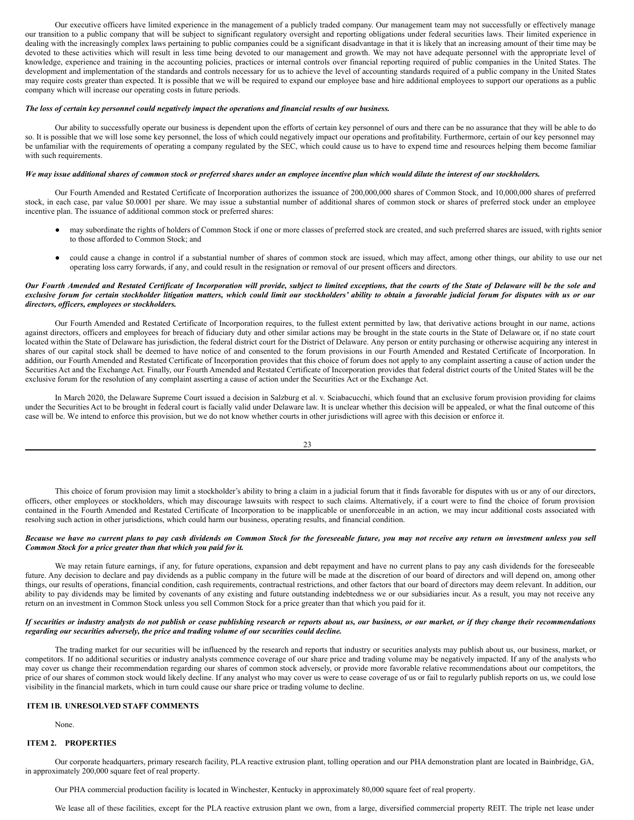Our executive officers have limited experience in the management of a publicly traded company. Our management team may not successfully or effectively manage our transition to a public company that will be subject to significant regulatory oversight and reporting obligations under federal securities laws. Their limited experience in dealing with the increasingly complex laws pertaining to public companies could be a significant disadvantage in that it is likely that an increasing amount of their time may be devoted to these activities which will result in less time being devoted to our management and growth. We may not have adequate personnel with the appropriate level of knowledge, experience and training in the accounting policies, practices or internal controls over financial reporting required of public companies in the United States. The development and implementation of the standards and controls necessary for us to achieve the level of accounting standards required of a public company in the United States may require costs greater than expected. It is possible that we will be required to expand our employee base and hire additional employees to support our operations as a public company which will increase our operating costs in future periods.

#### The loss of certain key personnel could negatively impact the operations and financial results of our business.

Our ability to successfully operate our business is dependent upon the efforts of certain key personnel of ours and there can be no assurance that they will be able to do so. It is possible that we will lose some key personnel, the loss of which could negatively impact our operations and profitability. Furthermore, certain of our key personnel may be unfamiliar with the requirements of operating a company regulated by the SEC, which could cause us to have to expend time and resources helping them become familiar with such requirements.

#### We may issue additional shares of common stock or preferred shares under an employee incentive plan which would dilute the interest of our stockholders.

Our Fourth Amended and Restated Certificate of Incorporation authorizes the issuance of 200,000,000 shares of Common Stock, and 10,000,000 shares of preferred stock, in each case, par value \$0.0001 per share. We may issue a substantial number of additional shares of common stock or shares of preferred stock under an employee incentive plan. The issuance of additional common stock or preferred shares:

- may subordinate the rights of holders of Common Stock if one or more classes of preferred stock are created, and such preferred shares are issued, with rights senior to those afforded to Common Stock; and
- could cause a change in control if a substantial number of shares of common stock are issued, which may affect, among other things, our ability to use our net operating loss carry forwards, if any, and could result in the resignation or removal of our present officers and directors.

### Our Fourth Amended and Restated Certificate of Incorporation will provide, subject to limited exceptions, that the courts of the State of Delaware will be the sole and exclusive forum for certain stockholder litigation matters, which could limit our stockholders' ability to obtain a favorable judicial forum for disputes with us or our *directors, of icers, employees or stockholders.*

Our Fourth Amended and Restated Certificate of Incorporation requires, to the fullest extent permitted by law, that derivative actions brought in our name, actions against directors, officers and employees for breach of fiduciary duty and other similar actions may be brought in the state courts in the State of Delaware or, if no state court located within the State of Delaware has jurisdiction, the federal district court for the District of Delaware. Any person or entity purchasing or otherwise acquiring any interest in shares of our capital stock shall be deemed to have notice of and consented to the forum provisions in our Fourth Amended and Restated Certificate of Incorporation. In addition, our Fourth Amended and Restated Certificate of Incorporation provides that this choice of forum does not apply to any complaint asserting a cause of action under the Securities Act and the Exchange Act. Finally, our Fourth Amended and Restated Certificate of Incorporation provides that federal district courts of the United States will be the exclusive forum for the resolution of any complaint asserting a cause of action under the Securities Act or the Exchange Act.

In March 2020, the Delaware Supreme Court issued a decision in Salzburg et al. v. Sciabacucchi, which found that an exclusive forum provision providing for claims under the Securities Act to be brought in federal court is facially valid under Delaware law. It is unclear whether this decision will be appealed, or what the final outcome of this case will be. We intend to enforce this provision, but we do not know whether courts in other jurisdictions will agree with this decision or enforce it.

| × |             |
|---|-------------|
| I | ı<br>ı<br>× |

This choice of forum provision may limit a stockholder's ability to bring a claim in a judicial forum that it finds favorable for disputes with us or any of our directors, officers, other employees or stockholders, which may discourage lawsuits with respect to such claims. Alternatively, if a court were to find the choice of forum provision contained in the Fourth Amended and Restated Certificate of Incorporation to be inapplicable or unenforceable in an action, we may incur additional costs associated with resolving such action in other jurisdictions, which could harm our business, operating results, and financial condition.

#### Because we have no current plans to pay cash dividends on Common Stock for the foreseeable future, you may not receive any return on investment unless you sell *Common Stock for a price greater than that which you paid for it.*

We may retain future earnings, if any, for future operations, expansion and debt repayment and have no current plans to pay any cash dividends for the foreseeable future. Any decision to declare and pay dividends as a public company in the future will be made at the discretion of our board of directors and will depend on, among other things, our results of operations, financial condition, cash requirements, contractual restrictions, and other factors that our board of directors may deem relevant. In addition, our ability to pay dividends may be limited by covenants of any existing and future outstanding indebtedness we or our subsidiaries incur. As a result, you may not receive any return on an investment in Common Stock unless you sell Common Stock for a price greater than that which you paid for it.

#### If securities or industry analysts do not publish or cease publishing research or reports about us, our business, or our market, or if they change their recommendations *regarding our securities adversely, the price and trading volume of our securities could decline.*

The trading market for our securities will be influenced by the research and reports that industry or securities analysts may publish about us, our business, market, or competitors. If no additional securities or industry analysts commence coverage of our share price and trading volume may be negatively impacted. If any of the analysts who may cover us change their recommendation regarding our shares of common stock adversely, or provide more favorable relative recommendations about our competitors, the price of our shares of common stock would likely decline. If any analyst who may cover us were to cease coverage of us or fail to regularly publish reports on us, we could lose visibility in the financial markets, which in turn could cause our share price or trading volume to decline.

## <span id="page-15-0"></span>**ITEM 1B. UNRESOLVED STAFF COMMENTS**

None.

#### <span id="page-15-1"></span>**ITEM 2. PROPERTIES**

Our corporate headquarters, primary research facility, PLA reactive extrusion plant, tolling operation and our PHA demonstration plant are located in Bainbridge, GA, in approximately 200,000 square feet of real property.

Our PHA commercial production facility is located in Winchester, Kentucky in approximately 80,000 square feet of real property.

We lease all of these facilities, except for the PLA reactive extrusion plant we own, from a large, diversified commercial property REIT. The triple net lease under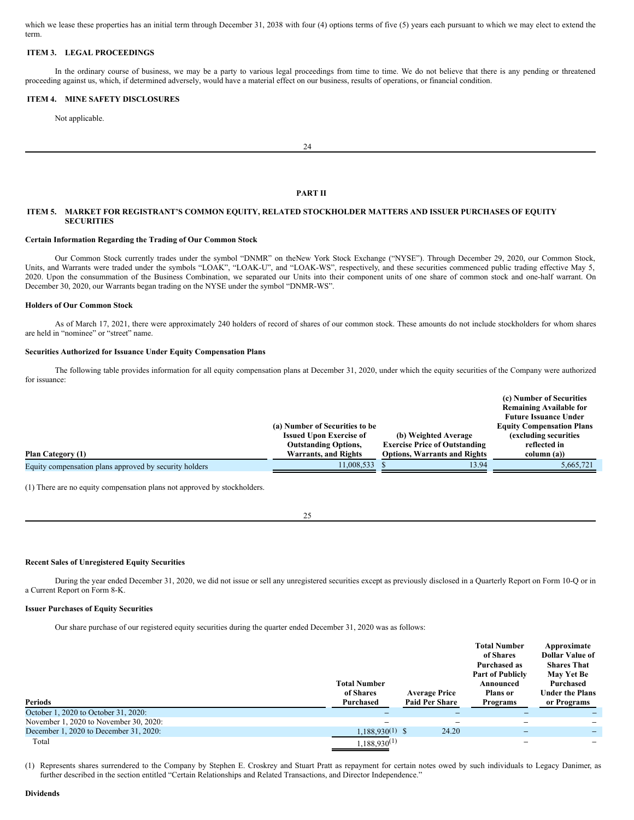which we lease these properties has an initial term through December 31, 2038 with four (4) options terms of five (5) years each pursuant to which we may elect to extend the term.

## <span id="page-16-0"></span>**ITEM 3. LEGAL PROCEEDINGS**

In the ordinary course of business, we may be a party to various legal proceedings from time to time. We do not believe that there is any pending or threatened proceeding against us, which, if determined adversely, would have a material effect on our business, results of operations, or financial condition.

#### <span id="page-16-1"></span>**ITEM 4. MINE SAFETY DISCLOSURES**

Not applicable.

 $24$ 

## <span id="page-16-2"></span>**PART II**

## <span id="page-16-3"></span>**ITEM 5. MARKET FOR REGISTRANT'S COMMON EQUITY, RELATED STOCKHOLDER MATTERS AND ISSUER PURCHASES OF EQUITY SECURITIES**

#### **Certain Information Regarding the Trading of Our Common Stock**

Our Common Stock currently trades under the symbol "DNMR" on theNew York Stock Exchange ("NYSE"). Through December 29, 2020, our Common Stock, Units, and Warrants were traded under the symbols "LOAK", "LOAK-U", and "LOAK-WS", respectively, and these securities commenced public trading effective May 5, 2020. Upon the consummation of the Business Combination, we separated our Units into their component units of one share of common stock and one-half warrant. On December 30, 2020, our Warrants began trading on the NYSE under the symbol "DNMR-WS".

#### **Holders of Our Common Stock**

As of March 17, 2021, there were approximately 240 holders of record of shares of our common stock. These amounts do not include stockholders for whom shares are held in "nominee" or "street" name.

#### **Securities Authorized for Issuance Under Equity Compensation Plans**

The following table provides information for all equity compensation plans at December 31, 2020, under which the equity securities of the Company were authorized for issuance:

|                                                        |                                |                                      | (c) Number of Securities<br><b>Remaining Available for</b> |
|--------------------------------------------------------|--------------------------------|--------------------------------------|------------------------------------------------------------|
|                                                        |                                |                                      | <b>Future Issuance Under</b>                               |
|                                                        | (a) Number of Securities to be |                                      | <b>Equity Compensation Plans</b>                           |
|                                                        | <b>Issued Upon Exercise of</b> | (b) Weighted Average                 | (excluding securities)                                     |
|                                                        | <b>Outstanding Options,</b>    | <b>Exercise Price of Outstanding</b> | reflected in                                               |
| <b>Plan Category (1)</b>                               | <b>Warrants, and Rights</b>    | <b>Options, Warrants and Rights</b>  | column (a))                                                |
| Equity compensation plans approved by security holders | 11.008.533                     | 13.94                                | 5,665,721                                                  |
|                                                        |                                |                                      |                                                            |

(1) There are no equity compensation plans not approved by stockholders.

25

## **Recent Sales of Unregistered Equity Securities**

During the year ended December 31, 2020, we did not issue or sell any unregistered securities except as previously disclosed in a Quarterly Report on Form 10-Q or in a Current Report on Form 8-K.

## **Issuer Purchases of Equity Securities**

Our share purchase of our registered equity securities during the quarter ended December 31, 2020 was as follows:

| Periods                                | <b>Total Number</b><br>of Shares<br>Purchased | <b>Average Price</b><br><b>Paid Per Share</b> | <b>Total Number</b><br>of Shares<br><b>Purchased as</b><br><b>Part of Publicly</b><br>Announced<br><b>Plans or</b><br>Programs | Approximate<br><b>Dollar Value of</b><br><b>Shares That</b><br>May Yet Be<br>Purchased<br><b>Under the Plans</b><br>or Programs |
|----------------------------------------|-----------------------------------------------|-----------------------------------------------|--------------------------------------------------------------------------------------------------------------------------------|---------------------------------------------------------------------------------------------------------------------------------|
| October 1, 2020 to October 31, 2020:   |                                               |                                               |                                                                                                                                |                                                                                                                                 |
| November 1, 2020 to November 30, 2020: |                                               |                                               |                                                                                                                                |                                                                                                                                 |
| December 1, 2020 to December 31, 2020: | $1,188,930^{(1)}$ \$                          | 24.20                                         |                                                                                                                                |                                                                                                                                 |
| Total                                  | $1.188.930^{(1)}$                             |                                               |                                                                                                                                |                                                                                                                                 |

(1) Represents shares surrendered to the Company by Stephen E. Croskrey and Stuart Pratt as repayment for certain notes owed by such individuals to Legacy Danimer, as further described in the section entitled "Certain Relationships and Related Transactions, and Director Independence."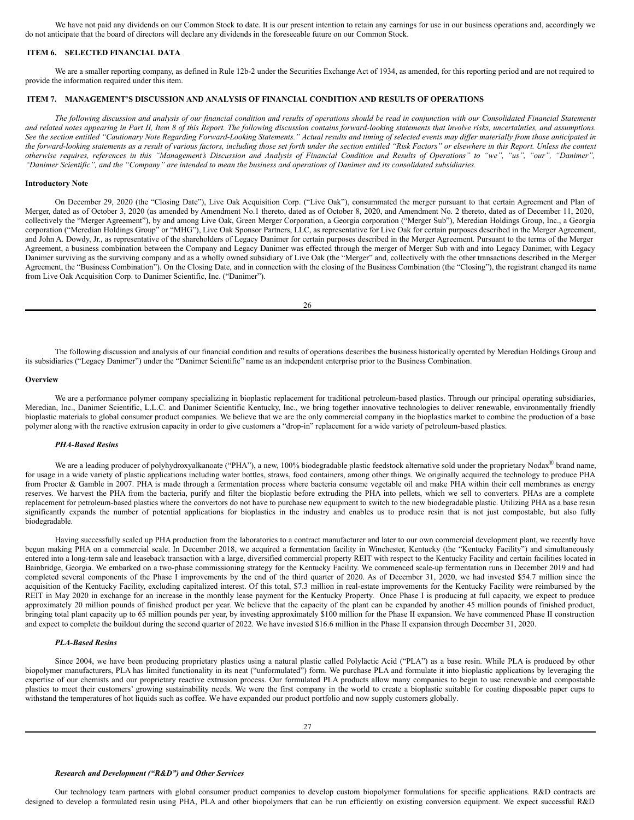We have not paid any dividends on our Common Stock to date. It is our present intention to retain any earnings for use in our business operations and, accordingly we do not anticipate that the board of directors will declare any dividends in the foreseeable future on our Common Stock.

## <span id="page-17-0"></span>**ITEM 6. SELECTED FINANCIAL DATA**

We are a smaller reporting company, as defined in Rule 12b-2 under the Securities Exchange Act of 1934, as amended, for this reporting period and are not required to provide the information required under this item.

## <span id="page-17-1"></span>**ITEM 7. MANAGEMENT'S DISCUSSION AND ANALYSIS OF FINANCIAL CONDITION AND RESULTS OF OPERATIONS**

The following discussion and analysis of our financial condition and results of operations should be read in conjunction with our Consolidated Financial Statements and related notes appearing in Part II, Item 8 of this Report. The following discussion contains forward-looking statements that involve risks, uncertainties, and assumptions. See the section entitled "Cautionary Note Regarding Forward-Looking Statements." Actual results and timing of selected events may differ materially from those anticipated in the forward-looking statements as a result of various factors, including those set forth under the section entitled "Risk Factors" or elsewhere in this Report. Unless the context otherwise requires, references in this "Management's Discussion and Analysis of Financial Condition and Results of Operations" to "we", "us", "our", "Danimer", "Danimer Scientific", and the "Company" are intended to mean the business and operations of Danimer and its consolidated subsidiaries.

#### **Introductory Note**

On December 29, 2020 (the "Closing Date"), Live Oak Acquisition Corp. ("Live Oak"), consummated the merger pursuant to that certain Agreement and Plan of Merger, dated as of October 3, 2020 (as amended by Amendment No.1 thereto, dated as of October 8, 2020, and Amendment No. 2 thereto, dated as of December 11, 2020, collectively the "Merger Agreement"), by and among Live Oak, Green Merger Corporation, a Georgia corporation ("Merger Sub"), Meredian Holdings Group, Inc., a Georgia corporation ("Meredian Holdings Group" or "MHG"), Live Oak Sponsor Partners, LLC, as representative for Live Oak for certain purposes described in the Merger Agreement, and John A. Dowdy, Jr., as representative of the shareholders of Legacy Danimer for certain purposes described in the Merger Agreement. Pursuant to the terms of the Merger Agreement, a business combination between the Company and Legacy Danimer was effected through the merger of Merger Sub with and into Legacy Danimer, with Legacy Danimer surviving as the surviving company and as a wholly owned subsidiary of Live Oak (the "Merger" and, collectively with the other transactions described in the Merger Agreement, the "Business Combination"). On the Closing Date, and in connection with the closing of the Business Combination (the "Closing"), the registrant changed its name from Live Oak Acquisition Corp. to Danimer Scientific, Inc. ("Danimer").

The following discussion and analysis of our financial condition and results of operations describes the business historically operated by Meredian Holdings Group and its subsidiaries ("Legacy Danimer") under the "Danimer Scientific" name as an independent enterprise prior to the Business Combination.

#### **Overview**

We are a performance polymer company specializing in bioplastic replacement for traditional petroleum-based plastics. Through our principal operating subsidiaries, Meredian, Inc., Danimer Scientific, L.L.C. and Danimer Scientific Kentucky, Inc., we bring together innovative technologies to deliver renewable, environmentally friendly bioplastic materials to global consumer product companies. We believe that we are the only commercial company in the bioplastics market to combine the production of a base polymer along with the reactive extrusion capacity in order to give customers a "drop-in" replacement for a wide variety of petroleum-based plastics.

## *PHA-Based Resins*

We are a leading producer of polyhydroxyalkanoate ("PHA"), a new, 100% biodegradable plastic feedstock alternative sold under the proprietary Nodax<sup>®</sup> brand name, for usage in a wide variety of plastic applications including water bottles, straws, food containers, among other things. We originally acquired the technology to produce PHA from Procter & Gamble in 2007. PHA is made through a fermentation process where bacteria consume vegetable oil and make PHA within their cell membranes as energy reserves. We harvest the PHA from the bacteria, purify and filter the bioplastic before extruding the PHA into pellets, which we sell to converters. PHAs are a complete replacement for petroleum-based plastics where the convertors do not have to purchase new equipment to switch to the new biodegradable plastic. Utilizing PHA as a base resin significantly expands the number of potential applications for bioplastics in the industry and enables us to produce resin that is not just compostable, but also fully biodegradable.

Having successfully scaled up PHA production from the laboratories to a contract manufacturer and later to our own commercial development plant, we recently have begun making PHA on a commercial scale. In December 2018, we acquired a fermentation facility in Winchester, Kentucky (the "Kentucky Facility") and simultaneously entered into a long-term sale and leaseback transaction with a large, diversified commercial property REIT with respect to the Kentucky Facility and certain facilities located in Bainbridge, Georgia. We embarked on a two-phase commissioning strategy for the Kentucky Facility. We commenced scale-up fermentation runs in December 2019 and had completed several components of the Phase I improvements by the end of the third quarter of 2020. As of December 31, 2020, we had invested \$54.7 million since the acquisition of the Kentucky Facility, excluding capitalized interest. Of this total, \$7.3 million in real-estate improvements for the Kentucky Facility were reimbursed by the REIT in May 2020 in exchange for an increase in the monthly lease payment for the Kentucky Property. Once Phase I is producing at full capacity, we expect to produce approximately 20 million pounds of finished product per year. We believe that the capacity of the plant can be expanded by another 45 million pounds of finished product, bringing total plant capacity up to 65 million pounds per year, by investing approximately \$100 million for the Phase II expansion. We have commenced Phase II construction and expect to complete the buildout during the second quarter of 2022. We have invested \$16.6 million in the Phase II expansion through December 31, 2020.

#### *PLA-Based Resins*

Since 2004, we have been producing proprietary plastics using a natural plastic called Polylactic Acid ("PLA") as a base resin. While PLA is produced by other biopolymer manufacturers, PLA has limited functionality in its neat ("unformulated") form. We purchase PLA and formulate it into bioplastic applications by leveraging the expertise of our chemists and our proprietary reactive extrusion process. Our formulated PLA products allow many companies to begin to use renewable and compostable plastics to meet their customers' growing sustainability needs. We were the first company in the world to create a bioplastic suitable for coating disposable paper cups to withstand the temperatures of hot liquids such as coffee. We have expanded our product portfolio and now supply customers globally.

### *Research and Development ("R&D") and Other Services*

Our technology team partners with global consumer product companies to develop custom biopolymer formulations for specific applications. R&D contracts are designed to develop a formulated resin using PHA, PLA and other biopolymers that can be run efficiently on existing conversion equipment. We expect successful R&D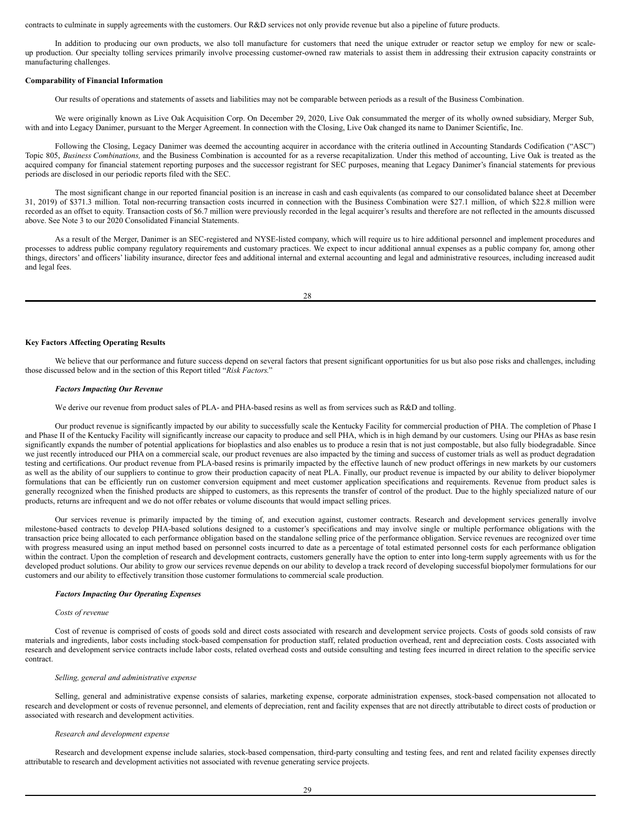contracts to culminate in supply agreements with the customers. Our R&D services not only provide revenue but also a pipeline of future products.

In addition to producing our own products, we also toll manufacture for customers that need the unique extruder or reactor setup we employ for new or scaleup production. Our specialty tolling services primarily involve processing customer-owned raw materials to assist them in addressing their extrusion capacity constraints or manufacturing challenges.

#### **Comparability of Financial Information**

Our results of operations and statements of assets and liabilities may not be comparable between periods as a result of the Business Combination.

We were originally known as Live Oak Acquisition Corp. On December 29, 2020, Live Oak consummated the merger of its wholly owned subsidiary, Merger Sub, with and into Legacy Danimer, pursuant to the Merger Agreement. In connection with the Closing, Live Oak changed its name to Danimer Scientific, Inc.

Following the Closing, Legacy Danimer was deemed the accounting acquirer in accordance with the criteria outlined in Accounting Standards Codification ("ASC") Topic 805, Business Combinations, and the Business Combination is accounted for as a reverse recapitalization. Under this method of accounting, Live Oak is treated as the acquired company for financial statement reporting purposes and the successor registrant for SEC purposes, meaning that Legacy Danimer's financial statements for previous periods are disclosed in our periodic reports filed with the SEC.

The most significant change in our reported financial position is an increase in cash and cash equivalents (as compared to our consolidated balance sheet at December 31, 2019) of \$371.3 million. Total non-recurring transaction costs incurred in connection with the Business Combination were \$27.1 million, of which \$22.8 million were recorded as an offset to equity. Transaction costs of \$6.7 million were previously recorded in the legal acquirer's results and therefore are not reflected in the amounts discussed above. See Note 3 to our 2020 Consolidated Financial Statements.

As a result of the Merger, Danimer is an SEC-registered and NYSE-listed company, which will require us to hire additional personnel and implement procedures and processes to address public company regulatory requirements and customary practices. We expect to incur additional annual expenses as a public company for, among other things, directors' and officers' liability insurance, director fees and additional internal and external accounting and legal and administrative resources, including increased audit and legal fees.

28

## **Key Factors Affecting Operating Results**

We believe that our performance and future success depend on several factors that present significant opportunities for us but also pose risks and challenges, including those discussed below and in the section of this Report titled "*Risk Factors*."

## *Factors Impacting Our Revenue*

We derive our revenue from product sales of PLA- and PHA-based resins as well as from services such as R&D and tolling.

Our product revenue is significantly impacted by our ability to successfully scale the Kentucky Facility for commercial production of PHA. The completion of Phase I and Phase II of the Kentucky Facility will significantly increase our capacity to produce and sell PHA, which is in high demand by our customers. Using our PHAs as base resin significantly expands the number of potential applications for bioplastics and also enables us to produce a resin that is not just compostable, but also fully biodegradable. Since we just recently introduced our PHA on a commercial scale, our product revenues are also impacted by the timing and success of customer trials as well as product degradation testing and certifications. Our product revenue from PLA-based resins is primarily impacted by the effective launch of new product offerings in new markets by our customers as well as the ability of our suppliers to continue to grow their production capacity of neat PLA. Finally, our product revenue is impacted by our ability to deliver biopolymer formulations that can be efficiently run on customer conversion equipment and meet customer application specifications and requirements. Revenue from product sales is generally recognized when the finished products are shipped to customers, as this represents the transfer of control of the product. Due to the highly specialized nature of our products, returns are infrequent and we do not offer rebates or volume discounts that would impact selling prices.

Our services revenue is primarily impacted by the timing of, and execution against, customer contracts. Research and development services generally involve milestone-based contracts to develop PHA-based solutions designed to a customer's specifications and may involve single or multiple performance obligations with the transaction price being allocated to each performance obligation based on the standalone selling price of the performance obligation. Service revenues are recognized over time with progress measured using an input method based on personnel costs incurred to date as a percentage of total estimated personnel costs for each performance obligation within the contract. Upon the completion of research and development contracts, customers generally have the option to enter into long-term supply agreements with us for the developed product solutions. Our ability to grow our services revenue depends on our ability to develop a track record of developing successful biopolymer formulations for our customers and our ability to effectively transition those customer formulations to commercial scale production.

## *Factors Impacting Our Operating Expenses*

#### *Costs of revenue*

Cost of revenue is comprised of costs of goods sold and direct costs associated with research and development service projects. Costs of goods sold consists of raw materials and ingredients, labor costs including stock-based compensation for production staff, related production overhead, rent and depreciation costs. Costs associated with research and development service contracts include labor costs, related overhead costs and outside consulting and testing fees incurred in direct relation to the specific service contract.

## *Selling, general and administrative expense*

Selling, general and administrative expense consists of salaries, marketing expense, corporate administration expenses, stock-based compensation not allocated to research and development or costs of revenue personnel, and elements of depreciation, rent and facility expenses that are not directly attributable to direct costs of production or associated with research and development activities.

## *Research and development expense*

Research and development expense include salaries, stock-based compensation, third-party consulting and testing fees, and rent and related facility expenses directly attributable to research and development activities not associated with revenue generating service projects.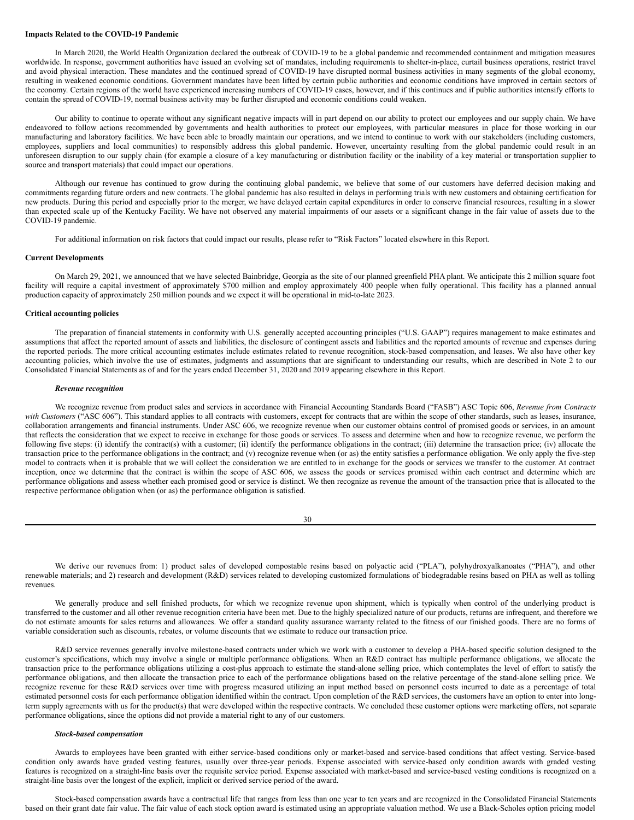## **Impacts Related to the COVID-19 Pandemic**

In March 2020, the World Health Organization declared the outbreak of COVID-19 to be a global pandemic and recommended containment and mitigation measures worldwide. In response, government authorities have issued an evolving set of mandates, including requirements to shelter-in-place, curtail business operations, restrict travel and avoid physical interaction. These mandates and the continued spread of COVID-19 have disrupted normal business activities in many segments of the global economy, resulting in weakened economic conditions. Government mandates have been lifted by certain public authorities and economic conditions have improved in certain sectors of the economy. Certain regions of the world have experienced increasing numbers of COVID-19 cases, however, and if this continues and if public authorities intensify efforts to contain the spread of COVID-19, normal business activity may be further disrupted and economic conditions could weaken.

Our ability to continue to operate without any significant negative impacts will in part depend on our ability to protect our employees and our supply chain. We have endeavored to follow actions recommended by governments and health authorities to protect our employees, with particular measures in place for those working in our manufacturing and laboratory facilities. We have been able to broadly maintain our operations, and we intend to continue to work with our stakeholders (including customers, employees, suppliers and local communities) to responsibly address this global pandemic. However, uncertainty resulting from the global pandemic could result in an unforeseen disruption to our supply chain (for example a closure of a key manufacturing or distribution facility or the inability of a key material or transportation supplier to source and transport materials) that could impact our operations.

Although our revenue has continued to grow during the continuing global pandemic, we believe that some of our customers have deferred decision making and commitments regarding future orders and new contracts. The global pandemic has also resulted in delays in performing trials with new customers and obtaining certification for new products. During this period and especially prior to the merger, we have delayed certain capital expenditures in order to conserve financial resources, resulting in a slower than expected scale up of the Kentucky Facility. We have not observed any material impairments of our assets or a significant change in the fair value of assets due to the COVID-19 pandemic.

For additional information on risk factors that could impact our results, please refer to "Risk Factors" located elsewhere in this Report.

#### **Current Developments**

On March 29, 2021, we announced that we have selected Bainbridge, Georgia as the site of our planned greenfield PHA plant. We anticipate this 2 million square foot facility will require a capital investment of approximately \$700 million and employ approximately 400 people when fully operational. This facility has a planned annual production capacity of approximately 250 million pounds and we expect it will be operational in mid-to-late 2023.

## **Critical accounting policies**

The preparation of financial statements in conformity with U.S. generally accepted accounting principles ("U.S. GAAP") requires management to make estimates and assumptions that affect the reported amount of assets and liabilities, the disclosure of contingent assets and liabilities and the reported amounts of revenue and expenses during the reported periods. The more critical accounting estimates include estimates related to revenue recognition, stock-based compensation, and leases. We also have other key accounting policies, which involve the use of estimates, judgments and assumptions that are significant to understanding our results, which are described in Note 2 to our Consolidated Financial Statements as of and for the years ended December 31, 2020 and 2019 appearing elsewhere in this Report.

#### *Revenue recognition*

We recognize revenue from product sales and services in accordance with Financial Accounting Standards Board ("FASB") ASC Topic 606, *Revenue from Contracts* with Customers ("ASC 606"). This standard applies to all contracts with customers, except for contracts that are within the scope of other standards, such as leases, insurance, collaboration arrangements and financial instruments. Under ASC 606, we recognize revenue when our customer obtains control of promised goods or services, in an amount that reflects the consideration that we expect to receive in exchange for those goods or services. To assess and determine when and how to recognize revenue, we perform the following five steps: (i) identify the contract(s) with a customer; (ii) identify the performance obligations in the contract; (iii) determine the transaction price; (iv) allocate the transaction price to the performance obligations in the contract; and (v) recognize revenue when (or as) the entity satisfies a performance obligation. We only apply the five-step model to contracts when it is probable that we will collect the consideration we are entitled to in exchange for the goods or services we transfer to the customer. At contract inception, once we determine that the contract is within the scope of ASC 606, we assess the goods or services promised within each contract and determine which are performance obligations and assess whether each promised good or service is distinct. We then recognize as revenue the amount of the transaction price that is allocated to the respective performance obligation when (or as) the performance obligation is satisfied.

$$
30\,
$$

We derive our revenues from: 1) product sales of developed compostable resins based on polyactic acid ("PLA"), polyhydroxyalkanoates ("PHA"), and other renewable materials; and 2) research and development (R&D) services related to developing customized formulations of biodegradable resins based on PHA as well as tolling revenues.

We generally produce and sell finished products, for which we recognize revenue upon shipment, which is typically when control of the underlying product is transferred to the customer and all other revenue recognition criteria have been met. Due to the highly specialized nature of our products, returns are infrequent, and therefore we do not estimate amounts for sales returns and allowances. We offer a standard quality assurance warranty related to the fitness of our finished goods. There are no forms of variable consideration such as discounts, rebates, or volume discounts that we estimate to reduce our transaction price.

R&D service revenues generally involve milestone-based contracts under which we work with a customer to develop a PHA-based specific solution designed to the customer's specifications, which may involve a single or multiple performance obligations. When an R&D contract has multiple performance obligations, we allocate the transaction price to the performance obligations utilizing a cost-plus approach to estimate the stand-alone selling price, which contemplates the level of effort to satisfy the performance obligations, and then allocate the transaction price to each of the performance obligations based on the relative percentage of the stand-alone selling price. We recognize revenue for these R&D services over time with progress measured utilizing an input method based on personnel costs incurred to date as a percentage of total estimated personnel costs for each performance obligation identified within the contract. Upon completion of the R&D services, the customers have an option to enter into longterm supply agreements with us for the product(s) that were developed within the respective contracts. We concluded these customer options were marketing offers, not separate performance obligations, since the options did not provide a material right to any of our customers.

## *Stock-based compensation*

Awards to employees have been granted with either service-based conditions only or market-based and service-based conditions that affect vesting. Service-based condition only awards have graded vesting features, usually over three-year periods. Expense associated with service-based only condition awards with graded vesting features is recognized on a straight-line basis over the requisite service period. Expense associated with market-based and service-based vesting conditions is recognized on a straight-line basis over the longest of the explicit, implicit or derived service period of the award.

Stock-based compensation awards have a contractual life that ranges from less than one year to ten years and are recognized in the Consolidated Financial Statements based on their grant date fair value. The fair value of each stock option award is estimated using an appropriate valuation method. We use a Black-Scholes option pricing model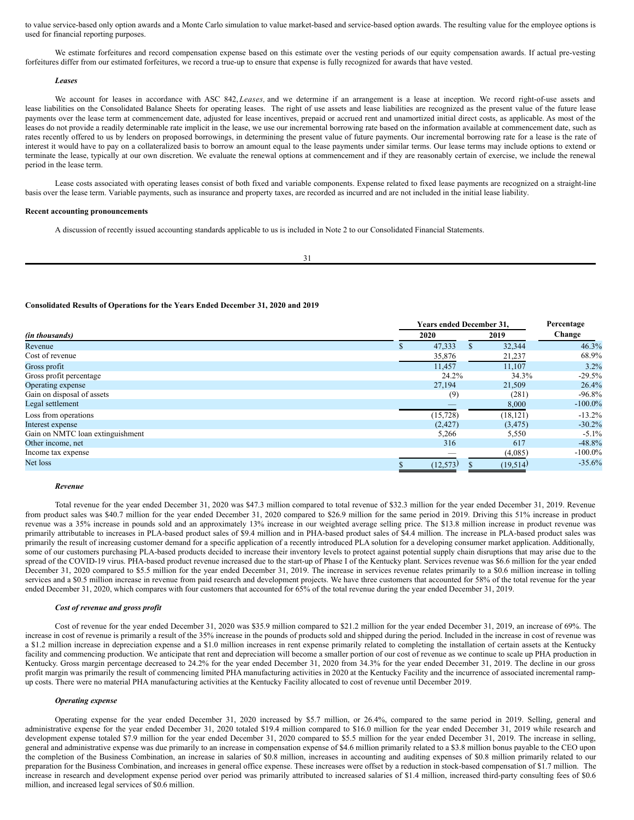to value service-based only option awards and a Monte Carlo simulation to value market-based and service-based option awards. The resulting value for the employee options is used for financial reporting purposes.

We estimate forfeitures and record compensation expense based on this estimate over the vesting periods of our equity compensation awards. If actual pre-vesting forfeitures differ from our estimated forfeitures, we record a true-up to ensure that expense is fully recognized for awards that have vested.

#### *Leases*

We account for leases in accordance with ASC 842, *Leases,* and we determine if an arrangement is a lease at inception. We record right-of-use assets and lease liabilities on the Consolidated Balance Sheets for operating leases. The right of use assets and lease liabilities are recognized as the present value of the future lease payments over the lease term at commencement date, adjusted for lease incentives, prepaid or accrued rent and unamortized initial direct costs, as applicable. As most of the leases do not provide a readily determinable rate implicit in the lease, we use our incremental borrowing rate based on the information available at commencement date, such as rates recently offered to us by lenders on proposed borrowings, in determining the present value of future payments. Our incremental borrowing rate for a lease is the rate of interest it would have to pay on a collateralized basis to borrow an amount equal to the lease payments under similar terms. Our lease terms may include options to extend or terminate the lease, typically at our own discretion. We evaluate the renewal options at commencement and if they are reasonably certain of exercise, we include the renewal period in the lease term.

Lease costs associated with operating leases consist of both fixed and variable components. Expense related to fixed lease payments are recognized on a straight-line basis over the lease term. Variable payments, such as insurance and property taxes, are recorded as incurred and are not included in the initial lease liability.

#### **Recent accounting pronouncements**

A discussion of recently issued accounting standards applicable to us is included in Note 2 to our Consolidated Financial Statements.

31

#### **Consolidated Results of Operations for the Years Ended December 31, 2020 and 2019**

|                                  |   | <b>Years ended December 31,</b> |           | Percentage |
|----------------------------------|---|---------------------------------|-----------|------------|
| (in thousands)                   |   | 2020                            | 2019      | Change     |
| Revenue                          | ъ | 47,333                          | 32,344    | 46.3%      |
| Cost of revenue                  |   | 35,876                          | 21,237    | 68.9%      |
| Gross profit                     |   | 11.457                          | 11,107    | 3.2%       |
| Gross profit percentage          |   | 24.2%                           | 34.3%     | $-29.5%$   |
| Operating expense                |   | 27,194                          | 21,509    | 26.4%      |
| Gain on disposal of assets       |   | (9)                             | (281)     | $-96.8\%$  |
| Legal settlement                 |   |                                 | 8,000     | $-100.0\%$ |
| Loss from operations             |   | (15, 728)                       | (18, 121) | $-13.2\%$  |
| Interest expense                 |   | (2,427)                         | (3, 475)  | $-30.2%$   |
| Gain on NMTC loan extinguishment |   | 5,266                           | 5,550     | $-5.1\%$   |
| Other income, net                |   | 316                             | 617       | $-48.8%$   |
| Income tax expense               |   |                                 | (4,085)   | $-100.0\%$ |
| Net loss                         |   | (12, 573)                       | (19, 514) | $-35.6%$   |

#### *Revenue*

Total revenue for the year ended December 31, 2020 was \$47.3 million compared to total revenue of \$32.3 million for the year ended December 31, 2019. Revenue from product sales was \$40.7 million for the year ended December 31, 2020 compared to \$26.9 million for the same period in 2019. Driving this 51% increase in product revenue was a 35% increase in pounds sold and an approximately 13% increase in our weighted average selling price. The \$13.8 million increase in product revenue was primarily attributable to increases in PLA-based product sales of \$9.4 million and in PHA-based product sales of \$4.4 million. The increase in PLA-based product sales was primarily the result of increasing customer demand for a specific application of a recently introduced PLA solution for a developing consumer market application. Additionally, some of our customers purchasing PLA-based products decided to increase their inventory levels to protect against potential supply chain disruptions that may arise due to the spread of the COVID-19 virus. PHA-based product revenue increased due to the start-up of Phase I of the Kentucky plant. Services revenue was \$6.6 million for the year ended December 31, 2020 compared to \$5.5 million for the year ended December 31, 2019. The increase in services revenue relates primarily to a \$0.6 million increase in tolling services and a \$0.5 million increase in revenue from paid research and development projects. We have three customers that accounted for 58% of the total revenue for the year ended December 31, 2020, which compares with four customers that accounted for 65% of the total revenue during the year ended December 31, 2019.

## *Cost of revenue and gross profit*

Cost of revenue for the year ended December 31, 2020 was \$35.9 million compared to \$21.2 million for the year ended December 31, 2019, an increase of 69%. The increase in cost of revenue is primarily a result of the 35% increase in the pounds of products sold and shipped during the period. Included in the increase in cost of revenue was a \$1.2 million increase in depreciation expense and a \$1.0 million increases in rent expense primarily related to completing the installation of certain assets at the Kentucky facility and commencing production. We anticipate that rent and depreciation will become a smaller portion of our cost of revenue as we continue to scale up PHA production in Kentucky. Gross margin percentage decreased to 24.2% for the year ended December 31, 2020 from 34.3% for the year ended December 31, 2019. The decline in our gross profit margin was primarily the result of commencing limited PHA manufacturing activities in 2020 at the Kentucky Facility and the incurrence of associated incremental rampup costs. There were no material PHA manufacturing activities at the Kentucky Facility allocated to cost of revenue until December 2019.

#### *Operating expense*

Operating expense for the year ended December 31, 2020 increased by \$5.7 million, or 26.4%, compared to the same period in 2019. Selling, general and administrative expense for the year ended December 31, 2020 totaled \$19.4 million compared to \$16.0 million for the year ended December 31, 2019 while research and development expense totaled \$7.9 million for the year ended December 31, 2020 compared to \$5.5 million for the year ended December 31, 2019. The increase in selling, general and administrative expense was due primarily to an increase in compensation expense of \$4.6 million primarily related to a \$3.8 million bonus payable to the CEO upon the completion of the Business Combination, an increase in salaries of \$0.8 million, increases in accounting and auditing expenses of \$0.8 million primarily related to our preparation for the Business Combination, and increases in general office expense. These increases were offset by a reduction in stock-based compensation of \$1.7 million. The increase in research and development expense period over period was primarily attributed to increased salaries of \$1.4 million, increased third-party consulting fees of \$0.6 million, and increased legal services of \$0.6 million.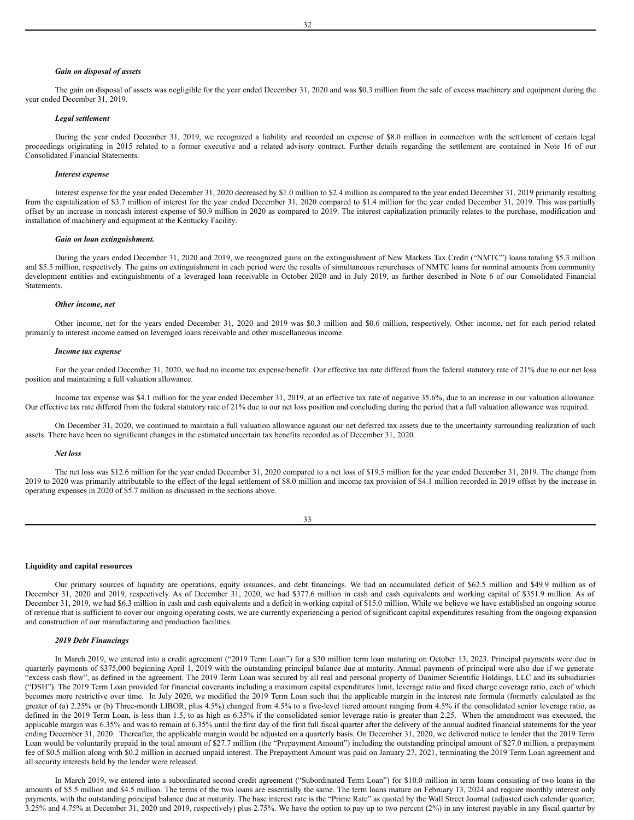#### *Gain on disposal of assets*

The gain on disposal of assets was negligible for the year ended December 31, 2020 and was \$0.3 million from the sale of excess machinery and equipment during the year ended December 31, 2019.

#### *Legal settlement*

During the year ended December 31, 2019, we recognized a liability and recorded an expense of \$8.0 million in connection with the settlement of certain legal proceedings originating in 2015 related to a former executive and a related advisory contract. Further details regarding the settlement are contained in Note 16 of our Consolidated Financial Statements.

#### *Interest expense*

Interest expense for the year ended December 31, 2020 decreased by \$1.0 million to \$2.4 million as compared to the year ended December 31, 2019 primarily resulting from the capitalization of \$3.7 million of interest for the year ended December 31, 2020 compared to \$1.4 million for the year ended December 31, 2019. This was partially offset by an increase in noncash interest expense of \$0.9 million in 2020 as compared to 2019. The interest capitalization primarily relates to the purchase, modification and installation of machinery and equipment at the Kentucky Facility.

#### *Gain on loan extinguishment.*

During the years ended December 31, 2020 and 2019, we recognized gains on the extinguishment of New Markets Tax Credit ("NMTC") loans totaling \$5.3 million and \$5.5 million, respectively. The gains on extinguishment in each period were the results of simultaneous repurchases of NMTC loans for nominal amounts from community development entities and extinguishments of a leveraged loan receivable in October 2020 and in July 2019, as further described in Note 6 of our Consolidated Financial Statements.

#### *Other income, net*

Other income, net for the years ended December 31, 2020 and 2019 was \$0.3 million and \$0.6 million, respectively. Other income, net for each period related primarily to interest income earned on leveraged loans receivable and other miscellaneous income.

#### *Income tax expense*

For the year ended December 31, 2020, we had no income tax expense/benefit. Our effective tax rate differed from the federal statutory rate of 21% due to our net loss position and maintaining a full valuation allowance.

Income tax expense was \$4.1 million for the year ended December 31, 2019, at an effective tax rate of negative 35.6%, due to an increase in our valuation allowance. Our effective tax rate differed from the federal statutory rate of 21% due to our net loss position and concluding during the period that a full valuation allowance was required.

On December 31, 2020, we continued to maintain a full valuation allowance against our net deferred tax assets due to the uncertainty surrounding realization of such assets. There have been no significant changes in the estimated uncertain tax benefits recorded as of December 31, 2020.

#### *Net loss*

The net loss was \$12.6 million for the year ended December 31, 2020 compared to a net loss of \$19.5 million for the year ended December 31, 2019. The change from 2019 to 2020 was primarily attributable to the effect of the legal settlement of \$8.0 million and income tax provision of \$4.1 million recorded in 2019 offset by the increase in operating expenses in 2020 of \$5.7 million as discussed in the sections above.

#### **Liquidity and capital resources**

Our primary sources of liquidity are operations, equity issuances, and debt financings. We had an accumulated deficit of \$62.5 million and \$49.9 million as of December 31, 2020 and 2019, respectively. As of December 31, 2020, we had \$377.6 million in cash and cash equivalents and working capital of \$351.9 million. As of December 31, 2019, we had \$6.3 million in cash and cash equivalents and a deficit in working capital of \$15.0 million. While we believe we have established an ongoing source of revenue that is sufficient to cover our ongoing operating costs, we are currently experiencing a period of significant capital expenditures resulting from the ongoing expansion and construction of our manufacturing and production facilities.

## *2019 Debt Financings*

In March 2019, we entered into a credit agreement ("2019 Term Loan") for a \$30 million term loan maturing on October 13, 2023. Principal payments were due in quarterly payments of \$375,000 beginning April 1, 2019 with the outstanding principal balance due at maturity. Annual payments of principal were also due if we generate "excess cash flow", as defined in the agreement. The 2019 Term Loan was secured by all real and personal property of Danimer Scientific Holdings, LLC and its subsidiaries ("DSH"). The 2019 Term Loan provided for financial covenants including a maximum capital expenditures limit, leverage ratio and fixed charge coverage ratio, each of which becomes more restrictive over time. In July 2020, we modified the 2019 Term Loan such that the applicable margin in the interest rate formula (formerly calculated as the greater of (a) 2.25% or (b) Three-month LIBOR, plus 4.5%) changed from 4.5% to a five-level tiered amount ranging from 4.5% if the consolidated senior leverage ratio, as defined in the 2019 Term Loan, is less than 1.5, to as high as 6.35% if the consolidated senior leverage ratio is greater than 2.25. When the amendment was executed, the applicable margin was 6.35% and was to remain at 6.35% until the first day of the first full fiscal quarter after the delivery of the annual audited financial statements for the year ending December 31, 2020. Thereafter, the applicable margin would be adjusted on a quarterly basis. On December 31, 2020, we delivered notice to lender that the 2019 Term Loan would be voluntarily prepaid in the total amount of \$27.7 million (the "Prepayment Amount") including the outstanding principal amount of \$27.0 million, a prepayment fee of \$0.5 million along with \$0.2 million in accrued unpaid interest. The Prepayment Amount was paid on January 27, 2021, terminating the 2019 Term Loan agreement and all security interests held by the lender were released.

In March 2019, we entered into a subordinated second credit agreement ("Subordinated Term Loan") for \$10.0 million in term loans consisting of two loans in the amounts of \$5.5 million and \$4.5 million. The terms of the two loans are essentially the same. The term loans mature on February 13, 2024 and require monthly interest only payments, with the outstanding principal balance due at maturity. The base interest rate is the "Prime Rate" as quoted by the Wall Street Journal (adjusted each calendar quarter; 3.25% and 4.75% at December 31, 2020 and 2019, respectively) plus 2.75%. We have the option to pay up to two percent (2%) in any interest payable in any fiscal quarter by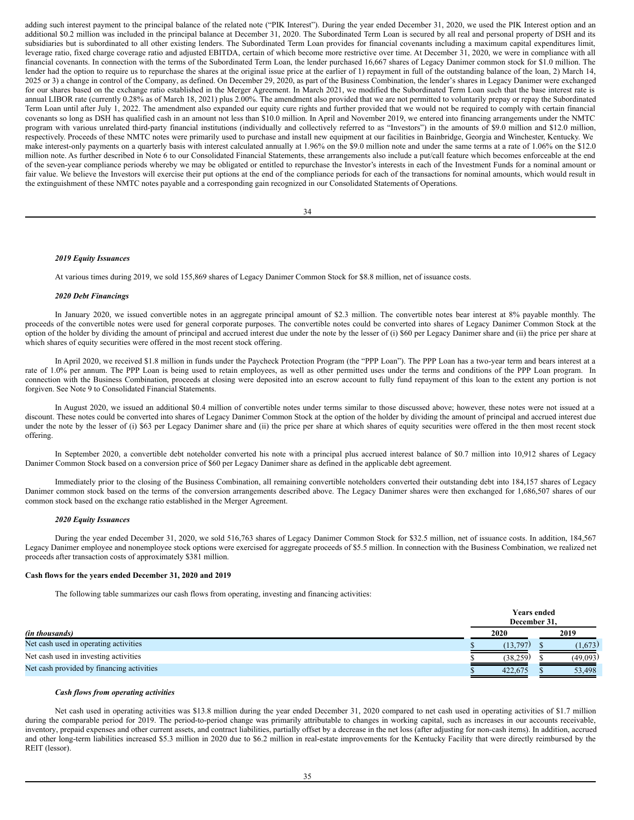adding such interest payment to the principal balance of the related note ("PIK Interest"). During the year ended December 31, 2020, we used the PIK Interest option and an additional \$0.2 million was included in the principal balance at December 31, 2020. The Subordinated Term Loan is secured by all real and personal property of DSH and its subsidiaries but is subordinated to all other existing lenders. The Subordinated Term Loan provides for financial covenants including a maximum capital expenditures limit, leverage ratio, fixed charge coverage ratio and adjusted EBITDA, certain of which become more restrictive over time. At December 31, 2020, we were in compliance with all financial covenants. In connection with the terms of the Subordinated Term Loan, the lender purchased 16,667 shares of Legacy Danimer common stock for \$1.0 million. The lender had the option to require us to repurchase the shares at the original issue price at the earlier of 1) repayment in full of the outstanding balance of the loan, 2) March 14, 2025 or 3) a change in control of the Company, as defined. On December 29, 2020, as part of the Business Combination, the lender's shares in Legacy Danimer were exchanged for our shares based on the exchange ratio established in the Merger Agreement. In March 2021, we modified the Subordinated Term Loan such that the base interest rate is annual LIBOR rate (currently 0.28% as of March 18, 2021) plus 2.00%. The amendment also provided that we are not permitted to voluntarily prepay or repay the Subordinated Term Loan until after July 1, 2022. The amendment also expanded our equity cure rights and further provided that we would not be required to comply with certain financial covenants so long as DSH has qualified cash in an amount not less than \$10.0 million. In April and November 2019, we entered into financing arrangements under the NMTC program with various unrelated third-party financial institutions (individually and collectively referred to as "Investors") in the amounts of \$9.0 million and \$12.0 million, respectively. Proceeds of these NMTC notes were primarily used to purchase and install new equipment at our facilities in Bainbridge, Georgia and Winchester, Kentucky. We make interest-only payments on a quarterly basis with interest calculated annually at 1.96% on the \$9.0 million note and under the same terms at a rate of 1.06% on the \$12.0 million note. As further described in Note 6 to our Consolidated Financial Statements, these arrangements also include a put/call feature which becomes enforceable at the end of the seven-year compliance periods whereby we may be obligated or entitled to repurchase the Investor's interests in each of the Investment Funds for a nominal amount or fair value. We believe the Investors will exercise their put options at the end of the compliance periods for each of the transactions for nominal amounts, which would result in the extinguishment of these NMTC notes payable and a corresponding gain recognized in our Consolidated Statements of Operations.

34

#### *2019 Equity Issuances*

At various times during 2019, we sold 155,869 shares of Legacy Danimer Common Stock for \$8.8 million, net of issuance costs.

## *2020 Debt Financings*

In January 2020, we issued convertible notes in an aggregate principal amount of \$2.3 million. The convertible notes bear interest at 8% payable monthly. The proceeds of the convertible notes were used for general corporate purposes. The convertible notes could be converted into shares of Legacy Danimer Common Stock at the option of the holder by dividing the amount of principal and accrued interest due under the note by the lesser of (i) \$60 per Legacy Danimer share and (ii) the price per share at which shares of equity securities were offered in the most recent stock offering.

In April 2020, we received \$1.8 million in funds under the Paycheck Protection Program (the "PPP Loan"). The PPP Loan has a two-year term and bears interest at a rate of 1.0% per annum. The PPP Loan is being used to retain employees, as well as other permitted uses under the terms and conditions of the PPP Loan program. In connection with the Business Combination, proceeds at closing were deposited into an escrow account to fully fund repayment of this loan to the extent any portion is not forgiven. See Note 9 to Consolidated Financial Statements.

In August 2020, we issued an additional \$0.4 million of convertible notes under terms similar to those discussed above; however, these notes were not issued at a discount. These notes could be converted into shares of Legacy Danimer Common Stock at the option of the holder by dividing the amount of principal and accrued interest due under the note by the lesser of (i) \$63 per Legacy Danimer share and (ii) the price per share at which shares of equity securities were offered in the then most recent stock offering.

In September 2020, a convertible debt noteholder converted his note with a principal plus accrued interest balance of \$0.7 million into 10,912 shares of Legacy Danimer Common Stock based on a conversion price of \$60 per Legacy Danimer share as defined in the applicable debt agreement.

Immediately prior to the closing of the Business Combination, all remaining convertible noteholders converted their outstanding debt into 184,157 shares of Legacy Danimer common stock based on the terms of the conversion arrangements described above. The Legacy Danimer shares were then exchanged for 1,686,507 shares of our common stock based on the exchange ratio established in the Merger Agreement.

#### *2020 Equity Issuances*

During the year ended December 31, 2020, we sold 516,763 shares of Legacy Danimer Common Stock for \$32.5 million, net of issuance costs. In addition, 184,567 Legacy Danimer employee and nonemployee stock options were exercised for aggregate proceeds of \$5.5 million. In connection with the Business Combination, we realized net proceeds after transaction costs of approximately \$381 million.

## **Cash flows for the years ended December 31, 2020 and 2019**

The following table summarizes our cash flows from operating, investing and financing activities:

|                                           |  |          | <b>Years ended</b><br>December 31. |          |  |  |
|-------------------------------------------|--|----------|------------------------------------|----------|--|--|
| (in thousands)                            |  | 2020     |                                    | 2019     |  |  |
| Net cash used in operating activities     |  | (13.797) |                                    | (1.673)  |  |  |
| Net cash used in investing activities     |  | (38.259) |                                    | (49.093) |  |  |
| Net cash provided by financing activities |  | 422,675  |                                    | 53,498   |  |  |

## *Cash flows from operating activities*

Net cash used in operating activities was \$13.8 million during the year ended December 31, 2020 compared to net cash used in operating activities of \$1.7 million during the comparable period for 2019. The period-to-period change was primarily attributable to changes in working capital, such as increases in our accounts receivable, inventory, prepaid expenses and other current assets, and contract liabilities, partially offset by a decrease in the net loss (after adjusting for non-cash items). In addition, accrued and other long-term liabilities increased \$5.3 million in 2020 due to \$6.2 million in real-estate improvements for the Kentucky Facility that were directly reimbursed by the REIT (lessor).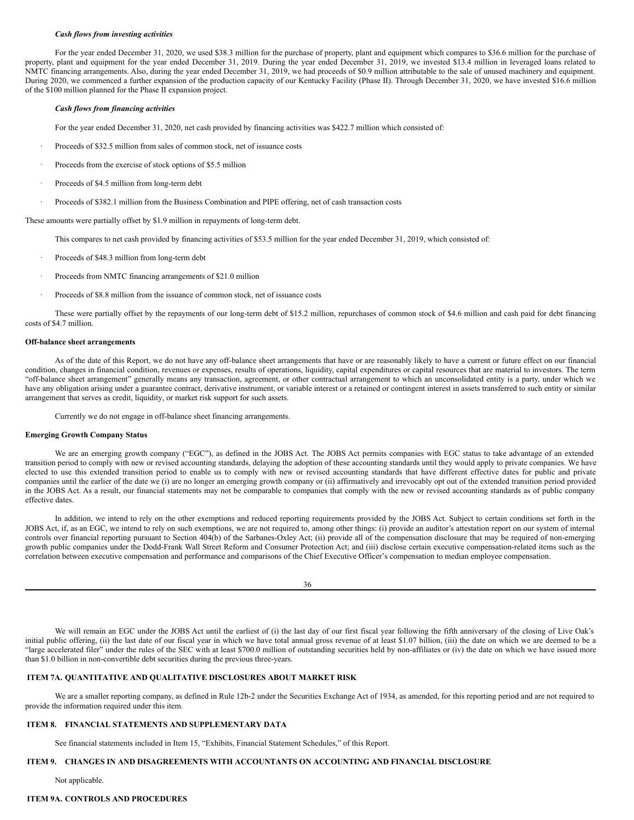#### *Cash flows from investing activities*

For the year ended December 31, 2020, we used \$38.3 million for the purchase of property, plant and equipment which compares to \$36.6 million for the purchase of property, plant and equipment for the year ended December 31, 2019. During the year ended December 31, 2019, we invested \$13.4 million in leveraged loans related to NMTC financing arrangements. Also, during the year ended December 31, 2019, we had proceeds of \$0.9 million attributable to the sale of unused machinery and equipment. During 2020, we commenced a further expansion of the production capacity of our Kentucky Facility (Phase II). Through December 31, 2020, we have invested \$16.6 million of the \$100 million planned for the Phase II expansion project.

#### *Cash flows from financing activities*

For the year ended December 31, 2020, net cash provided by financing activities was \$422.7 million which consisted of:

- Proceeds of \$32.5 million from sales of common stock, net of issuance costs
- Proceeds from the exercise of stock options of \$5.5 million
- Proceeds of \$4.5 million from long-term debt
- Proceeds of \$382.1 million from the Business Combination and PIPE offering, net of cash transaction costs

These amounts were partially offset by \$1.9 million in repayments of long-term debt.

This compares to net cash provided by financing activities of \$53.5 million for the year ended December 31, 2019, which consisted of:

- Proceeds of \$48.3 million from long-term debt
- Proceeds from NMTC financing arrangements of \$21.0 million
- Proceeds of \$8.8 million from the issuance of common stock, net of issuance costs

These were partially offset by the repayments of our long-term debt of \$15.2 million, repurchases of common stock of \$4.6 million and cash paid for debt financing costs of \$4.7 million.

## **Off-balance sheet arrangements**

As of the date of this Report, we do not have any off-balance sheet arrangements that have or are reasonably likely to have a current or future effect on our financial condition, changes in financial condition, revenues or expenses, results of operations, liquidity, capital expenditures or capital resources that are material to investors. The term "off-balance sheet arrangement" generally means any transaction, agreement, or other contractual arrangement to which an unconsolidated entity is a party, under which we have any obligation arising under a guarantee contract, derivative instrument, or variable interest or a retained or contingent interest in assets transferred to such entity or similar arrangement that serves as credit, liquidity, or market risk support for such assets.

Currently we do not engage in off-balance sheet financing arrangements.

#### **Emerging Growth Company Status**

We are an emerging growth company ("EGC"), as defined in the JOBS Act. The JOBS Act permits companies with EGC status to take advantage of an extended transition period to comply with new or revised accounting standards, delaying the adoption of these accounting standards until they would apply to private companies. We have elected to use this extended transition period to enable us to comply with new or revised accounting standards that have different effective dates for public and private companies until the earlier of the date we (i) are no longer an emerging growth company or (ii) affirmatively and irrevocably opt out of the extended transition period provided in the JOBS Act. As a result, our financial statements may not be comparable to companies that comply with the new or revised accounting standards as of public company effective dates.

In addition, we intend to rely on the other exemptions and reduced reporting requirements provided by the JOBS Act. Subject to certain conditions set forth in the JOBS Act, if, as an EGC, we intend to rely on such exemptions, we are not required to, among other things: (i) provide an auditor's attestation report on our system of internal controls over financial reporting pursuant to Section 404(b) of the Sarbanes-Oxley Act; (ii) provide all of the compensation disclosure that may be required of non-emerging growth public companies under the Dodd-Frank Wall Street Reform and Consumer Protection Act; and (iii) disclose certain executive compensation-related items such as the correlation between executive compensation and performance and comparisons of the Chief Executive Officer's compensation to median employee compensation.

36

We will remain an EGC under the JOBS Act until the earliest of (i) the last day of our first fiscal year following the fifth anniversary of the closing of Live Oak's initial public offering, (ii) the last date of our fiscal year in which we have total annual gross revenue of at least \$1.07 billion, (iii) the date on which we are deemed to be a "large accelerated filer" under the rules of the SEC with at least \$700.0 million of outstanding securities held by non-affiliates or (iv) the date on which we have issued more than \$1.0 billion in non-convertible debt securities during the previous three-years.

## <span id="page-23-0"></span>**ITEM 7A. QUANTITATIVE AND QUALITATIVE DISCLOSURES ABOUT MARKET RISK**

We are a smaller reporting company, as defined in Rule 12b-2 under the Securities Exchange Act of 1934, as amended, for this reporting period and are not required to provide the information required under this item.

## <span id="page-23-1"></span>**ITEM 8. FINANCIAL STATEMENTS AND SUPPLEMENTARY DATA**

See financial statements included in Item 15, "Exhibits, Financial Statement Schedules," of this Report.

### <span id="page-23-2"></span>**ITEM 9. CHANGES IN AND DISAGREEMENTS WITH ACCOUNTANTS ON ACCOUNTING AND FINANCIAL DISCLOSURE**

<span id="page-23-3"></span>Not applicable.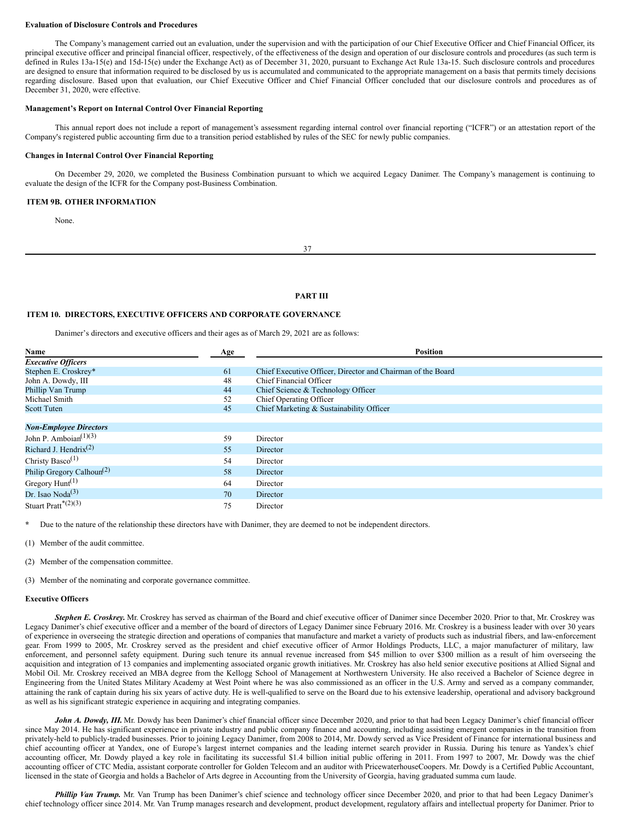#### **Evaluation of Disclosure Controls and Procedures**

The Company's management carried out an evaluation, under the supervision and with the participation of our Chief Executive Officer and Chief Financial Officer, its principal executive officer and principal financial officer, respectively, of the effectiveness of the design and operation of our disclosure controls and procedures (as such term is defined in Rules 13a-15(e) and 15d-15(e) under the Exchange Act) as of December 31, 2020, pursuant to Exchange Act Rule 13a-15. Such disclosure controls and procedures are designed to ensure that information required to be disclosed by us is accumulated and communicated to the appropriate management on a basis that permits timely decisions regarding disclosure. Based upon that evaluation, our Chief Executive Officer and Chief Financial Officer concluded that our disclosure controls and procedures as of December 31, 2020, were effective.

## **Management's Report on Internal Control Over Financial Reporting**

This annual report does not include a report of management's assessment regarding internal control over financial reporting ("ICFR") or an attestation report of the Company's registered public accounting firm due to a transition period established by rules of the SEC for newly public companies.

#### **Changes in Internal Control Over Financial Reporting**

On December 29, 2020, we completed the Business Combination pursuant to which we acquired Legacy Danimer. The Company's management is continuing to evaluate the design of the ICFR for the Company post-Business Combination.

#### <span id="page-24-0"></span>**ITEM 9B. OTHER INFORMATION**

None.

37

#### <span id="page-24-1"></span>**PART III**

### <span id="page-24-2"></span>**ITEM 10. DIRECTORS, EXECUTIVE OFFICERS AND CORPORATE GOVERNANCE**

Danimer's directors and executive officers and their ages as of March 29, 2021 are as follows:

| Name                                  | Age | <b>Position</b>                                             |
|---------------------------------------|-----|-------------------------------------------------------------|
| <b>Executive Officers</b>             |     |                                                             |
| Stephen E. Croskrey*                  | 61  | Chief Executive Officer, Director and Chairman of the Board |
| John A. Dowdy, III                    | 48  | Chief Financial Officer                                     |
| Phillip Van Trump                     | 44  | Chief Science & Technology Officer                          |
| Michael Smith                         | 52  | Chief Operating Officer                                     |
| <b>Scott Tuten</b>                    | 45  | Chief Marketing & Sustainability Officer                    |
|                                       |     |                                                             |
| <b>Non-Employee Directors</b>         |     |                                                             |
| John P. Amboian $(1)(3)$              | 59  | Director                                                    |
| Richard J. Hendrix $(2)$              | 55  | Director                                                    |
| Christy Basco <sup>(1)</sup>          | 54  | Director                                                    |
| Philip Gregory Calhoun <sup>(2)</sup> | 58  | Director                                                    |
| Gregory $Hunt^{(1)}$                  | 64  | Director                                                    |
| Dr. Isao Noda $(3)$                   | 70  | Director                                                    |
| Stuart Pratt <sup>*(2)(3)</sup>       | 75  | Director                                                    |

Due to the nature of the relationship these directors have with Danimer, they are deemed to not be independent directors.

(1) Member of the audit committee.

(2) Member of the compensation committee.

(3) Member of the nominating and corporate governance committee.

## **Executive Officers**

*Stephen E. Croskrey.* Mr. Croskrey has served as chairman of the Board and chief executive officer of Danimer since December 2020. Prior to that, Mr. Croskrey was Legacy Danimer's chief executive officer and a member of the board of directors of Legacy Danimer since February 2016. Mr. Croskrey is a business leader with over 30 years of experience in overseeing the strategic direction and operations of companies that manufacture and market a variety of products such as industrial fibers, and law-enforcement gear. From 1999 to 2005, Mr. Croskrey served as the president and chief executive officer of Armor Holdings Products, LLC, a major manufacturer of military, law enforcement, and personnel safety equipment. During such tenure its annual revenue increased from \$45 million to over \$300 million as a result of him overseeing the acquisition and integration of 13 companies and implementing associated organic growth initiatives. Mr. Croskrey has also held senior executive positions at Allied Signal and Mobil Oil. Mr. Croskrey received an MBA degree from the Kellogg School of Management at Northwestern University. He also received a Bachelor of Science degree in Engineering from the United States Military Academy at West Point where he was also commissioned as an officer in the U.S. Army and served as a company commander, attaining the rank of captain during his six years of active duty. He is well-qualified to serve on the Board due to his extensive leadership, operational and advisory background as well as his significant strategic experience in acquiring and integrating companies.

*John A. Dowdy, III.* Mr. Dowdy has been Danimer's chief financial officer since December 2020, and prior to that had been Legacy Danimer's chief financial officer since May 2014. He has significant experience in private industry and public company finance and accounting, including assisting emergent companies in the transition from privately-held to publicly-traded businesses. Prior to joining Legacy Danimer, from 2008 to 2014, Mr. Dowdy served as Vice President of Finance for international business and chief accounting officer at Yandex, one of Europe's largest internet companies and the leading internet search provider in Russia. During his tenure as Yandex's chief accounting officer, Mr. Dowdy played a key role in facilitating its successful \$1.4 billion initial public offering in 2011. From 1997 to 2007, Mr. Dowdy was the chief accounting officer of CTC Media, assistant corporate controller for Golden Telecom and an auditor with PricewaterhouseCoopers. Mr. Dowdy is a Certified Public Accountant, licensed in the state of Georgia and holds a Bachelor of Arts degree in Accounting from the University of Georgia, having graduated summa cum laude.

*Phillip Van Trump.* Mr. Van Trump has been Danimer's chief science and technology officer since December 2020, and prior to that had been Legacy Danimer's chief technology officer since 2014. Mr. Van Trump manages research and development, product development, regulatory affairs and intellectual property for Danimer. Prior to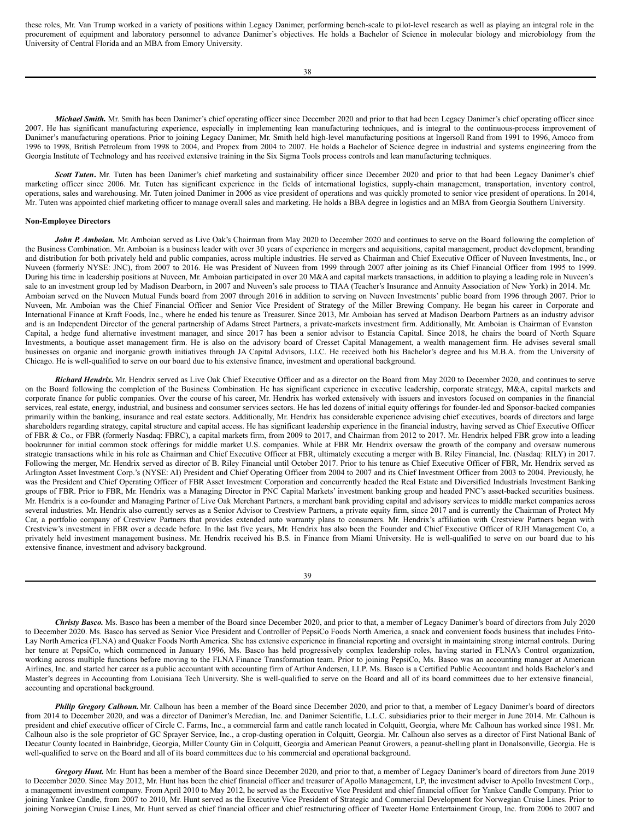these roles, Mr. Van Trump worked in a variety of positions within Legacy Danimer, performing bench-scale to pilot-level research as well as playing an integral role in the procurement of equipment and laboratory personnel to advance Danimer's objectives. He holds a Bachelor of Science in molecular biology and microbiology from the University of Central Florida and an MBA from Emory University.

*Michael Smith.* Mr. Smith has been Danimer's chief operating officer since December 2020 and prior to that had been Legacy Danimer's chief operating officer since 2007. He has significant manufacturing experience, especially in implementing lean manufacturing techniques, and is integral to the continuous-process improvement of Danimer's manufacturing operations. Prior to joining Legacy Danimer, Mr. Smith held high-level manufacturing positions at Ingersoll Rand from 1991 to 1996, Amoco from 1996 to 1998, British Petroleum from 1998 to 2004, and Propex from 2004 to 2007. He holds a Bachelor of Science degree in industrial and systems engineering from the Georgia Institute of Technology and has received extensive training in the Six Sigma Tools process controls and lean manufacturing techniques.

Scott Tuten. Mr. Tuten has been Danimer's chief marketing and sustainability officer since December 2020 and prior to that had been Legacy Danimer's chief marketing officer since 2006. Mr. Tuten has significant experience in the fields of international logistics, supply-chain management, transportation, inventory control, operations, sales and warehousing. Mr. Tuten joined Danimer in 2006 as vice president of operations and was quickly promoted to senior vice president of operations. In 2014, Mr. Tuten was appointed chief marketing officer to manage overall sales and marketing. He holds a BBA degree in logistics and an MBA from Georgia Southern University.

## **Non-Employee Directors**

*John P. Amboian.* Mr. Amboian served as Live Oak's Chairman from May 2020 to December 2020 and continues to serve on the Board following the completion of the Business Combination. Mr. Amboian is a business leader with over 30 years of experience in mergers and acquisitions, capital management, product development, branding and distribution for both privately held and public companies, across multiple industries. He served as Chairman and Chief Executive Officer of Nuveen Investments, Inc., or Nuveen (formerly NYSE: JNC), from 2007 to 2016. He was President of Nuveen from 1999 through 2007 after joining as its Chief Financial Officer from 1995 to 1999. During his time in leadership positions at Nuveen, Mr. Amboian participated in over 20 M&A and capital markets transactions, in addition to playing a leading role in Nuveen's sale to an investment group led by Madison Dearborn, in 2007 and Nuveen's sale process to TIAA (Teacher's Insurance and Annuity Association of New York) in 2014. Mr. Amboian served on the Nuveen Mutual Funds board from 2007 through 2016 in addition to serving on Nuveen Investments' public board from 1996 through 2007. Prior to Nuveen, Mr. Amboian was the Chief Financial Officer and Senior Vice President of Strategy of the Miller Brewing Company. He began his career in Corporate and International Finance at Kraft Foods, Inc., where he ended his tenure as Treasurer. Since 2013, Mr. Amboian has served at Madison Dearborn Partners as an industry advisor and is an Independent Director of the general partnership of Adams Street Partners, a private-markets investment firm. Additionally, Mr. Amboian is Chairman of Evanston Capital, a hedge fund alternative investment manager, and since 2017 has been a senior advisor to Estancia Capital. Since 2018, he chairs the board of North Square Investments, a boutique asset management firm. He is also on the advisory board of Cresset Capital Management, a wealth management firm. He advises several small businesses on organic and inorganic growth initiatives through JA Capital Advisors, LLC. He received both his Bachelor's degree and his M.B.A. from the University of Chicago. He is well-qualified to serve on our board due to his extensive finance, investment and operational background.

*Richard Hendrix.* Mr. Hendrix served as Live Oak Chief Executive Officer and as a director on the Board from May 2020 to December 2020, and continues to serve on the Board following the completion of the Business Combination. He has significant experience in executive leadership, corporate strategy, M&A, capital markets and corporate finance for public companies. Over the course of his career, Mr. Hendrix has worked extensively with issuers and investors focused on companies in the financial services, real estate, energy, industrial, and business and consumer services sectors. He has led dozens of initial equity offerings for founder-led and Sponsor-backed companies primarily within the banking, insurance and real estate sectors. Additionally, Mr. Hendrix has considerable experience advising chief executives, boards of directors and large shareholders regarding strategy, capital structure and capital access. He has significant leadership experience in the financial industry, having served as Chief Executive Officer of FBR & Co., or FBR (formerly Nasdaq: FBRC), a capital markets firm, from 2009 to 2017, and Chairman from 2012 to 2017. Mr. Hendrix helped FBR grow into a leading bookrunner for initial common stock offerings for middle market U.S. companies. While at FBR Mr. Hendrix oversaw the growth of the company and oversaw numerous strategic transactions while in his role as Chairman and Chief Executive Officer at FBR, ultimately executing a merger with B. Riley Financial, Inc. (Nasdaq: RILY) in 2017. Following the merger, Mr. Hendrix served as director of B. Riley Financial until October 2017. Prior to his tenure as Chief Executive Officer of FBR, Mr. Hendrix served as Arlington Asset Investment Corp.'s (NYSE: AI) President and Chief Operating Officer from 2004 to 2007 and its Chief Investment Officer from 2003 to 2004. Previously, he was the President and Chief Operating Officer of FBR Asset Investment Corporation and concurrently headed the Real Estate and Diversified Industrials Investment Banking groups of FBR. Prior to FBR, Mr. Hendrix was a Managing Director in PNC Capital Markets' investment banking group and headed PNC's asset-backed securities business. Mr. Hendrix is a co-founder and Managing Partner of Live Oak Merchant Partners, a merchant bank providing capital and advisory services to middle market companies across several industries. Mr. Hendrix also currently serves as a Senior Advisor to Crestview Partners, a private equity firm, since 2017 and is currently the Chairman of Protect My Car, a portfolio company of Crestview Partners that provides extended auto warranty plans to consumers. Mr. Hendrix's affiliation with Crestview Partners began with Crestview's investment in FBR over a decade before. In the last five years, Mr. Hendrix has also been the Founder and Chief Executive Officer of RJH Management Co, a privately held investment management business. Mr. Hendrix received his B.S. in Finance from Miami University. He is well-qualified to serve on our board due to his extensive finance, investment and advisory background.

*Christy Basco***.** Ms. Basco has been a member of the Board since December 2020, and prior to that, a member of Legacy Danimer's board of directors from July 2020 to December 2020. Ms. Basco has served as Senior Vice President and Controller of PepsiCo Foods North America, a snack and convenient foods business that includes Frito-Lay North America (FLNA) and Quaker Foods North America. She has extensive experience in financial reporting and oversight in maintaining strong internal controls. During her tenure at PepsiCo, which commenced in January 1996, Ms. Basco has held progressively complex leadership roles, having started in FLNA's Control organization, working across multiple functions before moving to the FLNA Finance Transformation team. Prior to joining PepsiCo, Ms. Basco was an accounting manager at American Airlines, Inc. and started her career as a public accountant with accounting firm of Arthur Andersen, LLP. Ms. Basco is a Certified Public Accountant and holds Bachelor's and Master's degrees in Accounting from Louisiana Tech University. She is well-qualified to serve on the Board and all of its board committees due to her extensive financial, accounting and operational background.

*Philip Gregory Calhoun.*Mr. Calhoun has been a member of the Board since December 2020, and prior to that, a member of Legacy Danimer's board of directors from 2014 to December 2020, and was a director of Danimer's Meredian, Inc. and Danimer Scientific, L.L.C. subsidiaries prior to their merger in June 2014. Mr. Calhoun is president and chief executive officer of Circle C. Farms, Inc., a commercial farm and cattle ranch located in Colquitt, Georgia, where Mr. Calhoun has worked since 1981. Mr. Calhoun also is the sole proprietor of GC Sprayer Service, Inc., a crop-dusting operation in Colquitt, Georgia. Mr. Calhoun also serves as a director of First National Bank of Decatur County located in Bainbridge, Georgia, Miller County Gin in Colquitt, Georgia and American Peanut Growers, a peanut-shelling plant in Donalsonville, Georgia. He is well-qualified to serve on the Board and all of its board committees due to his commercial and operational background.

*Gregory Hunt.* Mr. Hunt has been a member of the Board since December 2020, and prior to that, a member of Legacy Danimer's board of directors from June 2019 to December 2020. Since May 2012, Mr. Hunt has been the chief financial officer and treasurer of Apollo Management, LP, the investment adviser to Apollo Investment Corp., a management investment company. From April 2010 to May 2012, he served as the Executive Vice President and chief financial officer for Yankee Candle Company. Prior to joining Yankee Candle, from 2007 to 2010, Mr. Hunt served as the Executive Vice President of Strategic and Commercial Development for Norwegian Cruise Lines. Prior to joining Norwegian Cruise Lines, Mr. Hunt served as chief financial officer and chief restructuring officer of Tweeter Home Entertainment Group, Inc. from 2006 to 2007 and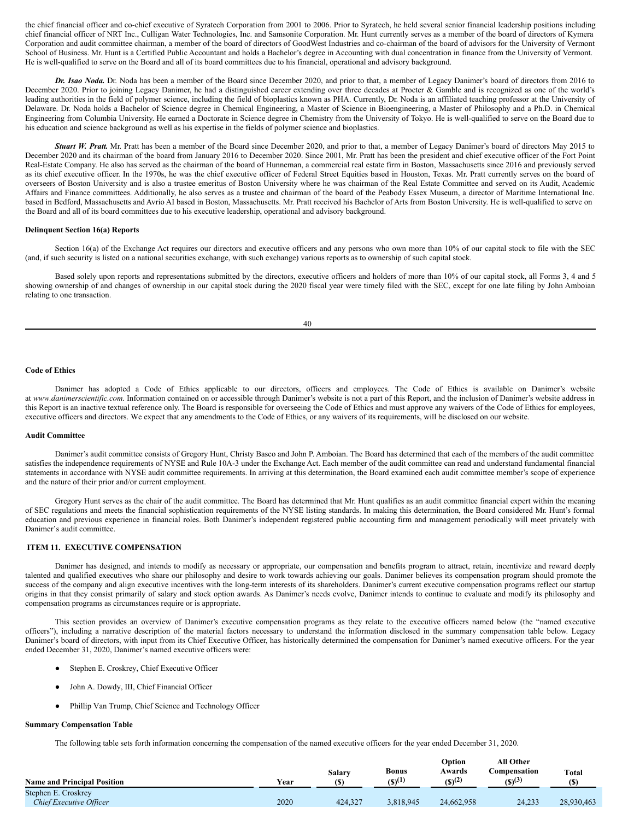the chief financial officer and co-chief executive of Syratech Corporation from 2001 to 2006. Prior to Syratech, he held several senior financial leadership positions including chief financial officer of NRT Inc., Culligan Water Technologies, Inc. and Samsonite Corporation. Mr. Hunt currently serves as a member of the board of directors of Kymera Corporation and audit committee chairman, a member of the board of directors of GoodWest Industries and co-chairman of the board of advisors for the University of Vermont School of Business. Mr. Hunt is a Certified Public Accountant and holds a Bachelor's degree in Accounting with dual concentration in finance from the University of Vermont. He is well-qualified to serve on the Board and all of its board committees due to his financial, operational and advisory background.

*Dr. Isao Noda.* Dr. Noda has been a member of the Board since December 2020, and prior to that, a member of Legacy Danimer's board of directors from 2016 to December 2020. Prior to joining Legacy Danimer, he had a distinguished career extending over three decades at Procter & Gamble and is recognized as one of the world's leading authorities in the field of polymer science, including the field of bioplastics known as PHA. Currently, Dr. Noda is an affiliated teaching professor at the University of Delaware. Dr. Noda holds a Bachelor of Science degree in Chemical Engineering, a Master of Science in Bioengineering, a Master of Philosophy and a Ph.D. in Chemical Engineering from Columbia University. He earned a Doctorate in Science degree in Chemistry from the University of Tokyo. He is well-qualified to serve on the Board due to his education and science background as well as his expertise in the fields of polymer science and bioplastics.

*Stuart W. Pratt.* Mr. Pratt has been a member of the Board since December 2020, and prior to that, a member of Legacy Danimer's board of directors May 2015 to December 2020 and its chairman of the board from January 2016 to December 2020. Since 2001, Mr. Pratt has been the president and chief executive officer of the Fort Point Real-Estate Company. He also has served as the chairman of the board of Hunneman, a commercial real estate firm in Boston, Massachusetts since 2016 and previously served as its chief executive officer. In the 1970s, he was the chief executive officer of Federal Street Equities based in Houston, Texas. Mr. Pratt currently serves on the board of overseers of Boston University and is also a trustee emeritus of Boston University where he was chairman of the Real Estate Committee and served on its Audit, Academic Affairs and Finance committees. Additionally, he also serves as a trustee and chairman of the board of the Peabody Essex Museum, a director of Maritime International Inc. based in Bedford, Massachusetts and Avrio AI based in Boston, Massachusetts. Mr. Pratt received his Bachelor of Arts from Boston University. He is well-qualified to serve on the Board and all of its board committees due to his executive leadership, operational and advisory background.

#### **Delinquent Section 16(a) Reports**

Section 16(a) of the Exchange Act requires our directors and executive officers and any persons who own more than 10% of our capital stock to file with the SEC (and, if such security is listed on a national securities exchange, with such exchange) various reports as to ownership of such capital stock.

Based solely upon reports and representations submitted by the directors, executive officers and holders of more than 10% of our capital stock, all Forms 3, 4 and 5 showing ownership of and changes of ownership in our capital stock during the 2020 fiscal year were timely filed with the SEC, except for one late filing by John Amboian relating to one transaction.

40

#### **Code of Ethics**

Danimer has adopted a Code of Ethics applicable to our directors, officers and employees. The Code of Ethics is available on Danimer's website at *www.danimerscientific.com*. Information contained on or accessible through Danimer's website is not a part of this Report, and the inclusion of Danimer's website address in this Report is an inactive textual reference only. The Board is responsible for overseeing the Code of Ethics and must approve any waivers of the Code of Ethics for employees, executive officers and directors. We expect that any amendments to the Code of Ethics, or any waivers of its requirements, will be disclosed on our website.

#### **Audit Committee**

Danimer's audit committee consists of Gregory Hunt, Christy Basco and John P. Amboian. The Board has determined that each of the members of the audit committee satisfies the independence requirements of NYSE and Rule 10A-3 under the Exchange Act. Each member of the audit committee can read and understand fundamental financial statements in accordance with NYSE audit committee requirements. In arriving at this determination, the Board examined each audit committee member's scope of experience and the nature of their prior and/or current employment.

Gregory Hunt serves as the chair of the audit committee. The Board has determined that Mr. Hunt qualifies as an audit committee financial expert within the meaning of SEC regulations and meets the financial sophistication requirements of the NYSE listing standards. In making this determination, the Board considered Mr. Hunt's formal education and previous experience in financial roles. Both Danimer's independent registered public accounting firm and management periodically will meet privately with Danimer's audit committee.

## <span id="page-26-0"></span>**ITEM 11. EXECUTIVE COMPENSATION**

Danimer has designed, and intends to modify as necessary or appropriate, our compensation and benefits program to attract, retain, incentivize and reward deeply talented and qualified executives who share our philosophy and desire to work towards achieving our goals. Danimer believes its compensation program should promote the success of the company and align executive incentives with the long-term interests of its shareholders. Danimer's current executive compensation programs reflect our startup origins in that they consist primarily of salary and stock option awards. As Danimer's needs evolve, Danimer intends to continue to evaluate and modify its philosophy and compensation programs as circumstances require or is appropriate.

This section provides an overview of Danimer's executive compensation programs as they relate to the executive officers named below (the "named executive officers"), including a narrative description of the material factors necessary to understand the information disclosed in the summary compensation table below. Legacy Danimer's board of directors, with input from its Chief Executive Officer, has historically determined the compensation for Danimer's named executive officers. For the year ended December 31, 2020, Danimer's named executive officers were:

- Stephen E. Croskrey, Chief Executive Officer
- John A. Dowdy, III, Chief Financial Officer
- Phillip Van Trump, Chief Science and Technology Officer

## **Summary Compensation Table**

The following table sets forth information concerning the compensation of the named executive officers for the year ended December 31, 2020.

|                                    |      | Salary  | <b>Bonus</b><br>$(5)^{(1)}$ | Option<br>Awards<br>(5)(2) | <b>All Other</b><br>C <b>ompensation</b><br>(8)(3) | Total      |
|------------------------------------|------|---------|-----------------------------|----------------------------|----------------------------------------------------|------------|
| <b>Name and Principal Position</b> | Year | (S      |                             |                            |                                                    | (S)        |
| Stephen E. Croskrey                |      |         |                             |                            |                                                    |            |
| Chief Executive Officer            | 2020 | 424,327 | 3,818,945                   | 24,662,958                 | 24,233                                             | 28,930,463 |
|                                    |      |         |                             |                            |                                                    |            |

**All Other**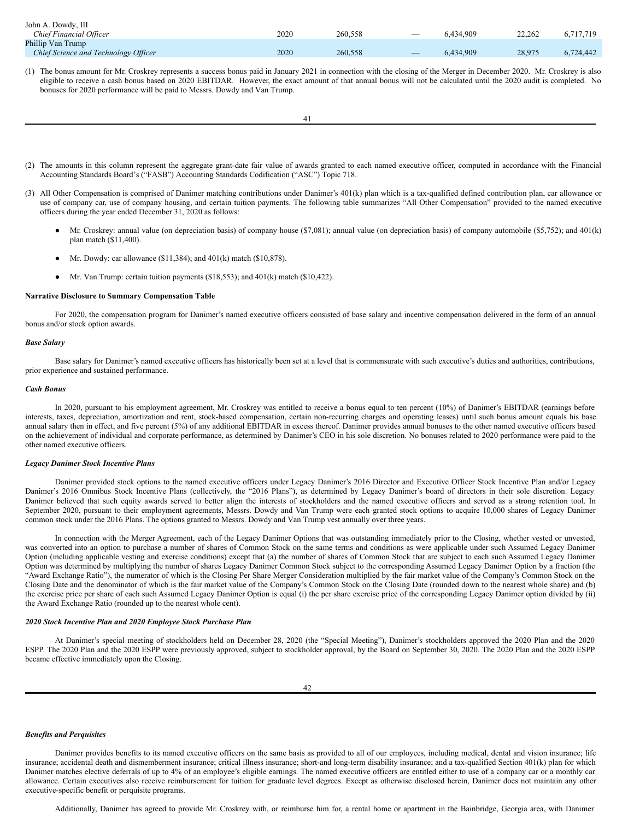| John A. Dowdy, III                   |      |         |                          |           |        |           |
|--------------------------------------|------|---------|--------------------------|-----------|--------|-----------|
| Chief Financial Officer              | 2020 | 260,558 | $\overline{\phantom{a}}$ | 6.434.909 | 22.262 | 6,717,719 |
| Phillip Van Trump                    |      |         |                          |           |        |           |
| Chief Science and Technology Officer | 2020 | 260,558 | $\overline{\phantom{a}}$ | 6,434,909 | 28.975 | 6,724,442 |

(1) The bonus amount for Mr. Croskrey represents a success bonus paid in January 2021 in connection with the closing of the Merger in December 2020. Mr. Croskrey is also eligible to receive a cash bonus based on 2020 EBITDAR. However, the exact amount of that annual bonus will not be calculated until the 2020 audit is completed. No bonuses for 2020 performance will be paid to Messrs. Dowdy and Van Trump.

- (2) The amounts in this column represent the aggregate grant-date fair value of awards granted to each named executive officer, computed in accordance with the Financial Accounting Standards Board's ("FASB") Accounting Standards Codification ("ASC") Topic 718.
- (3) All Other Compensation is comprised of Danimer matching contributions under Danimer's 401(k) plan which is a tax-qualified defined contribution plan, car allowance or use of company car, use of company housing, and certain tuition payments. The following table summarizes "All Other Compensation" provided to the named executive officers during the year ended December 31, 2020 as follows:
	- Mr. Croskrey: annual value (on depreciation basis) of company house (\$7,081); annual value (on depreciation basis) of company automobile (\$5,752); and 401(k) plan match (\$11,400).
	- Mr. Dowdy: car allowance  $(\$11,384)$ ; and  $401(k)$  match  $(\$10,878)$ .
	- Mr. Van Trump: certain tuition payments (\$18,553); and  $401(k)$  match (\$10,422).

## **Narrative Disclosure to Summary Compensation Table**

For 2020, the compensation program for Danimer's named executive officers consisted of base salary and incentive compensation delivered in the form of an annual bonus and/or stock option awards.

## *Base Salary*

Base salary for Danimer's named executive officers has historically been set at a level that is commensurate with such executive's duties and authorities, contributions, prior experience and sustained performance.

#### *Cash Bonus*

In 2020, pursuant to his employment agreement, Mr. Croskrey was entitled to receive a bonus equal to ten percent (10%) of Danimer's EBITDAR (earnings before interests, taxes, depreciation, amortization and rent, stock-based compensation, certain non-recurring charges and operating leases) until such bonus amount equals his base annual salary then in effect, and five percent (5%) of any additional EBITDAR in excess thereof. Danimer provides annual bonuses to the other named executive officers based on the achievement of individual and corporate performance, as determined by Danimer's CEO in his sole discretion. No bonuses related to 2020 performance were paid to the other named executive officers.

#### *Legacy Danimer Stock Incentive Plans*

Danimer provided stock options to the named executive officers under Legacy Danimer's 2016 Director and Executive Officer Stock Incentive Plan and/or Legacy Danimer's 2016 Omnibus Stock Incentive Plans (collectively, the "2016 Plans"), as determined by Legacy Danimer's board of directors in their sole discretion. Legacy Danimer believed that such equity awards served to better align the interests of stockholders and the named executive officers and served as a strong retention tool. In September 2020, pursuant to their employment agreements, Messrs. Dowdy and Van Trump were each granted stock options to acquire 10,000 shares of Legacy Danimer common stock under the 2016 Plans. The options granted to Messrs. Dowdy and Van Trump vest annually over three years.

In connection with the Merger Agreement, each of the Legacy Danimer Options that was outstanding immediately prior to the Closing, whether vested or unvested, was converted into an option to purchase a number of shares of Common Stock on the same terms and conditions as were applicable under such Assumed Legacy Danimer Option (including applicable vesting and exercise conditions) except that (a) the number of shares of Common Stock that are subject to each such Assumed Legacy Danimer Option was determined by multiplying the number of shares Legacy Danimer Common Stock subject to the corresponding Assumed Legacy Danimer Option by a fraction (the "Award Exchange Ratio"), the numerator of which is the Closing Per Share Merger Consideration multiplied by the fair market value of the Company's Common Stock on the Closing Date and the denominator of which is the fair market value of the Company's Common Stock on the Closing Date (rounded down to the nearest whole share) and (b) the exercise price per share of each such Assumed Legacy Danimer Option is equal (i) the per share exercise price of the corresponding Legacy Danimer option divided by (ii) the Award Exchange Ratio (rounded up to the nearest whole cent).

#### *2020 Stock Incentive Plan and 2020 Employee Stock Purchase Plan*

At Danimer's special meeting of stockholders held on December 28, 2020 (the "Special Meeting"), Danimer's stockholders approved the 2020 Plan and the 2020 ESPP. The 2020 Plan and the 2020 ESPP were previously approved, subject to stockholder approval, by the Board on September 30, 2020. The 2020 Plan and the 2020 ESPP became effective immediately upon the Closing.

#### *Benefits and Perquisites*

Danimer provides benefits to its named executive officers on the same basis as provided to all of our employees, including medical, dental and vision insurance; life insurance; accidental death and dismemberment insurance; critical illness insurance; short-and long-term disability insurance; and a tax-qualified Section 401(k) plan for which Danimer matches elective deferrals of up to 4% of an employee's eligible earnings. The named executive officers are entitled either to use of a company car or a monthly car allowance. Certain executives also receive reimbursement for tuition for graduate level degrees. Except as otherwise disclosed herein, Danimer does not maintain any other executive-specific benefit or perquisite programs.

Additionally, Danimer has agreed to provide Mr. Croskrey with, or reimburse him for, a rental home or apartment in the Bainbridge, Georgia area, with Danimer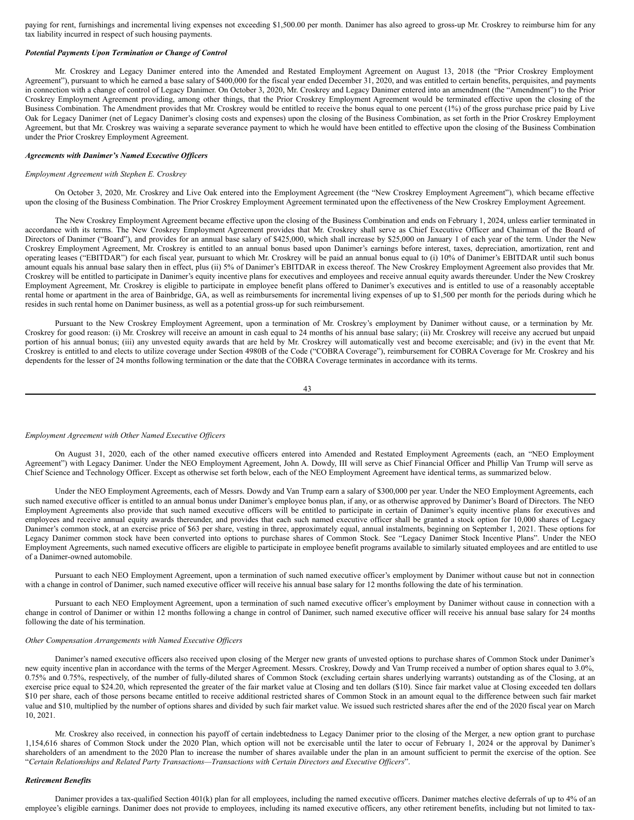paying for rent, furnishings and incremental living expenses not exceeding \$1,500.00 per month. Danimer has also agreed to gross-up Mr. Croskrey to reimburse him for any tax liability incurred in respect of such housing payments.

#### *Potential Payments Upon Termination or Change of Control*

Mr. Croskrey and Legacy Danimer entered into the Amended and Restated Employment Agreement on August 13, 2018 (the "Prior Croskrey Employment Agreement"), pursuant to which he earned a base salary of \$400,000 for the fiscal year ended December 31, 2020, and was entitled to certain benefits, perquisites, and payments in connection with a change of control of Legacy Danimer. On October 3, 2020, Mr. Croskrey and Legacy Danimer entered into an amendment (the "Amendment") to the Prior Croskrey Employment Agreement providing, among other things, that the Prior Croskrey Employment Agreement would be terminated effective upon the closing of the Business Combination. The Amendment provides that Mr. Croskrey would be entitled to receive the bonus equal to one percent (1%) of the gross purchase price paid by Live Oak for Legacy Danimer (net of Legacy Danimer's closing costs and expenses) upon the closing of the Business Combination, as set forth in the Prior Croskrey Employment Agreement, but that Mr. Croskrey was waiving a separate severance payment to which he would have been entitled to effective upon the closing of the Business Combination under the Prior Croskrey Employment Agreement.

#### *Agreements with Danimer's Named Executive Of icers*

#### *Employment Agreement with Stephen E. Croskrey*

On October 3, 2020, Mr. Croskrey and Live Oak entered into the Employment Agreement (the "New Croskrey Employment Agreement"), which became effective upon the closing of the Business Combination. The Prior Croskrey Employment Agreement terminated upon the effectiveness of the New Croskrey Employment Agreement.

The New Croskrey Employment Agreement became effective upon the closing of the Business Combination and ends on February 1, 2024, unless earlier terminated in accordance with its terms. The New Croskrey Employment Agreement provides that Mr. Croskrey shall serve as Chief Executive Officer and Chairman of the Board of Directors of Danimer ("Board"), and provides for an annual base salary of \$425,000, which shall increase by \$25,000 on January 1 of each year of the term. Under the New Croskrey Employment Agreement, Mr. Croskrey is entitled to an annual bonus based upon Danimer's earnings before interest, taxes, depreciation, amortization, rent and operating leases ("EBITDAR") for each fiscal year, pursuant to which Mr. Croskrey will be paid an annual bonus equal to (i) 10% of Danimer's EBITDAR until such bonus amount equals his annual base salary then in effect, plus (ii) 5% of Danimer's EBITDAR in excess thereof. The New Croskrey Employment Agreement also provides that Mr. Croskrey will be entitled to participate in Danimer's equity incentive plans for executives and employees and receive annual equity awards thereunder. Under the New Croskrey Employment Agreement, Mr. Croskrey is eligible to participate in employee benefit plans offered to Danimer's executives and is entitled to use of a reasonably acceptable rental home or apartment in the area of Bainbridge, GA, as well as reimbursements for incremental living expenses of up to \$1,500 per month for the periods during which he resides in such rental home on Danimer business, as well as a potential gross-up for such reimbursement.

Pursuant to the New Croskrey Employment Agreement, upon a termination of Mr. Croskrey's employment by Danimer without cause, or a termination by Mr. Croskrey for good reason: (i) Mr. Croskrey will receive an amount in cash equal to 24 months of his annual base salary; (ii) Mr. Croskrey will receive any accrued but unpaid portion of his annual bonus; (iii) any unvested equity awards that are held by Mr. Croskrey will automatically vest and become exercisable; and (iv) in the event that Mr. Croskrey is entitled to and elects to utilize coverage under Section 4980B of the Code ("COBRA Coverage"), reimbursement for COBRA Coverage for Mr. Croskrey and his dependents for the lesser of 24 months following termination or the date that the COBRA Coverage terminates in accordance with its terms.

43

#### *Employment Agreement with Other Named Executive Of icers*

On August 31, 2020, each of the other named executive officers entered into Amended and Restated Employment Agreements (each, an "NEO Employment Agreement") with Legacy Danimer. Under the NEO Employment Agreement, John A. Dowdy, III will serve as Chief Financial Officer and Phillip Van Trump will serve as Chief Science and Technology Officer. Except as otherwise set forth below, each of the NEO Employment Agreement have identical terms, as summarized below.

Under the NEO Employment Agreements, each of Messrs. Dowdy and Van Trump earn a salary of \$300,000 per year. Under the NEO Employment Agreements, each such named executive officer is entitled to an annual bonus under Danimer's employee bonus plan, if any, or as otherwise approved by Danimer's Board of Directors. The NEO Employment Agreements also provide that such named executive officers will be entitled to participate in certain of Danimer's equity incentive plans for executives and employees and receive annual equity awards thereunder, and provides that each such named executive officer shall be granted a stock option for 10,000 shares of Legacy Danimer's common stock, at an exercise price of \$63 per share, vesting in three, approximately equal, annual instalments, beginning on September 1, 2021. These options for Legacy Danimer common stock have been converted into options to purchase shares of Common Stock. See "Legacy Danimer Stock Incentive Plans". Under the NEO Employment Agreements, such named executive officers are eligible to participate in employee benefit programs available to similarly situated employees and are entitled to use of a Danimer-owned automobile.

Pursuant to each NEO Employment Agreement, upon a termination of such named executive officer's employment by Danimer without cause but not in connection with a change in control of Danimer, such named executive officer will receive his annual base salary for 12 months following the date of his termination.

Pursuant to each NEO Employment Agreement, upon a termination of such named executive officer's employment by Danimer without cause in connection with a change in control of Danimer or within 12 months following a change in control of Danimer, such named executive officer will receive his annual base salary for 24 months following the date of his termination.

#### *Other Compensation Arrangements with Named Executive Of icers*

Danimer's named executive officers also received upon closing of the Merger new grants of unvested options to purchase shares of Common Stock under Danimer's new equity incentive plan in accordance with the terms of the Merger Agreement. Messrs. Croskrey, Dowdy and Van Trump received a number of option shares equal to 3.0%, 0.75% and 0.75%, respectively, of the number of fully-diluted shares of Common Stock (excluding certain shares underlying warrants) outstanding as of the Closing, at an exercise price equal to \$24.20, which represented the greater of the fair market value at Closing and ten dollars (\$10). Since fair market value at Closing exceeded ten dollars \$10 per share, each of those persons became entitled to receive additional restricted shares of Common Stock in an amount equal to the difference between such fair market value and \$10, multiplied by the number of options shares and divided by such fair market value. We issued such restricted shares after the end of the 2020 fiscal year on March 10, 2021.

Mr. Croskrey also received, in connection his payoff of certain indebtedness to Legacy Danimer prior to the closing of the Merger, a new option grant to purchase 1,154,616 shares of Common Stock under the 2020 Plan, which option will not be exercisable until the later to occur of February 1, 2024 or the approval by Danimer's shareholders of an amendment to the 2020 Plan to increase the number of shares available under the plan in an amount sufficient to permit the exercise of the option. See "*Certain Relationships and Related Party Transactions—Transactions with Certain Directors and Executive Of icers*".

## *Retirement Benefits*

Danimer provides a tax-qualified Section 401(k) plan for all employees, including the named executive officers. Danimer matches elective deferrals of up to 4% of an employee's eligible earnings. Danimer does not provide to employees, including its named executive officers, any other retirement benefits, including but not limited to tax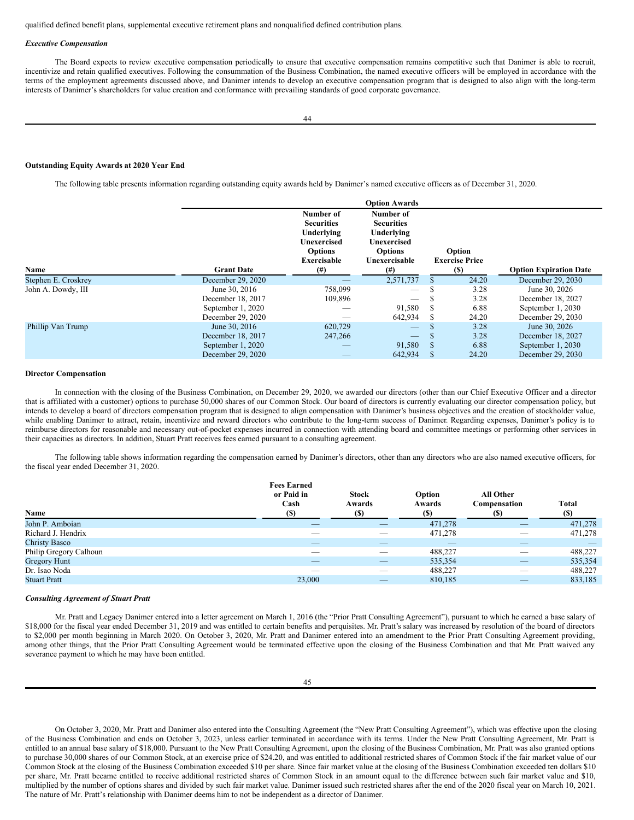qualified defined benefit plans, supplemental executive retirement plans and nonqualified defined contribution plans.

### *Executive Compensation*

The Board expects to review executive compensation periodically to ensure that executive compensation remains competitive such that Danimer is able to recruit, incentivize and retain qualified executives. Following the consummation of the Business Combination, the named executive officers will be employed in accordance with the terms of the employment agreements discussed above, and Danimer intends to develop an executive compensation program that is designed to also align with the long-term interests of Danimer's shareholders for value creation and conformance with prevailing standards of good corporate governance.

## **Outstanding Equity Awards at 2020 Year End**

The following table presents information regarding outstanding equity awards held by Danimer's named executive officers as of December 31, 2020.

|                     |                   |                                                                                                                 | <b>Option Awards</b>                                                                                       |   |                                                |                               |
|---------------------|-------------------|-----------------------------------------------------------------------------------------------------------------|------------------------------------------------------------------------------------------------------------|---|------------------------------------------------|-------------------------------|
| Name                | <b>Grant Date</b> | Number of<br><b>Securities</b><br>Underlying<br>Unexercised<br><b>Options</b><br><b>Exercisable</b><br>$^{(#)}$ | Number of<br><b>Securities</b><br>Underlying<br>Unexercised<br><b>Options</b><br>Unexercisable<br>$^{(#)}$ |   | Option<br><b>Exercise Price</b><br><b>(\$)</b> | <b>Option Expiration Date</b> |
| Stephen E. Croskrey | December 29, 2020 |                                                                                                                 | 2,571,737                                                                                                  |   | 24.20                                          | December 29, 2030             |
| John A. Dowdy, III  | June 30, 2016     | 758,099                                                                                                         |                                                                                                            |   | 3.28                                           | June 30, 2026                 |
|                     | December 18, 2017 | 109,896                                                                                                         |                                                                                                            |   | 3.28                                           | December 18, 2027             |
|                     | September 1, 2020 |                                                                                                                 | 91,580                                                                                                     |   | 6.88                                           | September 1, 2030             |
|                     | December 29, 2020 |                                                                                                                 | 642,934                                                                                                    |   | 24.20                                          | December 29, 2030             |
| Phillip Van Trump   | June 30, 2016     | 620,729                                                                                                         |                                                                                                            |   | 3.28                                           | June 30, 2026                 |
|                     | December 18, 2017 | 247,266                                                                                                         |                                                                                                            |   | 3.28                                           | December 18, 2027             |
|                     | September 1, 2020 |                                                                                                                 | 91,580                                                                                                     |   | 6.88                                           | September 1, 2030             |
|                     | December 29, 2020 |                                                                                                                 | 642,934                                                                                                    | S | 24.20                                          | December 29, 2030             |

#### **Director Compensation**

In connection with the closing of the Business Combination, on December 29, 2020, we awarded our directors (other than our Chief Executive Officer and a director that is affiliated with a customer) options to purchase 50,000 shares of our Common Stock. Our board of directors is currently evaluating our director compensation policy, but intends to develop a board of directors compensation program that is designed to align compensation with Danimer's business objectives and the creation of stockholder value, while enabling Danimer to attract, retain, incentivize and reward directors who contribute to the long-term success of Danimer. Regarding expenses, Danimer's policy is to reimburse directors for reasonable and necessary out-of-pocket expenses incurred in connection with attending board and committee meetings or performing other services in their capacities as directors. In addition, Stuart Pratt receives fees earned pursuant to a consulting agreement.

The following table shows information regarding the compensation earned by Danimer's directors, other than any directors who are also named executive officers, for the fiscal year ended December 31, 2020.

|                        | <b>Fees Earned</b><br>or Paid in<br>Cash | <b>Stock</b><br>Awards         | Option<br>Awards         | All Other<br>Compensation | <b>Total</b> |
|------------------------|------------------------------------------|--------------------------------|--------------------------|---------------------------|--------------|
| Name                   | (\$)                                     | <b>(\$)</b>                    | (S)                      |                           | (S)          |
| John P. Amboian        |                                          |                                | 471,278                  |                           | 471,278      |
| Richard J. Hendrix     | $\overline{\phantom{a}}$                 | _                              | 471,278                  | $\overline{\phantom{a}}$  | 471,278      |
| <b>Christy Basco</b>   | $-$                                      | _                              | $\overline{\phantom{a}}$ |                           |              |
| Philip Gregory Calhoun |                                          | _                              | 488,227                  |                           | 488,227      |
| Gregory Hunt           | $-$                                      | $\overbrace{\hspace{25mm}}^{}$ | 535,354                  |                           | 535,354      |
| Dr. Isao Noda          | $-$                                      | $\overline{\phantom{a}}$       | 488,227                  | _                         | 488,227      |
| <b>Stuart Pratt</b>    | 23,000                                   | $\overline{\phantom{a}}$       | 810.185                  | _                         | 833,185      |

#### *Consulting Agreement of Stuart Pratt*

Mr. Pratt and Legacy Danimer entered into a letter agreement on March 1, 2016 (the "Prior Pratt Consulting Agreement"), pursuant to which he earned a base salary of \$18,000 for the fiscal year ended December 31, 2019 and was entitled to certain benefits and perquisites. Mr. Pratt's salary was increased by resolution of the board of directors to \$2,000 per month beginning in March 2020. On October 3, 2020, Mr. Pratt and Danimer entered into an amendment to the Prior Pratt Consulting Agreement providing, among other things, that the Prior Pratt Consulting Agreement would be terminated effective upon the closing of the Business Combination and that Mr. Pratt waived any severance payment to which he may have been entitled.

On October 3, 2020, Mr. Pratt and Danimer also entered into the Consulting Agreement (the "New Pratt Consulting Agreement"), which was effective upon the closing of the Business Combination and ends on October 3, 2023, unless earlier terminated in accordance with its terms. Under the New Pratt Consulting Agreement, Mr. Pratt is entitled to an annual base salary of \$18,000. Pursuant to the New Pratt Consulting Agreement, upon the closing of the Business Combination, Mr. Pratt was also granted options to purchase 30,000 shares of our Common Stock, at an exercise price of \$24.20, and was entitled to additional restricted shares of Common Stock if the fair market value of our Common Stock at the closing of the Business Combination exceeded \$10 per share. Since fair market value at the closing of the Business Combination exceeded ten dollars \$10 per share, Mr. Pratt became entitled to receive additional restricted shares of Common Stock in an amount equal to the difference between such fair market value and \$10, multiplied by the number of options shares and divided by such fair market value. Danimer issued such restricted shares after the end of the 2020 fiscal year on March 10, 2021. The nature of Mr. Pratt's relationship with Danimer deems him to not be independent as a director of Danimer.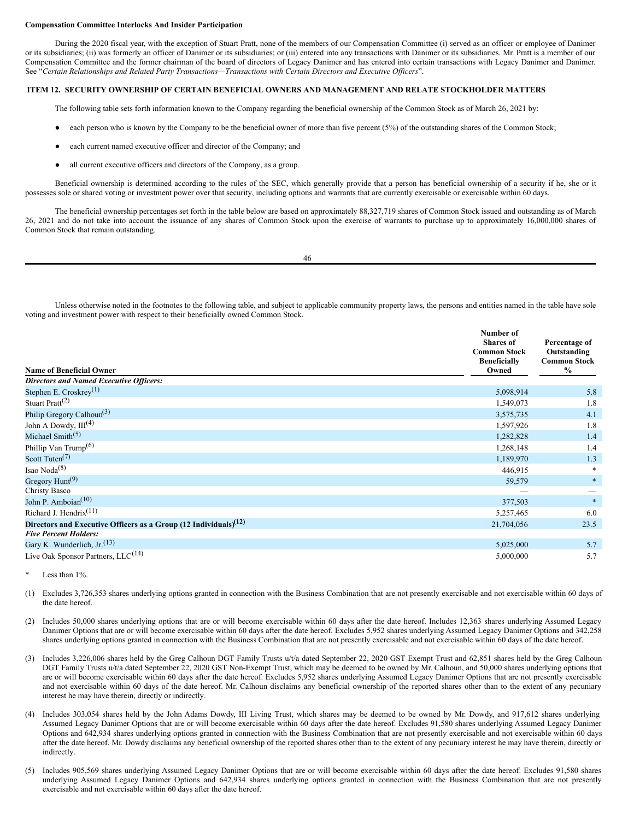#### **Compensation Committee Interlocks And Insider Participation**

During the 2020 fiscal year, with the exception of Stuart Pratt, none of the members of our Compensation Committee (i) served as an officer or employee of Danimer or its subsidiaries; (ii) was formerly an officer of Danimer or its subsidiaries; or (iii) entered into any transactions with Danimer or its subsidiaries. Mr. Pratt is a member of our Compensation Committee and the former chairman of the board of directors of Legacy Danimer and has entered into certain transactions with Legacy Danimer and Danimer. See "*Certain Relationships and Related Party Transactions—Transactions with Certain Directors and Executive Of icers*".

## <span id="page-30-0"></span>**ITEM 12. SECURITY OWNERSHIP OF CERTAIN BENEFICIAL OWNERS AND MANAGEMENT AND RELATE STOCKHOLDER MATTERS**

The following table sets forth information known to the Company regarding the beneficial ownership of the Common Stock as of March 26, 2021 by:

- each person who is known by the Company to be the beneficial owner of more than five percent (5%) of the outstanding shares of the Common Stock;
- each current named executive officer and director of the Company; and
- all current executive officers and directors of the Company, as a group.

Beneficial ownership is determined according to the rules of the SEC, which generally provide that a person has beneficial ownership of a security if he, she or it possesses sole or shared voting or investment power over that security, including options and warrants that are currently exercisable or exercisable within 60 days.

The beneficial ownership percentages set forth in the table below are based on approximately 88,327,719 shares of Common Stock issued and outstanding as of March 26, 2021 and do not take into account the issuance of any shares of Common Stock upon the exercise of warrants to purchase up to approximately 16,000,000 shares of Common Stock that remain outstanding.

46

Unless otherwise noted in the footnotes to the following table, and subject to applicable community property laws, the persons and entities named in the table have sole voting and investment power with respect to their beneficially owned Common Stock.

|                                                                               | Number of<br><b>Shares</b> of<br><b>Common Stock</b><br><b>Beneficially</b> | Percentage of<br>Outstanding<br><b>Common Stock</b> |
|-------------------------------------------------------------------------------|-----------------------------------------------------------------------------|-----------------------------------------------------|
| <b>Name of Beneficial Owner</b>                                               | Owned                                                                       | $\frac{6}{6}$                                       |
| <b>Directors and Named Executive Officers:</b>                                |                                                                             |                                                     |
| Stephen E. Croskrey <sup>(1)</sup>                                            | 5,098,914                                                                   | 5.8                                                 |
| Stuart Pratt <sup>(2)</sup>                                                   | 1,549,073                                                                   | 1.8                                                 |
| Philip Gregory Calhoun <sup>(3)</sup>                                         | 3,575,735                                                                   | 4.1                                                 |
| John A Dowdy, $III^{(4)}$                                                     | 1,597,926                                                                   | 1.8                                                 |
| Michael Smith <sup>(5)</sup>                                                  | 1,282,828                                                                   | 1.4                                                 |
| Phillip Van Trump $(6)$                                                       | 1,268,148                                                                   | 1.4                                                 |
| Scott Tuten $(7)$                                                             | 1,189,970                                                                   | 1.3                                                 |
| Isao Noda <sup>(8)</sup>                                                      | 446,915                                                                     | $\ast$                                              |
| Gregory Hunt <sup>(9)</sup>                                                   | 59,579                                                                      | $\ast$                                              |
| Christy Basco                                                                 |                                                                             |                                                     |
| John P. Amboian $(10)$                                                        | 377,503                                                                     | $\ast$                                              |
| Richard J. Hendrix <sup>(11)</sup>                                            | 5,257,465                                                                   | 6.0                                                 |
| Directors and Executive Officers as a Group $(12 \text{ individuals})^{(12)}$ | 21,704,056                                                                  | 23.5                                                |
| <b>Five Percent Holders:</b>                                                  |                                                                             |                                                     |
| Gary K. Wunderlich, Jr. <sup>(13)</sup>                                       | 5,025,000                                                                   | 5.7                                                 |
| Live Oak Sponsor Partners, $LLC^{(14)}$                                       | 5,000,000                                                                   | 5.7                                                 |

- Less than  $1\%$ .
- (1) Excludes 3,726,353 shares underlying options granted in connection with the Business Combination that are not presently exercisable and not exercisable within 60 days of the date hereof.
- (2) Includes 50,000 shares underlying options that are or will become exercisable within 60 days after the date hereof. Includes 12,363 shares underlying Assumed Legacy Danimer Options that are or will become exercisable within 60 days after the date hereof. Excludes 5,952 shares underlying Assumed Legacy Danimer Options and 342,258 shares underlying options granted in connection with the Business Combination that are not presently exercisable and not exercisable within 60 days of the date hereof.
- (3) Includes 3,226,006 shares held by the Greg Calhoun DGT Family Trusts u/t/a dated September 22, 2020 GST Exempt Trust and 62,851 shares held by the Greg Calhoun DGT Family Trusts u/t/a dated September 22, 2020 GST Non-Exempt Trust, which may be deemed to be owned by Mr. Calhoun, and 50,000 shares underlying options that are or will become exercisable within 60 days after the date hereof. Excludes 5,952 shares underlying Assumed Legacy Danimer Options that are not presently exercisable and not exercisable within 60 days of the date hereof. Mr. Calhoun disclaims any beneficial ownership of the reported shares other than to the extent of any pecuniary interest he may have therein, directly or indirectly.
- (4) Includes 303,054 shares held by the John Adams Dowdy, III Living Trust, which shares may be deemed to be owned by Mr. Dowdy, and 917,612 shares underlying Assumed Legacy Danimer Options that are or will become exercisable within 60 days after the date hereof. Excludes 91,580 shares underlying Assumed Legacy Danimer Options and 642,934 shares underlying options granted in connection with the Business Combination that are not presently exercisable and not exercisable within 60 days after the date hereof. Mr. Dowdy disclaims any beneficial ownership of the reported shares other than to the extent of any pecuniary interest he may have therein, directly or indirectly.
- (5) Includes 905,569 shares underlying Assumed Legacy Danimer Options that are or will become exercisable within 60 days after the date hereof. Excludes 91,580 shares underlying Assumed Legacy Danimer Options and 642,934 shares underlying options granted in connection with the Business Combination that are not presently exercisable and not exercisable within 60 days after the date hereof.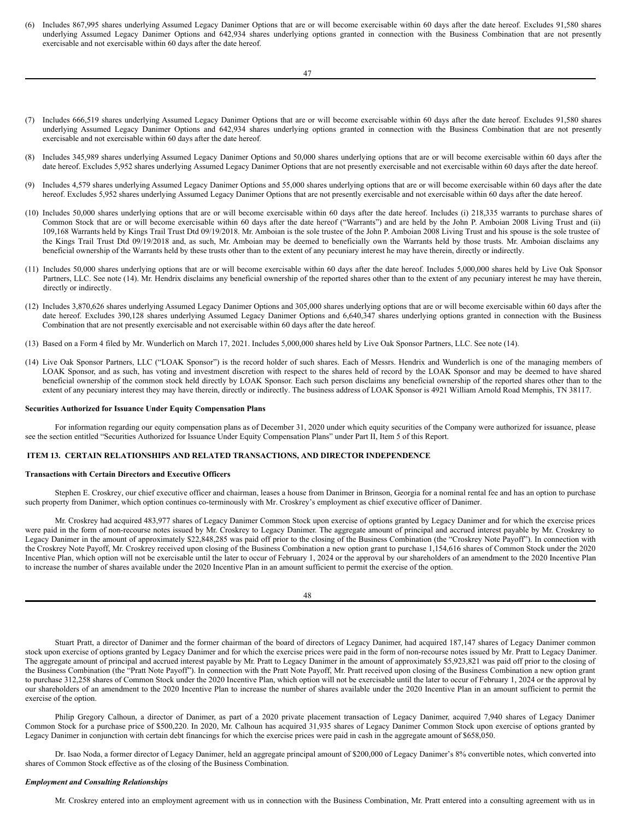(6) Includes 867,995 shares underlying Assumed Legacy Danimer Options that are or will become exercisable within 60 days after the date hereof. Excludes 91,580 shares underlying Assumed Legacy Danimer Options and 642,934 shares underlying options granted in connection with the Business Combination that are not presently exercisable and not exercisable within 60 days after the date hereof.

- (7) Includes 666,519 shares underlying Assumed Legacy Danimer Options that are or will become exercisable within 60 days after the date hereof. Excludes 91,580 shares underlying Assumed Legacy Danimer Options and 642,934 shares underlying options granted in connection with the Business Combination that are not presently exercisable and not exercisable within 60 days after the date hereof.
- (8) Includes 345,989 shares underlying Assumed Legacy Danimer Options and 50,000 shares underlying options that are or will become exercisable within 60 days after the date hereof. Excludes 5,952 shares underlying Assumed Legacy Danimer Options that are not presently exercisable and not exercisable within 60 days after the date hereof.
- (9) Includes 4,579 shares underlying Assumed Legacy Danimer Options and 55,000 shares underlying options that are or will become exercisable within 60 days after the date hereof. Excludes 5,952 shares underlying Assumed Legacy Danimer Options that are not presently exercisable and not exercisable within 60 days after the date hereof.
- (10) Includes 50,000 shares underlying options that are or will become exercisable within 60 days after the date hereof. Includes (i) 218,335 warrants to purchase shares of Common Stock that are or will become exercisable within 60 days after the date hereof ("Warrants") and are held by the John P. Amboian 2008 Living Trust and (ii) 109,168 Warrants held by Kings Trail Trust Dtd 09/19/2018. Mr. Amboian is the sole trustee of the John P. Amboian 2008 Living Trust and his spouse is the sole trustee of the Kings Trail Trust Dtd 09/19/2018 and, as such, Mr. Amboian may be deemed to beneficially own the Warrants held by those trusts. Mr. Amboian disclaims any beneficial ownership of the Warrants held by these trusts other than to the extent of any pecuniary interest he may have therein, directly or indirectly.
- (11) Includes 50,000 shares underlying options that are or will become exercisable within 60 days after the date hereof. Includes 5,000,000 shares held by Live Oak Sponsor Partners, LLC. See note (14). Mr. Hendrix disclaims any beneficial ownership of the reported shares other than to the extent of any pecuniary interest he may have therein, directly or indirectly.
- (12) Includes 3,870,626 shares underlying Assumed Legacy Danimer Options and 305,000 shares underlying options that are or will become exercisable within 60 days after the date hereof. Excludes 390,128 shares underlying Assumed Legacy Danimer Options and 6,640,347 shares underlying options granted in connection with the Business Combination that are not presently exercisable and not exercisable within 60 days after the date hereof.
- (13) Based on a Form 4 filed by Mr. Wunderlich on March 17, 2021. Includes 5,000,000 shares held by Live Oak Sponsor Partners, LLC. See note (14).
- (14) Live Oak Sponsor Partners, LLC ("LOAK Sponsor") is the record holder of such shares. Each of Messrs. Hendrix and Wunderlich is one of the managing members of LOAK Sponsor, and as such, has voting and investment discretion with respect to the shares held of record by the LOAK Sponsor and may be deemed to have shared beneficial ownership of the common stock held directly by LOAK Sponsor. Each such person disclaims any beneficial ownership of the reported shares other than to the extent of any pecuniary interest they may have therein, directly or indirectly. The business address of LOAK Sponsor is 4921 William Arnold Road Memphis, TN 38117.

#### **Securities Authorized for Issuance Under Equity Compensation Plans**

For information regarding our equity compensation plans as of December 31, 2020 under which equity securities of the Company were authorized for issuance, please see the section entitled "Securities Authorized for Issuance Under Equity Compensation Plans" under Part II, Item 5 of this Report.

## <span id="page-31-0"></span>**ITEM 13. CERTAIN RELATIONSHIPS AND RELATED TRANSACTIONS, AND DIRECTOR INDEPENDENCE**

#### **Transactions with Certain Directors and Executive Officers**

Stephen E. Croskrey, our chief executive officer and chairman, leases a house from Danimer in Brinson, Georgia for a nominal rental fee and has an option to purchase such property from Danimer, which option continues co-terminously with Mr. Croskrey's employment as chief executive officer of Danimer.

Mr. Croskrey had acquired 483,977 shares of Legacy Danimer Common Stock upon exercise of options granted by Legacy Danimer and for which the exercise prices were paid in the form of non-recourse notes issued by Mr. Croskrey to Legacy Danimer. The aggregate amount of principal and accrued interest payable by Mr. Croskrey to Legacy Danimer in the amount of approximately \$22,848,285 was paid off prior to the closing of the Business Combination (the "Croskrey Note Payoff"). In connection with the Croskrey Note Payoff, Mr. Croskrey received upon closing of the Business Combination a new option grant to purchase 1,154,616 shares of Common Stock under the 2020 Incentive Plan, which option will not be exercisable until the later to occur of February 1, 2024 or the approval by our shareholders of an amendment to the 2020 Incentive Plan to increase the number of shares available under the 2020 Incentive Plan in an amount sufficient to permit the exercise of the option.

| ٦ | I<br>× |
|---|--------|
|   | w<br>۹ |

Stuart Pratt, a director of Danimer and the former chairman of the board of directors of Legacy Danimer, had acquired 187,147 shares of Legacy Danimer common stock upon exercise of options granted by Legacy Danimer and for which the exercise prices were paid in the form of non-recourse notes issued by Mr. Pratt to Legacy Danimer. The aggregate amount of principal and accrued interest payable by Mr. Pratt to Legacy Danimer in the amount of approximately \$5,923,821 was paid off prior to the closing of the Business Combination (the "Pratt Note Payoff"). In connection with the Pratt Note Payoff, Mr. Pratt received upon closing of the Business Combination a new option grant to purchase 312,258 shares of Common Stock under the 2020 Incentive Plan, which option will not be exercisable until the later to occur of February 1, 2024 or the approval by our shareholders of an amendment to the 2020 Incentive Plan to increase the number of shares available under the 2020 Incentive Plan in an amount sufficient to permit the exercise of the option.

Philip Gregory Calhoun, a director of Danimer, as part of a 2020 private placement transaction of Legacy Danimer, acquired 7,940 shares of Legacy Danimer Common Stock for a purchase price of \$500,220. In 2020, Mr. Calhoun has acquired 31,935 shares of Legacy Danimer Common Stock upon exercise of options granted by Legacy Danimer in conjunction with certain debt financings for which the exercise prices were paid in cash in the aggregate amount of \$658,050.

Dr. Isao Noda, a former director of Legacy Danimer, held an aggregate principal amount of \$200,000 of Legacy Danimer's 8% convertible notes, which converted into shares of Common Stock effective as of the closing of the Business Combination.

#### *Employment and Consulting Relationships*

Mr. Croskrey entered into an employment agreement with us in connection with the Business Combination, Mr. Pratt entered into a consulting agreement with us in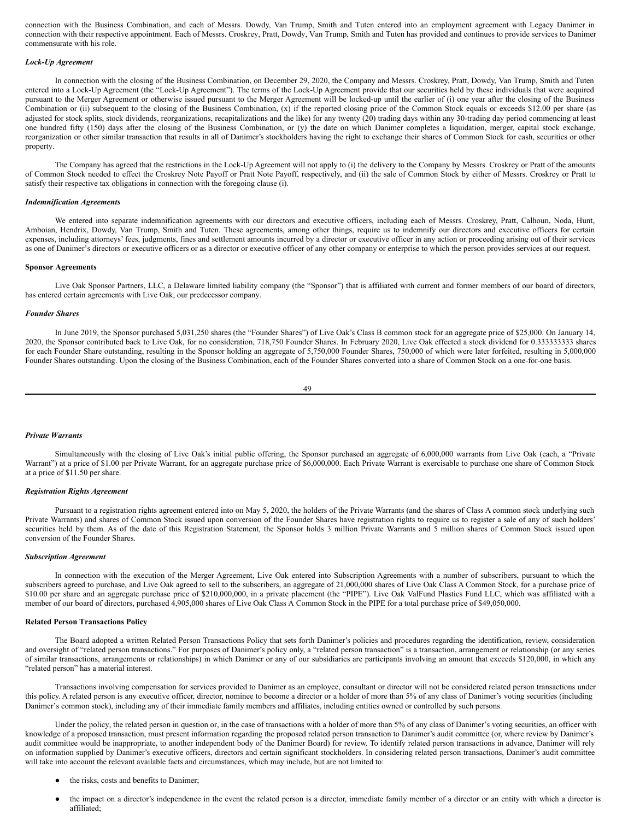connection with the Business Combination, and each of Messrs. Dowdy, Van Trump, Smith and Tuten entered into an employment agreement with Legacy Danimer in connection with their respective appointment. Each of Messrs. Croskrey, Pratt, Dowdy, Van Trump, Smith and Tuten has provided and continues to provide services to Danimer commensurate with his role.

#### *Lock-Up Agreement*

In connection with the closing of the Business Combination, on December 29, 2020, the Company and Messrs. Croskrey, Pratt, Dowdy, Van Trump, Smith and Tuten entered into a Lock-Up Agreement (the "Lock-Up Agreement"). The terms of the Lock-Up Agreement provide that our securities held by these individuals that were acquired pursuant to the Merger Agreement or otherwise issued pursuant to the Merger Agreement will be locked-up until the earlier of (i) one year after the closing of the Business Combination or (ii) subsequent to the closing of the Business Combination, (x) if the reported closing price of the Common Stock equals or exceeds \$12.00 per share (as adjusted for stock splits, stock dividends, reorganizations, recapitalizations and the like) for any twenty (20) trading days within any 30-trading day period commencing at least one hundred fifty (150) days after the closing of the Business Combination, or (y) the date on which Danimer completes a liquidation, merger, capital stock exchange, reorganization or other similar transaction that results in all of Danimer's stockholders having the right to exchange their shares of Common Stock for cash, securities or other property.

The Company has agreed that the restrictions in the Lock-Up Agreement will not apply to (i) the delivery to the Company by Messrs. Croskrey or Pratt of the amounts of Common Stock needed to effect the Croskrey Note Payoff or Pratt Note Payoff, respectively, and (ii) the sale of Common Stock by either of Messrs. Croskrey or Pratt to satisfy their respective tax obligations in connection with the foregoing clause (i).

#### *Indemnification Agreements*

We entered into separate indemnification agreements with our directors and executive officers, including each of Messrs. Croskrey, Pratt, Calhoun, Noda, Hunt, Amboian, Hendrix, Dowdy, Van Trump, Smith and Tuten. These agreements, among other things, require us to indemnify our directors and executive officers for certain expenses, including attorneys' fees, judgments, fines and settlement amounts incurred by a director or executive officer in any action or proceeding arising out of their services as one of Danimer's directors or executive officers or as a director or executive officer of any other company or enterprise to which the person provides services at our request.

#### **Sponsor Agreements**

Live Oak Sponsor Partners, LLC, a Delaware limited liability company (the "Sponsor") that is affiliated with current and former members of our board of directors, has entered certain agreements with Live Oak, our predecessor company.

## *Founder Shares*

In June 2019, the Sponsor purchased 5,031,250 shares (the "Founder Shares") of Live Oak's Class B common stock for an aggregate price of \$25,000. On January 14, 2020, the Sponsor contributed back to Live Oak, for no consideration, 718,750 Founder Shares. In February 2020, Live Oak effected a stock dividend for 0.333333333 shares for each Founder Share outstanding, resulting in the Sponsor holding an aggregate of 5,750,000 Founder Shares, 750,000 of which were later forfeited, resulting in 5,000,000 Founder Shares outstanding. Upon the closing of the Business Combination, each of the Founder Shares converted into a share of Common Stock on a one-for-one basis.

49

#### *Private Warrants*

Simultaneously with the closing of Live Oak's initial public offering, the Sponsor purchased an aggregate of 6,000,000 warrants from Live Oak (each, a "Private Warrant") at a price of \$1.00 per Private Warrant, for an aggregate purchase price of \$6,000,000. Each Private Warrant is exercisable to purchase one share of Common Stock at a price of \$11.50 per share.

#### *Registration Rights Agreement*

Pursuant to a registration rights agreement entered into on May 5, 2020, the holders of the Private Warrants (and the shares of Class A common stock underlying such Private Warrants) and shares of Common Stock issued upon conversion of the Founder Shares have registration rights to require us to register a sale of any of such holders' securities held by them. As of the date of this Registration Statement, the Sponsor holds 3 million Private Warrants and 5 million shares of Common Stock issued upon conversion of the Founder Shares.

#### *Subscription Agreement*

In connection with the execution of the Merger Agreement, Live Oak entered into Subscription Agreements with a number of subscribers, pursuant to which the subscribers agreed to purchase, and Live Oak agreed to sell to the subscribers, an aggregate of 21,000,000 shares of Live Oak Class A Common Stock, for a purchase price of \$10.00 per share and an aggregate purchase price of \$210,000,000, in a private placement (the "PIPE"). Live Oak ValFund Plastics Fund LLC, which was affiliated with a member of our board of directors, purchased 4,905,000 shares of Live Oak Class A Common Stock in the PIPE for a total purchase price of \$49,050,000.

#### **Related Person Transactions Policy**

The Board adopted a written Related Person Transactions Policy that sets forth Danimer's policies and procedures regarding the identification, review, consideration and oversight of "related person transactions." For purposes of Danimer's policy only, a "related person transaction" is a transaction, arrangement or relationship (or any series of similar transactions, arrangements or relationships) in which Danimer or any of our subsidiaries are participants involving an amount that exceeds \$120,000, in which any "related person" has a material interest.

Transactions involving compensation for services provided to Danimer as an employee, consultant or director will not be considered related person transactions under this policy. A related person is any executive officer, director, nominee to become a director or a holder of more than 5% of any class of Danimer's voting securities (including Danimer's common stock), including any of their immediate family members and affiliates, including entities owned or controlled by such persons.

Under the policy, the related person in question or, in the case of transactions with a holder of more than 5% of any class of Danimer's voting securities, an officer with knowledge of a proposed transaction, must present information regarding the proposed related person transaction to Danimer's audit committee (or, where review by Danimer's audit committee would be inappropriate, to another independent body of the Danimer Board) for review. To identify related person transactions in advance, Danimer will rely on information supplied by Danimer's executive officers, directors and certain significant stockholders. In considering related person transactions, Danimer's audit committee will take into account the relevant available facts and circumstances, which may include, but are not limited to:

- the risks, costs and benefits to Danimer;
- the impact on a director's independence in the event the related person is a director, immediate family member of a director or an entity with which a director is affiliated;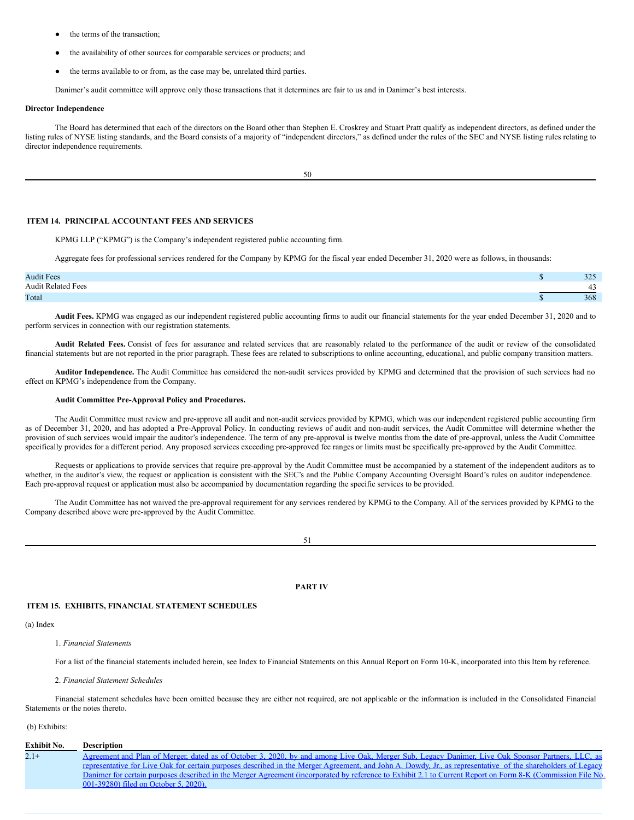- the terms of the transaction;
- the availability of other sources for comparable services or products; and
- the terms available to or from, as the case may be, unrelated third parties.

Danimer's audit committee will approve only those transactions that it determines are fair to us and in Danimer's best interests.

## **Director Independence**

The Board has determined that each of the directors on the Board other than Stephen E. Croskrey and Stuart Pratt qualify as independent directors, as defined under the listing rules of NYSE listing standards, and the Board consists of a majority of "independent directors," as defined under the rules of the SEC and NYSE listing rules relating to director independence requirements.

50

## <span id="page-33-0"></span>**ITEM 14. PRINCIPAL ACCOUNTANT FEES AND SERVICES**

KPMG LLP ("KPMG") is the Company's independent registered public accounting firm.

Aggregate fees for professional services rendered for the Company by KPMG for the fiscal year ended December 31, 2020 were as follows, in thousands:

| <b>Audit Fees</b>                        | 225<br>ر ے د |
|------------------------------------------|--------------|
| $\sim$<br><b>Audit Related Fees</b><br>. | . .<br>. .   |
| Total                                    | 368          |

**Audit Fees.** KPMG was engaged as our independent registered public accounting firms to audit our financial statements for the year ended December 31, 2020 and to perform services in connection with our registration statements.

**Audit Related Fees.** Consist of fees for assurance and related services that are reasonably related to the performance of the audit or review of the consolidated financial statements but are not reported in the prior paragraph. These fees are related to subscriptions to online accounting, educational, and public company transition matters.

**Auditor Independence.** The Audit Committee has considered the non-audit services provided by KPMG and determined that the provision of such services had no effect on KPMG's independence from the Company.

## **Audit Committee Pre-Approval Policy and Procedures.**

The Audit Committee must review and pre-approve all audit and non-audit services provided by KPMG, which was our independent registered public accounting firm as of December 31, 2020, and has adopted a Pre-Approval Policy. In conducting reviews of audit and non-audit services, the Audit Committee will determine whether the provision of such services would impair the auditor's independence. The term of any pre-approval is twelve months from the date of pre-approval, unless the Audit Committee specifically provides for a different period. Any proposed services exceeding pre-approved fee ranges or limits must be specifically pre-approved by the Audit Committee.

Requests or applications to provide services that require pre-approval by the Audit Committee must be accompanied by a statement of the independent auditors as to whether, in the auditor's view, the request or application is consistent with the SEC's and the Public Company Accounting Oversight Board's rules on auditor independence. Each pre-approval request or application must also be accompanied by documentation regarding the specific services to be provided.

The Audit Committee has not waived the pre-approval requirement for any services rendered by KPMG to the Company. All of the services provided by KPMG to the Company described above were pre-approved by the Audit Committee.

51

## <span id="page-33-1"></span>**PART IV**

#### <span id="page-33-2"></span>**ITEM 15. EXHIBITS, FINANCIAL STATEMENT SCHEDULES**

(a) Index

1. *Financial Statements*

For a list of the financial statements included herein, see Index to Financial Statements on this Annual Report on Form 10-K, incorporated into this Item by reference.

2. *Financial Statement Schedules*

Financial statement schedules have been omitted because they are either not required, are not applicable or the information is included in the Consolidated Financial Statements or the notes thereto.

<span id="page-33-3"></span>(b) Exhibits:

| <b>Exhibit No.</b> | Description                                                                                                                                                 |
|--------------------|-------------------------------------------------------------------------------------------------------------------------------------------------------------|
| $2.1+$             | Agreement and Plan of Merger, dated as of October 3, 2020, by and among Live Oak, Merger Sub, Legacy Danimer, Live Oak Sponsor Partners, LLC, as            |
|                    | representative for Live Oak for certain purposes described in the Merger Agreement, and John A. Dowdy, Jr., as representative of the shareholders of Legacy |
|                    | Danimer for certain purposes described in the Merger Agreement (incorporated by reference to Exhibit 2.1 to Current Report on Form 8-K (Commission File No. |
|                    | 001-39280) filed on October 5, 2020).                                                                                                                       |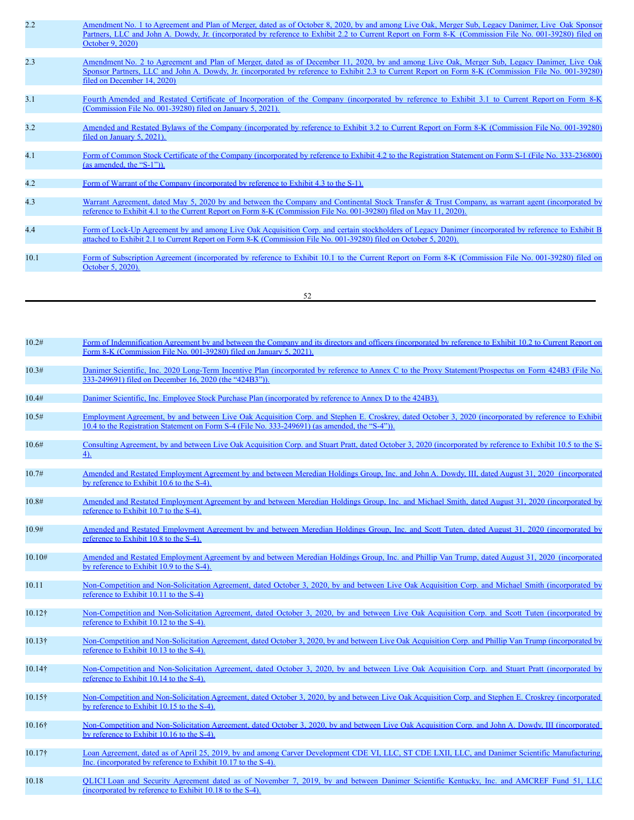| 2.2  | Amendment No. 1 to Agreement and Plan of Merger, dated as of October 8, 2020, by and among Live Oak, Merger Sub, Legacy Danimer, Live Oak Sponsor<br>Partners, LLC and John A. Dowdy, Jr. (incorporated by reference to Exhibit 2.2 to Current Report on Form 8-K (Commission File No. 001-39280) filed on                         |
|------|------------------------------------------------------------------------------------------------------------------------------------------------------------------------------------------------------------------------------------------------------------------------------------------------------------------------------------|
|      | October 9, 2020)                                                                                                                                                                                                                                                                                                                   |
| 2.3  | Amendment No. 2 to Agreement and Plan of Merger, dated as of December 11, 2020, by and among Live Oak, Merger Sub, Legacy Danimer, Live Oak<br>Sponsor Partners, LLC and John A. Dowdy, Jr. (incorporated by reference to Exhibit 2.3 to Current Report on Form 8-K (Commission File No. 001-39280)<br>filed on December 14, 2020) |
| 3.1  | Fourth Amended and Restated Certificate of Incorporation of the Company (incorporated by reference to Exhibit 3.1 to Current Report on Form 8-K<br>(Commission File No. 001-39280) filed on January 5, 2021).                                                                                                                      |
| 3.2  | Amended and Restated Bylaws of the Company (incorporated by reference to Exhibit 3.2 to Current Report on Form 8-K (Commission File No. 001-39280)<br>filed on January 5, 2021).                                                                                                                                                   |
| 4.1  | Form of Common Stock Certificate of the Company (incorporated by reference to Exhibit 4.2 to the Registration Statement on Form S-1 (File No. 333-236800)<br>(as amended, the " $S-1$ ")).                                                                                                                                         |
| 4.2  | Form of Warrant of the Company (incorporated by reference to Exhibit 4.3 to the S-1).                                                                                                                                                                                                                                              |
| 4.3  | Warrant Agreement, dated May 5, 2020 by and between the Company and Continental Stock Transfer & Trust Company, as warrant agent (incorporated by<br>reference to Exhibit 4.1 to the Current Report on Form 8-K (Commission File No. 001-39280) filed on May 11, 2020).                                                            |
| 4.4  | Form of Lock-Up Agreement by and among Live Oak Acquisition Corp. and certain stockholders of Legacy Danimer (incorporated by reference to Exhibit B<br>attached to Exhibit 2.1 to Current Report on Form 8-K (Commission File No. 001-39280) filed on October 5, 2020).                                                           |
| 10.1 | Form of Subscription Agreement (incorporated by reference to Exhibit 10.1 to the Current Report on Form 8-K (Commission File No. 001-39280) filed on<br>October 5, 2020).                                                                                                                                                          |
|      | 52                                                                                                                                                                                                                                                                                                                                 |

| 10.2#          | Form of Indemnification Agreement by and between the Company and its directors and officers (incorporated by reference to Exhibit 10.2 to Current Report on<br>Form 8-K (Commission File No. 001-39280) filed on January 5, 2021).                     |
|----------------|--------------------------------------------------------------------------------------------------------------------------------------------------------------------------------------------------------------------------------------------------------|
| 10.3#          | Danimer Scientific, Inc. 2020 Long-Term Incentive Plan (incorporated by reference to Annex C to the Proxy Statement/Prospectus on Form 424B3 (File No.<br>333-249691) filed on December 16, 2020 (the "424B3")).                                       |
| 10.4#          | Danimer Scientific. Inc. Employee Stock Purchase Plan (incorporated by reference to Annex D to the 424B3).                                                                                                                                             |
| 10.5#          | Employment Agreement, by and between Live Oak Acquisition Corp. and Stephen E. Croskrey, dated October 3, 2020 (incorporated by reference to Exhibit<br>10.4 to the Registration Statement on Form S-4 (File No. 333-249691) (as amended, the "S-4")). |
| 10.6#          | Consulting Agreement, by and between Live Oak Acquisition Corp. and Stuart Pratt, dated October 3, 2020 (incorporated by reference to Exhibit 10.5 to the S-<br>4).                                                                                    |
| 10.7#          | Amended and Restated Employment Agreement by and between Meredian Holdings Group, Inc. and John A. Dowdy, III, dated August 31, 2020 (incorporated<br>by reference to Exhibit 10.6 to the S-4).                                                        |
| 10.8#          | Amended and Restated Employment Agreement by and between Meredian Holdings Group, Inc. and Michael Smith, dated August 31, 2020 (incorporated by<br>reference to Exhibit 10.7 to the S-4).                                                             |
| 10.9#          | Amended and Restated Employment Agreement by and between Meredian Holdings Group, Inc. and Scott Tuten, dated August 31, 2020 (incorporated by<br>reference to Exhibit 10.8 to the S-4).                                                               |
| 10.10#         | Amended and Restated Employment Agreement by and between Meredian Holdings Group, Inc. and Phillip Van Trump, dated August 31, 2020 (incorporated<br>by reference to Exhibit 10.9 to the S-4).                                                         |
| 10.11          | Non-Competition and Non-Solicitation Agreement, dated October 3, 2020, by and between Live Oak Acquisition Corp. and Michael Smith (incorporated by<br>reference to Exhibit 10.11 to the S-4)                                                          |
| $10.12\dagger$ | Non-Competition and Non-Solicitation Agreement, dated October 3, 2020, by and between Live Oak Acquisition Corp. and Scott Tuten (incorporated by<br>reference to Exhibit 10.12 to the S-4).                                                           |
| $10.13\dagger$ | Non-Competition and Non-Solicitation Agreement, dated October 3, 2020, by and between Live Oak Acquisition Corp. and Phillip Van Trump (incorporated by<br>reference to Exhibit 10.13 to the S-4).                                                     |
| $10.14\dagger$ | Non-Competition and Non-Solicitation Agreement, dated October 3, 2020, by and between Live Oak Acquisition Corp. and Stuart Pratt (incorporated by<br>reference to Exhibit 10.14 to the S-4).                                                          |
| $10.15\dagger$ | Non-Competition and Non-Solicitation Agreement, dated October 3, 2020, by and between Live Oak Acquisition Corp. and Stephen E. Croskrey (incorporated<br>by reference to Exhibit 10.15 to the S-4).                                                   |
| 10.16†         | Non-Competition and Non-Solicitation Agreement, dated October 3, 2020, by and between Live Oak Acquisition Corp. and John A. Dowdy, III (incorporated<br>by reference to Exhibit 10.16 to the S-4).                                                    |
| 10.17†         | Loan Agreement, dated as of April 25, 2019, by and among Carver Development CDE VI, LLC, ST CDE LXII, LLC, and Danimer Scientific Manufacturing<br>Inc. (incorporated by reference to Exhibit 10.17 to the S-4).                                       |
| 10.18          | QLICI Loan and Security Agreement dated as of November 7, 2019, by and between Danimer Scientific Kentucky, Inc. and AMCREF Fund 51, LLC                                                                                                               |

[\(incorporated](http://www.sec.gov/Archives/edgar/data/1779020/000121390020033603/fs42020ex10-18_liveoakacqui.htm) by reference to Exhibit 10.18 to the S-4).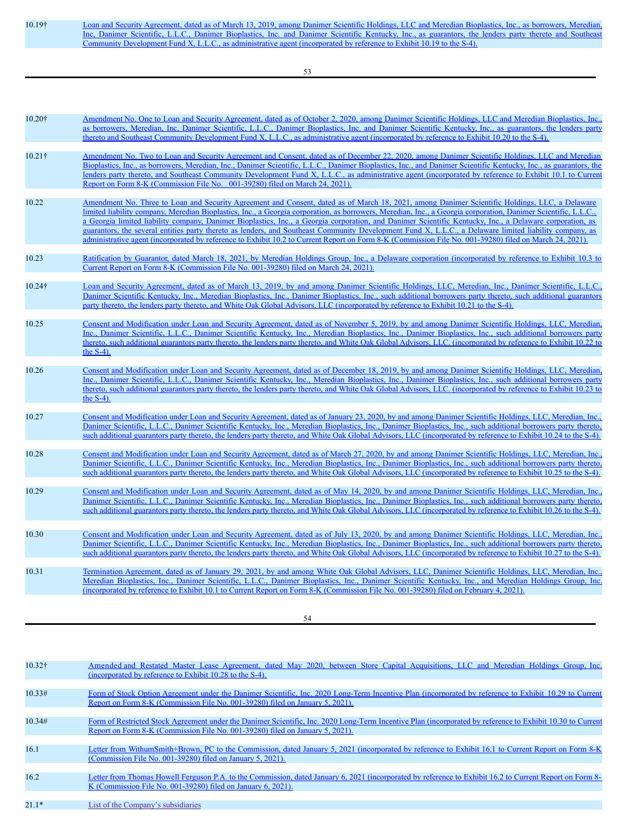10.19† Loan and Security Agreement, dated as of March 13, 2019, among Danimer Scientific Holdings, LLC and Meredian Bioplastics, Inc., as borrowers, Meredian, Inc, Danimer Scientific, L.L.C., Danimer Bioplastics, Inc. and Danimer Scientific Kentucky, Inc., as guarantors, the lenders party thereto and Southeast Community Development Fund X, L.L.C., as [administrative](http://www.sec.gov/Archives/edgar/data/1779020/000121390020033603/fs42020ex10-19_liveoakacqui.htm) agent (incorporated by reference to Exhibit 10.19 to the S-4).

10.20† Amendment No. One to Loan and Security Agreement, dated as of October 2, 2020, among Danimer Scientific Holdings, LLC and Meredian Bioplastics, Inc.,

|        | as borrowers, Meredian, Inc. Danimer Scientific, L.L.C., Danimer Bioplastics, Inc. and Danimer Scientific Kentucky, Inc., as guarantors, the lenders party<br>thereto and Southeast Community Development Fund X, L.L.C., as administrative agent (incorporated by reference to Exhibit 10.20 to the S-4).                                                                                                                                                                                                                                                                                                                                                                                                                                                                                         |
|--------|----------------------------------------------------------------------------------------------------------------------------------------------------------------------------------------------------------------------------------------------------------------------------------------------------------------------------------------------------------------------------------------------------------------------------------------------------------------------------------------------------------------------------------------------------------------------------------------------------------------------------------------------------------------------------------------------------------------------------------------------------------------------------------------------------|
| 10.21† | Amendment No. Two to Loan and Security Agreement and Consent, dated as of December 22, 2020, among Danimer Scientific Holdings, LLC and Meredian<br>Bioplastics, Inc., as borrowers, Meredian, Inc., Danimer Scientific, L.L.C., Danimer Bioplastics, Inc., and Danimer Scientific Kentucky, Inc., as guarantors, the<br>lenders party thereto, and Southeast Community Development Fund X, L.L.C., as administrative agent (incorporated by reference to Exhibit 10.1 to Current<br>Report on Form 8-K (Commission File No. . 001-39280) filed on March 24, 2021).                                                                                                                                                                                                                                |
| 10.22  | Amendment No. Three to Loan and Security Agreement and Consent, dated as of March 18, 2021, among Danimer Scientific Holdings, LLC, a Delaware<br>limited liability company, Meredian Bioplastics, Inc., a Georgia corporation, as borrowers, Meredian, Inc., a Georgia corporation, Danimer Scientific, L.L.C.,<br>a Georgia limited liability company, Danimer Bioplastics, Inc., a Georgia corporation, and Danimer Scientific Kentucky, Inc., a Delaware corporation, as<br>guarantors, the several entities party thereto as lenders, and Southeast Community Development Fund X, L.L.C., a Delaware limited liability company, as<br>administrative agent (incorporated by reference to Exhibit 10.2 to Current Report on Form 8-K (Commission File No. 001-39280) filed on March 24, 2021). |
| 10.23  | Ratification by Guarantor, dated March 18, 2021, by Meredian Holdings Group, Inc., a Delaware corporation (incorporated by reference to Exhibit 10.3 to<br>Current Report on Form 8-K (Commission File No. 001-39280) filed on March 24, 2021).                                                                                                                                                                                                                                                                                                                                                                                                                                                                                                                                                    |
| 10.24† | Loan and Security Agreement, dated as of March 13, 2019, by and among Danimer Scientific Holdings, LLC, Meredian, Inc., Danimer Scientific, L.L.C.<br>Danimer Scientific Kentucky, Inc., Meredian Bioplastics, Inc., Danimer Bioplastics, Inc., such additional borrowers party thereto, such additional guarantors<br>party thereto, the lenders party thereto, and White Oak Global Advisors, LLC (incorporated by reference to Exhibit 10.21 to the S-4).                                                                                                                                                                                                                                                                                                                                       |
| 10.25  | Consent and Modification under Loan and Security Agreement, dated as of November 5, 2019, by and among Danimer Scientific Holdings, LLC, Meredian.<br>Inc., Danimer Scientific, L.L.C., Danimer Scientific Kentucky, Inc., Meredian Bioplastics, Inc., Danimer Bioplastics, Inc., such additional borrowers party<br>thereto, such additional guarantors party thereto, the lenders party thereto, and White Oak Global Advisors, LLC. (incorporated by reference to Exhibit 10.22 to<br>the $S-4$ ).                                                                                                                                                                                                                                                                                              |
| 10.26  | Consent and Modification under Loan and Security Agreement, dated as of December 18, 2019, by and among Danimer Scientific Holdings, LLC, Meredian.<br>Inc., Danimer Scientific, L.L.C., Danimer Scientific Kentucky, Inc., Meredian Bioplastics, Inc., Danimer Bioplastics, Inc., such additional borrowers party<br>thereto, such additional guarantors party thereto, the lenders party thereto, and White Oak Global Advisors, LLC. (incorporated by reference to Exhibit 10.23 to<br>the $S-4$ ).                                                                                                                                                                                                                                                                                             |
| 10.27  | Consent and Modification under Loan and Security Agreement, dated as of January 23, 2020, by and among Danimer Scientific Holdings, LLC, Meredian, Inc.,<br>Danimer Scientific, L.L.C., Danimer Scientific Kentucky, Inc., Meredian Bioplastics, Inc., Danimer Bioplastics, Inc., such additional borrowers party thereto,<br>such additional guarantors party thereto, the lenders party thereto, and White Oak Global Advisors, LLC (incorporated by reference to Exhibit 10.24 to the S-4).                                                                                                                                                                                                                                                                                                     |
| 10.28  | Consent and Modification under Loan and Security Agreement, dated as of March 27, 2020, by and among Danimer Scientific Holdings, LLC, Meredian, Inc.<br>Danimer Scientific, L.L.C., Danimer Scientific Kentucky, Inc., Meredian Bioplastics, Inc., Danimer Bioplastics, Inc., such additional borrowers party thereto.<br>such additional guarantors party thereto, the lenders party thereto, and White Oak Global Advisors, LLC (incorporated by reference to Exhibit 10.25 to the S-4).                                                                                                                                                                                                                                                                                                        |
| 10.29  | Consent and Modification under Loan and Security Agreement, dated as of May 14, 2020, by and among Danimer Scientific Holdings, LLC, Meredian, Inc.<br>Danimer Scientific, L.L.C., Danimer Scientific Kentucky, Inc., Meredian Bioplastics, Inc., Danimer Bioplastics, Inc., such additional borrowers party thereto.<br>such additional guarantors party thereto, the lenders party thereto, and White Oak Global Advisors, LLC (incorporated by reference to Exhibit 10.26 to the S-4)                                                                                                                                                                                                                                                                                                           |
| 10.30  | Consent and Modification under Loan and Security Agreement, dated as of July 13, 2020, by and among Danimer Scientific Holdings, LLC, Meredian, Inc.<br>Danimer Scientific, L.L.C., Danimer Scientific Kentucky, Inc., Meredian Bioplastics, Inc., Danimer Bioplastics, Inc., such additional borrowers party thereto.<br>such additional guarantors party thereto, the lenders party thereto, and White Oak Global Advisors, LLC (incorporated by reference to Exhibit 10.27 to the S-4).                                                                                                                                                                                                                                                                                                         |
| 10.31  | Termination Agreement, dated as of January 29, 2021, by and among White Oak Global Advisors, LLC, Danimer Scientific Holdings, LLC, Meredian, Inc.<br>Meredian Bioplastics, Inc., Danimer Scientific, L.L.C., Danimer Bioplastics, Inc., Danimer Scientific Kentucky, Inc., and Meredian Holdings Group, Inc.<br>(incorporated by reference to Exhibit 10.1 to Current Report on Form 8-K (Commission File No. 001-39280) filed on February 4, 2021)                                                                                                                                                                                                                                                                                                                                               |
|        | 54                                                                                                                                                                                                                                                                                                                                                                                                                                                                                                                                                                                                                                                                                                                                                                                                 |

| 10.32 <sup>†</sup> | Amended and Restated Master Lease Agreement, dated May 2020, between Store Capital Acquisitions, LLC and Meredian Holdings Group, Inc.<br>(incorporated by reference to Exhibit 10.28 to the S-4).                                          |
|--------------------|---------------------------------------------------------------------------------------------------------------------------------------------------------------------------------------------------------------------------------------------|
| 10.33#             | Form of Stock Option Agreement under the Danimer Scientific, Inc. 2020 Long-Term Incentive Plan (incorporated by reference to Exhibit 10.29 to Current<br>Report on Form 8-K (Commission File No. 001-39280) filed on January 5, 2021).     |
| 10.34#             | Form of Restricted Stock Agreement under the Danimer Scientific, Inc. 2020 Long-Term Incentive Plan (incorporated by reference to Exhibit 10.30 to Current<br>Report on Form 8-K (Commission File No. 001-39280) filed on January 5, 2021). |
| 16.1               | Letter from WithumSmith+Brown, PC to the Commission, dated January 5, 2021 (incorporated by reference to Exhibit 16.1 to Current Report on Form 8-K<br>(Commission File No. 001-39280) filed on January 5, 2021).                           |
| 16.2               | Letter from Thomas Howell Ferguson P.A. to the Commission, dated January 6, 2021 (incorporated by reference to Exhibit 16.2 to Current Report on Form 8-<br>K (Commission File No. 001-39280) filed on January 6, 2021).                    |
| $21.1*$            | List of the Company's subsidiaries                                                                                                                                                                                                          |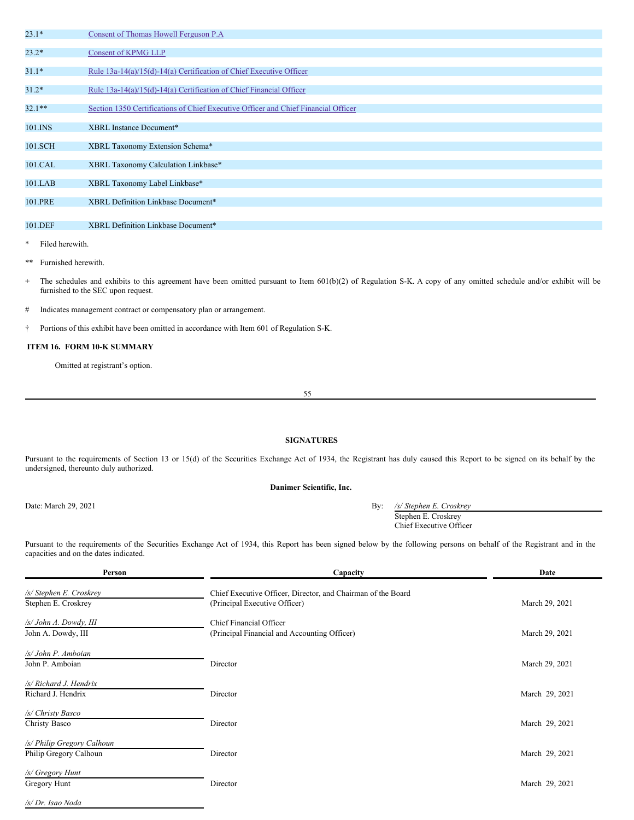| $23.1*$   | Consent of Thomas Howell Ferguson P.A.                                             |
|-----------|------------------------------------------------------------------------------------|
| $23.2*$   | Consent of KPMG LLP                                                                |
| $31.1*$   | Rule 13a-14(a)/15(d)-14(a) Certification of Chief Executive Officer                |
| $31.2*$   | Rule $13a-14(a)/15(d) - 14(a)$ Certification of Chief Financial Officer            |
| $32.1***$ | Section 1350 Certifications of Chief Executive Officer and Chief Financial Officer |
| 101.INS   | XBRL Instance Document*                                                            |
| 101.SCH   | XBRL Taxonomy Extension Schema*                                                    |
| 101.CAL   | XBRL Taxonomy Calculation Linkbase*                                                |
| 101.LAB   | XBRL Taxonomy Label Linkbase*                                                      |
| 101.PRE   | XBRL Definition Linkbase Document*                                                 |
| 101.DEF   | XBRL Definition Linkbase Document*                                                 |

Filed herewith.

\*\* Furnished herewith.

+ The schedules and exhibits to this agreement have been omitted pursuant to Item 601(b)(2) of Regulation S-K. A copy of any omitted schedule and/or exhibit will be furnished to the SEC upon request.

# Indicates management contract or compensatory plan or arrangement.

† Portions of this exhibit have been omitted in accordance with Item 601 of Regulation S-K.

## <span id="page-36-0"></span>**ITEM 16. FORM 10-K SUMMARY**

Omitted at registrant's option.

55

## <span id="page-36-1"></span>**SIGNATURES**

Pursuant to the requirements of Section 13 or 15(d) of the Securities Exchange Act of 1934, the Registrant has duly caused this Report to be signed on its behalf by the undersigned, thereunto duly authorized.

## **Danimer Scientific, Inc.**

Date: March 29, 2021 By: */s/ Stephen E. Croskrey* Stephen E. Croskrey Chief Executive Officer

Pursuant to the requirements of the Securities Exchange Act of 1934, this Report has been signed below by the following persons on behalf of the Registrant and in the capacities and on the dates indicated.

| Person                        | Capacity                                                     | Date           |
|-------------------------------|--------------------------------------------------------------|----------------|
| /s/ Stephen E. Croskrey       | Chief Executive Officer, Director, and Chairman of the Board |                |
| Stephen E. Croskrey           | (Principal Executive Officer)                                | March 29, 2021 |
| $\sqrt{s}$ John A. Dowdy, III | Chief Financial Officer                                      |                |
| John A. Dowdy, III            | (Principal Financial and Accounting Officer)                 | March 29, 2021 |
| /s/ John P. Amboian           |                                                              |                |
| John P. Amboian               | Director                                                     | March 29, 2021 |
| /s/ Richard J. Hendrix        |                                                              |                |
| Richard J. Hendrix            | Director                                                     | March 29, 2021 |
| /s/ Christy Basco             |                                                              |                |
| Christy Basco                 | Director                                                     | March 29, 2021 |
| /s/ Philip Gregory Calhoun    |                                                              |                |
| Philip Gregory Calhoun        | Director                                                     | March 29, 2021 |
| /s/ Gregory Hunt              |                                                              |                |
| Gregory Hunt                  | Director                                                     | March 29, 2021 |
| /s/ Dr. Isao Noda             |                                                              |                |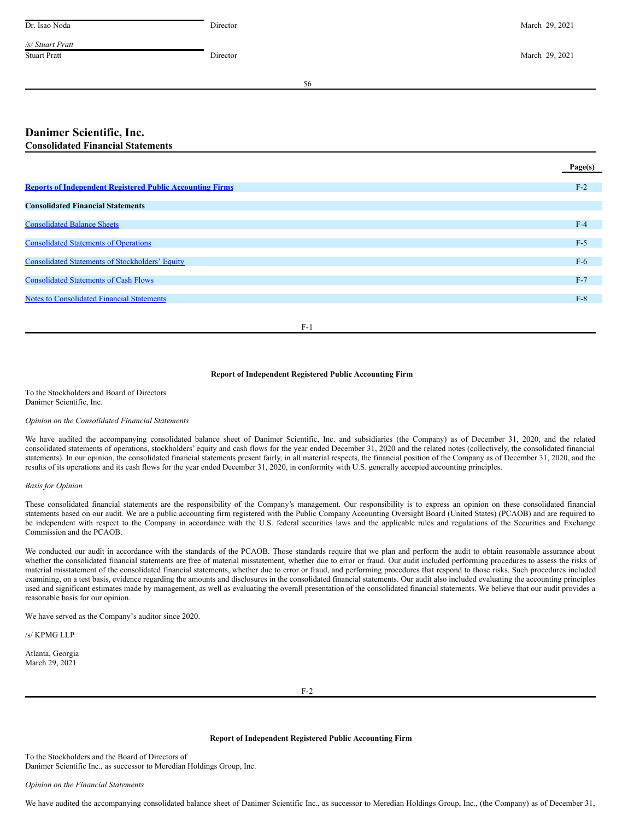| Dr. Isao Noda                           | Director | March 29, 2021 |
|-----------------------------------------|----------|----------------|
| /s/ Stuart Pratt<br><b>Stuart Pratt</b> | Director | March 29, 2021 |

56

## **Danimer Scientific, Inc. Consolidated Financial Statements**

|                                                                  | Page(s) |
|------------------------------------------------------------------|---------|
| <b>Reports of Independent Registered Public Accounting Firms</b> | $F-2$   |
| <b>Consolidated Financial Statements</b>                         |         |
| <b>Consolidated Balance Sheets</b>                               | $F-4$   |
| <b>Consolidated Statements of Operations</b>                     | $F-5$   |
| <b>Consolidated Statements of Stockholders' Equity</b>           | $F-6$   |
| <b>Consolidated Statements of Cash Flows</b>                     | $F-7$   |
| <b>Notes to Consolidated Financial Statements</b>                | $F-8$   |
|                                                                  |         |

F-1

## <span id="page-37-0"></span>**Report of Independent Registered Public Accounting Firm**

To the Stockholders and Board of Directors Danimer Scientific, Inc.

## *Opinion on the Consolidated Financial Statements*

We have audited the accompanying consolidated balance sheet of Danimer Scientific, Inc. and subsidiaries (the Company) as of December 31, 2020, and the related consolidated statements of operations, stockholders' equity and cash flows for the year ended December 31, 2020 and the related notes (collectively, the consolidated financial statements). In our opinion, the consolidated financial statements present fairly, in all material respects, the financial position of the Company as of December 31, 2020, and the results of its operations and its cash flows for the year ended December 31, 2020, in conformity with U.S. generally accepted accounting principles.

#### *Basis for Opinion*

These consolidated financial statements are the responsibility of the Company's management. Our responsibility is to express an opinion on these consolidated financial statements based on our audit. We are a public accounting firm registered with the Public Company Accounting Oversight Board (United States) (PCAOB) and are required to be independent with respect to the Company in accordance with the U.S. federal securities laws and the applicable rules and regulations of the Securities and Exchange Commission and the PCAOB.

We conducted our audit in accordance with the standards of the PCAOB. Those standards require that we plan and perform the audit to obtain reasonable assurance about whether the consolidated financial statements are free of material misstatement, whether due to error or fraud. Our audit included performing procedures to assess the risks of material misstatement of the consolidated financial statements, whether due to error or fraud, and performing procedures that respond to those risks. Such procedures included examining, on a test basis, evidence regarding the amounts and disclosures in the consolidated financial statements. Our audit also included evaluating the accounting principles used and significant estimates made by management, as well as evaluating the overall presentation of the consolidated financial statements. We believe that our audit provides a reasonable basis for our opinion.

We have served as the Company's auditor since 2020.

## /s/ KPMG LLP

Atlanta, Georgia March 29, 2021

## **Report of Independent Registered Public Accounting Firm**

To the Stockholders and the Board of Directors of Danimer Scientific Inc., as successor to Meredian Holdings Group, Inc.

*Opinion on the Financial Statements*

We have audited the accompanying consolidated balance sheet of Danimer Scientific Inc., as successor to Meredian Holdings Group, Inc., (the Company) as of December 31,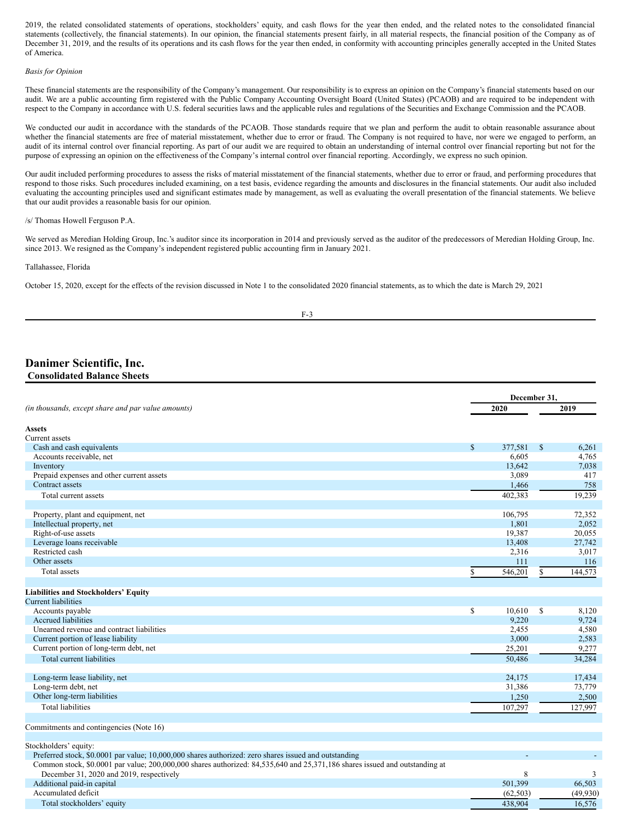2019, the related consolidated statements of operations, stockholders' equity, and cash flows for the year then ended, and the related notes to the consolidated financial statements (collectively, the financial statements). In our opinion, the financial statements present fairly, in all material respects, the financial position of the Company as of December 31, 2019, and the results of its operations and its cash flows for the year then ended, in conformity with accounting principles generally accepted in the United States of America.

## *Basis for Opinion*

These financial statements are the responsibility of the Company's management. Our responsibility is to express an opinion on the Company's financial statements based on our audit. We are a public accounting firm registered with the Public Company Accounting Oversight Board (United States) (PCAOB) and are required to be independent with respect to the Company in accordance with U.S. federal securities laws and the applicable rules and regulations of the Securities and Exchange Commission and the PCAOB.

We conducted our audit in accordance with the standards of the PCAOB. Those standards require that we plan and perform the audit to obtain reasonable assurance about whether the financial statements are free of material misstatement, whether due to error or fraud. The Company is not required to have, nor were we engaged to perform, an audit of its internal control over financial reporting. As part of our audit we are required to obtain an understanding of internal control over financial reporting but not for the purpose of expressing an opinion on the effectiveness of the Company's internal control over financial reporting. Accordingly, we express no such opinion.

Our audit included performing procedures to assess the risks of material misstatement of the financial statements, whether due to error or fraud, and performing procedures that respond to those risks. Such procedures included examining, on a test basis, evidence regarding the amounts and disclosures in the financial statements. Our audit also included evaluating the accounting principles used and significant estimates made by management, as well as evaluating the overall presentation of the financial statements. We believe that our audit provides a reasonable basis for our opinion.

/s/ Thomas Howell Ferguson P.A.

We served as Meredian Holding Group, Inc.'s auditor since its incorporation in 2014 and previously served as the auditor of the predecessors of Meredian Holding Group, Inc. since 2013. We resigned as the Company's independent registered public accounting firm in January 2021.

## Tallahassee, Florida

October 15, 2020, except for the effects of the revision discussed in Note 1 to the consolidated 2020 financial statements, as to which the date is March 29, 2021

## <span id="page-38-0"></span>**Danimer Scientific, Inc. Consolidated Balance Sheets**

| (in thousands, except share and par value amounts)<br>2019<br>2020<br>Assets<br>Current assets<br>Cash and cash equivalents<br>\$<br>377,581<br>\$<br>6,261<br>6.605<br>Accounts receivable, net<br>4,765<br>Inventory<br>13.642<br>7,038<br>Prepaid expenses and other current assets<br>3,089<br>417<br>Contract assets<br>1,466<br>758<br>402,383<br>19,239<br>Total current assets<br>106,795<br>Property, plant and equipment, net<br>72,352<br>1,801<br>Intellectual property, net<br>2,052<br>Right-of-use assets<br>19,387<br>20,055<br>Leverage loans receivable<br>13,408<br>27,742<br>Restricted cash<br>2,316<br>3,017<br>Other assets<br>111 |
|-----------------------------------------------------------------------------------------------------------------------------------------------------------------------------------------------------------------------------------------------------------------------------------------------------------------------------------------------------------------------------------------------------------------------------------------------------------------------------------------------------------------------------------------------------------------------------------------------------------------------------------------------------------|
|                                                                                                                                                                                                                                                                                                                                                                                                                                                                                                                                                                                                                                                           |
|                                                                                                                                                                                                                                                                                                                                                                                                                                                                                                                                                                                                                                                           |
|                                                                                                                                                                                                                                                                                                                                                                                                                                                                                                                                                                                                                                                           |
|                                                                                                                                                                                                                                                                                                                                                                                                                                                                                                                                                                                                                                                           |
|                                                                                                                                                                                                                                                                                                                                                                                                                                                                                                                                                                                                                                                           |
|                                                                                                                                                                                                                                                                                                                                                                                                                                                                                                                                                                                                                                                           |
|                                                                                                                                                                                                                                                                                                                                                                                                                                                                                                                                                                                                                                                           |
|                                                                                                                                                                                                                                                                                                                                                                                                                                                                                                                                                                                                                                                           |
|                                                                                                                                                                                                                                                                                                                                                                                                                                                                                                                                                                                                                                                           |
|                                                                                                                                                                                                                                                                                                                                                                                                                                                                                                                                                                                                                                                           |
|                                                                                                                                                                                                                                                                                                                                                                                                                                                                                                                                                                                                                                                           |
|                                                                                                                                                                                                                                                                                                                                                                                                                                                                                                                                                                                                                                                           |
|                                                                                                                                                                                                                                                                                                                                                                                                                                                                                                                                                                                                                                                           |
|                                                                                                                                                                                                                                                                                                                                                                                                                                                                                                                                                                                                                                                           |
| 116                                                                                                                                                                                                                                                                                                                                                                                                                                                                                                                                                                                                                                                       |
| Total assets<br>144,573<br>S.<br>546,201<br>S.                                                                                                                                                                                                                                                                                                                                                                                                                                                                                                                                                                                                            |
|                                                                                                                                                                                                                                                                                                                                                                                                                                                                                                                                                                                                                                                           |
| <b>Liabilities and Stockholders' Equity</b>                                                                                                                                                                                                                                                                                                                                                                                                                                                                                                                                                                                                               |
| <b>Current liabilities</b>                                                                                                                                                                                                                                                                                                                                                                                                                                                                                                                                                                                                                                |
| \$<br>Accounts payable<br>10,610<br>\$<br>8,120                                                                                                                                                                                                                                                                                                                                                                                                                                                                                                                                                                                                           |
| <b>Accrued liabilities</b><br>9,220<br>9,724                                                                                                                                                                                                                                                                                                                                                                                                                                                                                                                                                                                                              |
| Unearned revenue and contract liabilities<br>2,455<br>4,580                                                                                                                                                                                                                                                                                                                                                                                                                                                                                                                                                                                               |
| Current portion of lease liability<br>3.000<br>2,583                                                                                                                                                                                                                                                                                                                                                                                                                                                                                                                                                                                                      |
| Current portion of long-term debt, net<br>25,201<br>9,277                                                                                                                                                                                                                                                                                                                                                                                                                                                                                                                                                                                                 |
| Total current liabilities<br>50.486<br>34,284                                                                                                                                                                                                                                                                                                                                                                                                                                                                                                                                                                                                             |
| Long-term lease liability, net<br>24,175<br>17,434                                                                                                                                                                                                                                                                                                                                                                                                                                                                                                                                                                                                        |
| Long-term debt, net<br>31,386<br>73,779                                                                                                                                                                                                                                                                                                                                                                                                                                                                                                                                                                                                                   |
| Other long-term liabilities<br>1,250<br>2,500                                                                                                                                                                                                                                                                                                                                                                                                                                                                                                                                                                                                             |
| <b>Total liabilities</b><br>107,297<br>127,997                                                                                                                                                                                                                                                                                                                                                                                                                                                                                                                                                                                                            |
| Commitments and contingencies (Note 16)                                                                                                                                                                                                                                                                                                                                                                                                                                                                                                                                                                                                                   |
| Stockholders' equity:                                                                                                                                                                                                                                                                                                                                                                                                                                                                                                                                                                                                                                     |
| Preferred stock, \$0.0001 par value; 10,000,000 shares authorized: zero shares issued and outstanding                                                                                                                                                                                                                                                                                                                                                                                                                                                                                                                                                     |
| Common stock, \$0.0001 par value; 200,000,000 shares authorized: 84,535,640 and 25,371,186 shares issued and outstanding at                                                                                                                                                                                                                                                                                                                                                                                                                                                                                                                               |
| 8<br>December 31, 2020 and 2019, respectively<br>3                                                                                                                                                                                                                                                                                                                                                                                                                                                                                                                                                                                                        |
| Additional paid-in capital<br>501,399<br>66,503                                                                                                                                                                                                                                                                                                                                                                                                                                                                                                                                                                                                           |
| Accumulated deficit<br>(49, 930)<br>(62, 503)                                                                                                                                                                                                                                                                                                                                                                                                                                                                                                                                                                                                             |
| Total stockholders' equity<br>438,904<br>16,576                                                                                                                                                                                                                                                                                                                                                                                                                                                                                                                                                                                                           |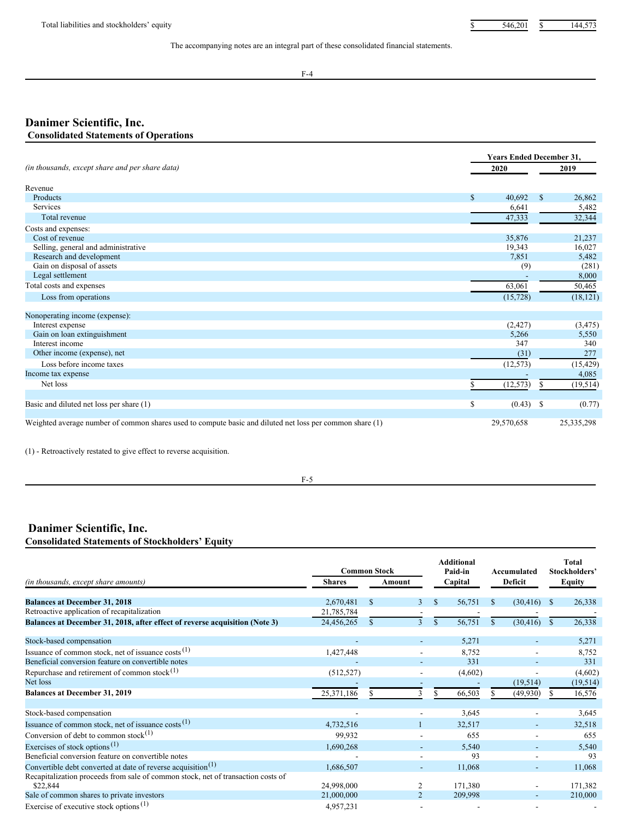The accompanying notes are an integral part of these consolidated financial statements.

F-4

# **Danimer Scientific, Inc.**

<span id="page-39-0"></span>

| <b>Consolidated Statements of Operations</b> |  |  |  |
|----------------------------------------------|--|--|--|
|----------------------------------------------|--|--|--|

|                                                                                                          | <b>Years Ended December 31.</b> |             |    |            |  |
|----------------------------------------------------------------------------------------------------------|---------------------------------|-------------|----|------------|--|
| (in thousands, except share and per share data)                                                          |                                 | 2020        |    | 2019       |  |
| Revenue                                                                                                  |                                 |             |    |            |  |
| Products                                                                                                 | $\mathbb{S}$                    | 40,692      | \$ | 26,862     |  |
| Services                                                                                                 |                                 | 6.641       |    | 5,482      |  |
| Total revenue                                                                                            |                                 | 47,333      |    | 32,344     |  |
| Costs and expenses:                                                                                      |                                 |             |    |            |  |
| Cost of revenue                                                                                          |                                 | 35,876      |    | 21,237     |  |
| Selling, general and administrative                                                                      |                                 | 19.343      |    | 16,027     |  |
| Research and development                                                                                 |                                 | 7,851       |    | 5,482      |  |
| Gain on disposal of assets                                                                               |                                 | (9)         |    | (281)      |  |
| Legal settlement                                                                                         |                                 |             |    | 8,000      |  |
| Total costs and expenses                                                                                 |                                 | 63,061      |    | 50,465     |  |
| Loss from operations                                                                                     |                                 | (15, 728)   |    | (18, 121)  |  |
| Nonoperating income (expense):                                                                           |                                 |             |    |            |  |
| Interest expense                                                                                         |                                 | (2,427)     |    | (3, 475)   |  |
| Gain on loan extinguishment                                                                              |                                 | 5,266       |    | 5,550      |  |
| Interest income                                                                                          |                                 | 347         |    | 340        |  |
| Other income (expense), net                                                                              |                                 | (31)        |    | 277        |  |
| Loss before income taxes                                                                                 |                                 | (12, 573)   |    | (15, 429)  |  |
| Income tax expense                                                                                       |                                 |             |    | 4,085      |  |
| Net loss                                                                                                 | S.                              | (12, 573)   | S  | (19, 514)  |  |
| Basic and diluted net loss per share (1)                                                                 | \$                              | $(0.43)$ \$ |    | (0.77)     |  |
| Weighted average number of common shares used to compute basic and diluted net loss per common share (1) |                                 | 29,570,658  |    | 25,335,298 |  |

(1) - Retroactively restated to give effect to reverse acquisition.

F-5

# <span id="page-39-1"></span>**Danimer Scientific, Inc.**

# **Consolidated Statements of Stockholders' Equity**

|                                                                                  | <b>Common Stock</b> |   |                          |              | <b>Additional</b><br>Paid-in |              | Accumulated              |               | Total<br>Stockholders' |  |
|----------------------------------------------------------------------------------|---------------------|---|--------------------------|--------------|------------------------------|--------------|--------------------------|---------------|------------------------|--|
| (in thousands, except share amounts)                                             | <b>Shares</b>       |   | Amount                   |              | Capital                      |              | Deficit                  |               | Equity                 |  |
| <b>Balances at December 31, 2018</b>                                             | 2,670,481           | S | 3                        | <sup>S</sup> | 56,751                       | <sup>S</sup> | (30, 416)                | S             | 26,338                 |  |
| Retroactive application of recapitalization                                      | 21,785,784          |   |                          |              |                              |              |                          |               |                        |  |
| Balances at December 31, 2018, after effect of reverse acquisition (Note 3)      | 24,456,265          |   | 3                        | $\mathbb{S}$ | 56,751                       |              | (30, 416)                | <sup>\$</sup> | 26,338                 |  |
| Stock-based compensation                                                         |                     |   |                          |              | 5,271                        |              |                          |               | 5,271                  |  |
| Issuance of common stock, net of issuance costs $(1)$                            | 1,427,448           |   |                          |              | 8,752                        |              |                          |               | 8,752                  |  |
| Beneficial conversion feature on convertible notes                               |                     |   |                          |              | 331                          |              |                          |               | 331                    |  |
| Repurchase and retirement of common stock $(1)$                                  | (512, 527)          |   |                          |              | (4,602)                      |              |                          |               | (4,602)                |  |
| Net loss                                                                         |                     |   |                          |              |                              |              | (19, 514)                |               | (19, 514)              |  |
| <b>Balances at December 31, 2019</b>                                             | 25,371,186          |   | 3                        |              | 66,503                       |              | (49, 930)                |               | 16,576                 |  |
|                                                                                  |                     |   |                          |              |                              |              |                          |               |                        |  |
| Stock-based compensation                                                         | $\blacksquare$      |   |                          |              | 3,645                        |              | $\overline{\phantom{a}}$ |               | 3,645                  |  |
| Issuance of common stock, net of issuance costs $(1)$                            | 4,732,516           |   |                          |              | 32,517                       |              |                          |               | 32,518                 |  |
| Conversion of debt to common stock $(1)$                                         | 99,932              |   |                          |              | 655                          |              |                          |               | 655                    |  |
| Exercises of stock options <sup>(1)</sup>                                        | 1,690,268           |   |                          |              | 5,540                        |              |                          |               | 5,540                  |  |
| Beneficial conversion feature on convertible notes                               |                     |   |                          |              | 93                           |              | $\blacksquare$           |               | 93                     |  |
| Convertible debt converted at date of reverse acquisition <sup>(1)</sup>         | 1,686,507           |   |                          |              | 11,068                       |              |                          |               | 11,068                 |  |
| Recapitalization proceeds from sale of common stock, net of transaction costs of |                     |   |                          |              |                              |              |                          |               |                        |  |
| \$22,844                                                                         | 24,998,000          |   |                          |              | 171,380                      |              |                          |               | 171,382                |  |
| Sale of common shares to private investors                                       | 21,000,000          |   | $\overline{2}$           |              | 209,998                      |              |                          |               | 210,000                |  |
| Exercise of executive stock options <sup>(1)</sup>                               | 4,957,231           |   | $\overline{\phantom{a}}$ |              |                              |              | $\overline{\phantom{a}}$ |               |                        |  |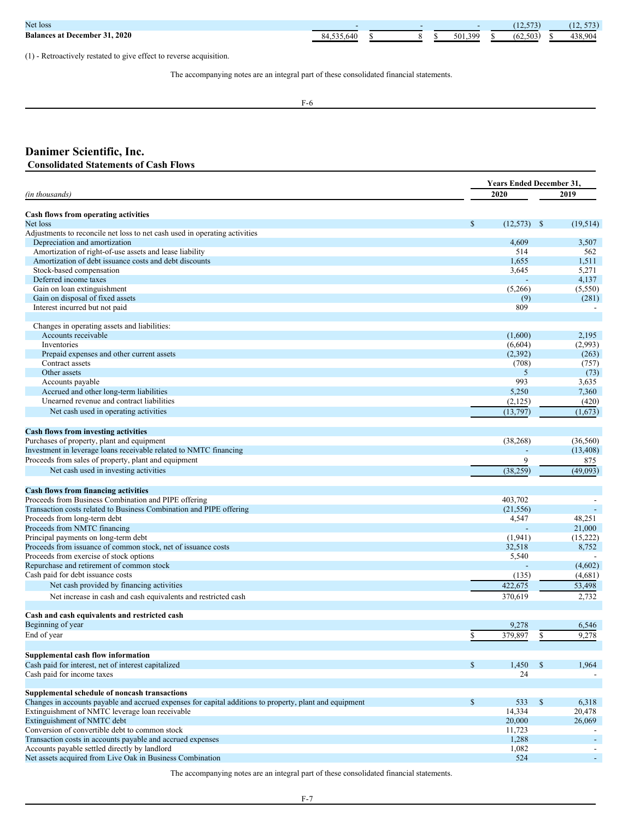| Net loss                                             |                |  |             | (10.57)<br>, , , , , , , , , | $- - -$       |
|------------------------------------------------------|----------------|--|-------------|------------------------------|---------------|
| 2020<br><b>Balances at December</b><br>$\sim$ $\sim$ | $\overline{A}$ |  | 399<br>501. | (62.503)                     | ാവ<br>.,,,,,, |

(1) - Retroactively restated to give effect to reverse acquisition.

The accompanying notes are an integral part of these consolidated financial statements.

F-6

# **Danimer Scientific, Inc.**

## <span id="page-40-0"></span>**Consolidated Statements of Cash Flows**

|                                                                                                         |                 |             | <b>Years Ended December 31,</b> |
|---------------------------------------------------------------------------------------------------------|-----------------|-------------|---------------------------------|
| (in thousands)                                                                                          | 2020            |             | 2019                            |
|                                                                                                         |                 |             |                                 |
| Cash flows from operating activities<br>Net loss                                                        | (12, 573)<br>\$ | - \$        | (19, 514)                       |
| Adjustments to reconcile net loss to net cash used in operating activities                              |                 |             |                                 |
| Depreciation and amortization                                                                           | 4,609           |             | 3,507                           |
| Amortization of right-of-use assets and lease liability                                                 |                 | 514         | 562                             |
| Amortization of debt issuance costs and debt discounts                                                  | 1,655           |             | 1,511                           |
| Stock-based compensation                                                                                | 3,645           |             | 5,271                           |
| Deferred income taxes                                                                                   |                 |             | 4,137                           |
| Gain on loan extinguishment                                                                             | (5,266)         |             | (5,550)                         |
| Gain on disposal of fixed assets                                                                        |                 | (9)         | (281)                           |
| Interest incurred but not paid                                                                          |                 | 809         |                                 |
| Changes in operating assets and liabilities:                                                            |                 |             |                                 |
| Accounts receivable                                                                                     | (1,600)         |             | 2,195                           |
| Inventories                                                                                             | (6,604)         |             | (2,993)                         |
| Prepaid expenses and other current assets                                                               | (2,392)         |             | (263)                           |
| Contract assets                                                                                         |                 | (708)       | (757)                           |
| Other assets                                                                                            |                 | 5           | (73)                            |
| Accounts payable                                                                                        |                 | 993         | 3,635                           |
| Accrued and other long-term liabilities                                                                 | 5,250           |             | 7,360                           |
| Unearned revenue and contract liabilities                                                               | (2,125)         |             | (420)                           |
| Net cash used in operating activities                                                                   | (13, 797)       |             | (1,673)                         |
| Cash flows from investing activities                                                                    |                 |             |                                 |
| Purchases of property, plant and equipment                                                              | (38, 268)       |             | (36, 560)                       |
| Investment in leverage loans receivable related to NMTC financing                                       |                 |             | (13, 408)                       |
| Proceeds from sales of property, plant and equipment                                                    |                 | $\mathbf Q$ | 875                             |
| Net cash used in investing activities                                                                   | (38, 259)       |             | (49.093)                        |
| Cash flows from financing activities                                                                    |                 |             |                                 |
| Proceeds from Business Combination and PIPE offering                                                    | 403,702         |             |                                 |
| Transaction costs related to Business Combination and PIPE offering                                     | (21, 556)       |             |                                 |
| Proceeds from long-term debt                                                                            | 4,547           |             | 48,251                          |
| Proceeds from NMTC financing                                                                            |                 |             | 21,000                          |
| Principal payments on long-term debt                                                                    | (1, 941)        |             | (15,222)                        |
| Proceeds from issuance of common stock, net of issuance costs                                           | 32,518          |             | 8,752                           |
| Proceeds from exercise of stock options                                                                 | 5,540           |             |                                 |
| Repurchase and retirement of common stock                                                               |                 |             | (4,602)                         |
| Cash paid for debt issuance costs                                                                       |                 | (135)       | (4,681)                         |
| Net cash provided by financing activities                                                               | 422,675         |             | 53,498                          |
| Net increase in cash and cash equivalents and restricted cash                                           | 370.619         |             | 2,732                           |
| Cash and cash equivalents and restricted cash                                                           |                 |             |                                 |
| Beginning of year                                                                                       | 9,278           |             | 6,546                           |
| End of year                                                                                             | 379,897<br>\$   | \$          | 9,278                           |
|                                                                                                         |                 |             |                                 |
| Supplemental cash flow information<br>Cash paid for interest, net of interest capitalized               | \$              | 1,450<br>\$ | 1,964                           |
| Cash paid for income taxes                                                                              |                 | 24          |                                 |
|                                                                                                         |                 |             |                                 |
| Supplemental schedule of noncash transactions                                                           |                 |             |                                 |
| Changes in accounts payable and accrued expenses for capital additions to property, plant and equipment | $\mathbb S$     | 533<br>\$   | 6,318                           |
| Extinguishment of NMTC leverage loan receivable                                                         | 14,334          |             | 20,478                          |
| Extinguishment of NMTC debt<br>Conversion of convertible debt to common stock                           | 20,000          |             | 26,069                          |
| Transaction costs in accounts payable and accrued expenses                                              | 11,723          | 1,288       | $\overline{\phantom{a}}$        |
| Accounts payable settled directly by landlord                                                           | 1,082           |             |                                 |
| Net assets acquired from Live Oak in Business Combination                                               |                 | 524         |                                 |

The accompanying notes are an integral part of these consolidated financial statements.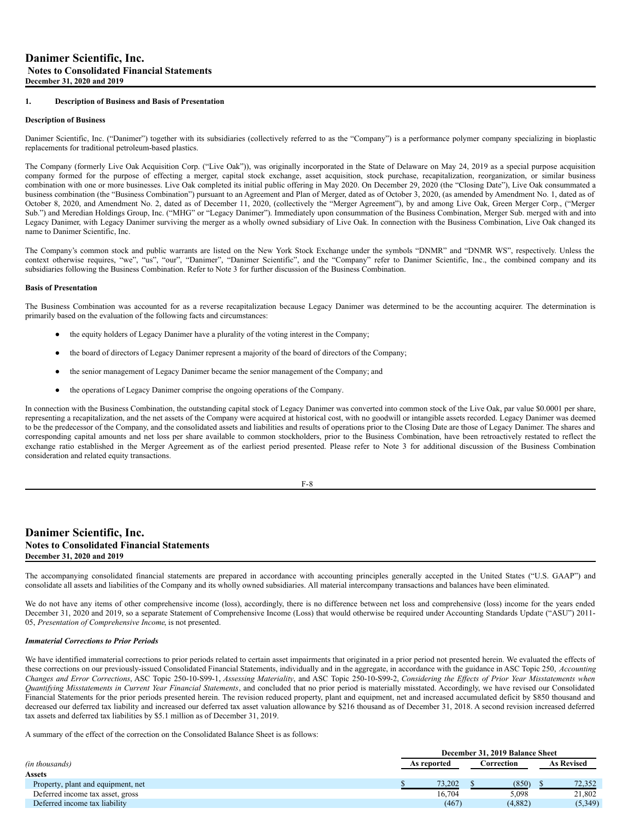## <span id="page-41-0"></span>**Danimer Scientific, Inc. Notes to Consolidated Financial Statements December 31, 2020 and 2019**

## **1. Description of Business and Basis of Presentation**

## **Description of Business**

Danimer Scientific, Inc. ("Danimer") together with its subsidiaries (collectively referred to as the "Company") is a performance polymer company specializing in bioplastic replacements for traditional petroleum-based plastics.

The Company (formerly Live Oak Acquisition Corp. ("Live Oak")), was originally incorporated in the State of Delaware on May 24, 2019 as a special purpose acquisition company formed for the purpose of effecting a merger, capital stock exchange, asset acquisition, stock purchase, recapitalization, reorganization, or similar business combination with one or more businesses. Live Oak completed its initial public offering in May 2020. On December 29, 2020 (the "Closing Date"), Live Oak consummated a business combination (the "Business Combination") pursuant to an Agreement and Plan of Merger, dated as of October 3, 2020, (as amended by Amendment No. 1, dated as of October 8, 2020, and Amendment No. 2, dated as of December 11, 2020, (collectively the "Merger Agreement"), by and among Live Oak, Green Merger Corp., ("Merger Sub.") and Meredian Holdings Group, Inc. ("MHG" or "Legacy Danimer"). Immediately upon consummation of the Business Combination, Merger Sub. merged with and into Legacy Danimer, with Legacy Danimer surviving the merger as a wholly owned subsidiary of Live Oak. In connection with the Business Combination, Live Oak changed its name to Danimer Scientific, Inc.

The Company's common stock and public warrants are listed on the New York Stock Exchange under the symbols "DNMR" and "DNMR WS", respectively. Unless the context otherwise requires, "we", "us", "our", "Danimer", "Danimer Scientific", and the "Company" refer to Danimer Scientific, Inc., the combined company and its subsidiaries following the Business Combination. Refer to Note 3 for further discussion of the Business Combination.

### **Basis of Presentation**

The Business Combination was accounted for as a reverse recapitalization because Legacy Danimer was determined to be the accounting acquirer. The determination is primarily based on the evaluation of the following facts and circumstances:

- the equity holders of Legacy Danimer have a plurality of the voting interest in the Company;
- the board of directors of Legacy Danimer represent a majority of the board of directors of the Company;
- the senior management of Legacy Danimer became the senior management of the Company; and
- the operations of Legacy Danimer comprise the ongoing operations of the Company.

In connection with the Business Combination, the outstanding capital stock of Legacy Danimer was converted into common stock of the Live Oak, par value \$0.0001 per share, representing a recapitalization, and the net assets of the Company were acquired at historical cost, with no goodwill or intangible assets recorded. Legacy Danimer was deemed to be the predecessor of the Company, and the consolidated assets and liabilities and results of operations prior to the Closing Date are those of Legacy Danimer. The shares and corresponding capital amounts and net loss per share available to common stockholders, prior to the Business Combination, have been retroactively restated to reflect the exchange ratio established in the Merger Agreement as of the earliest period presented. Please refer to Note 3 for additional discussion of the Business Combination consideration and related equity transactions.

F-8

## **Danimer Scientific, Inc. Notes to Consolidated Financial Statements December 31, 2020 and 2019**

The accompanying consolidated financial statements are prepared in accordance with accounting principles generally accepted in the United States ("U.S. GAAP") and consolidate all assets and liabilities of the Company and its wholly owned subsidiaries. All material intercompany transactions and balances have been eliminated.

We do not have any items of other comprehensive income (loss), accordingly, there is no difference between net loss and comprehensive (loss) income for the years ended December 31, 2020 and 2019, so a separate Statement of Comprehensive Income (Loss) that would otherwise be required under Accounting Standards Update ("ASU") 2011- 05, *Presentation of Comprehensive Income*, is not presented.

## *Immaterial Corrections to Prior Periods*

We have identified immaterial corrections to prior periods related to certain asset impairments that originated in a prior period not presented herein. We evaluated the effects of these corrections on our previously-issued Consolidated Financial Statements, individually and in the aggregate, in accordance with the guidance in ASC Topic 250, *Accounting* Changes and Error Corrections, ASC Topic 250-10-S99-1, Assessing Materiality, and ASC Topic 250-10-S99-2, Considering the Effects of Prior Year Misstatements when *Quantifying Misstatements in Current Year Financial Statements*, and concluded that no prior period is materially misstated. Accordingly, we have revised our Consolidated Financial Statements for the prior periods presented herein. The revision reduced property, plant and equipment, net and increased accumulated deficit by \$850 thousand and decreased our deferred tax liability and increased our deferred tax asset valuation allowance by \$216 thousand as of December 31, 2018. A second revision increased deferred tax assets and deferred tax liabilities by \$5.1 million as of December 31, 2019.

A summary of the effect of the correction on the Consolidated Balance Sheet is as follows:

|                                    |             | December 31, 2019 Balance Sheet |                   |  |  |
|------------------------------------|-------------|---------------------------------|-------------------|--|--|
| (in thousands)                     | As reported | Correction                      | <b>As Revised</b> |  |  |
| <b>Assets</b>                      |             |                                 |                   |  |  |
| Property, plant and equipment, net | 73.202      | (850)                           | 72.352            |  |  |
| Deferred income tax asset, gross   | 16.704      | 5,098                           | 21,802            |  |  |
| Deferred income tax liability      |             | (467)<br>(4,882)                | (5,349)           |  |  |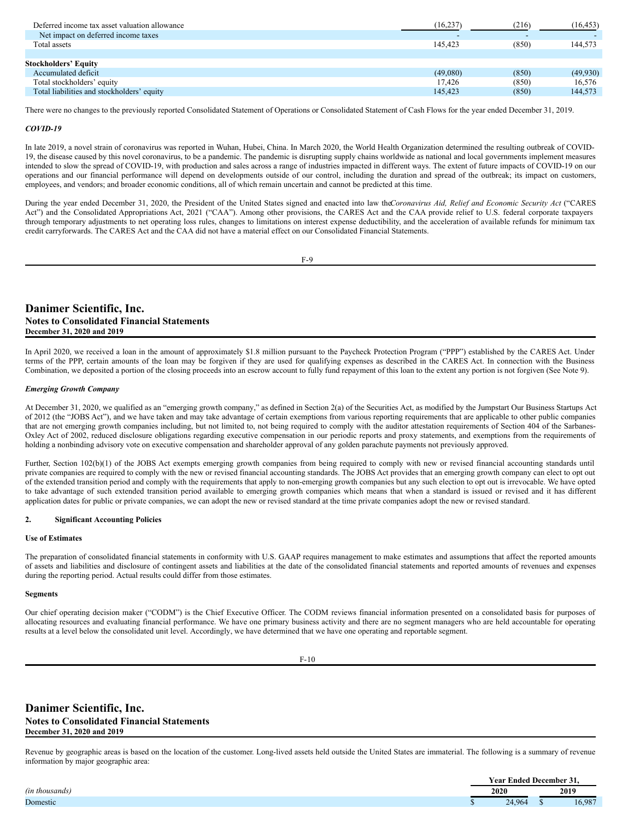| Deferred income tax asset valuation allowance | (16, 237) | (216) | (16, 453) |
|-----------------------------------------------|-----------|-------|-----------|
| Net impact on deferred income taxes           |           |       |           |
| Total assets                                  | 145.423   | (850) | 144,573   |
|                                               |           |       |           |
| <b>Stockholders' Equity</b>                   |           |       |           |
| Accumulated deficit                           | (49,080)  | (850) | (49,930)  |
| Total stockholders' equity                    | 17.426    | (850) | 16,576    |
| Total liabilities and stockholders' equity    | 145.423   | (850) | 144,573   |
|                                               |           |       |           |

There were no changes to the previously reported Consolidated Statement of Operations or Consolidated Statement of Cash Flows for the year ended December 31, 2019.

## *COVID-19*

In late 2019, a novel strain of coronavirus was reported in Wuhan, Hubei, China. In March 2020, the World Health Organization determined the resulting outbreak of COVID-19, the disease caused by this novel coronavirus, to be a pandemic. The pandemic is disrupting supply chains worldwide as national and local governments implement measures intended to slow the spread of COVID-19, with production and sales across a range of industries impacted in different ways. The extent of future impacts of COVID-19 on our operations and our financial performance will depend on developments outside of our control, including the duration and spread of the outbreak; its impact on customers, employees, and vendors; and broader economic conditions, all of which remain uncertain and cannot be predicted at this time.

During the year ended December 31, 2020, the President of the United States signed and enacted into law the*Coronavirus Aid, Relief and Economic Security Act* ("CARES Act") and the Consolidated Appropriations Act, 2021 ("CAA"). Among other provisions, the CARES Act and the CAA provide relief to U.S. federal corporate taxpayers through temporary adjustments to net operating loss rules, changes to limitations on interest expense deductibility, and the acceleration of available refunds for minimum tax credit carryforwards. The CARES Act and the CAA did not have a material effect on our Consolidated Financial Statements.

F-9

## **Danimer Scientific, Inc. Notes to Consolidated Financial Statements December 31, 2020 and 2019**

In April 2020, we received a loan in the amount of approximately \$1.8 million pursuant to the Paycheck Protection Program ("PPP") established by the CARES Act. Under terms of the PPP, certain amounts of the loan may be forgiven if they are used for qualifying expenses as described in the CARES Act. In connection with the Business Combination, we deposited a portion of the closing proceeds into an escrow account to fully fund repayment of this loan to the extent any portion is not forgiven (See Note 9).

## *Emerging Growth Company*

At December 31, 2020, we qualified as an "emerging growth company," as defined in Section 2(a) of the Securities Act, as modified by the Jumpstart Our Business Startups Act of 2012 (the "JOBS Act"), and we have taken and may take advantage of certain exemptions from various reporting requirements that are applicable to other public companies that are not emerging growth companies including, but not limited to, not being required to comply with the auditor attestation requirements of Section 404 of the Sarbanes-Oxley Act of 2002, reduced disclosure obligations regarding executive compensation in our periodic reports and proxy statements, and exemptions from the requirements of holding a nonbinding advisory vote on executive compensation and shareholder approval of any golden parachute payments not previously approved.

Further, Section 102(b)(1) of the JOBS Act exempts emerging growth companies from being required to comply with new or revised financial accounting standards until private companies are required to comply with the new or revised financial accounting standards. The JOBS Act provides that an emerging growth company can elect to opt out of the extended transition period and comply with the requirements that apply to non-emerging growth companies but any such election to opt out is irrevocable. We have opted to take advantage of such extended transition period available to emerging growth companies which means that when a standard is issued or revised and it has different application dates for public or private companies, we can adopt the new or revised standard at the time private companies adopt the new or revised standard.

## **2. Significant Accounting Policies**

## **Use of Estimates**

The preparation of consolidated financial statements in conformity with U.S. GAAP requires management to make estimates and assumptions that affect the reported amounts of assets and liabilities and disclosure of contingent assets and liabilities at the date of the consolidated financial statements and reported amounts of revenues and expenses during the reporting period. Actual results could differ from those estimates.

## **Segments**

Our chief operating decision maker ("CODM") is the Chief Executive Officer. The CODM reviews financial information presented on a consolidated basis for purposes of allocating resources and evaluating financial performance. We have one primary business activity and there are no segment managers who are held accountable for operating results at a level below the consolidated unit level. Accordingly, we have determined that we have one operating and reportable segment.

F-10

## **Danimer Scientific, Inc. Notes to Consolidated Financial Statements December 31, 2020 and 2019**

Revenue by geographic areas is based on the location of the customer. Long-lived assets held outside the United States are immaterial. The following is a summary of revenue information by major geographic area:

|                 | <b>Year Ended December 31.</b> |        |
|-----------------|--------------------------------|--------|
| (in thousands)  | 2020                           | 2019   |
| Domestic<br>. . | 24.964                         | 16,987 |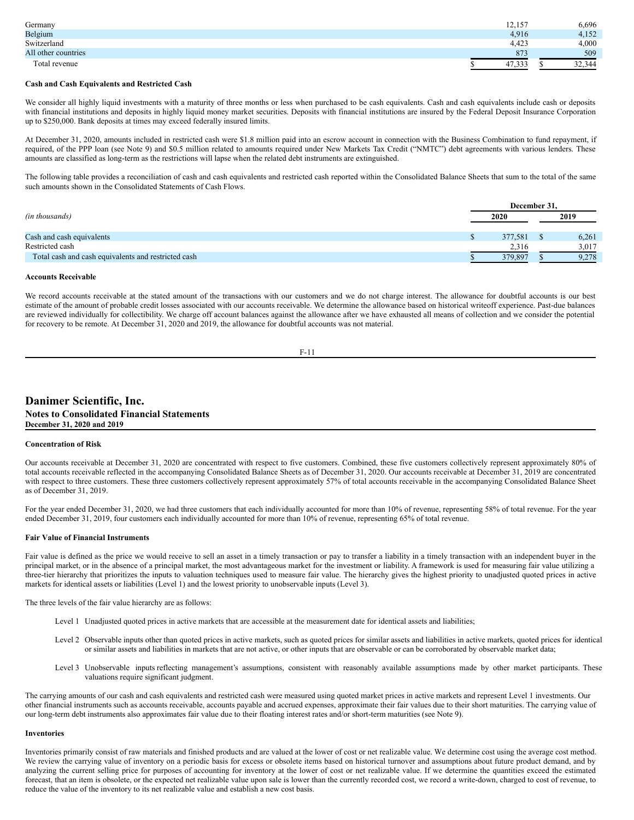| Germany             | 12,157 | 6,696  |
|---------------------|--------|--------|
| Belgium             | 4,916  | 4,152  |
| Switzerland         | 4,423  | 4.000  |
| All other countries | 873    | 509    |
| Total revenue       | 47,333 | 32,344 |

## **Cash and Cash Equivalents and Restricted Cash**

We consider all highly liquid investments with a maturity of three months or less when purchased to be cash equivalents. Cash and cash equivalents include cash or deposits with financial institutions and deposits in highly liquid money market securities. Deposits with financial institutions are insured by the Federal Deposit Insurance Corporation up to \$250,000. Bank deposits at times may exceed federally insured limits.

At December 31, 2020, amounts included in restricted cash were \$1.8 million paid into an escrow account in connection with the Business Combination to fund repayment, if required, of the PPP loan (see Note 9) and \$0.5 million related to amounts required under New Markets Tax Credit ("NMTC") debt agreements with various lenders. These amounts are classified as long-term as the restrictions will lapse when the related debt instruments are extinguished.

The following table provides a reconciliation of cash and cash equivalents and restricted cash reported within the Consolidated Balance Sheets that sum to the total of the same such amounts shown in the Consolidated Statements of Cash Flows.

|                                                     |  | December 31. |  |       |  |
|-----------------------------------------------------|--|--------------|--|-------|--|
| (in thousands)                                      |  | 2020         |  | 2019  |  |
|                                                     |  |              |  |       |  |
| Cash and cash equivalents                           |  | 377.581      |  | 6,261 |  |
| Restricted cash                                     |  | 2,316        |  | 3,017 |  |
| Total cash and cash equivalents and restricted cash |  | 379,897      |  | 9.278 |  |

### **Accounts Receivable**

We record accounts receivable at the stated amount of the transactions with our customers and we do not charge interest. The allowance for doubtful accounts is our best estimate of the amount of probable credit losses associated with our accounts receivable. We determine the allowance based on historical writeoff experience. Past-due balances are reviewed individually for collectibility. We charge off account balances against the allowance after we have exhausted all means of collection and we consider the potential for recovery to be remote. At December 31, 2020 and 2019, the allowance for doubtful accounts was not material.

| _ |
|---|
|   |

## **Danimer Scientific, Inc. Notes to Consolidated Financial Statements December 31, 2020 and 2019**

## **Concentration of Risk**

Our accounts receivable at December 31, 2020 are concentrated with respect to five customers. Combined, these five customers collectively represent approximately 80% of total accounts receivable reflected in the accompanying Consolidated Balance Sheets as of December 31, 2020. Our accounts receivable at December 31, 2019 are concentrated with respect to three customers. These three customers collectively represent approximately 57% of total accounts receivable in the accompanying Consolidated Balance Sheet as of December 31, 2019.

For the year ended December 31, 2020, we had three customers that each individually accounted for more than 10% of revenue, representing 58% of total revenue. For the year ended December 31, 2019, four customers each individually accounted for more than 10% of revenue, representing 65% of total revenue.

#### **Fair Value of Financial Instruments**

Fair value is defined as the price we would receive to sell an asset in a timely transaction or pay to transfer a liability in a timely transaction with an independent buyer in the principal market, or in the absence of a principal market, the most advantageous market for the investment or liability. A framework is used for measuring fair value utilizing a three-tier hierarchy that prioritizes the inputs to valuation techniques used to measure fair value. The hierarchy gives the highest priority to unadjusted quoted prices in active markets for identical assets or liabilities (Level 1) and the lowest priority to unobservable inputs (Level 3).

The three levels of the fair value hierarchy are as follows:

- Level 1 Unadjusted quoted prices in active markets that are accessible at the measurement date for identical assets and liabilities;
- Level 2 Observable inputs other than quoted prices in active markets, such as quoted prices for similar assets and liabilities in active markets, quoted prices for identical or similar assets and liabilities in markets that are not active, or other inputs that are observable or can be corroborated by observable market data;
- Level 3 Unobservable inputs reflecting management's assumptions, consistent with reasonably available assumptions made by other market participants. These valuations require significant judgment.

The carrying amounts of our cash and cash equivalents and restricted cash were measured using quoted market prices in active markets and represent Level 1 investments. Our other financial instruments such as accounts receivable, accounts payable and accrued expenses, approximate their fair values due to their short maturities. The carrying value of our long-term debt instruments also approximates fair value due to their floating interest rates and/or short-term maturities (see Note 9).

## **Inventories**

Inventories primarily consist of raw materials and finished products and are valued at the lower of cost or net realizable value. We determine cost using the average cost method. We review the carrying value of inventory on a periodic basis for excess or obsolete items based on historical turnover and assumptions about future product demand, and by analyzing the current selling price for purposes of accounting for inventory at the lower of cost or net realizable value. If we determine the quantities exceed the estimated forecast, that an item is obsolete, or the expected net realizable value upon sale is lower than the currently recorded cost, we record a write-down, charged to cost of revenue, to reduce the value of the inventory to its net realizable value and establish a new cost basis.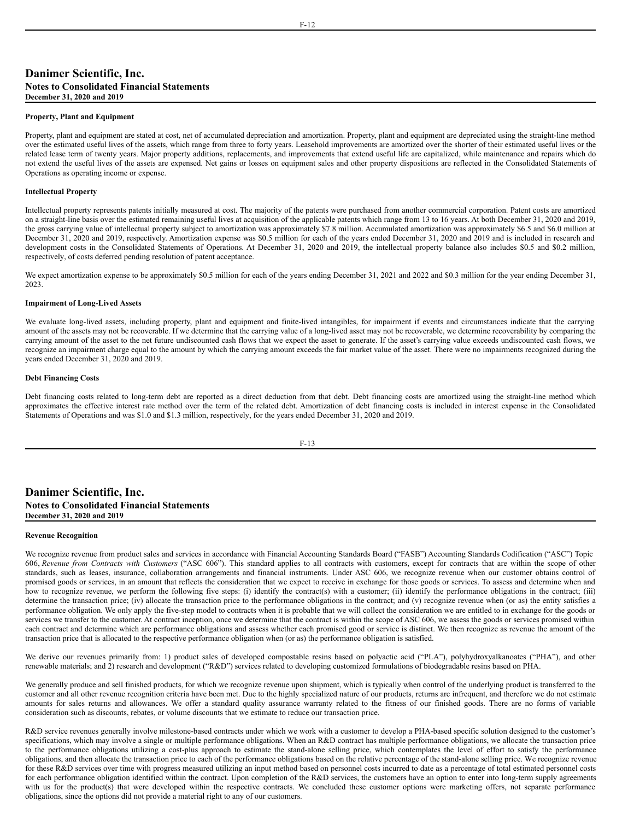## **Danimer Scientific, Inc. Notes to Consolidated Financial Statements December 31, 2020 and 2019**

## **Property, Plant and Equipment**

Property, plant and equipment are stated at cost, net of accumulated depreciation and amortization. Property, plant and equipment are depreciated using the straight-line method over the estimated useful lives of the assets, which range from three to forty years. Leasehold improvements are amortized over the shorter of their estimated useful lives or the related lease term of twenty years. Major property additions, replacements, and improvements that extend useful life are capitalized, while maintenance and repairs which do not extend the useful lives of the assets are expensed. Net gains or losses on equipment sales and other property dispositions are reflected in the Consolidated Statements of Operations as operating income or expense.

### **Intellectual Property**

Intellectual property represents patents initially measured at cost. The majority of the patents were purchased from another commercial corporation. Patent costs are amortized on a straight-line basis over the estimated remaining useful lives at acquisition of the applicable patents which range from 13 to 16 years. At both December 31, 2020 and 2019, the gross carrying value of intellectual property subject to amortization was approximately \$7.8 million. Accumulated amortization was approximately \$6.5 and \$6.0 million at December 31, 2020 and 2019, respectively. Amortization expense was \$0.5 million for each of the years ended December 31, 2020 and 2019 and is included in research and development costs in the Consolidated Statements of Operations. At December 31, 2020 and 2019, the intellectual property balance also includes \$0.5 and \$0.2 million, respectively, of costs deferred pending resolution of patent acceptance.

We expect amortization expense to be approximately \$0.5 million for each of the years ending December 31, 2021 and 2022 and \$0.3 million for the year ending December 31, 2023.

#### **Impairment of Long-Lived Assets**

We evaluate long-lived assets, including property, plant and equipment and finite-lived intangibles, for impairment if events and circumstances indicate that the carrying amount of the assets may not be recoverable. If we determine that the carrying value of a long-lived asset may not be recoverable, we determine recoverability by comparing the carrying amount of the asset to the net future undiscounted cash flows that we expect the asset to generate. If the asset's carrying value exceeds undiscounted cash flows, we recognize an impairment charge equal to the amount by which the carrying amount exceeds the fair market value of the asset. There were no impairments recognized during the years ended December 31, 2020 and 2019.

## **Debt Financing Costs**

Debt financing costs related to long-term debt are reported as a direct deduction from that debt. Debt financing costs are amortized using the straight-line method which approximates the effective interest rate method over the term of the related debt. Amortization of debt financing costs is included in interest expense in the Consolidated Statements of Operations and was \$1.0 and \$1.3 million, respectively, for the years ended December 31, 2020 and 2019.

F-13

## **Danimer Scientific, Inc. Notes to Consolidated Financial Statements December 31, 2020 and 2019**

#### **Revenue Recognition**

We recognize revenue from product sales and services in accordance with Financial Accounting Standards Board ("FASB") Accounting Standards Codification ("ASC") Topic 606, *Revenue from Contracts with Customers* ("ASC 606"). This standard applies to all contracts with customers, except for contracts that are within the scope of other standards, such as leases, insurance, collaboration arrangements and financial instruments. Under ASC 606, we recognize revenue when our customer obtains control of promised goods or services, in an amount that reflects the consideration that we expect to receive in exchange for those goods or services. To assess and determine when and how to recognize revenue, we perform the following five steps: (i) identify the contract(s) with a customer; (ii) identify the performance obligations in the contract; (iii) determine the transaction price; (iv) allocate the transaction price to the performance obligations in the contract; and (v) recognize revenue when (or as) the entity satisfies a performance obligation. We only apply the five-step model to contracts when it is probable that we will collect the consideration we are entitled to in exchange for the goods or services we transfer to the customer. At contract inception, once we determine that the contract is within the scope of ASC 606, we assess the goods or services promised within each contract and determine which are performance obligations and assess whether each promised good or service is distinct. We then recognize as revenue the amount of the transaction price that is allocated to the respective performance obligation when (or as) the performance obligation is satisfied.

We derive our revenues primarily from: 1) product sales of developed compostable resins based on polyactic acid ("PLA"), polyhydroxyalkanoates ("PHA"), and other renewable materials; and 2) research and development ("R&D") services related to developing customized formulations of biodegradable resins based on PHA.

We generally produce and sell finished products, for which we recognize revenue upon shipment, which is typically when control of the underlying product is transferred to the customer and all other revenue recognition criteria have been met. Due to the highly specialized nature of our products, returns are infrequent, and therefore we do not estimate amounts for sales returns and allowances. We offer a standard quality assurance warranty related to the fitness of our finished goods. There are no forms of variable consideration such as discounts, rebates, or volume discounts that we estimate to reduce our transaction price.

R&D service revenues generally involve milestone-based contracts under which we work with a customer to develop a PHA-based specific solution designed to the customer's specifications, which may involve a single or multiple performance obligations. When an R&D contract has multiple performance obligations, we allocate the transaction price to the performance obligations utilizing a cost-plus approach to estimate the stand-alone selling price, which contemplates the level of effort to satisfy the performance obligations, and then allocate the transaction price to each of the performance obligations based on the relative percentage of the stand-alone selling price. We recognize revenue for these R&D services over time with progress measured utilizing an input method based on personnel costs incurred to date as a percentage of total estimated personnel costs for each performance obligation identified within the contract. Upon completion of the R&D services, the customers have an option to enter into long-term supply agreements with us for the product(s) that were developed within the respective contracts. We concluded these customer options were marketing offers, not separate performance obligations, since the options did not provide a material right to any of our customers.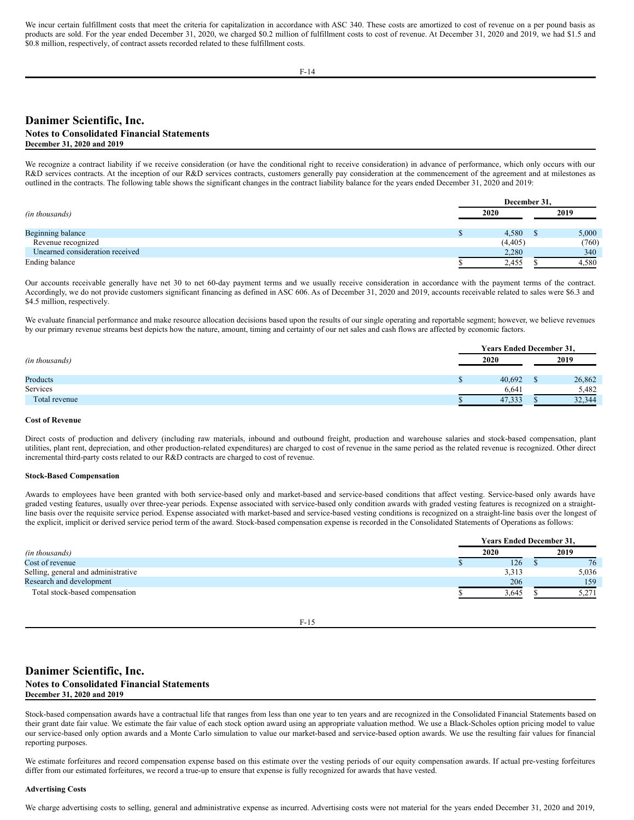We incur certain fulfillment costs that meet the criteria for capitalization in accordance with ASC 340. These costs are amortized to cost of revenue on a per pound basis as products are sold. For the year ended December 31, 2020, we charged \$0.2 million of fulfillment costs to cost of revenue. At December 31, 2020 and 2019, we had \$1.5 and \$0.8 million, respectively, of contract assets recorded related to these fulfillment costs.

## **Danimer Scientific, Inc. Notes to Consolidated Financial Statements December 31, 2020 and 2019**

We recognize a contract liability if we receive consideration (or have the conditional right to receive consideration) in advance of performance, which only occurs with our R&D services contracts. At the inception of our R&D services contracts, customers generally pay consideration at the commencement of the agreement and at milestones as outlined in the contracts. The following table shows the significant changes in the contract liability balance for the years ended December 31, 2020 and 2019:

|                                 |  | December 31. |      |       |  |  |  |
|---------------------------------|--|--------------|------|-------|--|--|--|
| (in thousands)                  |  | 2020         | 2019 |       |  |  |  |
| Beginning balance               |  | 4,580        |      | 5,000 |  |  |  |
| Revenue recognized              |  | (4,405)      |      | (760) |  |  |  |
| Unearned consideration received |  | 2,280        |      | 340   |  |  |  |
| Ending balance                  |  | 2,455        |      | 4,580 |  |  |  |

Our accounts receivable generally have net 30 to net 60-day payment terms and we usually receive consideration in accordance with the payment terms of the contract. Accordingly, we do not provide customers significant financing as defined in ASC 606. As of December 31, 2020 and 2019, accounts receivable related to sales were \$6.3 and \$4.5 million, respectively.

We evaluate financial performance and make resource allocation decisions based upon the results of our single operating and reportable segment; however, we believe revenues by our primary revenue streams best depicts how the nature, amount, timing and certainty of our net sales and cash flows are affected by economic factors.

|                | <b>Years Ended December 31,</b> |  |        |  |  |  |
|----------------|---------------------------------|--|--------|--|--|--|
| (in thousands) | 2020                            |  | 2019   |  |  |  |
|                |                                 |  |        |  |  |  |
| Products       | 40,692                          |  | 26,862 |  |  |  |
| Services       | 6.641                           |  | 5,482  |  |  |  |
| Total revenue  | 47.333                          |  | 32,344 |  |  |  |

#### **Cost of Revenue**

Direct costs of production and delivery (including raw materials, inbound and outbound freight, production and warehouse salaries and stock-based compensation, plant utilities, plant rent, depreciation, and other production-related expenditures) are charged to cost of revenue in the same period as the related revenue is recognized. Other direct incremental third-party costs related to our R&D contracts are charged to cost of revenue.

## **Stock-Based Compensation**

Awards to employees have been granted with both service-based only and market-based and service-based conditions that affect vesting. Service-based only awards have graded vesting features, usually over three-year periods. Expense associated with service-based only condition awards with graded vesting features is recognized on a straightline basis over the requisite service period. Expense associated with market-based and service-based vesting conditions is recognized on a straight-line basis over the longest of the explicit, implicit or derived service period term of the award. Stock-based compensation expense is recorded in the Consolidated Statements of Operations as follows:

|                                     | <b>Years Ended December 31.</b> |       |  |       |  |  |
|-------------------------------------|---------------------------------|-------|--|-------|--|--|
| (in thousands)                      |                                 | 2020  |  | 2019  |  |  |
| Cost of revenue                     |                                 | 126   |  | 76    |  |  |
| Selling, general and administrative |                                 | 3,313 |  | 5,036 |  |  |
| Research and development            |                                 | 206   |  | 159   |  |  |
| Total stock-based compensation      |                                 | 3.645 |  | 5.271 |  |  |

F-15

## **Danimer Scientific, Inc. Notes to Consolidated Financial Statements December 31, 2020 and 2019**

Stock-based compensation awards have a contractual life that ranges from less than one year to ten years and are recognized in the Consolidated Financial Statements based on their grant date fair value. We estimate the fair value of each stock option award using an appropriate valuation method. We use a Black-Scholes option pricing model to value our service-based only option awards and a Monte Carlo simulation to value our market-based and service-based option awards. We use the resulting fair values for financial reporting purposes.

We estimate forfeitures and record compensation expense based on this estimate over the vesting periods of our equity compensation awards. If actual pre-vesting forfeitures differ from our estimated forfeitures, we record a true-up to ensure that expense is fully recognized for awards that have vested.

## **Advertising Costs**

We charge advertising costs to selling, general and administrative expense as incurred. Advertising costs were not material for the years ended December 31, 2020 and 2019,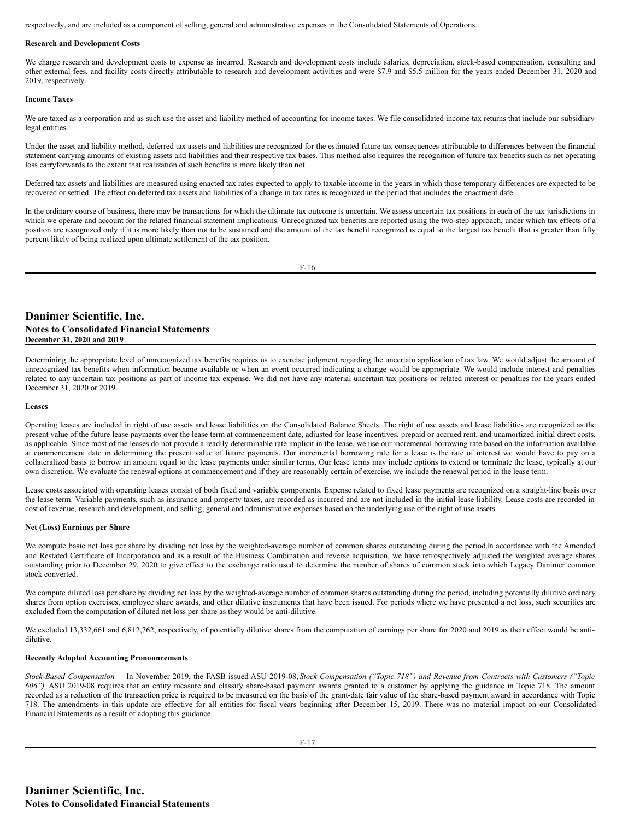respectively, and are included as a component of selling, general and administrative expenses in the Consolidated Statements of Operations.

## **Research and Development Costs**

We charge research and development costs to expense as incurred. Research and development costs include salaries, depreciation, stock-based compensation, consulting and other external fees, and facility costs directly attributable to research and development activities and were \$7.9 and \$5.5 million for the years ended December 31, 2020 and 2019, respectively.

#### **Income Taxes**

We are taxed as a corporation and as such use the asset and liability method of accounting for income taxes. We file consolidated income tax returns that include our subsidiary legal entities.

Under the asset and liability method, deferred tax assets and liabilities are recognized for the estimated future tax consequences attributable to differences between the financial statement carrying amounts of existing assets and liabilities and their respective tax bases. This method also requires the recognition of future tax benefits such as net operating loss carryforwards to the extent that realization of such benefits is more likely than not.

Deferred tax assets and liabilities are measured using enacted tax rates expected to apply to taxable income in the years in which those temporary differences are expected to be recovered or settled. The effect on deferred tax assets and liabilities of a change in tax rates is recognized in the period that includes the enactment date.

In the ordinary course of business, there may be transactions for which the ultimate tax outcome is uncertain. We assess uncertain tax positions in each of the tax jurisdictions in which we operate and account for the related financial statement implications. Unrecognized tax benefits are reported using the two-step approach, under which tax effects of a position are recognized only if it is more likely than not to be sustained and the amount of the tax benefit recognized is equal to the largest tax benefit that is greater than fifty percent likely of being realized upon ultimate settlement of the tax position.

F-16

# **Danimer Scientific, Inc.**

## **Notes to Consolidated Financial Statements December 31, 2020 and 2019**

Determining the appropriate level of unrecognized tax benefits requires us to exercise judgment regarding the uncertain application of tax law. We would adjust the amount of unrecognized tax benefits when information became available or when an event occurred indicating a change would be appropriate. We would include interest and penalties related to any uncertain tax positions as part of income tax expense. We did not have any material uncertain tax positions or related interest or penalties for the years ended December 31, 2020 or 2019.

### **Leases**

Operating leases are included in right of use assets and lease liabilities on the Consolidated Balance Sheets. The right of use assets and lease liabilities are recognized as the present value of the future lease payments over the lease term at commencement date, adjusted for lease incentives, prepaid or accrued rent, and unamortized initial direct costs, as applicable. Since most of the leases do not provide a readily determinable rate implicit in the lease, we use our incremental borrowing rate based on the information available at commencement date in determining the present value of future payments. Our incremental borrowing rate for a lease is the rate of interest we would have to pay on a collateralized basis to borrow an amount equal to the lease payments under similar terms. Our lease terms may include options to extend or terminate the lease, typically at our own discretion. We evaluate the renewal options at commencement and if they are reasonably certain of exercise, we include the renewal period in the lease term.

Lease costs associated with operating leases consist of both fixed and variable components. Expense related to fixed lease payments are recognized on a straight-line basis over the lease term. Variable payments, such as insurance and property taxes, are recorded as incurred and are not included in the initial lease liability. Lease costs are recorded in cost of revenue, research and development, and selling, general and administrative expenses based on the underlying use of the right of use assets.

## **Net (Loss) Earnings per Share**

We compute basic net loss per share by dividing net loss by the weighted-average number of common shares outstanding during the period.In accordance with the Amended and Restated Certificate of Incorporation and as a result of the Business Combination and reverse acquisition, we have retrospectively adjusted the weighted average shares outstanding prior to December 29, 2020 to give effect to the exchange ratio used to determine the number of shares of common stock into which Legacy Danimer common stock converted.

We compute diluted loss per share by dividing net loss by the weighted-average number of common shares outstanding during the period, including potentially dilutive ordinary shares from option exercises, employee share awards, and other dilutive instruments that have been issued. For periods where we have presented a net loss, such securities are excluded from the computation of diluted net loss per share as they would be anti-dilutive.

We excluded 13,332,661 and 6,812,762, respectively, of potentially dilutive shares from the computation of earnings per share for 2020 and 2019 as their effect would be antidilutive.

#### **Recently Adopted Accounting Pronouncements**

Stock-Based Compensation - In November 2019, the FASB issued ASU 2019-08, Stock Compensation ("Topic 718") and Revenue from Contracts with Customers ("Topic *606").* ASU 2019-08 requires that an entity measure and classify share-based payment awards granted to a customer by applying the guidance in Topic 718. The amount recorded as a reduction of the transaction price is required to be measured on the basis of the grant-date fair value of the share-based payment award in accordance with Topic 718. The amendments in this update are effective for all entities for fiscal years beginning after December 15, 2019. There was no material impact on our Consolidated Financial Statements as a result of adopting this guidance.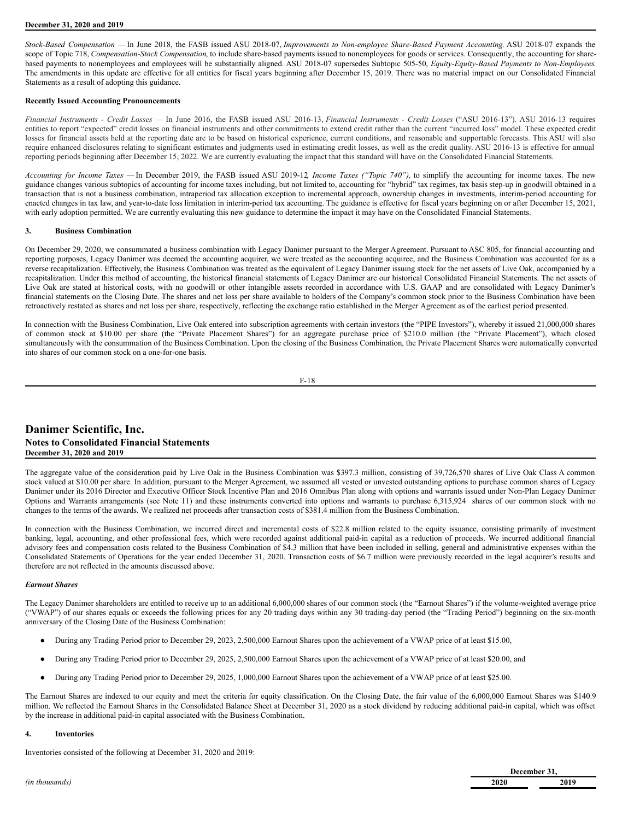*Stock-Based Compensation —* In June 2018, the FASB issued ASU 2018-07, *Improvements to Non-employee Share-Based Payment Accounting*. ASU 2018-07 expands the scope of Topic 718, *Compensation-Stock Compensation*, to include share-based payments issued to nonemployees for goods or services. Consequently, the accounting for sharebased payments to nonemployees and employees will be substantially aligned. ASU 2018-07 supersedes Subtopic 505-50, *Equity-Equity-Based Payments to Non-Employees*. The amendments in this update are effective for all entities for fiscal years beginning after December 15, 2019. There was no material impact on our Consolidated Financial Statements as a result of adopting this guidance.

## **Recently Issued Accounting Pronouncements**

Financial Instruments - Credit Losses - In June 2016, the FASB issued ASU 2016-13, Financial Instruments - Credit Losses ("ASU 2016-13"). ASU 2016-13 requires entities to report "expected" credit losses on financial instruments and other commitments to extend credit rather than the current "incurred loss" model. These expected credit losses for financial assets held at the reporting date are to be based on historical experience, current conditions, and reasonable and supportable forecasts. This ASU will also require enhanced disclosures relating to significant estimates and judgments used in estimating credit losses, as well as the credit quality. ASU 2016-13 is effective for annual reporting periods beginning after December 15, 2022. We are currently evaluating the impact that this standard will have on the Consolidated Financial Statements.

Accounting for Income Taxes - In December 2019, the FASB issued ASU 2019-12, Income Taxes ("Topic 740"), to simplify the accounting for income taxes. The new guidance changes various subtopics of accounting for income taxes including, but not limited to, accounting for "hybrid" tax regimes, tax basis step-up in goodwill obtained in a transaction that is not a business combination, intraperiod tax allocation exception to incremental approach, ownership changes in investments, interim-period accounting for enacted changes in tax law, and year-to-date loss limitation in interim-period tax accounting. The guidance is effective for fiscal years beginning on or after December 15, 2021, with early adoption permitted. We are currently evaluating this new guidance to determine the impact it may have on the Consolidated Financial Statements.

### **3. Business Combination**

On December 29, 2020, we consummated a business combination with Legacy Danimer pursuant to the Merger Agreement. Pursuant to ASC 805, for financial accounting and reporting purposes, Legacy Danimer was deemed the accounting acquirer, we were treated as the accounting acquiree, and the Business Combination was accounted for as a reverse recapitalization. Effectively, the Business Combination was treated as the equivalent of Legacy Danimer issuing stock for the net assets of Live Oak, accompanied by a recapitalization. Under this method of accounting, the historical financial statements of Legacy Danimer are our historical Consolidated Financial Statements. The net assets of Live Oak are stated at historical costs, with no goodwill or other intangible assets recorded in accordance with U.S. GAAP and are consolidated with Legacy Danimer's financial statements on the Closing Date. The shares and net loss per share available to holders of the Company's common stock prior to the Business Combination have been retroactively restated as shares and net loss per share, respectively, reflecting the exchange ratio established in the Merger Agreement as of the earliest period presented.

In connection with the Business Combination, Live Oak entered into subscription agreements with certain investors (the "PIPE Investors"), whereby it issued 21,000,000 shares of common stock at \$10.00 per share (the "Private Placement Shares") for an aggregate purchase price of \$210.0 million (the "Private Placement"), which closed simultaneously with the consummation of the Business Combination. Upon the closing of the Business Combination, the Private Placement Shares were automatically converted into shares of our common stock on a one-for-one basis.

## **Danimer Scientific, Inc. Notes to Consolidated Financial Statements December 31, 2020 and 2019**

The aggregate value of the consideration paid by Live Oak in the Business Combination was \$397.3 million, consisting of 39,726,570 shares of Live Oak Class A common stock valued at \$10.00 per share. In addition, pursuant to the Merger Agreement, we assumed all vested or unvested outstanding options to purchase common shares of Legacy Danimer under its 2016 Director and Executive Officer Stock Incentive Plan and 2016 Omnibus Plan along with options and warrants issued under Non-Plan Legacy Danimer Options and Warrants arrangements (see Note 11) and these instruments converted into options and warrants to purchase 6,315,924 shares of our common stock with no changes to the terms of the awards. We realized net proceeds after transaction costs of \$381.4 million from the Business Combination.

In connection with the Business Combination, we incurred direct and incremental costs of \$22.8 million related to the equity issuance, consisting primarily of investment banking, legal, accounting, and other professional fees, which were recorded against additional paid-in capital as a reduction of proceeds. We incurred additional financial advisory fees and compensation costs related to the Business Combination of \$4.3 million that have been included in selling, general and administrative expenses within the Consolidated Statements of Operations for the year ended December 31, 2020. Transaction costs of \$6.7 million were previously recorded in the legal acquirer's results and therefore are not reflected in the amounts discussed above.

#### *Earnout Shares*

The Legacy Danimer shareholders are entitled to receive up to an additional 6,000,000 shares of our common stock (the "Earnout Shares") if the volume-weighted average price ("VWAP") of our shares equals or exceeds the following prices for any 20 trading days within any 30 trading-day period (the "Trading Period") beginning on the six-month anniversary of the Closing Date of the Business Combination:

- During any Trading Period prior to December 29, 2023, 2,500,000 Earnout Shares upon the achievement of a VWAP price of at least \$15.00,
- During any Trading Period prior to December 29, 2025, 2,500,000 Earnout Shares upon the achievement of a VWAP price of at least \$20.00, and
- During any Trading Period prior to December 29, 2025, 1,000,000 Earnout Shares upon the achievement of a VWAP price of at least \$25.00.

The Earnout Shares are indexed to our equity and meet the criteria for equity classification. On the Closing Date, the fair value of the 6,000,000 Earnout Shares was \$140.9 million. We reflected the Earnout Shares in the Consolidated Balance Sheet at December 31, 2020 as a stock dividend by reducing additional paid-in capital, which was offset by the increase in additional paid-in capital associated with the Business Combination.

#### **4. Inventories**

Inventories consisted of the following at December 31, 2020 and 2019: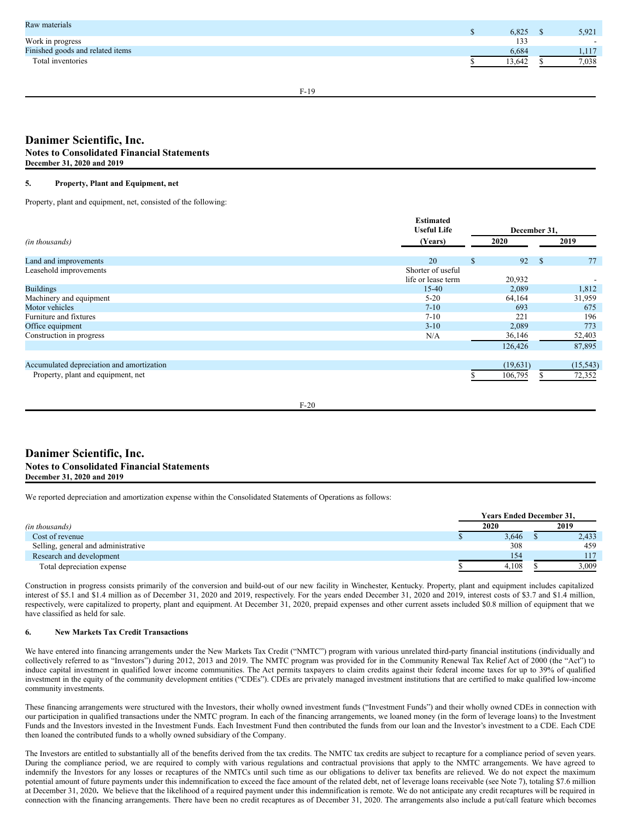| Raw materials                    | 6,825  | 5,921                    |
|----------------------------------|--------|--------------------------|
| Work in progress                 | 133    | $\overline{\phantom{a}}$ |
| Finished goods and related items | 6.684  |                          |
| Total inventories                | 13.642 | 7.038                    |

F-19

## **Danimer Scientific, Inc. Notes to Consolidated Financial Statements December 31, 2020 and 2019**

## **5. Property, Plant and Equipment, net**

Property, plant and equipment, net, consisted of the following:

|                                           | <b>Estimated</b><br><b>Useful Life</b>  | December 31.  |           |    |           |
|-------------------------------------------|-----------------------------------------|---------------|-----------|----|-----------|
| (in thousands)                            | (Years)                                 |               | 2020      |    | 2019      |
| Land and improvements                     | 20                                      | <sup>\$</sup> | 92        | -S | 77        |
| Leasehold improvements                    | Shorter of useful<br>life or lease term |               | 20,932    |    |           |
| <b>Buildings</b>                          | $15-40$                                 |               | 2,089     |    | 1,812     |
| Machinery and equipment                   | $5 - 20$                                |               | 64,164    |    | 31,959    |
| Motor vehicles                            | $7 - 10$                                |               | 693       |    | 675       |
| Furniture and fixtures                    | $7 - 10$                                |               | 221       |    | 196       |
| Office equipment                          | $3 - 10$                                |               | 2,089     |    | 773       |
| Construction in progress                  | N/A                                     |               | 36,146    |    | 52,403    |
|                                           |                                         |               | 126,426   |    | 87,895    |
| Accumulated depreciation and amortization |                                         |               | (19, 631) |    | (15, 543) |
| Property, plant and equipment, net        |                                         |               | 106,795   |    | 72,352    |

F-20

## **Danimer Scientific, Inc. Notes to Consolidated Financial Statements December 31, 2020 and 2019**

We reported depreciation and amortization expense within the Consolidated Statements of Operations as follows:

|                                     |       | <b>Years Ended December 31.</b> |       |  |  |  |  |
|-------------------------------------|-------|---------------------------------|-------|--|--|--|--|
| (in thousands)                      | 2020  |                                 | 2019  |  |  |  |  |
| Cost of revenue                     | 3.646 |                                 | 2,433 |  |  |  |  |
| Selling, general and administrative | 308   |                                 | 459   |  |  |  |  |
| Research and development            | 154   |                                 | 117   |  |  |  |  |
| Total depreciation expense          | 4,108 |                                 | 3.009 |  |  |  |  |

Construction in progress consists primarily of the conversion and build-out of our new facility in Winchester, Kentucky. Property, plant and equipment includes capitalized interest of \$5.1 and \$1.4 million as of December 31, 2020 and 2019, respectively. For the years ended December 31, 2020 and 2019, interest costs of \$3.7 and \$1.4 million, respectively, were capitalized to property, plant and equipment. At December 31, 2020, prepaid expenses and other current assets included \$0.8 million of equipment that we have classified as held for sale.

## **6. New Markets Tax Credit Transactions**

We have entered into financing arrangements under the New Markets Tax Credit ("NMTC") program with various unrelated third-party financial institutions (individually and collectively referred to as "Investors") during 2012, 2013 and 2019. The NMTC program was provided for in the Community Renewal Tax Relief Act of 2000 (the "Act") to induce capital investment in qualified lower income communities. The Act permits taxpayers to claim credits against their federal income taxes for up to 39% of qualified investment in the equity of the community development entities ("CDEs"). CDEs are privately managed investment institutions that are certified to make qualified low-income community investments.

These financing arrangements were structured with the Investors, their wholly owned investment funds ("Investment Funds") and their wholly owned CDEs in connection with our participation in qualified transactions under the NMTC program. In each of the financing arrangements, we loaned money (in the form of leverage loans) to the Investment Funds and the Investors invested in the Investment Funds. Each Investment Fund then contributed the funds from our loan and the Investor's investment to a CDE. Each CDE then loaned the contributed funds to a wholly owned subsidiary of the Company.

The Investors are entitled to substantially all of the benefits derived from the tax credits. The NMTC tax credits are subject to recapture for a compliance period of seven years. During the compliance period, we are required to comply with various regulations and contractual provisions that apply to the NMTC arrangements. We have agreed to indemnify the Investors for any losses or recaptures of the NMTCs until such time as our obligations to deliver tax benefits are relieved. We do not expect the maximum potential amount of future payments under this indemnification to exceed the face amount of the related debt, net of leverage loans receivable (see Note 7), totaling \$7.6 million at December 31, 2020**.** We believe that the likelihood of a required payment under this indemnification is remote. We do not anticipate any credit recaptures will be required in connection with the financing arrangements. There have been no credit recaptures as of December 31, 2020. The arrangements also include a put/call feature which becomes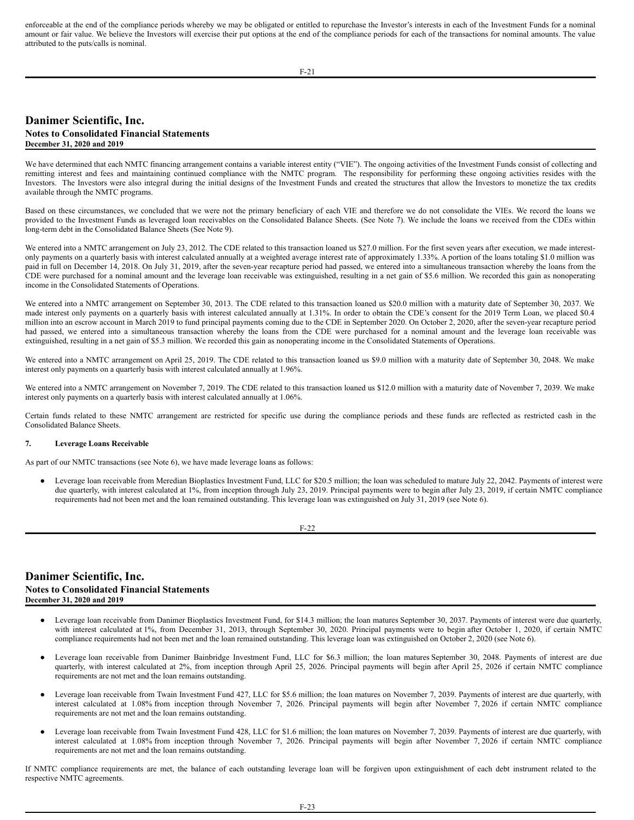enforceable at the end of the compliance periods whereby we may be obligated or entitled to repurchase the Investor's interests in each of the Investment Funds for a nominal amount or fair value. We believe the Investors will exercise their put options at the end of the compliance periods for each of the transactions for nominal amounts. The value attributed to the puts/calls is nominal.

## **Danimer Scientific, Inc. Notes to Consolidated Financial Statements December 31, 2020 and 2019**

We have determined that each NMTC financing arrangement contains a variable interest entity ("VIE"). The ongoing activities of the Investment Funds consist of collecting and remitting interest and fees and maintaining continued compliance with the NMTC program. The responsibility for performing these ongoing activities resides with the Investors. The Investors were also integral during the initial designs of the Investment Funds and created the structures that allow the Investors to monetize the tax credits available through the NMTC programs.

Based on these circumstances, we concluded that we were not the primary beneficiary of each VIE and therefore we do not consolidate the VIEs. We record the loans we provided to the Investment Funds as leveraged loan receivables on the Consolidated Balance Sheets. (See Note 7). We include the loans we received from the CDEs within long-term debt in the Consolidated Balance Sheets (See Note 9).

We entered into a NMTC arrangement on July 23, 2012. The CDE related to this transaction loaned us \$27.0 million. For the first seven years after execution, we made interestonly payments on a quarterly basis with interest calculated annually at a weighted average interest rate of approximately 1.33%. A portion of the loans totaling \$1.0 million was paid in full on December 14, 2018. On July 31, 2019, after the seven-year recapture period had passed, we entered into a simultaneous transaction whereby the loans from the CDE were purchased for a nominal amount and the leverage loan receivable was extinguished, resulting in a net gain of \$5.6 million. We recorded this gain as nonoperating income in the Consolidated Statements of Operations.

We entered into a NMTC arrangement on September 30, 2013. The CDE related to this transaction loaned us \$20.0 million with a maturity date of September 30, 2037. We made interest only payments on a quarterly basis with interest calculated annually at 1.31%. In order to obtain the CDE's consent for the 2019 Term Loan, we placed \$0.4 million into an escrow account in March 2019 to fund principal payments coming due to the CDE in September 2020. On October 2, 2020, after the seven-year recapture period had passed, we entered into a simultaneous transaction whereby the loans from the CDE were purchased for a nominal amount and the leverage loan receivable was extinguished, resulting in a net gain of \$5.3 million. We recorded this gain as nonoperating income in the Consolidated Statements of Operations.

We entered into a NMTC arrangement on April 25, 2019. The CDE related to this transaction loaned us \$9.0 million with a maturity date of September 30, 2048. We make interest only payments on a quarterly basis with interest calculated annually at 1.96%.

We entered into a NMTC arrangement on November 7, 2019. The CDE related to this transaction loaned us \$12.0 million with a maturity date of November 7, 2039. We make interest only payments on a quarterly basis with interest calculated annually at 1.06%.

Certain funds related to these NMTC arrangement are restricted for specific use during the compliance periods and these funds are reflected as restricted cash in the Consolidated Balance Sheets.

## **7. Leverage Loans Receivable**

As part of our NMTC transactions (see Note 6), we have made leverage loans as follows:

Leverage loan receivable from Meredian Bioplastics Investment Fund, LLC for \$20.5 million; the loan was scheduled to mature July 22, 2042. Payments of interest were due quarterly, with interest calculated at 1%, from inception through July 23, 2019. Principal payments were to begin after July 23, 2019, if certain NMTC compliance requirements had not been met and the loan remained outstanding. This leverage loan was extinguished on July 31, 2019 (see Note 6).

## **Danimer Scientific, Inc. Notes to Consolidated Financial Statements December 31, 2020 and 2019**

- Leverage loan receivable from Danimer Bioplastics Investment Fund, for \$14.3 million; the loan matures September 30, 2037. Payments of interest were due quarterly, with interest calculated at 1%, from December 31, 2013, through September 30, 2020. Principal payments were to begin after October 1, 2020, if certain NMTC compliance requirements had not been met and the loan remained outstanding. This leverage loan was extinguished on October 2, 2020 (see Note 6).
- Leverage loan receivable from Danimer Bainbridge Investment Fund, LLC for \$6.3 million; the loan matures September 30, 2048. Payments of interest are due quarterly, with interest calculated at 2%, from inception through April 25, 2026. Principal payments will begin after April 25, 2026 if certain NMTC compliance requirements are not met and the loan remains outstanding.
- Leverage loan receivable from Twain Investment Fund 427, LLC for \$5.6 million; the loan matures on November 7, 2039. Payments of interest are due quarterly, with interest calculated at 1.08% from inception through November 7, 2026. Principal payments will begin after November 7, 2026 if certain NMTC compliance requirements are not met and the loan remains outstanding.
- Leverage loan receivable from Twain Investment Fund 428, LLC for \$1.6 million; the loan matures on November 7, 2039. Payments of interest are due quarterly, with interest calculated at 1.08% from inception through November 7, 2026. Principal payments will begin after November 7, 2026 if certain NMTC compliance requirements are not met and the loan remains outstanding.

If NMTC compliance requirements are met, the balance of each outstanding leverage loan will be forgiven upon extinguishment of each debt instrument related to the respective NMTC agreements.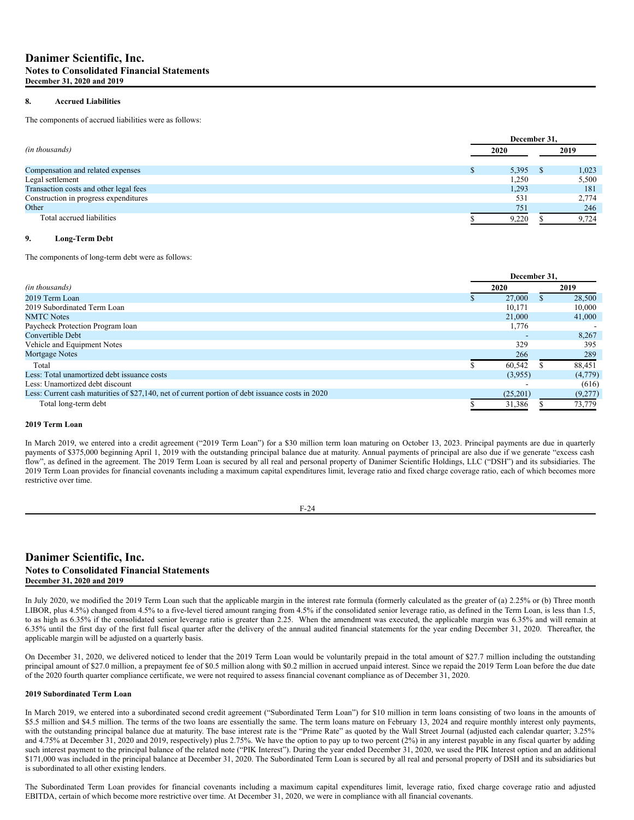## **Danimer Scientific, Inc. Notes to Consolidated Financial Statements December 31, 2020 and 2019**

## **8. Accrued Liabilities**

The components of accrued liabilities were as follows:

|                                        |  | December 31, |  |       |  |  |
|----------------------------------------|--|--------------|--|-------|--|--|
| (in thousands)                         |  | 2020         |  | 2019  |  |  |
| Compensation and related expenses      |  | 5,395        |  | 1,023 |  |  |
| Legal settlement                       |  | 1,250        |  | 5,500 |  |  |
| Transaction costs and other legal fees |  | 1.293        |  | 181   |  |  |
| Construction in progress expenditures  |  | 531          |  | 2,774 |  |  |
| Other                                  |  | 751          |  | 246   |  |  |
| Total accrued liabilities              |  | 9,220        |  | 9.724 |  |  |

## **9. Long-Term Debt**

The components of long-term debt were as follows:

|                                                                                                  | December 31. |          |  |         |
|--------------------------------------------------------------------------------------------------|--------------|----------|--|---------|
| (in thousands)                                                                                   |              | 2020     |  | 2019    |
| 2019 Term Loan                                                                                   |              | 27,000   |  | 28,500  |
| 2019 Subordinated Term Loan                                                                      |              | 10,171   |  | 10,000  |
| <b>NMTC</b> Notes                                                                                |              | 21,000   |  | 41,000  |
| Paycheck Protection Program loan                                                                 |              | 1,776    |  |         |
| Convertible Debt                                                                                 |              |          |  | 8,267   |
| Vehicle and Equipment Notes                                                                      |              | 329      |  | 395     |
| Mortgage Notes                                                                                   |              | 266      |  | 289     |
| Total                                                                                            |              | 60,542   |  | 88,451  |
| Less: Total unamortized debt issuance costs                                                      |              | (3,955)  |  | (4,779) |
| Less: Unamortized debt discount                                                                  |              |          |  | (616)   |
| Less: Current cash maturities of \$27,140, net of current portion of debt issuance costs in 2020 |              | (25,201) |  | (9,277) |
| Total long-term debt                                                                             |              | 31,386   |  | 73,779  |

## **2019 Term Loan**

In March 2019, we entered into a credit agreement ("2019 Term Loan") for a \$30 million term loan maturing on October 13, 2023. Principal payments are due in quarterly payments of \$375,000 beginning April 1, 2019 with the outstanding principal balance due at maturity. Annual payments of principal are also due if we generate "excess cash flow", as defined in the agreement. The 2019 Term Loan is secured by all real and personal property of Danimer Scientific Holdings, LLC ("DSH") and its subsidiaries. The 2019 Term Loan provides for financial covenants including a maximum capital expenditures limit, leverage ratio and fixed charge coverage ratio, each of which becomes more restrictive over time.

|--|

## **Danimer Scientific, Inc. Notes to Consolidated Financial Statements December 31, 2020 and 2019**

In July 2020, we modified the 2019 Term Loan such that the applicable margin in the interest rate formula (formerly calculated as the greater of (a) 2.25% or (b) Three month LIBOR, plus 4.5%) changed from 4.5% to a five-level tiered amount ranging from 4.5% if the consolidated senior leverage ratio, as defined in the Term Loan, is less than 1.5, to as high as 6.35% if the consolidated senior leverage ratio is greater than 2.25. When the amendment was executed, the applicable margin was 6.35% and will remain at 6.35% until the first day of the first full fiscal quarter after the delivery of the annual audited financial statements for the year ending December 31, 2020. Thereafter, the applicable margin will be adjusted on a quarterly basis.

On December 31, 2020, we delivered noticed to lender that the 2019 Term Loan would be voluntarily prepaid in the total amount of \$27.7 million including the outstanding principal amount of \$27.0 million, a prepayment fee of \$0.5 million along with \$0.2 million in accrued unpaid interest. Since we repaid the 2019 Term Loan before the due date of the 2020 fourth quarter compliance certificate, we were not required to assess financial covenant compliance as of December 31, 2020.

## **2019 Subordinated Term Loan**

In March 2019, we entered into a subordinated second credit agreement ("Subordinated Term Loan") for \$10 million in term loans consisting of two loans in the amounts of \$5.5 million and \$4.5 million. The terms of the two loans are essentially the same. The term loans mature on February 13, 2024 and require monthly interest only payments, with the outstanding principal balance due at maturity. The base interest rate is the "Prime Rate" as quoted by the Wall Street Journal (adjusted each calendar quarter; 3.25%) and 4.75% at December 31, 2020 and 2019, respectively) plus 2.75%. We have the option to pay up to two percent (2%) in any interest payable in any fiscal quarter by adding such interest payment to the principal balance of the related note ("PIK Interest"). During the year ended December 31, 2020, we used the PIK Interest option and an additional \$171,000 was included in the principal balance at December 31, 2020. The Subordinated Term Loan is secured by all real and personal property of DSH and its subsidiaries but is subordinated to all other existing lenders.

The Subordinated Term Loan provides for financial covenants including a maximum capital expenditures limit, leverage ratio, fixed charge coverage ratio and adjusted EBITDA, certain of which become more restrictive over time. At December 31, 2020, we were in compliance with all financial covenants.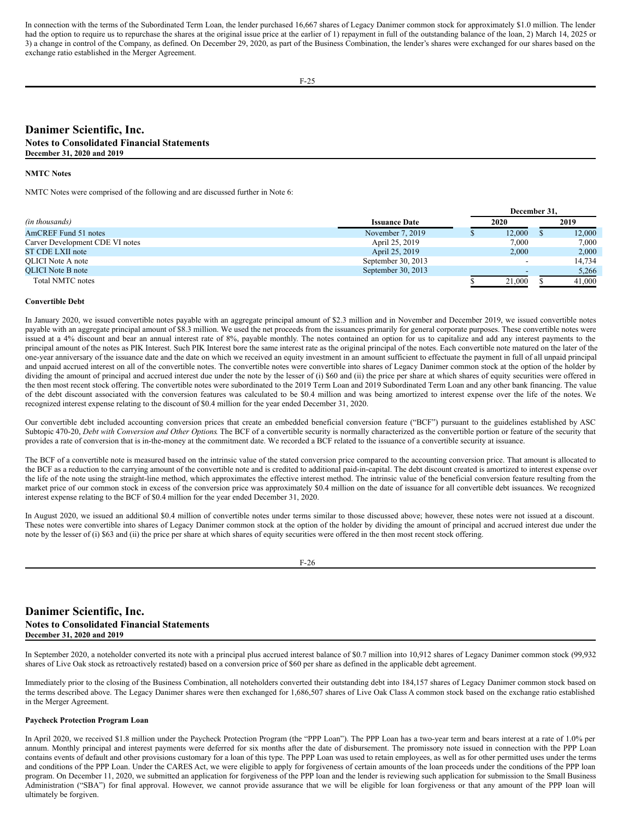In connection with the terms of the Subordinated Term Loan, the lender purchased 16,667 shares of Legacy Danimer common stock for approximately \$1.0 million. The lender had the option to require us to repurchase the shares at the original issue price at the earlier of 1) repayment in full of the outstanding balance of the loan, 2) March 14, 2025 or 3) a change in control of the Company, as defined. On December 29, 2020, as part of the Business Combination, the lender's shares were exchanged for our shares based on the exchange ratio established in the Merger Agreement.

## **Danimer Scientific, Inc. Notes to Consolidated Financial Statements December 31, 2020 and 2019**

## **NMTC Notes**

NMTC Notes were comprised of the following and are discussed further in Note 6:

|                                 |                      | December 31. |        |  |        |
|---------------------------------|----------------------|--------------|--------|--|--------|
| (in thousands)                  | <b>Issuance Date</b> |              | 2020   |  | 2019   |
| AmCREF Fund 51 notes            | November 7, 2019     |              | 12.000 |  | 12,000 |
| Carver Development CDE VI notes | April 25, 2019       |              | 7.000  |  | 7.000  |
| ST CDE LXII note                | April 25, 2019       |              | 2.000  |  | 2.000  |
| OLICI Note A note               | September 30, 2013   |              | $\sim$ |  | 14,734 |
| <b>OLICI</b> Note B note        | September 30, 2013   |              |        |  | 5.266  |
| <b>Total NMTC notes</b>         |                      |              | 21,000 |  | 41,000 |

#### **Convertible Debt**

In January 2020, we issued convertible notes payable with an aggregate principal amount of \$2.3 million and in November and December 2019, we issued convertible notes payable with an aggregate principal amount of \$8.3 million. We used the net proceeds from the issuances primarily for general corporate purposes. These convertible notes were issued at a 4% discount and bear an annual interest rate of 8%, payable monthly. The notes contained an option for us to capitalize and add any interest payments to the principal amount of the notes as PIK Interest. Such PIK Interest bore the same interest rate as the original principal of the notes. Each convertible note matured on the later of the one-year anniversary of the issuance date and the date on which we received an equity investment in an amount sufficient to effectuate the payment in full of all unpaid principal and unpaid accrued interest on all of the convertible notes. The convertible notes were convertible into shares of Legacy Danimer common stock at the option of the holder by dividing the amount of principal and accrued interest due under the note by the lesser of (i) \$60 and (ii) the price per share at which shares of equity securities were offered in the then most recent stock offering. The convertible notes were subordinated to the 2019 Term Loan and 2019 Subordinated Term Loan and any other bank financing. The value of the debt discount associated with the conversion features was calculated to be \$0.4 million and was being amortized to interest expense over the life of the notes. We recognized interest expense relating to the discount of \$0.4 million for the year ended December 31, 2020.

Our convertible debt included accounting conversion prices that create an embedded beneficial conversion feature ("BCF") pursuant to the guidelines established by ASC Subtopic 470-20, *Debt with Conversion and Other Options*. The BCF of a convertible security is normally characterized as the convertible portion or feature of the security that provides a rate of conversion that is in-the-money at the commitment date. We recorded a BCF related to the issuance of a convertible security at issuance.

The BCF of a convertible note is measured based on the intrinsic value of the stated conversion price compared to the accounting conversion price. That amount is allocated to the BCF as a reduction to the carrying amount of the convertible note and is credited to additional paid-in-capital. The debt discount created is amortized to interest expense over the life of the note using the straight-line method, which approximates the effective interest method. The intrinsic value of the beneficial conversion feature resulting from the market price of our common stock in excess of the conversion price was approximately \$0.4 million on the date of issuance for all convertible debt issuances. We recognized interest expense relating to the BCF of \$0.4 million for the year ended December 31, 2020.

In August 2020, we issued an additional \$0.4 million of convertible notes under terms similar to those discussed above; however, these notes were not issued at a discount. These notes were convertible into shares of Legacy Danimer common stock at the option of the holder by dividing the amount of principal and accrued interest due under the note by the lesser of (i) \$63 and (ii) the price per share at which shares of equity securities were offered in the then most recent stock offering.

F-26

## **Danimer Scientific, Inc. Notes to Consolidated Financial Statements December 31, 2020 and 2019**

In September 2020, a noteholder converted its note with a principal plus accrued interest balance of \$0.7 million into 10,912 shares of Legacy Danimer common stock (99,932 shares of Live Oak stock as retroactively restated) based on a conversion price of \$60 per share as defined in the applicable debt agreement.

Immediately prior to the closing of the Business Combination, all noteholders converted their outstanding debt into 184,157 shares of Legacy Danimer common stock based on the terms described above. The Legacy Danimer shares were then exchanged for 1,686,507 shares of Live Oak Class A common stock based on the exchange ratio established in the Merger Agreement.

## **Paycheck Protection Program Loan**

In April 2020, we received \$1.8 million under the Paycheck Protection Program (the "PPP Loan"). The PPP Loan has a two-year term and bears interest at a rate of 1.0% per annum. Monthly principal and interest payments were deferred for six months after the date of disbursement. The promissory note issued in connection with the PPP Loan contains events of default and other provisions customary for a loan of this type. The PPP Loan was used to retain employees, as well as for other permitted uses under the terms and conditions of the PPP Loan. Under the CARES Act, we were eligible to apply for forgiveness of certain amounts of the loan proceeds under the conditions of the PPP loan program. On December 11, 2020, we submitted an application for forgiveness of the PPP loan and the lender is reviewing such application for submission to the Small Business Administration ("SBA") for final approval. However, we cannot provide assurance that we will be eligible for loan forgiveness or that any amount of the PPP loan will ultimately be forgiven.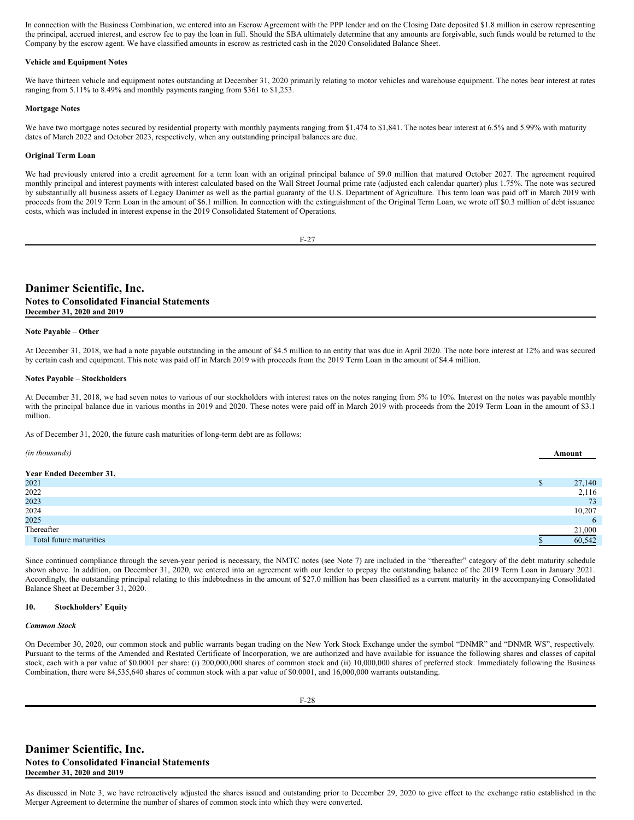In connection with the Business Combination, we entered into an Escrow Agreement with the PPP lender and on the Closing Date deposited \$1.8 million in escrow representing the principal, accrued interest, and escrow fee to pay the loan in full. Should the SBA ultimately determine that any amounts are forgivable, such funds would be returned to the Company by the escrow agent. We have classified amounts in escrow as restricted cash in the 2020 Consolidated Balance Sheet.

## **Vehicle and Equipment Notes**

We have thirteen vehicle and equipment notes outstanding at December 31, 2020 primarily relating to motor vehicles and warehouse equipment. The notes bear interest at rates ranging from 5.11% to 8.49% and monthly payments ranging from \$361 to \$1,253.

## **Mortgage Notes**

We have two mortgage notes secured by residential property with monthly payments ranging from \$1,474 to \$1,841. The notes bear interest at 6.5% and 5.99% with maturity dates of March 2022 and October 2023, respectively, when any outstanding principal balances are due.

## **Original Term Loan**

We had previously entered into a credit agreement for a term loan with an original principal balance of \$9.0 million that matured October 2027. The agreement required monthly principal and interest payments with interest calculated based on the Wall Street Journal prime rate (adjusted each calendar quarter) plus 1.75%. The note was secured by substantially all business assets of Legacy Danimer as well as the partial guaranty of the U.S. Department of Agriculture. This term loan was paid off in March 2019 with proceeds from the 2019 Term Loan in the amount of \$6.1 million. In connection with the extinguishment of the Original Term Loan, we wrote off \$0.3 million of debt issuance costs, which was included in interest expense in the 2019 Consolidated Statement of Operations.

F-27

## **Danimer Scientific, Inc. Notes to Consolidated Financial Statements December 31, 2020 and 2019**

### **Note Payable – Other**

At December 31, 2018, we had a note payable outstanding in the amount of \$4.5 million to an entity that was due in April 2020. The note bore interest at 12% and was secured by certain cash and equipment. This note was paid off in March 2019 with proceeds from the 2019 Term Loan in the amount of \$4.4 million.

### **Notes Payable – Stockholders**

At December 31, 2018, we had seven notes to various of our stockholders with interest rates on the notes ranging from 5% to 10%. Interest on the notes was payable monthly with the principal balance due in various months in 2019 and 2020. These notes were paid off in March 2019 with proceeds from the 2019 Term Loan in the amount of \$3.1 million.

As of December 31, 2020, the future cash maturities of long-term debt are as follows:

*(in thousands)* **Amount Year Ended December 31,** 2021 **S** 27,140  $2022$  2022  $2023$ 2024 10,207 2025 Fig. 2014  $\sim$  6  $\sim$  6  $\sim$  6  $\sim$  6  $\sim$  6  $\sim$  6  $\sim$  6  $\sim$  6  $\sim$  6  $\sim$  6  $\sim$  6  $\sim$  6  $\sim$  6  $\sim$  6  $\sim$  6  $\sim$  6  $\sim$  6  $\sim$  6  $\sim$  6  $\sim$  6  $\sim$  6  $\sim$  6  $\sim$  6  $\sim$  6  $\sim$  6  $\sim$  6  $\sim$  6  $\sim$  6  $\sim$  6  $\sim$ Thereafter 21,000 Total future maturities  $\qquad \qquad$  60,542

Since continued compliance through the seven-year period is necessary, the NMTC notes (see Note 7) are included in the "thereafter" category of the debt maturity schedule shown above. In addition, on December 31, 2020, we entered into an agreement with our lender to prepay the outstanding balance of the 2019 Term Loan in January 2021. Accordingly, the outstanding principal relating to this indebtedness in the amount of \$27.0 million has been classified as a current maturity in the accompanying Consolidated Balance Sheet at December 31, 2020.

#### **10. Stockholders' Equity**

#### *Common Stock*

On December 30, 2020, our common stock and public warrants began trading on the New York Stock Exchange under the symbol "DNMR" and "DNMR WS", respectively. Pursuant to the terms of the Amended and Restated Certificate of Incorporation, we are authorized and have available for issuance the following shares and classes of capital stock, each with a par value of \$0.0001 per share: (i) 200,000,000 shares of common stock and (ii) 10,000,000 shares of preferred stock. Immediately following the Business Combination, there were 84,535,640 shares of common stock with a par value of \$0.0001, and 16,000,000 warrants outstanding.

## **Danimer Scientific, Inc. Notes to Consolidated Financial Statements December 31, 2020 and 2019**

As discussed in Note 3, we have retroactively adjusted the shares issued and outstanding prior to December 29, 2020 to give effect to the exchange ratio established in the Merger Agreement to determine the number of shares of common stock into which they were converted.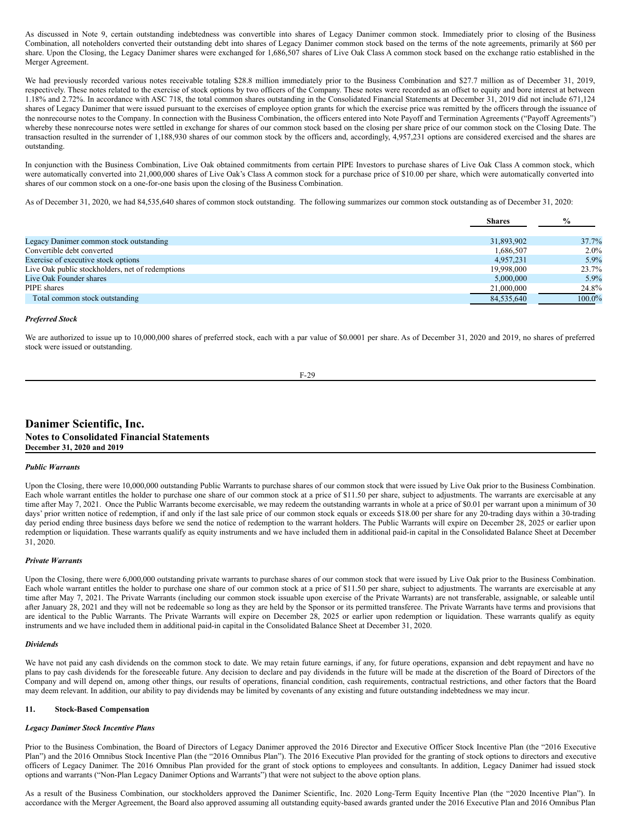As discussed in Note 9, certain outstanding indebtedness was convertible into shares of Legacy Danimer common stock. Immediately prior to closing of the Business Combination, all noteholders converted their outstanding debt into shares of Legacy Danimer common stock based on the terms of the note agreements, primarily at \$60 per share. Upon the Closing, the Legacy Danimer shares were exchanged for 1,686,507 shares of Live Oak Class A common stock based on the exchange ratio established in the Merger Agreement.

We had previously recorded various notes receivable totaling \$28.8 million immediately prior to the Business Combination and \$27.7 million as of December 31, 2019, respectively. These notes related to the exercise of stock options by two officers of the Company. These notes were recorded as an offset to equity and bore interest at between 1.18% and 2.72%. In accordance with ASC 718, the total common shares outstanding in the Consolidated Financial Statements at December 31, 2019 did not include 671,124 shares of Legacy Danimer that were issued pursuant to the exercises of employee option grants for which the exercise price was remitted by the officers through the issuance of the nonrecourse notes to the Company. In connection with the Business Combination, the officers entered into Note Payoff and Termination Agreements ("Payoff Agreements") whereby these nonrecourse notes were settled in exchange for shares of our common stock based on the closing per share price of our common stock on the Closing Date. The transaction resulted in the surrender of 1,188,930 shares of our common stock by the officers and, accordingly, 4,957,231 options are considered exercised and the shares are outstanding.

In conjunction with the Business Combination, Live Oak obtained commitments from certain PIPE Investors to purchase shares of Live Oak Class A common stock, which were automatically converted into 21,000,000 shares of Live Oak's Class A common stock for a purchase price of \$10.00 per share, which were automatically converted into shares of our common stock on a one-for-one basis upon the closing of the Business Combination.

As of December 31, 2020, we had 84,535,640 shares of common stock outstanding. The following summarizes our common stock outstanding as of December 31, 2020:

|                                                  | <b>Shares</b> | $\frac{0}{0}$ |
|--------------------------------------------------|---------------|---------------|
|                                                  |               |               |
| Legacy Danimer common stock outstanding          | 31,893,902    | 37.7%         |
| Convertible debt converted                       | 1,686,507     | $2.0\%$       |
| Exercise of executive stock options              | 4.957.231     | 5.9%          |
| Live Oak public stockholders, net of redemptions | 19,998,000    | 23.7%         |
| Live Oak Founder shares                          | 5,000,000     | 5.9%          |
| PIPE shares                                      | 21,000,000    | 24.8%         |
| Total common stock outstanding                   | 84,535,640    | 100.0%        |

### *Preferred Stock*

We are authorized to issue up to 10,000,000 shares of preferred stock, each with a par value of \$0.0001 per share. As of December 31, 2020 and 2019, no shares of preferred stock were issued or outstanding.

#### F-29

## **Danimer Scientific, Inc. Notes to Consolidated Financial Statements December 31, 2020 and 2019**

### *Public Warrants*

Upon the Closing, there were 10,000,000 outstanding Public Warrants to purchase shares of our common stock that were issued by Live Oak prior to the Business Combination. Each whole warrant entitles the holder to purchase one share of our common stock at a price of \$11.50 per share, subject to adjustments. The warrants are exercisable at any time after May 7, 2021. Once the Public Warrants become exercisable, we may redeem the outstanding warrants in whole at a price of \$0.01 per warrant upon a minimum of 30 days' prior written notice of redemption, if and only if the last sale price of our common stock equals or exceeds \$18.00 per share for any 20-trading days within a 30-trading day period ending three business days before we send the notice of redemption to the warrant holders. The Public Warrants will expire on December 28, 2025 or earlier upon redemption or liquidation. These warrants qualify as equity instruments and we have included them in additional paid-in capital in the Consolidated Balance Sheet at December 31, 2020.

## *Private Warrants*

Upon the Closing, there were 6,000,000 outstanding private warrants to purchase shares of our common stock that were issued by Live Oak prior to the Business Combination. Each whole warrant entitles the holder to purchase one share of our common stock at a price of \$11.50 per share, subject to adjustments. The warrants are exercisable at any time after May 7, 2021. The Private Warrants (including our common stock issuable upon exercise of the Private Warrants) are not transferable, assignable, or saleable until after January 28, 2021 and they will not be redeemable so long as they are held by the Sponsor or its permitted transferee. The Private Warrants have terms and provisions that are identical to the Public Warrants. The Private Warrants will expire on December 28, 2025 or earlier upon redemption or liquidation. These warrants qualify as equity instruments and we have included them in additional paid-in capital in the Consolidated Balance Sheet at December 31, 2020.

#### *Dividends*

We have not paid any cash dividends on the common stock to date. We may retain future earnings, if any, for future operations, expansion and debt repayment and have no plans to pay cash dividends for the foreseeable future. Any decision to declare and pay dividends in the future will be made at the discretion of the Board of Directors of the Company and will depend on, among other things, our results of operations, financial condition, cash requirements, contractual restrictions, and other factors that the Board may deem relevant. In addition, our ability to pay dividends may be limited by covenants of any existing and future outstanding indebtedness we may incur.

#### **11. Stock-Based Compensation**

#### *Legacy Danimer Stock Incentive Plans*

Prior to the Business Combination, the Board of Directors of Legacy Danimer approved the 2016 Director and Executive Officer Stock Incentive Plan (the "2016 Executive Plan") and the 2016 Omnibus Stock Incentive Plan (the "2016 Omnibus Plan"). The 2016 Executive Plan provided for the granting of stock options to directors and executive officers of Legacy Danimer. The 2016 Omnibus Plan provided for the grant of stock options to employees and consultants. In addition, Legacy Danimer had issued stock options and warrants ("Non-Plan Legacy Danimer Options and Warrants") that were not subject to the above option plans.

As a result of the Business Combination, our stockholders approved the Danimer Scientific, Inc. 2020 Long-Term Equity Incentive Plan (the "2020 Incentive Plan"). In accordance with the Merger Agreement, the Board also approved assuming all outstanding equity-based awards granted under the 2016 Executive Plan and 2016 Omnibus Plan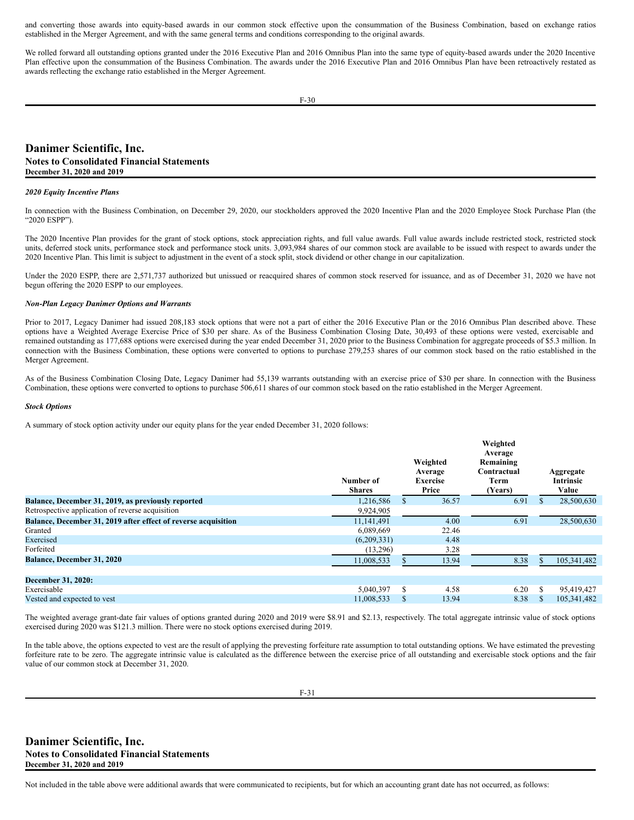and converting those awards into equity-based awards in our common stock effective upon the consummation of the Business Combination, based on exchange ratios established in the Merger Agreement, and with the same general terms and conditions corresponding to the original awards.

We rolled forward all outstanding options granted under the 2016 Executive Plan and 2016 Omnibus Plan into the same type of equity-based awards under the 2020 Incentive Plan effective upon the consummation of the Business Combination. The awards under the 2016 Executive Plan and 2016 Omnibus Plan have been retroactively restated as awards reflecting the exchange ratio established in the Merger Agreement.

# **Danimer Scientific, Inc.**

**Notes to Consolidated Financial Statements December 31, 2020 and 2019**

## *2020 Equity Incentive Plans*

In connection with the Business Combination, on December 29, 2020, our stockholders approved the 2020 Incentive Plan and the 2020 Employee Stock Purchase Plan (the "2020 ESPP").

The 2020 Incentive Plan provides for the grant of stock options, stock appreciation rights, and full value awards. Full value awards include restricted stock, restricted stock units, deferred stock units, performance stock and performance stock units. 3,093,984 shares of our common stock are available to be issued with respect to awards under the 2020 Incentive Plan. This limit is subject to adjustment in the event of a stock split, stock dividend or other change in our capitalization.

Under the 2020 ESPP, there are 2,571,737 authorized but unissued or reacquired shares of common stock reserved for issuance, and as of December 31, 2020 we have not begun offering the 2020 ESPP to our employees.

## *Non-Plan Legacy Danimer Options and Warrants*

Prior to 2017, Legacy Danimer had issued 208,183 stock options that were not a part of either the 2016 Executive Plan or the 2016 Omnibus Plan described above. These options have a Weighted Average Exercise Price of \$30 per share. As of the Business Combination Closing Date, 30,493 of these options were vested, exercisable and remained outstanding as 177,688 options were exercised during the year ended December 31, 2020 prior to the Business Combination for aggregate proceeds of \$5.3 million. In connection with the Business Combination, these options were converted to options to purchase 279,253 shares of our common stock based on the ratio established in the Merger Agreement.

As of the Business Combination Closing Date, Legacy Danimer had 55,139 warrants outstanding with an exercise price of \$30 per share. In connection with the Business Combination, these options were converted to options to purchase 506,611 shares of our common stock based on the ratio established in the Merger Agreement.

## *Stock Options*

A summary of stock option activity under our equity plans for the year ended December 31, 2020 follows:

|                                                                | Number of<br><b>Shares</b> |   | Weighted<br>Average<br><b>Exercise</b><br>Price | Weighted<br>Average<br>Remaining<br>Contractual<br>Term<br>(Years) |   | Aggregate<br><b>Intrinsic</b><br>Value |
|----------------------------------------------------------------|----------------------------|---|-------------------------------------------------|--------------------------------------------------------------------|---|----------------------------------------|
| Balance, December 31, 2019, as previously reported             | 1,216,586                  | S | 36.57                                           | 6.91                                                               | S | 28,500,630                             |
| Retrospective application of reverse acquisition               | 9,924,905                  |   |                                                 |                                                                    |   |                                        |
| Balance, December 31, 2019 after effect of reverse acquisition | 11.141.491                 |   | 4.00                                            | 6.91                                                               |   | 28,500,630                             |
| Granted                                                        | 6,089,669                  |   | 22.46                                           |                                                                    |   |                                        |
| Exercised                                                      | (6,209,331)                |   | 4.48                                            |                                                                    |   |                                        |
| Forfeited                                                      | (13,296)                   |   | 3.28                                            |                                                                    |   |                                        |
| <b>Balance, December 31, 2020</b>                              | 11,008,533                 |   | 13.94                                           | 8.38                                                               |   | 105,341,482                            |
| December 31, 2020:                                             |                            |   |                                                 |                                                                    |   |                                        |
| Exercisable                                                    | 5,040,397                  | S | 4.58                                            | 6.20                                                               |   | 95,419,427                             |
| Vested and expected to vest                                    | 11,008,533                 | S | 13.94                                           | 8.38                                                               |   | 105,341,482                            |

The weighted average grant-date fair values of options granted during 2020 and 2019 were \$8.91 and \$2.13, respectively. The total aggregate intrinsic value of stock options exercised during 2020 was \$121.3 million. There were no stock options exercised during 2019.

In the table above, the options expected to vest are the result of applying the prevesting forfeiture rate assumption to total outstanding options. We have estimated the prevesting forfeiture rate to be zero. The aggregate intrinsic value is calculated as the difference between the exercise price of all outstanding and exercisable stock options and the fair value of our common stock at December 31, 2020.

**Danimer Scientific, Inc. Notes to Consolidated Financial Statements December 31, 2020 and 2019**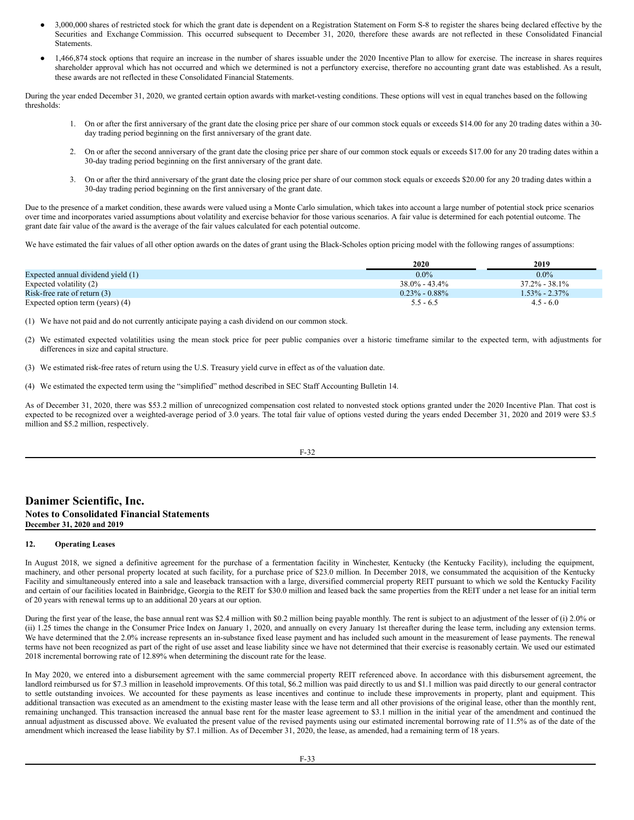- 3,000,000 shares of restricted stock for which the grant date is dependent on a Registration Statement on Form S-8 to register the shares being declared effective by the Securities and Exchange Commission. This occurred subsequent to December 31, 2020, therefore these awards are not reflected in these Consolidated Financial Statements.
- 1,466,874 stock options that require an increase in the number of shares issuable under the 2020 Incentive Plan to allow for exercise. The increase in shares requires shareholder approval which has not occurred and which we determined is not a perfunctory exercise, therefore no accounting grant date was established. As a result, these awards are not reflected in these Consolidated Financial Statements.

During the year ended December 31, 2020, we granted certain option awards with market-vesting conditions. These options will vest in equal tranches based on the following thresholds:

- 1. On or after the first anniversary of the grant date the closing price per share of our common stock equals or exceeds \$14.00 for any 20 trading dates within a 30 day trading period beginning on the first anniversary of the grant date.
- 2. On or after the second anniversary of the grant date the closing price per share of our common stock equals or exceeds \$17.00 for any 20 trading dates within a 30-day trading period beginning on the first anniversary of the grant date.
- 3. On or after the third anniversary of the grant date the closing price per share of our common stock equals or exceeds \$20.00 for any 20 trading dates within a 30-day trading period beginning on the first anniversary of the grant date.

Due to the presence of a market condition, these awards were valued using a Monte Carlo simulation, which takes into account a large number of potential stock price scenarios over time and incorporates varied assumptions about volatility and exercise behavior for those various scenarios. A fair value is determined for each potential outcome. The grant date fair value of the award is the average of the fair values calculated for each potential outcome.

We have estimated the fair values of all other option awards on the dates of grant using the Black-Scholes option pricing model with the following ranges of assumptions:

|                                    | 2020              | 2019              |
|------------------------------------|-------------------|-------------------|
| Expected annual dividend yield (1) | $0.0\%$           | $0.0\%$           |
| Expected volatility (2)            | $38.0\% - 43.4\%$ | $37.2\% - 38.1\%$ |
| Risk-free rate of return $(3)$     | $0.23\% - 0.88\%$ | $1.53\% - 2.37\%$ |
| Expected option term (years) (4)   | $5.5 - 6.5$       | $4.5 - 6.0$       |

(1) We have not paid and do not currently anticipate paying a cash dividend on our common stock.

- (2) We estimated expected volatilities using the mean stock price for peer public companies over a historic timeframe similar to the expected term, with adjustments for differences in size and capital structure.
- (3) We estimated risk-free rates of return using the U.S. Treasury yield curve in effect as of the valuation date.
- (4) We estimated the expected term using the "simplified" method described in SEC Staff Accounting Bulletin 14.

As of December 31, 2020, there was \$53.2 million of unrecognized compensation cost related to nonvested stock options granted under the 2020 Incentive Plan. That cost is expected to be recognized over a weighted-average period of 3.0 years. The total fair value of options vested during the years ended December 31, 2020 and 2019 were \$3.5 million and \$5.2 million, respectively.

## **Danimer Scientific, Inc. Notes to Consolidated Financial Statements December 31, 2020 and 2019**

## **12. Operating Leases**

In August 2018, we signed a definitive agreement for the purchase of a fermentation facility in Winchester, Kentucky (the Kentucky Facility), including the equipment, machinery, and other personal property located at such facility, for a purchase price of \$23.0 million. In December 2018, we consummated the acquisition of the Kentucky Facility and simultaneously entered into a sale and leaseback transaction with a large, diversified commercial property REIT pursuant to which we sold the Kentucky Facility and certain of our facilities located in Bainbridge, Georgia to the REIT for \$30.0 million and leased back the same properties from the REIT under a net lease for an initial term of 20 years with renewal terms up to an additional 20 years at our option.

During the first year of the lease, the base annual rent was \$2.4 million with \$0.2 million being payable monthly. The rent is subject to an adjustment of the lesser of (i) 2.0% or (ii) 1.25 times the change in the Consumer Price Index on January 1, 2020, and annually on every January 1st thereafter during the lease term, including any extension terms. We have determined that the 2.0% increase represents an in-substance fixed lease payment and has included such amount in the measurement of lease payments. The renewal terms have not been recognized as part of the right of use asset and lease liability since we have not determined that their exercise is reasonably certain. We used our estimated 2018 incremental borrowing rate of 12.89% when determining the discount rate for the lease.

In May 2020, we entered into a disbursement agreement with the same commercial property REIT referenced above. In accordance with this disbursement agreement, the landlord reimbursed us for \$7.3 million in leasehold improvements. Of this total, \$6.2 million was paid directly to us and \$1.1 million was paid directly to our general contractor to settle outstanding invoices. We accounted for these payments as lease incentives and continue to include these improvements in property, plant and equipment. This additional transaction was executed as an amendment to the existing master lease with the lease term and all other provisions of the original lease, other than the monthly rent, remaining unchanged. This transaction increased the annual base rent for the master lease agreement to \$3.1 million in the initial year of the amendment and continued the annual adjustment as discussed above. We evaluated the present value of the revised payments using our estimated incremental borrowing rate of 11.5% as of the date of the amendment which increased the lease liability by \$7.1 million. As of December 31, 2020, the lease, as amended, had a remaining term of 18 years.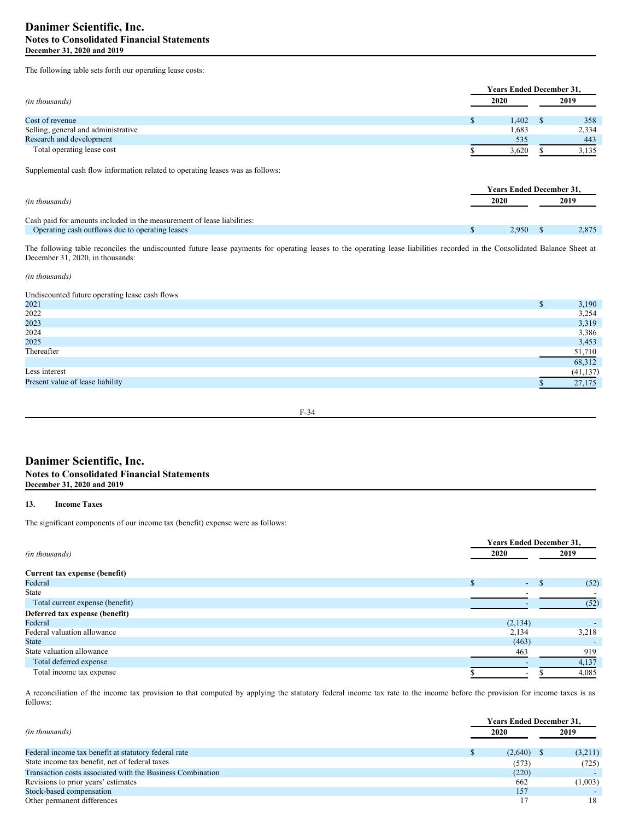The following table sets forth our operating lease costs:

|                                                                                |   |                                 | <b>Years Ended December 31,</b> |  |  |  |  |
|--------------------------------------------------------------------------------|---|---------------------------------|---------------------------------|--|--|--|--|
| (in thousands)                                                                 |   | 2020                            | 2019                            |  |  |  |  |
|                                                                                |   |                                 |                                 |  |  |  |  |
| Cost of revenue                                                                | S | 1,402                           | 358                             |  |  |  |  |
| Selling, general and administrative                                            |   | 1,683                           | 2,334                           |  |  |  |  |
| Research and development                                                       |   | 535                             | 443                             |  |  |  |  |
| Total operating lease cost                                                     |   | 3,620                           | 3,135                           |  |  |  |  |
| Supplemental cash flow information related to operating leases was as follows: |   |                                 |                                 |  |  |  |  |
|                                                                                |   | <b>Years Ended December 31,</b> |                                 |  |  |  |  |

| (in thousands)                                                          | 2020  | 2019  |
|-------------------------------------------------------------------------|-------|-------|
| Cash paid for amounts included in the measurement of lease liabilities: |       |       |
| Operating cash outflows due to operating leases                         | 2.950 | 2.875 |

The following table reconciles the undiscounted future lease payments for operating leases to the operating lease liabilities recorded in the Consolidated Balance Sheet at December 31, 2020, in thousands:

## *(in thousands)*

| Undiscounted future operating lease cash flows |           |  |
|------------------------------------------------|-----------|--|
| 2021                                           | 3,190     |  |
| 2022                                           | 3,254     |  |
| 2023                                           | 3,319     |  |
| 2024                                           | 3,386     |  |
| 2025                                           | 3.453     |  |
| Thereafter                                     | 51,710    |  |
|                                                | 68,312    |  |
| Less interest                                  | (41, 137) |  |
| Present value of lease liability               | 27,175    |  |

F-34

# **Danimer Scientific, Inc.**

**Notes to Consolidated Financial Statements December 31, 2020 and 2019**

## **13. Income Taxes**

The significant components of our income tax (benefit) expense were as follows:

|                                 |         | <b>Years Ended December 31,</b> |       |  |  |
|---------------------------------|---------|---------------------------------|-------|--|--|
| (in thousands)                  | 2020    |                                 | 2019  |  |  |
| Current tax expense (benefit)   |         |                                 |       |  |  |
| Federal                         |         | <b>S</b><br>$\sim$              | (52)  |  |  |
| State                           |         |                                 |       |  |  |
| Total current expense (benefit) |         |                                 | (52)  |  |  |
| Deferred tax expense (benefit)  |         |                                 |       |  |  |
| Federal                         | (2,134) |                                 |       |  |  |
| Federal valuation allowance     | 2,134   |                                 | 3,218 |  |  |
| State                           | (463)   |                                 |       |  |  |
| State valuation allowance       | 463     |                                 | 919   |  |  |
| Total deferred expense          |         |                                 | 4,137 |  |  |
| Total income tax expense        |         | -                               | 4,085 |  |  |

A reconciliation of the income tax provision to that computed by applying the statutory federal income tax rate to the income before the provision for income taxes is as follows:

|                                                            |  | <b>Years Ended December 31,</b> |  |         |  |  |
|------------------------------------------------------------|--|---------------------------------|--|---------|--|--|
| (in thousands)                                             |  | 2020                            |  | 2019    |  |  |
| Federal income tax benefit at statutory federal rate       |  | (2,640)                         |  | (3,211) |  |  |
| State income tax benefit, net of federal taxes             |  | (573)                           |  | (725)   |  |  |
| Transaction costs associated with the Business Combination |  | (220)                           |  |         |  |  |
| Revisions to prior years' estimates                        |  | 662                             |  | (1,003) |  |  |
| Stock-based compensation                                   |  | 157                             |  |         |  |  |
| Other permanent differences                                |  |                                 |  | 18      |  |  |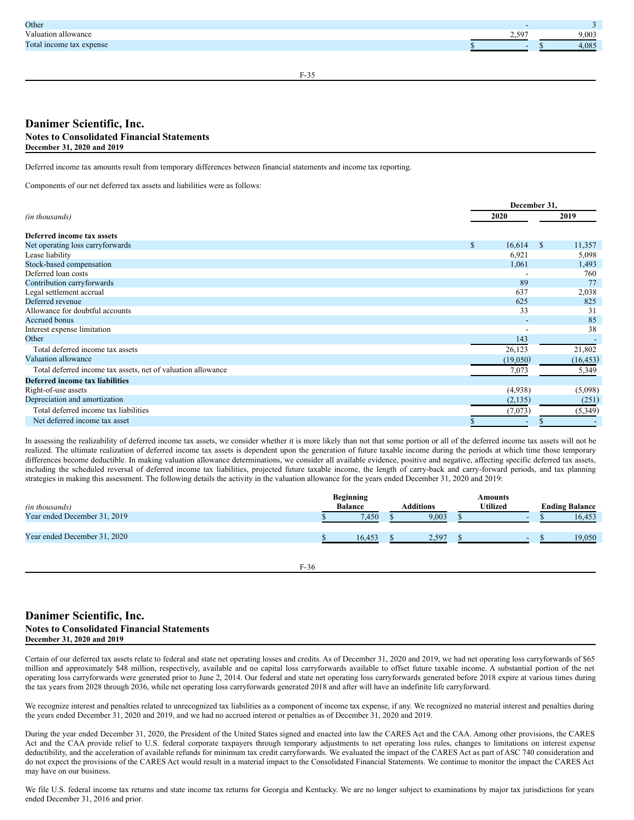| Other                                                      |                       |       |
|------------------------------------------------------------|-----------------------|-------|
| $T$ $T$ $T$<br>Valuation<br>allowance<br>$\cdots$ $\cdots$ | $\sim$<br>้าน<br>رسوب | 9,003 |
| $\sim$<br>l ota<br>expense<br>uncome tax                   |                       | .085  |
|                                                            |                       |       |

F-35

## **Danimer Scientific, Inc. Notes to Consolidated Financial Statements December 31, 2020 and 2019**

Deferred income tax amounts result from temporary differences between financial statements and income tax reporting.

Components of our net deferred tax assets and liabilities were as follows:

|                                                              |                | December 31. |  |  |  |  |  |
|--------------------------------------------------------------|----------------|--------------|--|--|--|--|--|
| (in thousands)                                               | 2020           | 2019         |  |  |  |  |  |
| Deferred income tax assets                                   |                |              |  |  |  |  |  |
| Net operating loss carryforwards                             | \$<br>16,614   | \$<br>11,357 |  |  |  |  |  |
| Lease liability                                              | 6,921          | 5,098        |  |  |  |  |  |
| Stock-based compensation                                     | 1,061          | 1,493        |  |  |  |  |  |
| Deferred loan costs                                          |                | 760          |  |  |  |  |  |
| Contribution carryforwards                                   | 89             | 77           |  |  |  |  |  |
| Legal settlement accrual                                     | 637            | 2,038        |  |  |  |  |  |
| Deferred revenue                                             | 625            | 825          |  |  |  |  |  |
| Allowance for doubtful accounts                              | 33             | 31           |  |  |  |  |  |
| <b>Accrued bonus</b>                                         |                | 85           |  |  |  |  |  |
| Interest expense limitation                                  | $\blacksquare$ | 38           |  |  |  |  |  |
| Other                                                        | 143            |              |  |  |  |  |  |
| Total deferred income tax assets                             | 26,123         | 21,802       |  |  |  |  |  |
| Valuation allowance                                          | (19,050)       | (16, 453)    |  |  |  |  |  |
| Total deferred income tax assets, net of valuation allowance | 7,073          | 5,349        |  |  |  |  |  |
| Deferred income tax liabilities                              |                |              |  |  |  |  |  |
| Right-of-use assets                                          | (4,938)        | (5,098)      |  |  |  |  |  |
| Depreciation and amortization                                | (2,135)        | (251)        |  |  |  |  |  |
| Total deferred income tax liabilities                        | (7,073)        | (5,349)      |  |  |  |  |  |
| Net deferred income tax asset                                |                |              |  |  |  |  |  |

In assessing the realizability of deferred income tax assets, we consider whether it is more likely than not that some portion or all of the deferred income tax assets will not be realized. The ultimate realization of deferred income tax assets is dependent upon the generation of future taxable income during the periods at which time those temporary differences become deductible. In making valuation allowance determinations, we consider all available evidence, positive and negative, affecting specific deferred tax assets, including the scheduled reversal of deferred income tax liabilities, projected future taxable income, the length of carry-back and carry-forward periods, and tax planning strategies in making this assessment. The following details the activity in the valuation allowance for the years ended December 31, 2020 and 2019:

|                              | <b>Beginning</b> |                  | Amounts                  |                       |        |
|------------------------------|------------------|------------------|--------------------------|-----------------------|--------|
| (in thousands)               | <b>Balance</b>   | <b>Additions</b> | Utilized                 | <b>Ending Balance</b> |        |
| Year ended December 31, 2019 | 7.450            | 9.003            | $\overline{\phantom{0}}$ |                       | 16.453 |
| Year ended December 31, 2020 | 16.453           | 2.597            | $\overline{\phantom{0}}$ |                       | 19.050 |

F-36

## **Danimer Scientific, Inc. Notes to Consolidated Financial Statements December 31, 2020 and 2019**

Certain of our deferred tax assets relate to federal and state net operating losses and credits. As of December 31, 2020 and 2019, we had net operating loss carryforwards of \$65 million and approximately \$48 million, respectively, available and no capital loss carryforwards available to offset future taxable income. A substantial portion of the net operating loss carryforwards were generated prior to June 2, 2014. Our federal and state net operating loss carryforwards generated before 2018 expire at various times during the tax years from 2028 through 2036, while net operating loss carryforwards generated 2018 and after will have an indefinite life carryforward.

We recognize interest and penalties related to unrecognized tax liabilities as a component of income tax expense, if any. We recognized no material interest and penalties during the years ended December 31, 2020 and 2019, and we had no accrued interest or penalties as of December 31, 2020 and 2019.

During the year ended December 31, 2020, the President of the United States signed and enacted into law the CARES Act and the CAA. Among other provisions, the CARES Act and the CAA provide relief to U.S. federal corporate taxpayers through temporary adjustments to net operating loss rules, changes to limitations on interest expense deductibility, and the acceleration of available refunds for minimum tax credit carryforwards. We evaluated the impact of the CARES Act as part of ASC 740 consideration and do not expect the provisions of the CARES Act would result in a material impact to the Consolidated Financial Statements. We continue to monitor the impact the CARES Act may have on our business.

We file U.S. federal income tax returns and state income tax returns for Georgia and Kentucky. We are no longer subject to examinations by major tax jurisdictions for years ended December 31, 2016 and prior.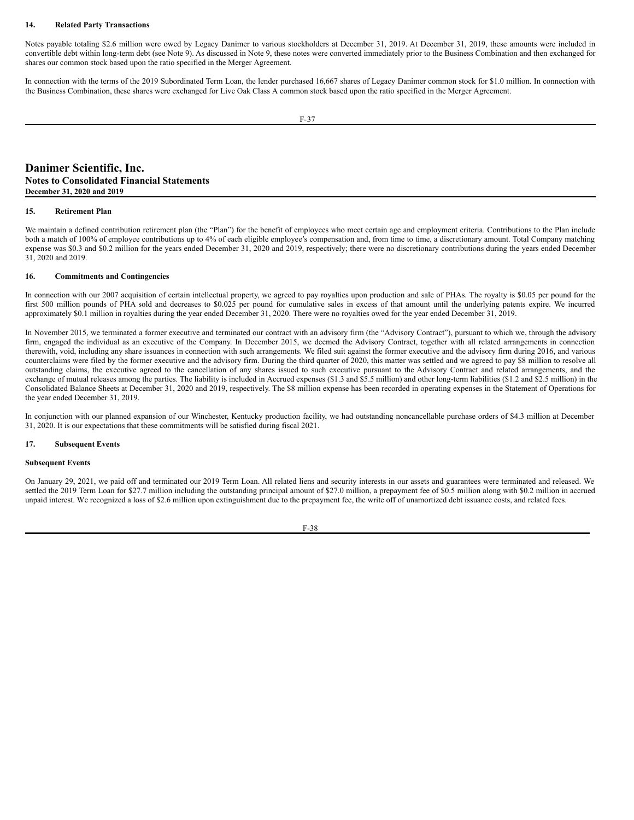## **14. Related Party Transactions**

Notes payable totaling \$2.6 million were owed by Legacy Danimer to various stockholders at December 31, 2019. At December 31, 2019, these amounts were included in convertible debt within long-term debt (see Note 9). As discussed in Note 9, these notes were converted immediately prior to the Business Combination and then exchanged for shares our common stock based upon the ratio specified in the Merger Agreement.

In connection with the terms of the 2019 Subordinated Term Loan, the lender purchased 16,667 shares of Legacy Danimer common stock for \$1.0 million. In connection with the Business Combination, these shares were exchanged for Live Oak Class A common stock based upon the ratio specified in the Merger Agreement.

## **Danimer Scientific, Inc. Notes to Consolidated Financial Statements December 31, 2020 and 2019**

## **15. Retirement Plan**

We maintain a defined contribution retirement plan (the "Plan") for the benefit of employees who meet certain age and employment criteria. Contributions to the Plan include both a match of 100% of employee contributions up to 4% of each eligible employee's compensation and, from time to time, a discretionary amount. Total Company matching expense was \$0.3 and \$0.2 million for the years ended December 31, 2020 and 2019, respectively; there were no discretionary contributions during the years ended December 31, 2020 and 2019.

### **16. Commitments and Contingencies**

In connection with our 2007 acquisition of certain intellectual property, we agreed to pay royalties upon production and sale of PHAs. The royalty is \$0.05 per pound for the first 500 million pounds of PHA sold and decreases to \$0.025 per pound for cumulative sales in excess of that amount until the underlying patents expire. We incurred approximately \$0.1 million in royalties during the year ended December 31, 2020. There were no royalties owed for the year ended December 31, 2019.

In November 2015, we terminated a former executive and terminated our contract with an advisory firm (the "Advisory Contract"), pursuant to which we, through the advisory firm, engaged the individual as an executive of the Company. In December 2015, we deemed the Advisory Contract, together with all related arrangements in connection therewith, void, including any share issuances in connection with such arrangements. We filed suit against the former executive and the advisory firm during 2016, and various counterclaims were filed by the former executive and the advisory firm. During the third quarter of 2020, this matter was settled and we agreed to pay \$8 million to resolve all outstanding claims, the executive agreed to the cancellation of any shares issued to such executive pursuant to the Advisory Contract and related arrangements, and the exchange of mutual releases among the parties. The liability is included in Accrued expenses (\$1.3 and \$5.5 million) and other long-term liabilities (\$1.2 and \$2.5 million) in the Consolidated Balance Sheets at December 31, 2020 and 2019, respectively. The \$8 million expense has been recorded in operating expenses in the Statement of Operations for the year ended December 31, 2019.

In conjunction with our planned expansion of our Winchester, Kentucky production facility, we had outstanding noncancellable purchase orders of \$4.3 million at December 31, 2020. It is our expectations that these commitments will be satisfied during fiscal 2021.

#### **17. Subsequent Events**

#### **Subsequent Events**

On January 29, 2021, we paid off and terminated our 2019 Term Loan. All related liens and security interests in our assets and guarantees were terminated and released. We settled the 2019 Term Loan for \$27.7 million including the outstanding principal amount of \$27.0 million, a prepayment fee of \$0.5 million along with \$0.2 million in accrued unpaid interest. We recognized a loss of \$2.6 million upon extinguishment due to the prepayment fee, the write off of unamortized debt issuance costs, and related fees.

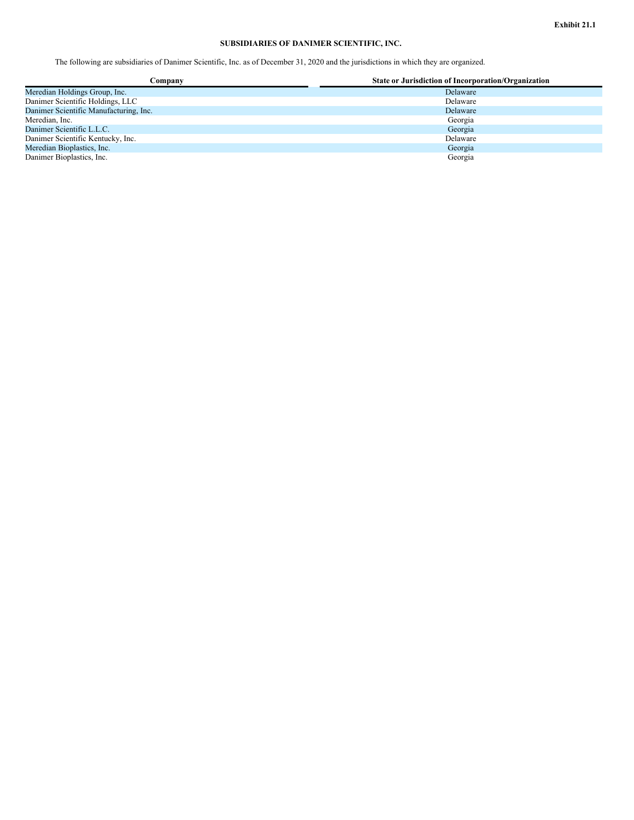## **SUBSIDIARIES OF DANIMER SCIENTIFIC, INC.**

<span id="page-59-0"></span>The following are subsidiaries of Danimer Scientific, Inc. as of December 31, 2020 and the jurisdictions in which they are organized.

| Company                                | State or Jurisdiction of Incorporation/Organization |  |  |  |
|----------------------------------------|-----------------------------------------------------|--|--|--|
| Meredian Holdings Group, Inc.          | Delaware                                            |  |  |  |
| Danimer Scientific Holdings, LLC       | Delaware                                            |  |  |  |
| Danimer Scientific Manufacturing, Inc. | Delaware                                            |  |  |  |
| Meredian, Inc.                         | Georgia                                             |  |  |  |
| Danimer Scientific L.L.C.              | Georgia                                             |  |  |  |
| Danimer Scientific Kentucky, Inc.      | Delaware                                            |  |  |  |
| Meredian Bioplastics, Inc.             | Georgia                                             |  |  |  |
| Danimer Bioplastics, Inc.              | Georgia                                             |  |  |  |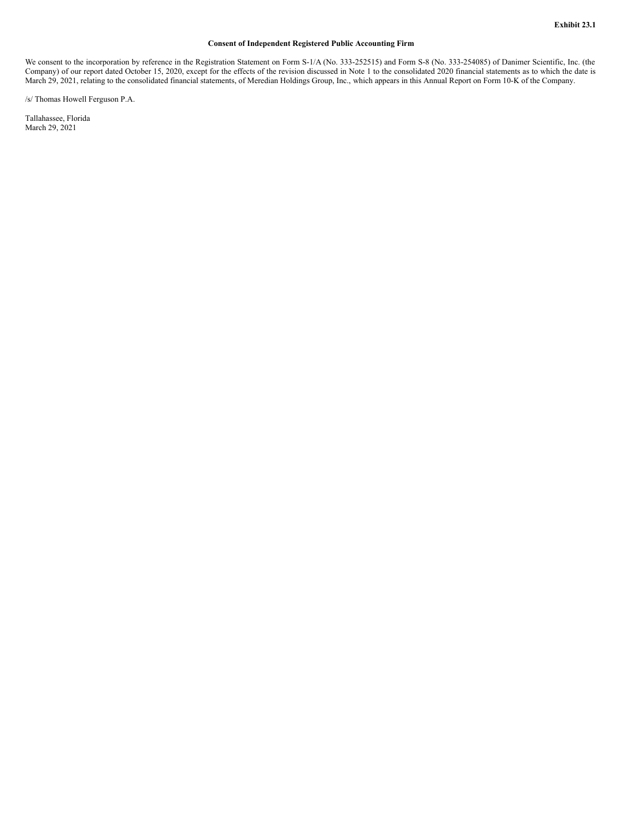## **Consent of Independent Registered Public Accounting Firm**

<span id="page-60-0"></span>We consent to the incorporation by reference in the Registration Statement on Form S-1/A (No. 333-252515) and Form S-8 (No. 333-254085) of Danimer Scientific, Inc. (the Company) of our report dated October 15, 2020, except for the effects of the revision discussed in Note 1 to the consolidated 2020 financial statements as to which the date is March 29, 2021, relating to the consolidated financial statements, of Meredian Holdings Group, Inc., which appears in this Annual Report on Form 10-K of the Company.

/s/ Thomas Howell Ferguson P.A.

Tallahassee, Florida March 29, 2021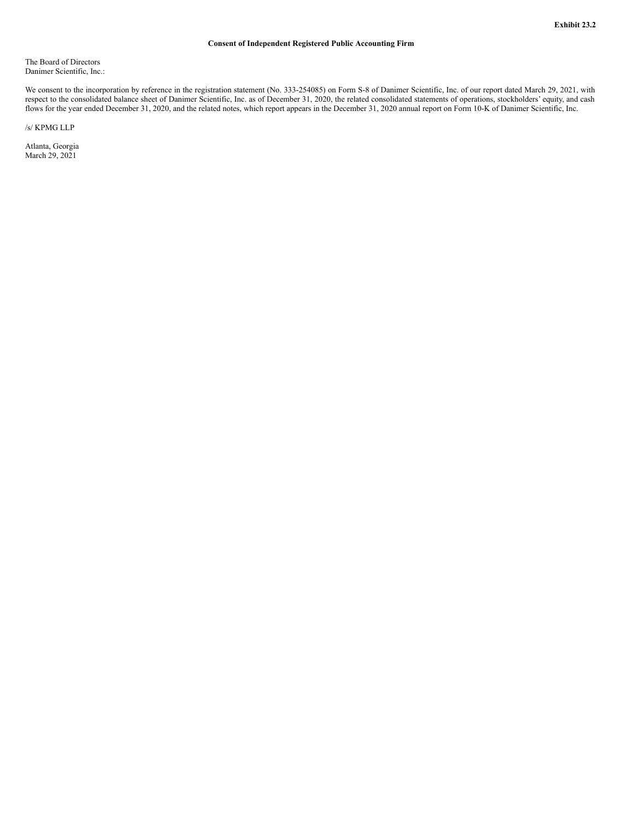## **Consent of Independent Registered Public Accounting Firm**

<span id="page-61-0"></span>The Board of Directors Danimer Scientific, Inc.:

We consent to the incorporation by reference in the registration statement (No. 333-254085) on Form S-8 of Danimer Scientific, Inc. of our report dated March 29, 2021, with respect to the consolidated balance sheet of Danimer Scientific, Inc. as of December 31, 2020, the related consolidated statements of operations, stockholders' equity, and cash flows for the year ended December 31, 2020, and the related notes, which report appears in the December 31, 2020 annual report on Form 10-K of Danimer Scientific, Inc.

/s/ KPMG LLP

Atlanta, Georgia March 29, 2021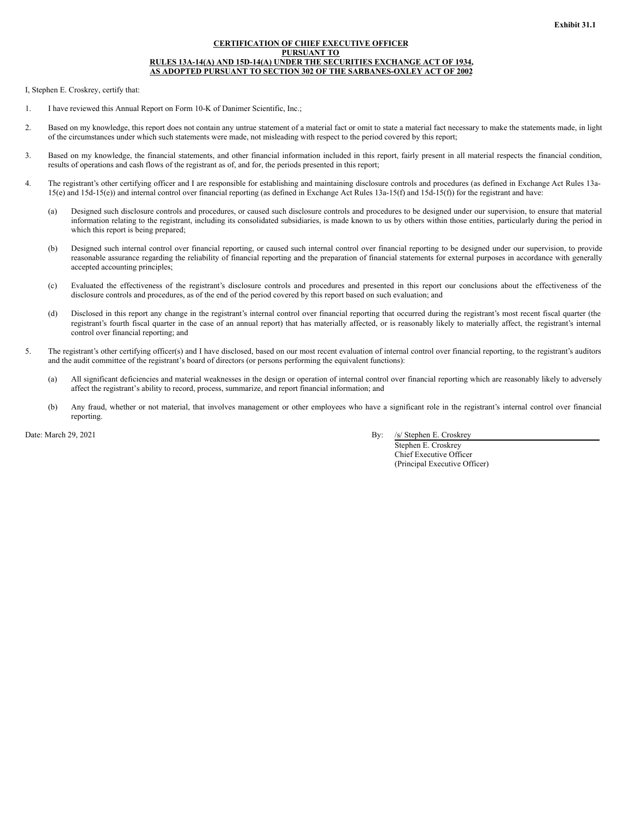## **CERTIFICATION OF CHIEF EXECUTIVE OFFICER PURSUANT TO RULES 13A-14(A) AND 15D-14(A) UNDER THE SECURITIES EXCHANGE ACT OF 1934, AS ADOPTED PURSUANT TO SECTION 302 OF THE SARBANES-OXLEY ACT OF 2002**

<span id="page-62-0"></span>I, Stephen E. Croskrey, certify that:

- 1. I have reviewed this Annual Report on Form 10-K of Danimer Scientific, Inc.;
- 2. Based on my knowledge, this report does not contain any untrue statement of a material fact or omit to state a material fact necessary to make the statements made, in light of the circumstances under which such statements were made, not misleading with respect to the period covered by this report;
- 3. Based on my knowledge, the financial statements, and other financial information included in this report, fairly present in all material respects the financial condition, results of operations and cash flows of the registrant as of, and for, the periods presented in this report;
- 4. The registrant's other certifying officer and I are responsible for establishing and maintaining disclosure controls and procedures (as defined in Exchange Act Rules 13a-15(e) and 15d-15(e)) and internal control over financial reporting (as defined in Exchange Act Rules 13a-15(f) and 15d-15(f)) for the registrant and have:
	- (a) Designed such disclosure controls and procedures, or caused such disclosure controls and procedures to be designed under our supervision, to ensure that material information relating to the registrant, including its consolidated subsidiaries, is made known to us by others within those entities, particularly during the period in which this report is being prepared;
	- (b) Designed such internal control over financial reporting, or caused such internal control over financial reporting to be designed under our supervision, to provide reasonable assurance regarding the reliability of financial reporting and the preparation of financial statements for external purposes in accordance with generally accepted accounting principles;
	- (c) Evaluated the effectiveness of the registrant's disclosure controls and procedures and presented in this report our conclusions about the effectiveness of the disclosure controls and procedures, as of the end of the period covered by this report based on such evaluation; and
	- (d) Disclosed in this report any change in the registrant's internal control over financial reporting that occurred during the registrant's most recent fiscal quarter (the registrant's fourth fiscal quarter in the case of an annual report) that has materially affected, or is reasonably likely to materially affect, the registrant's internal control over financial reporting; and
- 5. The registrant's other certifying officer(s) and I have disclosed, based on our most recent evaluation of internal control over financial reporting, to the registrant's auditors and the audit committee of the registrant's board of directors (or persons performing the equivalent functions):
	- (a) All significant deficiencies and material weaknesses in the design or operation of internal control over financial reporting which are reasonably likely to adversely affect the registrant's ability to record, process, summarize, and report financial information; and
	- (b) Any fraud, whether or not material, that involves management or other employees who have a significant role in the registrant's internal control over financial reporting.

Date: March 29, 2021 By: /s/ Stephen E. Croskrey

Stephen E. Croskrey Chief Executive Officer (Principal Executive Officer)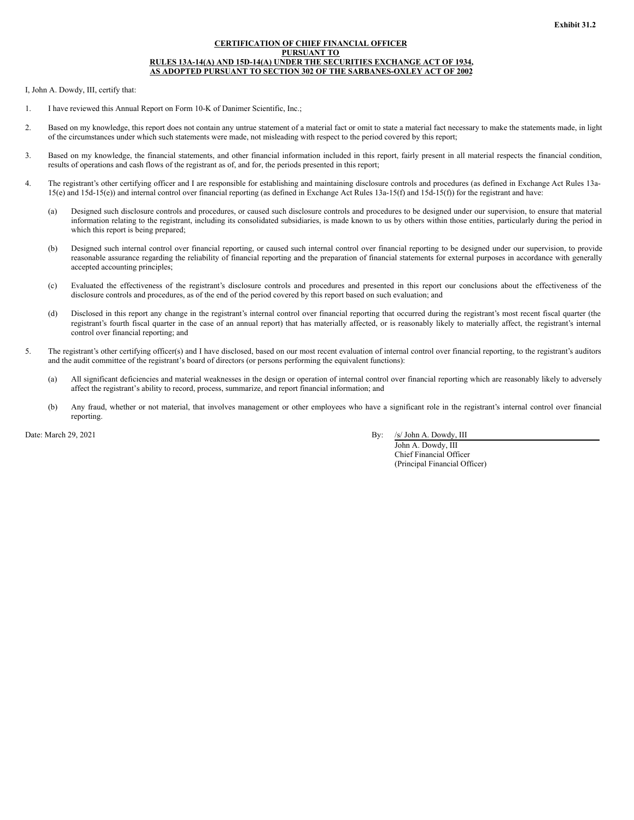## **CERTIFICATION OF CHIEF FINANCIAL OFFICER PURSUANT TO RULES 13A-14(A) AND 15D-14(A) UNDER THE SECURITIES EXCHANGE ACT OF 1934, AS ADOPTED PURSUANT TO SECTION 302 OF THE SARBANES-OXLEY ACT OF 2002**

<span id="page-63-0"></span>I, John A. Dowdy, III, certify that:

- 1. I have reviewed this Annual Report on Form 10-K of Danimer Scientific, Inc.;
- 2. Based on my knowledge, this report does not contain any untrue statement of a material fact or omit to state a material fact necessary to make the statements made, in light of the circumstances under which such statements were made, not misleading with respect to the period covered by this report;
- 3. Based on my knowledge, the financial statements, and other financial information included in this report, fairly present in all material respects the financial condition, results of operations and cash flows of the registrant as of, and for, the periods presented in this report;
- 4. The registrant's other certifying officer and I are responsible for establishing and maintaining disclosure controls and procedures (as defined in Exchange Act Rules 13a-15(e) and 15d-15(e)) and internal control over financial reporting (as defined in Exchange Act Rules 13a-15(f) and 15d-15(f)) for the registrant and have:
	- (a) Designed such disclosure controls and procedures, or caused such disclosure controls and procedures to be designed under our supervision, to ensure that material information relating to the registrant, including its consolidated subsidiaries, is made known to us by others within those entities, particularly during the period in which this report is being prepared;
	- (b) Designed such internal control over financial reporting, or caused such internal control over financial reporting to be designed under our supervision, to provide reasonable assurance regarding the reliability of financial reporting and the preparation of financial statements for external purposes in accordance with generally accepted accounting principles;
	- (c) Evaluated the effectiveness of the registrant's disclosure controls and procedures and presented in this report our conclusions about the effectiveness of the disclosure controls and procedures, as of the end of the period covered by this report based on such evaluation; and
	- (d) Disclosed in this report any change in the registrant's internal control over financial reporting that occurred during the registrant's most recent fiscal quarter (the registrant's fourth fiscal quarter in the case of an annual report) that has materially affected, or is reasonably likely to materially affect, the registrant's internal control over financial reporting; and
- 5. The registrant's other certifying officer(s) and I have disclosed, based on our most recent evaluation of internal control over financial reporting, to the registrant's auditors and the audit committee of the registrant's board of directors (or persons performing the equivalent functions):
	- (a) All significant deficiencies and material weaknesses in the design or operation of internal control over financial reporting which are reasonably likely to adversely affect the registrant's ability to record, process, summarize, and report financial information; and
	- (b) Any fraud, whether or not material, that involves management or other employees who have a significant role in the registrant's internal control over financial reporting.

Date: March 29, 2021 By: /s/ John A. Dowdy, III

John A. Dowdy, III Chief Financial Officer (Principal Financial Officer)